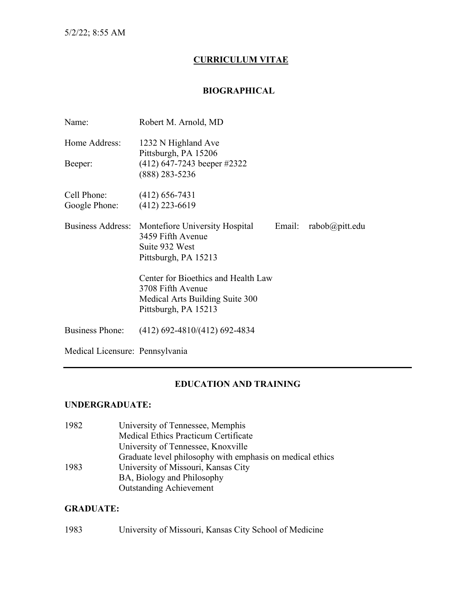## **CURRICULUM VITAE**

#### **BIOGRAPHICAL**

| Name:                           | Robert M. Arnold, MD                                                                                                                |
|---------------------------------|-------------------------------------------------------------------------------------------------------------------------------------|
| Home Address:                   | 1232 N Highland Ave                                                                                                                 |
| Beeper:                         | Pittsburgh, PA 15206<br>$(412)$ 647-7243 beeper #2322<br>$(888)$ 283-5236                                                           |
| Cell Phone:<br>Google Phone:    | $(412)$ 656-7431<br>$(412)$ 223-6619                                                                                                |
| <b>Business Address:</b>        | Montefiore University Hospital<br>Email:<br>$rabob(\omega p$ itt.edu<br>3459 Fifth Avenue<br>Suite 932 West<br>Pittsburgh, PA 15213 |
|                                 | Center for Bioethics and Health Law<br>3708 Fifth Avenue<br>Medical Arts Building Suite 300<br>Pittsburgh, PA 15213                 |
| <b>Business Phone:</b>          | $(412)$ 692-4810/(412) 692-4834                                                                                                     |
| Medical Licensure: Pennsylvania |                                                                                                                                     |

## **EDUCATION AND TRAINING**

#### **UNDERGRADUATE:**

| 1982 | University of Tennessee, Memphis                          |
|------|-----------------------------------------------------------|
|      | <b>Medical Ethics Practicum Certificate</b>               |
|      | University of Tennessee, Knoxville                        |
|      | Graduate level philosophy with emphasis on medical ethics |
| 1983 | University of Missouri, Kansas City                       |
|      | BA, Biology and Philosophy                                |
|      | <b>Outstanding Achievement</b>                            |

#### **GRADUATE:**

# 1983 University of Missouri, Kansas City School of Medicine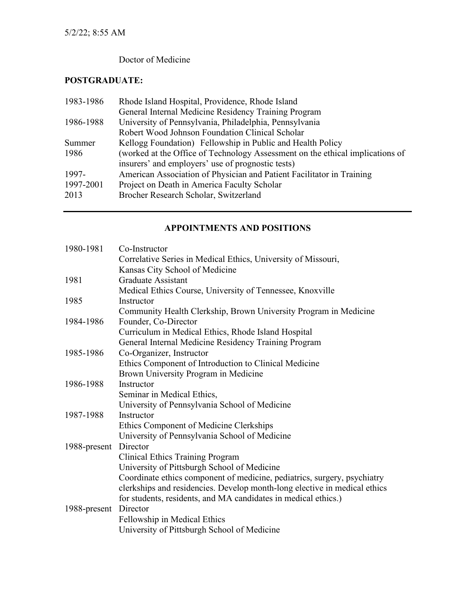# Doctor of Medicine

# **POSTGRADUATE:**

| 1983-1986 | Rhode Island Hospital, Providence, Rhode Island                               |
|-----------|-------------------------------------------------------------------------------|
|           | General Internal Medicine Residency Training Program                          |
| 1986-1988 | University of Pennsylvania, Philadelphia, Pennsylvania                        |
|           | Robert Wood Johnson Foundation Clinical Scholar                               |
| Summer    | Kellogg Foundation) Fellowship in Public and Health Policy                    |
| 1986      | (worked at the Office of Technology Assessment on the ethical implications of |
|           | insurers' and employers' use of prognostic tests)                             |
| 1997-     | American Association of Physician and Patient Facilitator in Training         |
| 1997-2001 | Project on Death in America Faculty Scholar                                   |
| 2013      | Brocher Research Scholar, Switzerland                                         |
|           |                                                                               |

## **APPOINTMENTS AND POSITIONS**

| 1980-1981             | Co-Instructor                                                             |
|-----------------------|---------------------------------------------------------------------------|
|                       | Correlative Series in Medical Ethics, University of Missouri,             |
|                       | Kansas City School of Medicine                                            |
| 1981                  | <b>Graduate Assistant</b>                                                 |
|                       | Medical Ethics Course, University of Tennessee, Knoxville                 |
| 1985                  | Instructor                                                                |
|                       | Community Health Clerkship, Brown University Program in Medicine          |
| 1984-1986             | Founder, Co-Director                                                      |
|                       | Curriculum in Medical Ethics, Rhode Island Hospital                       |
|                       | General Internal Medicine Residency Training Program                      |
| 1985-1986             | Co-Organizer, Instructor                                                  |
|                       | Ethics Component of Introduction to Clinical Medicine                     |
|                       | Brown University Program in Medicine                                      |
| 1986-1988             | Instructor                                                                |
|                       | Seminar in Medical Ethics,                                                |
|                       | University of Pennsylvania School of Medicine                             |
| 1987-1988             | Instructor                                                                |
|                       | Ethics Component of Medicine Clerkships                                   |
|                       | University of Pennsylvania School of Medicine                             |
| 1988-present Director |                                                                           |
|                       | <b>Clinical Ethics Training Program</b>                                   |
|                       | University of Pittsburgh School of Medicine                               |
|                       | Coordinate ethics component of medicine, pediatrics, surgery, psychiatry  |
|                       | clerkships and residencies. Develop month-long elective in medical ethics |
|                       | for students, residents, and MA candidates in medical ethics.)            |
| 1988-present Director |                                                                           |
|                       | Fellowship in Medical Ethics                                              |
|                       | University of Pittsburgh School of Medicine                               |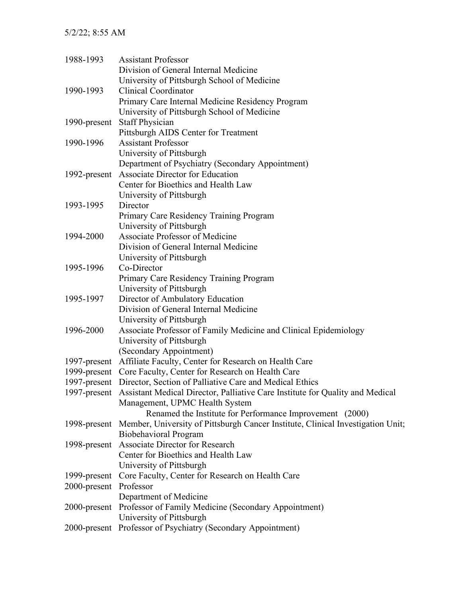| 1988-1993              | <b>Assistant Professor</b>                                                                   |
|------------------------|----------------------------------------------------------------------------------------------|
|                        | Division of General Internal Medicine                                                        |
|                        | University of Pittsburgh School of Medicine                                                  |
| 1990-1993              | <b>Clinical Coordinator</b>                                                                  |
|                        | Primary Care Internal Medicine Residency Program                                             |
|                        | University of Pittsburgh School of Medicine                                                  |
| 1990-present           | <b>Staff Physician</b>                                                                       |
|                        | Pittsburgh AIDS Center for Treatment                                                         |
| 1990-1996              | <b>Assistant Professor</b>                                                                   |
|                        | University of Pittsburgh                                                                     |
|                        | Department of Psychiatry (Secondary Appointment)                                             |
| 1992-present           | <b>Associate Director for Education</b>                                                      |
|                        | Center for Bioethics and Health Law                                                          |
|                        | University of Pittsburgh                                                                     |
| 1993-1995              | Director                                                                                     |
|                        | Primary Care Residency Training Program                                                      |
|                        | University of Pittsburgh                                                                     |
| 1994-2000              | Associate Professor of Medicine                                                              |
|                        | Division of General Internal Medicine                                                        |
|                        | University of Pittsburgh                                                                     |
| 1995-1996              | Co-Director                                                                                  |
|                        | Primary Care Residency Training Program                                                      |
|                        | University of Pittsburgh                                                                     |
| 1995-1997              | Director of Ambulatory Education                                                             |
|                        | Division of General Internal Medicine                                                        |
|                        | University of Pittsburgh                                                                     |
| 1996-2000              | Associate Professor of Family Medicine and Clinical Epidemiology                             |
|                        | University of Pittsburgh                                                                     |
|                        | (Secondary Appointment)                                                                      |
|                        | 1997-present Affiliate Faculty, Center for Research on Health Care                           |
|                        | 1999-present Core Faculty, Center for Research on Health Care                                |
|                        | 1997-present Director, Section of Palliative Care and Medical Ethics                         |
|                        | 1997-present Assistant Medical Director, Palliative Care Institute for Quality and Medical   |
|                        | Management, UPMC Health System                                                               |
|                        | Renamed the Institute for Performance Improvement (2000)                                     |
|                        | 1998-present Member, University of Pittsburgh Cancer Institute, Clinical Investigation Unit; |
|                        | <b>Biobehavioral Program</b>                                                                 |
| 1998-present           | Associate Director for Research                                                              |
|                        | Center for Bioethics and Health Law                                                          |
|                        | University of Pittsburgh                                                                     |
| 1999-present           | Core Faculty, Center for Research on Health Care                                             |
| 2000-present Professor |                                                                                              |
|                        | Department of Medicine                                                                       |
|                        | 2000-present Professor of Family Medicine (Secondary Appointment)                            |
|                        | University of Pittsburgh                                                                     |
|                        | 2000-present Professor of Psychiatry (Secondary Appointment)                                 |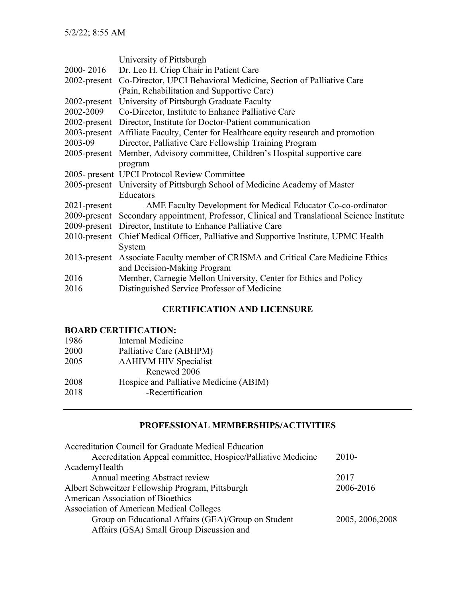|                 | University of Pittsburgh                                                                    |
|-----------------|---------------------------------------------------------------------------------------------|
| 2000-2016       | Dr. Leo H. Criep Chair in Patient Care                                                      |
| $2002$ -present | Co-Director, UPCI Behavioral Medicine, Section of Palliative Care                           |
|                 | (Pain, Rehabilitation and Supportive Care)                                                  |
| $2002$ -present | University of Pittsburgh Graduate Faculty                                                   |
| 2002-2009       | Co-Director, Institute to Enhance Palliative Care                                           |
|                 | 2002-present Director, Institute for Doctor-Patient communication                           |
|                 | 2003-present Affiliate Faculty, Center for Healthcare equity research and promotion         |
| 2003-09         | Director, Palliative Care Fellowship Training Program                                       |
| $2005$ -present | Member, Advisory committee, Children's Hospital supportive care                             |
|                 | program                                                                                     |
|                 | 2005- present UPCI Protocol Review Committee                                                |
|                 | 2005-present University of Pittsburgh School of Medicine Academy of Master                  |
|                 | <b>Educators</b>                                                                            |
| $2021$ -present | AME Faculty Development for Medical Educator Co-co-ordinator                                |
|                 | 2009-present Secondary appointment, Professor, Clinical and Translational Science Institute |
|                 | 2009-present Director, Institute to Enhance Palliative Care                                 |
|                 | 2010-present Chief Medical Officer, Palliative and Supportive Institute, UPMC Health        |
|                 | System                                                                                      |
| $2013$ -present | Associate Faculty member of CRISMA and Critical Care Medicine Ethics                        |
|                 | and Decision-Making Program                                                                 |
| 2016            | Member, Carnegie Mellon University, Center for Ethics and Policy                            |
| 2016            | Distinguished Service Professor of Medicine                                                 |
|                 |                                                                                             |

# **CERTIFICATION AND LICENSURE**

## **BOARD CERTIFICATION:**

| 1986 | Internal Medicine                      |
|------|----------------------------------------|
| 2000 | Palliative Care (ABHPM)                |
| 2005 | <b>AAHIVM HIV Specialist</b>           |
|      | Renewed 2006                           |
| 2008 | Hospice and Palliative Medicine (ABIM) |
| 2018 | -Recertification                       |
|      |                                        |

## **PROFESSIONAL MEMBERSHIPS/ACTIVITIES**

| Accreditation Council for Graduate Medical Education        |                  |
|-------------------------------------------------------------|------------------|
| Accreditation Appeal committee, Hospice/Palliative Medicine | $2010-$          |
| AcademyHealth                                               |                  |
| Annual meeting Abstract review                              | 2017             |
| Albert Schweitzer Fellowship Program, Pittsburgh            | 2006-2016        |
| American Association of Bioethics                           |                  |
| <b>Association of American Medical Colleges</b>             |                  |
| Group on Educational Affairs (GEA)/Group on Student         | 2005, 2006, 2008 |
| Affairs (GSA) Small Group Discussion and                    |                  |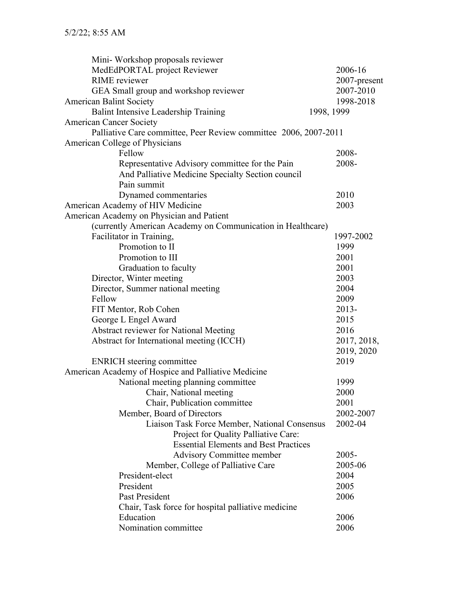| Mini-Workshop proposals reviewer                                 |              |
|------------------------------------------------------------------|--------------|
| MedEdPORTAL project Reviewer                                     | 2006-16      |
| <b>RIME</b> reviewer                                             | 2007-present |
| GEA Small group and workshop reviewer                            | 2007-2010    |
| <b>American Balint Society</b>                                   | 1998-2018    |
| Balint Intensive Leadership Training                             | 1998, 1999   |
| <b>American Cancer Society</b>                                   |              |
| Palliative Care committee, Peer Review committee 2006, 2007-2011 |              |
| American College of Physicians                                   |              |
| Fellow                                                           | 2008-        |
| Representative Advisory committee for the Pain                   | 2008-        |
| And Palliative Medicine Specialty Section council                |              |
| Pain summit                                                      |              |
| Dynamed commentaries                                             | 2010         |
| American Academy of HIV Medicine                                 | 2003         |
| American Academy on Physician and Patient                        |              |
| (currently American Academy on Communication in Healthcare)      |              |
| Facilitator in Training,                                         | 1997-2002    |
| Promotion to II                                                  | 1999         |
| Promotion to III                                                 | 2001         |
| Graduation to faculty                                            | 2001         |
| Director, Winter meeting                                         | 2003         |
| Director, Summer national meeting                                | 2004         |
| Fellow                                                           | 2009         |
| FIT Mentor, Rob Cohen                                            | $2013 -$     |
| George L Engel Award                                             | 2015         |
| Abstract reviewer for National Meeting                           | 2016         |
| Abstract for International meeting (ICCH)                        | 2017, 2018,  |
|                                                                  | 2019, 2020   |
| <b>ENRICH</b> steering committee                                 | 2019         |
| American Academy of Hospice and Palliative Medicine              |              |
| National meeting planning committee                              | 1999         |
| Chair, National meeting                                          | 2000         |
| Chair, Publication committee                                     | 2001         |
| Member, Board of Directors                                       | 2002-2007    |
| Liaison Task Force Member, National Consensus                    | 2002-04      |
| Project for Quality Palliative Care:                             |              |
| <b>Essential Elements and Best Practices</b>                     |              |
| <b>Advisory Committee member</b>                                 | $2005 -$     |
| Member, College of Palliative Care                               | 2005-06      |
| President-elect                                                  | 2004         |
| President                                                        | 2005         |
| Past President                                                   | 2006         |
| Chair, Task force for hospital palliative medicine               |              |
| Education                                                        | 2006         |
| Nomination committee                                             | 2006         |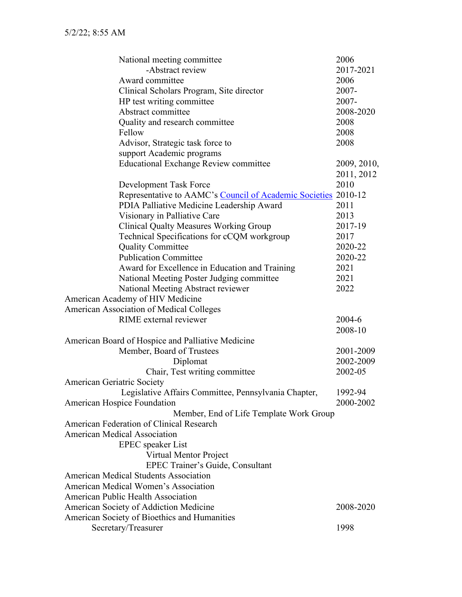| National meeting committee                                     | 2006        |
|----------------------------------------------------------------|-------------|
| -Abstract review                                               | 2017-2021   |
| Award committee                                                | 2006        |
| Clinical Scholars Program, Site director                       | 2007-       |
| HP test writing committee                                      | 2007-       |
| Abstract committee                                             | 2008-2020   |
| Quality and research committee                                 | 2008        |
| Fellow                                                         | 2008        |
| Advisor, Strategic task force to                               | 2008        |
| support Academic programs                                      |             |
| <b>Educational Exchange Review committee</b>                   | 2009, 2010, |
|                                                                | 2011, 2012  |
| Development Task Force                                         | 2010        |
| Representative to AAMC's Council of Academic Societies 2010-12 |             |
| PDIA Palliative Medicine Leadership Award                      | 2011        |
| Visionary in Palliative Care                                   | 2013        |
| <b>Clinical Qualty Measures Working Group</b>                  | 2017-19     |
| Technical Specifications for cCQM workgroup                    | 2017        |
| <b>Quality Committee</b>                                       | 2020-22     |
| <b>Publication Committee</b>                                   | 2020-22     |
| Award for Excellence in Education and Training                 | 2021        |
| National Meeting Poster Judging committee                      | 2021        |
| National Meeting Abstract reviewer                             | 2022        |
| American Academy of HIV Medicine                               |             |
| <b>American Association of Medical Colleges</b>                |             |
| RIME external reviewer                                         | 2004-6      |
|                                                                | 2008-10     |
| American Board of Hospice and Palliative Medicine              |             |
| Member, Board of Trustees                                      | 2001-2009   |
| Diplomat                                                       | 2002-2009   |
| Chair, Test writing committee                                  | 2002-05     |
| <b>American Geriatric Society</b>                              |             |
| Legislative Affairs Committee, Pennsylvania Chapter,           | 1992-94     |
| <b>American Hospice Foundation</b>                             | 2000-2002   |
| Member, End of Life Template Work Group                        |             |
| <b>American Federation of Clinical Research</b>                |             |
| <b>American Medical Association</b>                            |             |
| <b>EPEC</b> speaker List                                       |             |
| Virtual Mentor Project                                         |             |
| EPEC Trainer's Guide, Consultant                               |             |
| <b>American Medical Students Association</b>                   |             |
| <b>American Medical Women's Association</b>                    |             |
| <b>American Public Health Association</b>                      |             |
| American Society of Addiction Medicine                         | 2008-2020   |
| <b>American Society of Bioethics and Humanities</b>            |             |
| Secretary/Treasurer                                            | 1998        |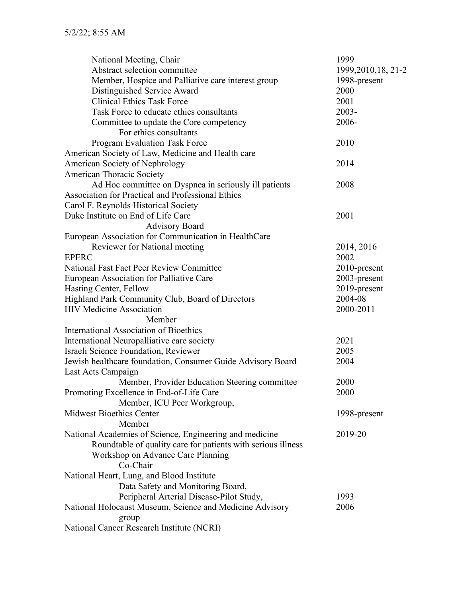| National Meeting, Chair                                      | 1999                 |
|--------------------------------------------------------------|----------------------|
| Abstract selection committee                                 | 1999, 2010, 18, 21-2 |
| Member, Hospice and Palliative care interest group           | 1998-present         |
| Distinguished Service Award                                  | 2000                 |
| <b>Clinical Ethics Task Force</b>                            | 2001                 |
| Task Force to educate ethics consultants                     | 2003-                |
| Committee to update the Core competency                      | 2006-                |
| For ethics consultants                                       |                      |
| <b>Program Evaluation Task Force</b>                         | 2010                 |
| American Society of Law, Medicine and Health care            |                      |
| American Society of Nephrology                               | 2014                 |
| <b>American Thoracic Society</b>                             |                      |
| Ad Hoc committee on Dyspnea in seriously ill patients        | 2008                 |
| Association for Practical and Professional Ethics            |                      |
| Carol F. Reynolds Historical Society                         |                      |
| Duke Institute on End of Life Care                           | 2001                 |
| <b>Advisory Board</b>                                        |                      |
| European Association for Communication in HealthCare         |                      |
| Reviewer for National meeting                                | 2014, 2016           |
| <b>EPERC</b>                                                 | 2002                 |
| <b>National Fast Fact Peer Review Committee</b>              | 2010-present         |
| European Association for Palliative Care                     | 2003-present         |
| Hasting Center, Fellow                                       | 2019-present         |
| Highland Park Community Club, Board of Directors             | 2004-08              |
| <b>HIV Medicine Association</b>                              | 2000-2011            |
| Member                                                       |                      |
| <b>International Association of Bioethics</b>                |                      |
|                                                              | 2021                 |
| International Neuropalliative care society                   |                      |
| Israeli Science Foundation, Reviewer                         | 2005                 |
| Jewish healthcare foundation, Consumer Guide Advisory Board  | 2004                 |
| Last Acts Campaign                                           |                      |
| Member, Provider Education Steering committee                | 2000                 |
| Promoting Excellence in End-of-Life Care                     | 2000                 |
| Member, ICU Peer Workgroup,                                  |                      |
| <b>Midwest Bioethics Center</b>                              | 1998-present         |
| Member                                                       |                      |
| National Academies of Science, Engineering and medicine      | 2019-20              |
| Roundtable of quality care for patients with serious illness |                      |
| Workshop on Advance Care Planning                            |                      |
| Co-Chair                                                     |                      |
| National Heart, Lung, and Blood Institute                    |                      |
| Data Safety and Monitoring Board,                            |                      |
| Peripheral Arterial Disease-Pilot Study,                     | 1993                 |
| National Holocaust Museum, Science and Medicine Advisory     | 2006                 |
| group                                                        |                      |
| National Cancer Research Institute (NCRI)                    |                      |
|                                                              |                      |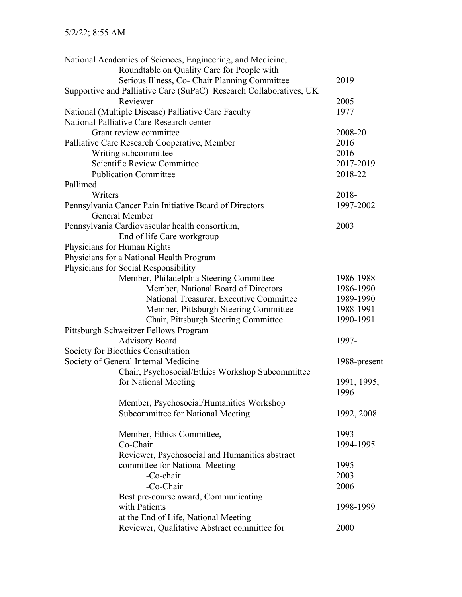|                             | National Academies of Sciences, Engineering, and Medicine,         |              |
|-----------------------------|--------------------------------------------------------------------|--------------|
|                             | Roundtable on Quality Care for People with                         |              |
|                             | Serious Illness, Co- Chair Planning Committee                      | 2019         |
|                             | Supportive and Palliative Care (SuPaC) Research Collaboratives, UK |              |
|                             | Reviewer                                                           | 2005         |
|                             | National (Multiple Disease) Palliative Care Faculty                | 1977         |
|                             | National Palliative Care Research center                           |              |
|                             | Grant review committee                                             | 2008-20      |
|                             | Palliative Care Research Cooperative, Member                       | 2016         |
|                             | Writing subcommittee                                               | 2016         |
|                             | Scientific Review Committee                                        | 2017-2019    |
|                             | <b>Publication Committee</b>                                       | 2018-22      |
| Pallimed                    |                                                                    |              |
| Writers                     |                                                                    | 2018-        |
|                             | Pennsylvania Cancer Pain Initiative Board of Directors             | 1997-2002    |
|                             | General Member                                                     |              |
|                             | Pennsylvania Cardiovascular health consortium,                     | 2003         |
|                             | End of life Care workgroup                                         |              |
| Physicians for Human Rights |                                                                    |              |
|                             | Physicians for a National Health Program                           |              |
|                             | Physicians for Social Responsibility                               |              |
|                             | Member, Philadelphia Steering Committee                            | 1986-1988    |
|                             | Member, National Board of Directors                                | 1986-1990    |
|                             | National Treasurer, Executive Committee                            | 1989-1990    |
|                             | Member, Pittsburgh Steering Committee                              | 1988-1991    |
|                             | Chair, Pittsburgh Steering Committee                               | 1990-1991    |
|                             | Pittsburgh Schweitzer Fellows Program                              |              |
|                             | <b>Advisory Board</b>                                              | 1997-        |
|                             | Society for Bioethics Consultation                                 |              |
|                             | Society of General Internal Medicine                               | 1988-present |
|                             | Chair, Psychosocial/Ethics Workshop Subcommittee                   |              |
|                             | for National Meeting                                               | 1991, 1995,  |
|                             |                                                                    | 1996         |
|                             | Member, Psychosocial/Humanities Workshop                           |              |
|                             | Subcommittee for National Meeting                                  | 1992, 2008   |
|                             |                                                                    |              |
|                             | Member, Ethics Committee,                                          | 1993         |
|                             | Co-Chair                                                           | 1994-1995    |
|                             | Reviewer, Psychosocial and Humanities abstract                     |              |
|                             | committee for National Meeting                                     | 1995         |
|                             | -Co-chair                                                          | 2003         |
|                             | -Co-Chair                                                          | 2006         |
|                             | Best pre-course award, Communicating                               |              |
|                             | with Patients                                                      | 1998-1999    |
|                             | at the End of Life, National Meeting                               |              |
|                             | Reviewer, Qualitative Abstract committee for                       | 2000         |
|                             |                                                                    |              |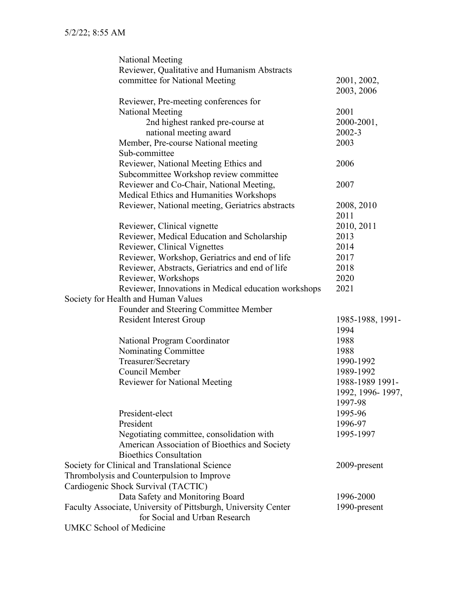|                                | National Meeting                                               |                  |
|--------------------------------|----------------------------------------------------------------|------------------|
|                                | Reviewer, Qualitative and Humanism Abstracts                   |                  |
|                                | committee for National Meeting                                 | 2001, 2002,      |
|                                |                                                                | 2003, 2006       |
|                                | Reviewer, Pre-meeting conferences for                          |                  |
|                                | National Meeting                                               | 2001             |
|                                | 2nd highest ranked pre-course at                               | 2000-2001,       |
|                                | national meeting award                                         | 2002-3           |
|                                | Member, Pre-course National meeting                            | 2003             |
|                                | Sub-committee                                                  |                  |
|                                | Reviewer, National Meeting Ethics and                          | 2006             |
|                                | Subcommittee Workshop review committee                         |                  |
|                                | Reviewer and Co-Chair, National Meeting,                       | 2007             |
|                                | Medical Ethics and Humanities Workshops                        |                  |
|                                | Reviewer, National meeting, Geriatrics abstracts               | 2008, 2010       |
|                                |                                                                | 2011             |
|                                | Reviewer, Clinical vignette                                    | 2010, 2011       |
|                                | Reviewer, Medical Education and Scholarship                    | 2013             |
|                                | Reviewer, Clinical Vignettes                                   | 2014             |
|                                | Reviewer, Workshop, Geriatrics and end of life                 | 2017             |
|                                | Reviewer, Abstracts, Geriatrics and end of life                | 2018             |
|                                | Reviewer, Workshops                                            | 2020             |
|                                | Reviewer, Innovations in Medical education workshops           | 2021             |
|                                | Society for Health and Human Values                            |                  |
|                                | Founder and Steering Committee Member                          |                  |
|                                | <b>Resident Interest Group</b>                                 | 1985-1988, 1991- |
|                                |                                                                | 1994             |
|                                | National Program Coordinator                                   | 1988             |
|                                | Nominating Committee                                           | 1988             |
|                                | Treasurer/Secretary                                            | 1990-1992        |
|                                | Council Member                                                 | 1989-1992        |
|                                | <b>Reviewer for National Meeting</b>                           | 1988-1989 1991-  |
|                                |                                                                | 1992, 1996-1997, |
|                                |                                                                | 1997-98          |
|                                | President-elect                                                | 1995-96          |
|                                | President                                                      | 1996-97          |
|                                | Negotiating committee, consolidation with                      | 1995-1997        |
|                                | American Association of Bioethics and Society                  |                  |
|                                | <b>Bioethics Consultation</b>                                  |                  |
|                                | Society for Clinical and Translational Science                 | 2009-present     |
|                                | Thrombolysis and Counterpulsion to Improve                     |                  |
|                                | Cardiogenic Shock Survival (TACTIC)                            |                  |
|                                | Data Safety and Monitoring Board                               | 1996-2000        |
|                                | Faculty Associate, University of Pittsburgh, University Center | 1990-present     |
|                                | for Social and Urban Research                                  |                  |
| <b>UMKC School of Medicine</b> |                                                                |                  |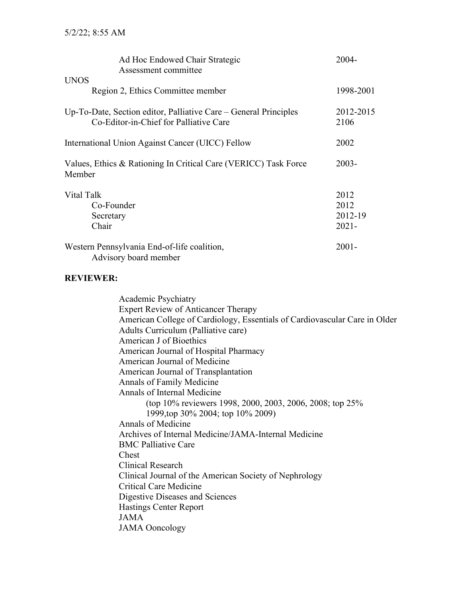| Ad Hoc Endowed Chair Strategic                                                                             | $2004 -$          |
|------------------------------------------------------------------------------------------------------------|-------------------|
| Assessment committee                                                                                       |                   |
| <b>UNOS</b>                                                                                                |                   |
| Region 2, Ethics Committee member                                                                          | 1998-2001         |
| Up-To-Date, Section editor, Palliative Care – General Principles<br>Co-Editor-in-Chief for Palliative Care | 2012-2015<br>2106 |
| International Union Against Cancer (UICC) Fellow                                                           | 2002              |
| Values, Ethics & Rationing In Critical Care (VERICC) Task Force<br>Member                                  | $2003 -$          |
| Vital Talk                                                                                                 | 2012              |
| Co-Founder                                                                                                 | 2012              |
| Secretary                                                                                                  | 2012-19           |
| Chair                                                                                                      | $2021 -$          |
| Western Pennsylvania End-of-life coalition,<br>Advisory board member                                       | $2001 -$          |

#### **REVIEWER:**

Academic Psychiatry Expert Review of Anticancer Therapy American College of Cardiology, Essentials of Cardiovascular Care in Older Adults Curriculum (Palliative care) American J of Bioethics American Journal of Hospital Pharmacy American Journal of Medicine American Journal of Transplantation Annals of Family Medicine Annals of Internal Medicine (top 10% reviewers 1998, 2000, 2003, 2006, 2008; top 25% 1999,top 30% 2004; top 10% 2009) Annals of Medicine Archives of Internal Medicine/JAMA-Internal Medicine BMC Palliative Care Chest Clinical Research Clinical Journal of the American Society of Nephrology Critical Care Medicine Digestive Diseases and Sciences Hastings Center Report JAMA JAMA Ooncology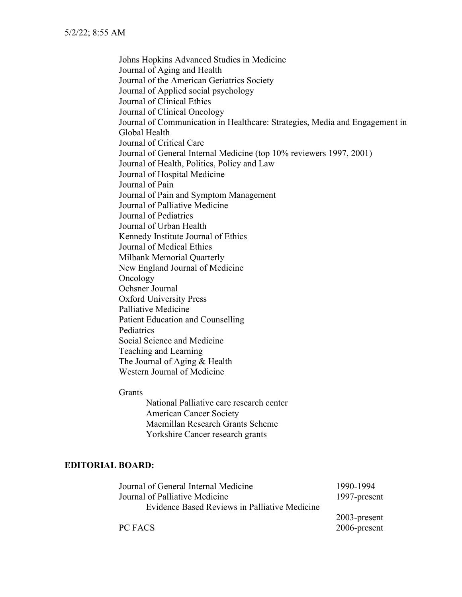Johns Hopkins Advanced Studies in Medicine Journal of Aging and Health Journal of the American Geriatrics Society Journal of Applied social psychology Journal of Clinical Ethics Journal of Clinical Oncology Journal of Communication in Healthcare: Strategies, Media and Engagement in Global Health Journal of Critical Care Journal of General Internal Medicine (top 10% reviewers 1997, 2001) Journal of Health, Politics, Policy and Law Journal of Hospital Medicine Journal of Pain Journal of Pain and Symptom Management Journal of Palliative Medicine Journal of Pediatrics Journal of Urban Health Kennedy Institute Journal of Ethics Journal of Medical Ethics Milbank Memorial Quarterly New England Journal of Medicine Oncology Ochsner Journal Oxford University Press Palliative Medicine Patient Education and Counselling Pediatrics Social Science and Medicine Teaching and Learning The Journal of Aging & Health Western Journal of Medicine

#### Grants

National Palliative care research center American Cancer Society Macmillan Research Grants Scheme Yorkshire Cancer research grants

#### **EDITORIAL BOARD:**

| Journal of General Internal Medicine          | 1990-1994       |
|-----------------------------------------------|-----------------|
| Journal of Palliative Medicine                | 1997-present    |
| Evidence Based Reviews in Palliative Medicine |                 |
|                                               | $2003$ -present |
| PC FACS                                       | 2006-present    |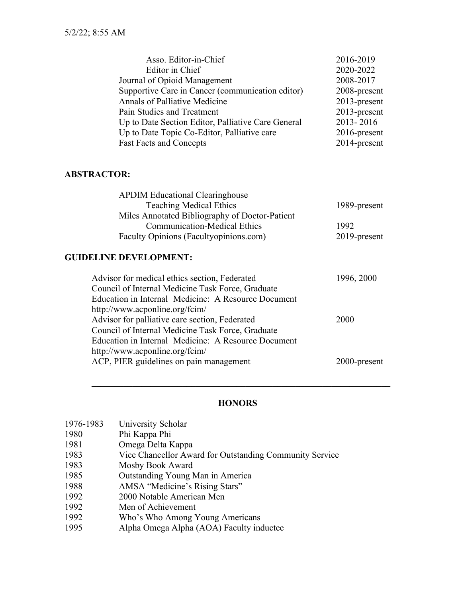| Asso. Editor-in-Chief                              | 2016-2019       |
|----------------------------------------------------|-----------------|
| Editor in Chief                                    | 2020-2022       |
| Journal of Opioid Management                       | 2008-2017       |
| Supportive Care in Cancer (communication editor)   | 2008-present    |
| Annals of Palliative Medicine                      | $2013$ -present |
| Pain Studies and Treatment                         | $2013$ -present |
| Up to Date Section Editor, Palliative Care General | 2013-2016       |
| Up to Date Topic Co-Editor, Palliative care        | $2016$ -present |
| <b>Fast Facts and Concepts</b>                     | 2014-present    |

## **ABSTRACTOR:**

| <b>APDIM Educational Clearinghouse</b>         |                 |
|------------------------------------------------|-----------------|
| <b>Teaching Medical Ethics</b>                 | 1989-present    |
| Miles Annotated Bibliography of Doctor-Patient |                 |
| <b>Communication-Medical Ethics</b>            | 1992            |
| Faculty Opinions (Facultyopinions.com)         | $2019$ -present |

# **GUIDELINE DEVELOPMENT:**

| Advisor for medical ethics section, Federated       | 1996, 2000   |
|-----------------------------------------------------|--------------|
| Council of Internal Medicine Task Force, Graduate   |              |
| Education in Internal Medicine: A Resource Document |              |
| http://www.acponline.org/fcim/                      |              |
| Advisor for palliative care section, Federated      | 2000         |
| Council of Internal Medicine Task Force, Graduate   |              |
| Education in Internal Medicine: A Resource Document |              |
| http://www.acponline.org/fcim/                      |              |
| ACP, PIER guidelines on pain management             | 2000-present |
|                                                     |              |

## **HONORS**

 $\mathcal{L}_\text{max}$  , and the contract of the contract of the contract of the contract of the contract of the contract of the contract of the contract of the contract of the contract of the contract of the contract of the contr

| 1976-1983 | University Scholar                                      |
|-----------|---------------------------------------------------------|
| 1980      | Phi Kappa Phi                                           |
| 1981      | Omega Delta Kappa                                       |
| 1983      | Vice Chancellor Award for Outstanding Community Service |
| 1983      | Mosby Book Award                                        |
| 1985      | Outstanding Young Man in America                        |
| 1988      | AMSA "Medicine's Rising Stars"                          |
| 1992      | 2000 Notable American Men                               |
| 1992      | Men of Achievement                                      |
| 1992      | Who's Who Among Young Americans                         |
| 1995      | Alpha Omega Alpha (AOA) Faculty inductee                |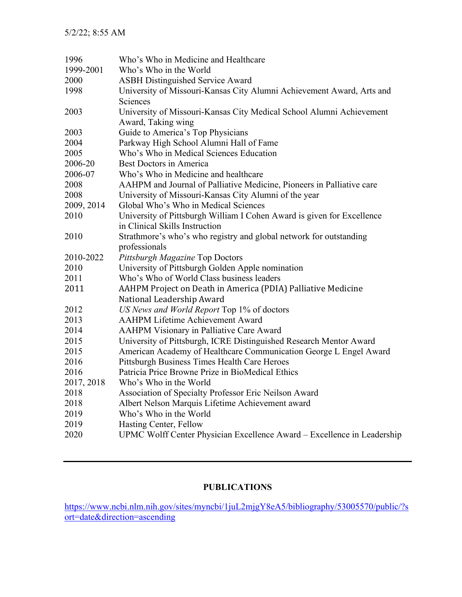| 1996       | Who's Who in Medicine and Healthcare                                    |
|------------|-------------------------------------------------------------------------|
| 1999-2001  | Who's Who in the World                                                  |
| 2000       | <b>ASBH Distinguished Service Award</b>                                 |
| 1998       | University of Missouri-Kansas City Alumni Achievement Award, Arts and   |
|            | Sciences                                                                |
| 2003       | University of Missouri-Kansas City Medical School Alumni Achievement    |
|            | Award, Taking wing                                                      |
| 2003       | Guide to America's Top Physicians                                       |
| 2004       | Parkway High School Alumni Hall of Fame                                 |
| 2005       | Who's Who in Medical Sciences Education                                 |
| 2006-20    | <b>Best Doctors in America</b>                                          |
| 2006-07    | Who's Who in Medicine and healthcare                                    |
| 2008       | AAHPM and Journal of Palliative Medicine, Pioneers in Palliative care   |
| 2008       | University of Missouri-Kansas City Alumni of the year                   |
| 2009, 2014 | Global Who's Who in Medical Sciences                                    |
| 2010       | University of Pittsburgh William I Cohen Award is given for Excellence  |
|            | in Clinical Skills Instruction                                          |
| 2010       | Strathmore's who's who registry and global network for outstanding      |
|            | professionals                                                           |
| 2010-2022  | Pittsburgh Magazine Top Doctors                                         |
| 2010       | University of Pittsburgh Golden Apple nomination                        |
| 2011       | Who's Who of World Class business leaders                               |
| 2011       | AAHPM Project on Death in America (PDIA) Palliative Medicine            |
|            | National Leadership Award                                               |
| 2012       | US News and World Report Top 1% of doctors                              |
| 2013       | <b>AAHPM Lifetime Achievement Award</b>                                 |
| 2014       | <b>AAHPM Visionary in Palliative Care Award</b>                         |
| 2015       | University of Pittsburgh, ICRE Distinguished Research Mentor Award      |
| 2015       | American Academy of Healthcare Communication George L Engel Award       |
| 2016       | Pittsburgh Business Times Health Care Heroes                            |
| 2016       | Patricia Price Browne Prize in BioMedical Ethics                        |
| 2017, 2018 | Who's Who in the World                                                  |
| 2018       | Association of Specialty Professor Eric Neilson Award                   |
| 2018       | Albert Nelson Marquis Lifetime Achievement award                        |
| 2019       | Who's Who in the World                                                  |
| 2019       | Hasting Center, Fellow                                                  |
| 2020       | UPMC Wolff Center Physician Excellence Award - Excellence in Leadership |

## **PUBLICATIONS**

[https://www.ncbi.nlm.nih.gov/sites/myncbi/1juL2mjgY8eA5/bibliography/53005570/public/?s](https://www.ncbi.nlm.nih.gov/sites/myncbi/1juL2mjgY8eA5/bibliography/53005570/public/?sort=date&direction=ascending) [ort=date&direction=ascending](https://www.ncbi.nlm.nih.gov/sites/myncbi/1juL2mjgY8eA5/bibliography/53005570/public/?sort=date&direction=ascending)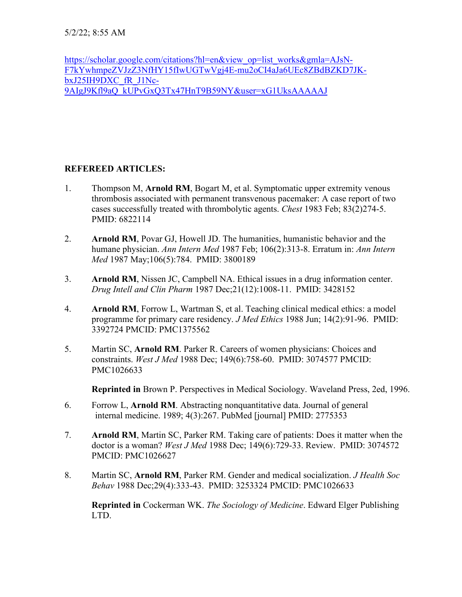[https://scholar.google.com/citations?hl=en&view\\_op=list\\_works&gmla=AJsN-](https://scholar.google.com/citations?hl=en&view_op=list_works&gmla=AJsN-F7kYwhmpeZVJzZ3NfHY15fIwUGTwVgj4E-mu2oCI4aJa6UEc8ZBdBZKD7JK-bxJ25IH9DXC_fR_J1Nc-9AIgJ9Kfl9aQ_kUPvGxQ3Tx47HnT9B59NY&user=xG1UksAAAAAJ)[F7kYwhmpeZVJzZ3NfHY15fIwUGTwVgj4E-mu2oCI4aJa6UEc8ZBdBZKD7JK](https://scholar.google.com/citations?hl=en&view_op=list_works&gmla=AJsN-F7kYwhmpeZVJzZ3NfHY15fIwUGTwVgj4E-mu2oCI4aJa6UEc8ZBdBZKD7JK-bxJ25IH9DXC_fR_J1Nc-9AIgJ9Kfl9aQ_kUPvGxQ3Tx47HnT9B59NY&user=xG1UksAAAAAJ)[bxJ25IH9DXC\\_fR\\_J1Nc-](https://scholar.google.com/citations?hl=en&view_op=list_works&gmla=AJsN-F7kYwhmpeZVJzZ3NfHY15fIwUGTwVgj4E-mu2oCI4aJa6UEc8ZBdBZKD7JK-bxJ25IH9DXC_fR_J1Nc-9AIgJ9Kfl9aQ_kUPvGxQ3Tx47HnT9B59NY&user=xG1UksAAAAAJ)[9AIgJ9Kfl9aQ\\_kUPvGxQ3Tx47HnT9B59NY&user=xG1UksAAAAAJ](https://scholar.google.com/citations?hl=en&view_op=list_works&gmla=AJsN-F7kYwhmpeZVJzZ3NfHY15fIwUGTwVgj4E-mu2oCI4aJa6UEc8ZBdBZKD7JK-bxJ25IH9DXC_fR_J1Nc-9AIgJ9Kfl9aQ_kUPvGxQ3Tx47HnT9B59NY&user=xG1UksAAAAAJ)

#### **REFEREED ARTICLES:**

- 1. Thompson M, **Arnold RM**, Bogart M, et al. Symptomatic upper extremity venous thrombosis associated with permanent transvenous pacemaker: A case report of two cases successfully treated with thrombolytic agents. *Chest* 1983 Feb; 83(2)274-5. PMID: 6822114
- 2. **Arnold RM**, Povar GJ, Howell JD. The humanities, humanistic behavior and the humane physician. *Ann Intern Med* 1987 Feb; 106(2):313-8. Erratum in: *Ann Intern Med* 1987 May;106(5):784. PMID: 3800189
- 3. **Arnold RM**, Nissen JC, Campbell NA. Ethical issues in a drug information center. *Drug Intell and Clin Pharm* 1987 Dec;21(12):1008-11. PMID: 3428152
- 4. **Arnold RM**, Forrow L, Wartman S, et al. Teaching clinical medical ethics: a model programme for primary care residency. *J Med Ethics* 1988 Jun; 14(2):91-96. PMID: 3392724 PMCID: PMC1375562
- 5. Martin SC, **Arnold RM**. Parker R. Careers of women physicians: Choices and constraints. *West J Med* 1988 Dec; 149(6):758-60. PMID: 3074577 PMCID: PMC1026633

**Reprinted in** Brown P. Perspectives in Medical Sociology. Waveland Press, 2ed, 1996.

- 6. Forrow L, **Arnold RM**. Abstracting nonquantitative data. Journal of general internal medicine. 1989; 4(3):267. PubMed [journal] PMID: 2775353
- 7. **Arnold RM**, Martin SC, Parker RM. Taking care of patients: Does it matter when the doctor is a woman? *West J Med* 1988 Dec; 149(6):729-33. Review. PMID: 3074572 PMCID: PMC1026627
- 8. Martin SC, **Arnold RM**, Parker RM. Gender and medical socialization. *J Health Soc Behav* 1988 Dec;29(4):333-43. PMID: 3253324 PMCID: PMC1026633

**Reprinted in** Cockerman WK. *The Sociology of Medicine*. Edward Elger Publishing LTD.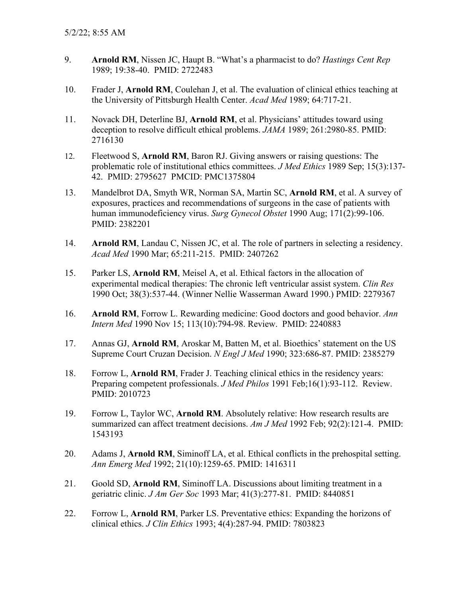- 9. **Arnold RM**, Nissen JC, Haupt B. "What's a pharmacist to do? *Hastings Cent Rep* 1989; 19:38-40. PMID: 2722483
- 10. Frader J, **Arnold RM**, Coulehan J, et al. The evaluation of clinical ethics teaching at the University of Pittsburgh Health Center. *Acad Med* 1989; 64:717-21.
- 11. Novack DH, Deterline BJ, **Arnold RM**, et al. Physicians' attitudes toward using deception to resolve difficult ethical problems. *JAMA* 1989; 261:2980-85. PMID: 2716130
- 12. Fleetwood S, **Arnold RM**, Baron RJ. Giving answers or raising questions: The problematic role of institutional ethics committees. *J Med Ethics* 1989 Sep; 15(3):137- 42. PMID: 2795627 PMCID: PMC1375804
- 13. Mandelbrot DA, Smyth WR, Norman SA, Martin SC, **Arnold RM**, et al. A survey of exposures, practices and recommendations of surgeons in the case of patients with human immunodeficiency virus. *Surg Gynecol Obstet* 1990 Aug; 171(2):99-106. PMID: 2382201
- 14. **Arnold RM**, Landau C, Nissen JC, et al. The role of partners in selecting a residency. *Acad Med* 1990 Mar; 65:211-215. PMID: 2407262
- 15. Parker LS, **Arnold RM**, Meisel A, et al. Ethical factors in the allocation of experimental medical therapies: The chronic left ventricular assist system. *Clin Res* 1990 Oct; 38(3):537-44. (Winner Nellie Wasserman Award 1990.) PMID: 2279367
- 16. **Arnold RM**, Forrow L. Rewarding medicine: Good doctors and good behavior. *Ann Intern Med* 1990 Nov 15; 113(10):794-98. Review. PMID: 2240883
- 17. Annas GJ, **Arnold RM**, Aroskar M, Batten M, et al. Bioethics' statement on the US Supreme Court Cruzan Decision. *N Engl J Med* 1990; 323:686-87. PMID: 2385279
- 18. Forrow L, **Arnold RM**, Frader J. Teaching clinical ethics in the residency years: Preparing competent professionals. *J Med Philos* 1991 Feb;16(1):93-112. Review. PMID: 2010723
- 19. Forrow L, Taylor WC, **Arnold RM**. Absolutely relative: How research results are summarized can affect treatment decisions. *Am J Med* 1992 Feb; 92(2):121-4. PMID: 1543193
- 20. Adams J, **Arnold RM**, Siminoff LA, et al. Ethical conflicts in the prehospital setting. *Ann Emerg Med* 1992; 21(10):1259-65. PMID: 1416311
- 21. Goold SD, **Arnold RM**, Siminoff LA. Discussions about limiting treatment in a geriatric clinic. *J Am Ger Soc* 1993 Mar; 41(3):277-81. PMID: 8440851
- 22. Forrow L, **Arnold RM**, Parker LS. Preventative ethics: Expanding the horizons of clinical ethics. *J Clin Ethics* 1993; 4(4):287-94. PMID: 7803823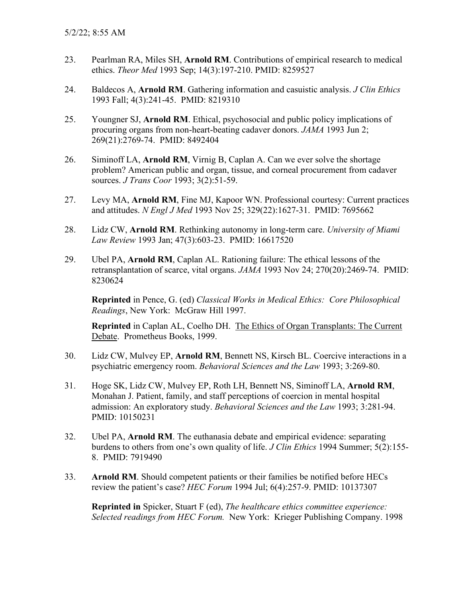- 23. Pearlman RA, Miles SH, **Arnold RM**. Contributions of empirical research to medical ethics. *Theor Med* 1993 Sep; 14(3):197-210. PMID: 8259527
- 24. Baldecos A, **Arnold RM**. Gathering information and casuistic analysis. *J Clin Ethics* 1993 Fall; 4(3):241-45. PMID: 8219310
- 25. Youngner SJ, **Arnold RM**. Ethical, psychosocial and public policy implications of procuring organs from non-heart-beating cadaver donors. *JAMA* 1993 Jun 2; 269(21):2769-74. PMID: 8492404
- 26. Siminoff LA, **Arnold RM**, Virnig B, Caplan A. Can we ever solve the shortage problem? American public and organ, tissue, and corneal procurement from cadaver sources. *J Trans Coor* 1993; 3(2):51-59.
- 27. Levy MA, **Arnold RM**, Fine MJ, Kapoor WN. Professional courtesy: Current practices and attitudes. *N Engl J Med* 1993 Nov 25; 329(22):1627-31. PMID: 7695662
- 28. Lidz CW, **Arnold RM**. Rethinking autonomy in long-term care. *University of Miami Law Review* 1993 Jan; 47(3):603-23. PMID: 16617520
- 29. Ubel PA, **Arnold RM**, Caplan AL. Rationing failure: The ethical lessons of the retransplantation of scarce, vital organs. *JAMA* 1993 Nov 24; 270(20):2469-74. PMID: 8230624

**Reprinted** in Pence, G. (ed) *Classical Works in Medical Ethics: Core Philosophical Readings*, New York: McGraw Hill 1997.

**Reprinted** in Caplan AL, Coelho DH. The Ethics of Organ Transplants: The Current Debate. Prometheus Books, 1999.

- 30. Lidz CW, Mulvey EP, **Arnold RM**, Bennett NS, Kirsch BL. Coercive interactions in a psychiatric emergency room. *Behavioral Sciences and the Law* 1993; 3:269-80.
- 31. Hoge SK, Lidz CW, Mulvey EP, Roth LH, Bennett NS, Siminoff LA, **Arnold RM**, Monahan J. Patient, family, and staff perceptions of coercion in mental hospital admission: An exploratory study. *Behavioral Sciences and the Law* 1993; 3:281-94. PMID: 10150231
- 32. Ubel PA, **Arnold RM**. The euthanasia debate and empirical evidence: separating burdens to others from one's own quality of life. *J Clin Ethics* 1994 Summer; 5(2):155- 8. PMID: 7919490
- 33. **Arnold RM**. Should competent patients or their families be notified before HECs review the patient's case? *HEC Forum* 1994 Jul; 6(4):257-9. PMID: 10137307

**Reprinted in** Spicker, Stuart F (ed), *The healthcare ethics committee experience: Selected readings from HEC Forum.* New York: Krieger Publishing Company. 1998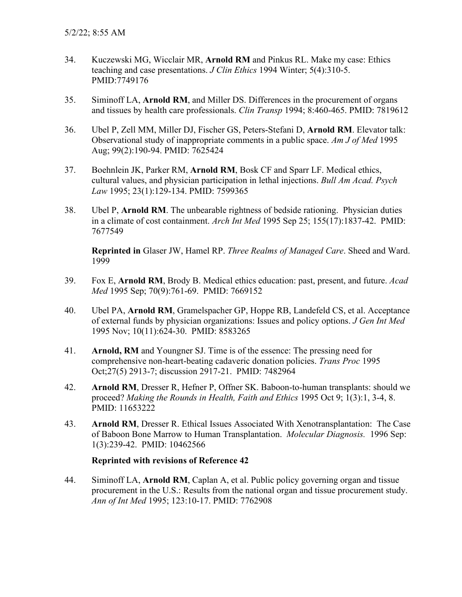- 34. Kuczewski MG, Wicclair MR, **Arnold RM** and Pinkus RL. Make my case: Ethics teaching and case presentations. *J Clin Ethics* 1994 Winter; 5(4):310-5. PMID:7749176
- 35. Siminoff LA, **Arnold RM**, and Miller DS. Differences in the procurement of organs and tissues by health care professionals. *Clin Transp* 1994; 8:460-465. PMID: 7819612
- 36. Ubel P, Zell MM, Miller DJ, Fischer GS, Peters-Stefani D, **Arnold RM**. Elevator talk: Observational study of inappropriate comments in a public space. *Am J of Med* 1995 Aug; 99(2):190-94. PMID: 7625424
- 37. Boehnlein JK, Parker RM, **Arnold RM**, Bosk CF and Sparr LF. Medical ethics, cultural values, and physician participation in lethal injections. *Bull Am Acad. Psych Law* 1995; 23(1):129-134. PMID: 7599365
- 38. Ubel P, **Arnold RM**. The unbearable rightness of bedside rationing. Physician duties in a climate of cost containment. *Arch Int Med* 1995 Sep 25; 155(17):1837-42. PMID: 7677549

**Reprinted in** Glaser JW, Hamel RP. *Three Realms of Managed Care*. Sheed and Ward. 1999

- 39. Fox E, **Arnold RM**, Brody B. Medical ethics education: past, present, and future. *Acad Med* 1995 Sep; 70(9):761-69. PMID: 7669152
- 40. Ubel PA, **Arnold RM**, Gramelspacher GP, Hoppe RB, Landefeld CS, et al. Acceptance of external funds by physician organizations: Issues and policy options. *J Gen Int Med* 1995 Nov; 10(11):624-30. PMID: 8583265
- 41. **Arnold, RM** and Youngner SJ. Time is of the essence: The pressing need for comprehensive non-heart-beating cadaveric donation policies. *Trans Proc* 1995 Oct;27(5) 2913-7; discussion 2917-21. PMID: 7482964
- 42. **Arnold RM**, Dresser R, Hefner P, Offner SK. Baboon-to-human transplants: should we proceed? *Making the Rounds in Health, Faith and Ethics* 1995 Oct 9; 1(3):1, 3-4, 8. PMID: 11653222
- 43. **Arnold RM**, Dresser R. Ethical Issues Associated With Xenotransplantation: The Case of Baboon Bone Marrow to Human Transplantation. *Molecular Diagnosis.* 1996 Sep: 1(3):239-42. PMID: 10462566

#### **Reprinted with revisions of Reference 42**

44. Siminoff LA, **Arnold RM**, Caplan A, et al. Public policy governing organ and tissue procurement in the U.S.: Results from the national organ and tissue procurement study. *Ann of Int Med* 1995; 123:10-17. PMID: 7762908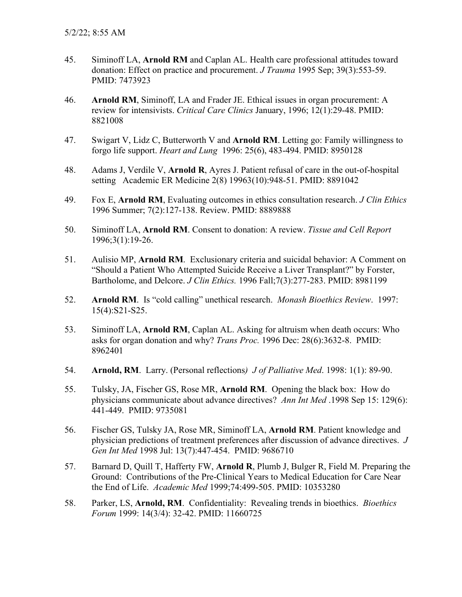- 45. Siminoff LA, **Arnold RM** and Caplan AL. Health care professional attitudes toward donation: Effect on practice and procurement. *J Trauma* 1995 Sep; 39(3):553-59. PMID: 7473923
- 46. **Arnold RM**, Siminoff, LA and Frader JE. Ethical issues in organ procurement: A review for intensivists. *Critical Care Clinics* January, 1996; 12(1):29-48. PMID: 8821008
- 47. Swigart V, Lidz C, Butterworth V and **Arnold RM**. Letting go: Family willingness to forgo life support. *Heart and Lung* 1996: 25(6), 483-494. PMID: 8950128
- 48. Adams J, Verdile V, **Arnold R**, Ayres J. Patient refusal of care in the out-of-hospital setting Academic ER Medicine 2(8) 19963(10):948-51. PMID: 8891042
- 49. Fox E, **Arnold RM**, Evaluating outcomes in ethics consultation research. *J Clin Ethics* 1996 Summer; 7(2):127-138. Review. PMID: 8889888
- 50. Siminoff LA, **Arnold RM**. Consent to donation: A review. *Tissue and Cell Report* 1996;3(1):19-26.
- 51. Aulisio MP, **Arnold RM**. Exclusionary criteria and suicidal behavior: A Comment on "Should a Patient Who Attempted Suicide Receive a Liver Transplant?" by Forster, Bartholome, and Delcore. *J Clin Ethics.* 1996 Fall;7(3):277-283. PMID: 8981199
- 52. **Arnold RM**. Is "cold calling" unethical research. *Monash Bioethics Review*. 1997: 15(4):S21-S25.
- 53. Siminoff LA, **Arnold RM**, Caplan AL. Asking for altruism when death occurs: Who asks for organ donation and why? *Trans Proc.* 1996 Dec: 28(6):3632-8. PMID: 8962401
- 54. **Arnold, RM**. Larry. (Personal reflections*) J of Palliative Med*. 1998: 1(1): 89-90.
- 55. Tulsky, JA, Fischer GS, Rose MR, **Arnold RM**. Opening the black box: How do physicians communicate about advance directives? *Ann Int Med* .1998 Sep 15: 129(6): 441-449. PMID: 9735081
- 56. Fischer GS, Tulsky JA, Rose MR, Siminoff LA, **Arnold RM**. Patient knowledge and physician predictions of treatment preferences after discussion of advance directives. *J Gen Int Med* 1998 Jul: 13(7):447-454. PMID: 9686710
- 57. Barnard D, Quill T, Hafferty FW, **Arnold R**, Plumb J, Bulger R, Field M. Preparing the Ground: Contributions of the Pre-Clinical Years to Medical Education for Care Near the End of Life. *Academic Med* 1999;74:499-505. PMID: 10353280
- 58. Parker, LS, **Arnold, RM**. Confidentiality: Revealing trends in bioethics. *Bioethics Forum* 1999: 14(3/4): 32-42. PMID: 11660725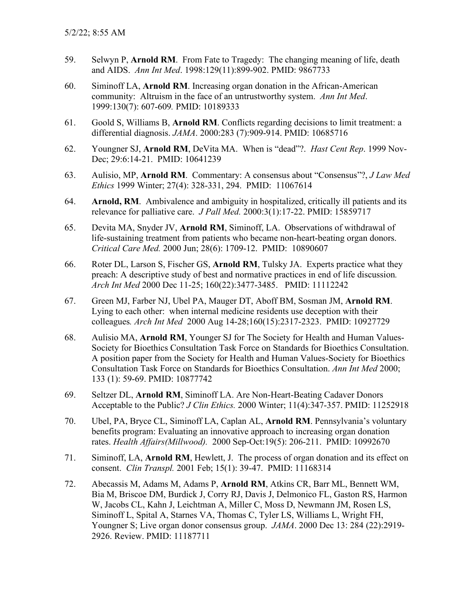- 59. Selwyn P, **Arnold RM**. From Fate to Tragedy: The changing meaning of life, death and AIDS. *Ann Int Med*. 1998:129(11):899-902. PMID: 9867733
- 60. Siminoff LA, **Arnold RM**. Increasing organ donation in the African-American community: Altruism in the face of an untrustworthy system. *Ann Int Med*. 1999:130(7): 607-609*.* PMID: 10189333
- 61. Goold S, Williams B, **Arnold RM**. Conflicts regarding decisions to limit treatment: a differential diagnosis. *JAMA*. 2000:283 (7):909-914. PMID: 10685716
- 62. Youngner SJ, **Arnold RM**, DeVita MA. When is "dead"?. *Hast Cent Rep*. 1999 Nov-Dec; 29:6:14-21. PMID: 10641239
- 63. Aulisio, MP, **Arnold RM**. Commentary: A consensus about "Consensus"?, *J Law Med Ethics* 1999 Winter; 27(4): 328-331, 294. PMID: 11067614
- 64. **Arnold, RM**. Ambivalence and ambiguity in hospitalized, critically ill patients and its relevance for palliative care. *J Pall Med.* 2000:3(1):17-22. PMID: 15859717
- 65. Devita MA, Snyder JV, **Arnold RM**, Siminoff, LA. Observations of withdrawal of life-sustaining treatment from patients who became non-heart-beating organ donors. *Critical Care Med.* 2000 Jun; 28(6): 1709-12. PMID: 10890607
- 66. Roter DL, Larson S, Fischer GS, **Arnold RM**, Tulsky JA. Experts practice what they preach: A descriptive study of best and normative practices in end of life discussion*. Arch Int Med* 2000 Dec 11-25; 160(22):3477-3485. PMID: 11112242
- 67. Green MJ, Farber NJ, Ubel PA, Mauger DT, Aboff BM, Sosman JM, **Arnold RM**. Lying to each other: when internal medicine residents use deception with their colleagues*. Arch Int Med* 2000 Aug 14-28;160(15):2317-2323. PMID: 10927729
- 68. Aulisio MA, **Arnold RM**, Younger SJ for The Society for Health and Human Values-Society for Bioethics Consultation Task Force on Standards for Bioethics Consultation. A position paper from the Society for Health and Human Values-Society for Bioethics Consultation Task Force on Standards for Bioethics Consultation. *Ann Int Med* 2000; 133 (1): 59-69. PMID: 10877742
- 69. Seltzer DL, **Arnold RM**, Siminoff LA. Are Non-Heart-Beating Cadaver Donors Acceptable to the Public? *J Clin Ethics.* 2000 Winter; 11(4):347-357. PMID: 11252918
- 70. Ubel, PA, Bryce CL, Siminoff LA, Caplan AL, **Arnold RM**. Pennsylvania's voluntary benefits program: Evaluating an innovative approach to increasing organ donation rates. *Health Affairs(Millwood).* 2000 Sep-Oct:19(5): 206-211. PMID: 10992670
- 71. Siminoff, LA, **Arnold RM**, Hewlett, J. The process of organ donation and its effect on consent. *Clin Transpl.* 2001 Feb; 15(1): 39-47. PMID: 11168314
- 72. Abecassis M, Adams M, Adams P, **Arnold RM**, Atkins CR, Barr ML, Bennett WM, Bia M, Briscoe DM, Burdick J, Corry RJ, Davis J, Delmonico FL, Gaston RS, Harmon W, Jacobs CL, Kahn J, Leichtman A, Miller C, Moss D, Newmann JM, Rosen LS, Siminoff L, Spital A, Starnes VA, Thomas C, Tyler LS, Williams L, Wright FH, Youngner S; Live organ donor consensus group. *JAMA*. 2000 Dec 13: 284 (22):2919- 2926. Review. PMID: 11187711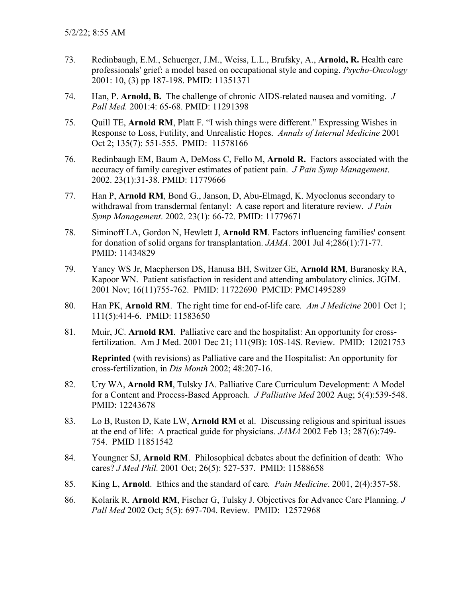- 73. Redinbaugh, E.M., Schuerger, J.M., Weiss, L.L., Brufsky, A., **Arnold, R.** Health care professionals' grief: a model based on occupational style and coping. *Psycho-Oncology* 2001: 10, (3) pp 187-198. PMID: 11351371
- 74. Han, P. **Arnold, B.** The challenge of chronic AIDS-related nausea and vomiting. *J Pall Med.* 2001:4: 65-68. PMID: 11291398
- 75. Quill TE, **Arnold RM**, Platt F. "I wish things were different." Expressing Wishes in Response to Loss, Futility, and Unrealistic Hopes. *Annals of Internal Medicine* 2001 Oct 2; 135(7): 551-555. PMID: 11578166
- 76. Redinbaugh EM, Baum A, DeMoss C, Fello M, **Arnold R.** Factors associated with the accuracy of family caregiver estimates of patient pain. *J Pain Symp Management*. 2002. 23(1):31-38. PMID: 11779666
- 77. Han P, **Arnold RM**, Bond G., Janson, D, Abu-Elmagd, K. Myoclonus secondary to withdrawal from transdermal fentanyl: A case report and literature review. *J Pain Symp Management*. 2002. 23(1): 66-72. PMID: 11779671
- 78. Siminoff LA, Gordon N, Hewlett J, **Arnold RM**. Factors influencing families' consent for donation of solid organs for transplantation. *JAMA*. 2001 Jul 4;286(1):71-77. PMID: 11434829
- 79. Yancy WS Jr, Macpherson DS, Hanusa BH, Switzer GE, **Arnold RM**, Buranosky RA, Kapoor WN. Patient satisfaction in resident and attending ambulatory clinics. JGIM. 2001 Nov; 16(11)755-762. PMID: 11722690 PMCID: PMC1495289
- 80. Han PK, **Arnold RM**. The right time for end-of-life care*. Am J Medicine* 2001 Oct 1; 111(5):414-6. PMID: 11583650
- 81. Muir, JC. **Arnold RM**. Palliative care and the hospitalist: An opportunity for crossfertilization. Am J Med. 2001 Dec 21; 111(9B): 10S-14S. Review. PMID: 12021753

**Reprinted** (with revisions) as Palliative care and the Hospitalist: An opportunity for cross-fertilization, in *Dis Month* 2002; 48:207-16.

- 82. Ury WA, **Arnold RM**, Tulsky JA. Palliative Care Curriculum Development: A Model for a Content and Process-Based Approach. *J Palliative Med* 2002 Aug; 5(4):539-548. PMID: 12243678
- 83. Lo B, Ruston D, Kate LW, **Arnold RM** et al. Discussing religious and spiritual issues at the end of life: A practical guide for physicians. *JAMA* 2002 Feb 13; 287(6):749- 754. PMID 11851542
- 84. Youngner SJ, **Arnold RM**. Philosophical debates about the definition of death: Who cares? *J Med Phil.* 2001 Oct; 26(5): 527-537. PMID: 11588658
- 85. King L, **Arnold**. Ethics and the standard of care*. Pain Medicine*. 2001, 2(4):357-58.
- 86. Kolarik R. **Arnold RM**, Fischer G, Tulsky J. Objectives for Advance Care Planning. *J Pall Med* 2002 Oct; 5(5): 697-704. Review. PMID: 12572968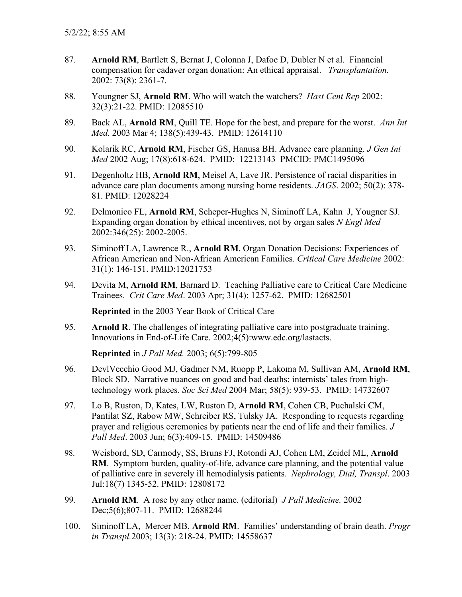- 87. **Arnold RM**, Bartlett S, Bernat J, Colonna J, Dafoe D, Dubler N et al. Financial compensation for cadaver organ donation: An ethical appraisal. *Transplantation.* 2002: 73(8): 2361-7.
- 88. Youngner SJ, **Arnold RM**. Who will watch the watchers? *Hast Cent Rep* 2002: 32(3):21-22. PMID: 12085510
- 89. Back AL, **Arnold RM**, Quill TE. Hope for the best, and prepare for the worst. *Ann Int Med.* 2003 Mar 4; 138(5):439-43. PMID: 12614110
- 90. Kolarik RC, **Arnold RM**, Fischer GS, Hanusa BH. Advance care planning. *J Gen Int Med* 2002 Aug; 17(8):618-624. PMID: 12213143 PMCID: PMC1495096
- 91. Degenholtz HB, **Arnold RM**, Meisel A, Lave JR. Persistence of racial disparities in advance care plan documents among nursing home residents. *JAGS*. 2002; 50(2): 378- 81. PMID: 12028224
- 92. Delmonico FL, **Arnold RM**, Scheper-Hughes N, Siminoff LA, Kahn J, Yougner SJ. Expanding organ donation by ethical incentives, not by organ sales *N Engl Med* 2002:346(25): 2002-2005.
- 93. Siminoff LA, Lawrence R., **Arnold RM**. Organ Donation Decisions: Experiences of African American and Non-African American Families. *Critical Care Medicine* 2002: 31(1): 146-151. PMID:12021753
- 94. Devita M, **Arnold RM**, Barnard D. Teaching Palliative care to Critical Care Medicine Trainees. *Crit Care Med*. 2003 Apr; 31(4): 1257-62. PMID: 12682501

**Reprinted** in the 2003 Year Book of Critical Care

95. **Arnold R**. The challenges of integrating palliative care into postgraduate training. Innovations in End-of-Life Care. 2002;4(5):www.edc.org/lastacts.

**Reprinted** in *J Pall Med.* 2003; 6(5):799-805

- 96. DevlVecchio Good MJ, Gadmer NM, Ruopp P, Lakoma M, Sullivan AM, **Arnold RM**, Block SD. Narrative nuances on good and bad deaths: internists' tales from hightechnology work places. *Soc Sci Med* 2004 Mar; 58(5): 939-53. PMID: 14732607
- 97. Lo B, Ruston, D, Kates, LW, Ruston D, **Arnold RM**, Cohen CB, Puchalski CM, Pantilat SZ, Rabow MW, Schreiber RS, Tulsky JA. Responding to requests regarding prayer and religious ceremonies by patients near the end of life and their families. *J Pall Med*. 2003 Jun; 6(3):409-15. PMID: 14509486
- 98. Weisbord, SD, Carmody, SS, Bruns FJ, Rotondi AJ, Cohen LM, Zeidel ML, **Arnold RM**. Symptom burden, quality-of-life, advance care planning, and the potential value of palliative care in severely ill hemodialysis patients*. Nephrology, Dial, Transpl*. 2003 Jul:18(7) 1345-52. PMID: 12808172
- 99. **Arnold RM**. A rose by any other name. (editorial) *J Pall Medicine.* 2002 Dec;5(6);807-11. PMID: 12688244
- 100. Siminoff LA, Mercer MB, **Arnold RM**. Families' understanding of brain death. *Progr in Transpl.*2003; 13(3): 218-24. PMID: 14558637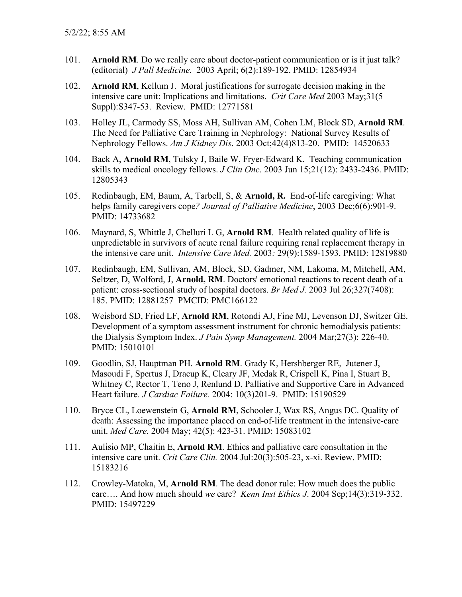- 101. **Arnold RM**. Do we really care about doctor-patient communication or is it just talk? (editorial) *J Pall Medicine.* 2003 April; 6(2):189-192. PMID: 12854934
- 102. **Arnold RM**, Kellum J. Moral justifications for surrogate decision making in the intensive care unit: Implications and limitations. *Crit Care Med* 2003 May;31(5 Suppl):S347-53. Review. PMID: 12771581
- 103. Holley JL, Carmody SS, Moss AH, Sullivan AM, Cohen LM, Block SD, **Arnold RM**. The Need for Palliative Care Training in Nephrology: National Survey Results of Nephrology Fellows. *Am J Kidney Dis*. 2003 Oct;42(4)813-20. PMID: 14520633
- 104. Back A, **Arnold RM**, Tulsky J, Baile W, Fryer-Edward K. Teaching communication skills to medical oncology fellows. *J Clin Onc*. 2003 Jun 15;21(12): 2433-2436. PMID: 12805343
- 105. Redinbaugh, EM, Baum, A, Tarbell, S, & **Arnold, R.** End-of-life caregiving: What helps family caregivers cope*? Journal of Palliative Medicine*, 2003 Dec;6(6):901-9. PMID: 14733682
- 106. Maynard, S, Whittle J, Chelluri L G, **Arnold RM**. Health related quality of life is unpredictable in survivors of acute renal failure requiring renal replacement therapy in the intensive care unit. *Intensive Care Med.* 2003*:* 29(9):1589-1593. PMID: 12819880
- 107. Redinbaugh, EM, Sullivan, AM, Block, SD, Gadmer, NM, Lakoma, M, Mitchell, AM, Seltzer, D, Wolford, J, **Arnold, RM**. Doctors' emotional reactions to recent death of a patient: cross-sectional study of hospital doctors. *Br Med J.* 2003 Jul 26;327(7408): 185. PMID: 12881257 PMCID: PMC166122
- 108. Weisbord SD, Fried LF, **Arnold RM**, Rotondi AJ, Fine MJ, Levenson DJ, Switzer GE. Development of a symptom assessment instrument for chronic hemodialysis patients: the Dialysis Symptom Index. *J Pain Symp Management.* 2004 Mar;27(3): 226-40. PMID: 15010101
- 109. Goodlin, SJ, Hauptman PH. **Arnold RM**. Grady K, Hershberger RE, Jutener J, Masoudi F, Spertus J, Dracup K, Cleary JF, Medak R, Crispell K, Pina I, Stuart B, Whitney C, Rector T, Teno J, Renlund D. Palliative and Supportive Care in Advanced Heart failure*. J Cardiac Failure.* 2004: 10(3)201-9. PMID: 15190529
- 110. Bryce CL, Loewenstein G, **Arnold RM**, Schooler J, Wax RS, Angus DC. Quality of death: Assessing the importance placed on end-of-life treatment in the intensive-care unit. *Med Care.* 2004 May; 42(5): 423-31. PMID: 15083102
- 111. Aulisio MP, Chaitin E, **Arnold RM**. Ethics and palliative care consultation in the intensive care unit. *Crit Care Clin.* 2004 Jul:20(3):505-23, x-xi. Review. PMID: 15183216
- 112. Crowley-Matoka, M, **Arnold RM**. The dead donor rule: How much does the public care…. And how much should *we* care? *Kenn Inst Ethics J*. 2004 Sep;14(3):319-332. PMID: 15497229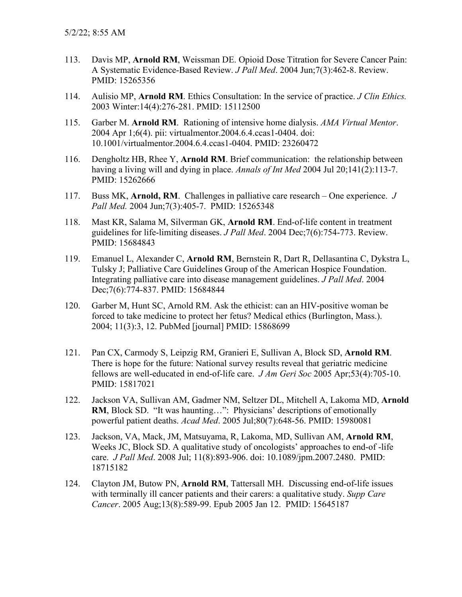- 113. Davis MP, **Arnold RM**, Weissman DE. Opioid Dose Titration for Severe Cancer Pain: A Systematic Evidence-Based Review. *J Pall Med*. 2004 Jun;7(3):462-8. Review. PMID: 15265356
- 114. Aulisio MP, **Arnold RM**. Ethics Consultation: In the service of practice. *J Clin Ethics.*  2003 Winter:14(4):276-281. PMID: 15112500
- 115. Garber M. **Arnold RM**. Rationing of intensive home dialysis. *AMA Virtual Mentor*. 2004 Apr 1;6(4). pii: virtualmentor.2004.6.4.ccas1-0404. doi: 10.1001/virtualmentor.2004.6.4.ccas1-0404. PMID: 23260472
- 116. Dengholtz HB, Rhee Y, **Arnold RM**. Brief communication: the relationship between having a living will and dying in place. *Annals of Int Med* 2004 Jul 20;141(2):113-7. PMID: 15262666
- 117. Buss MK, **Arnold, RM**. Challenges in palliative care research One experience. *J Pall Med.* 2004 Jun;7(3):405-7. PMID: 15265348
- 118. Mast KR, Salama M, Silverman GK, **Arnold RM**. End-of-life content in treatment guidelines for life-limiting diseases. *J Pall Med*. 2004 Dec;7(6):754-773. Review. PMID: 15684843
- 119. Emanuel L, Alexander C, **Arnold RM**, Bernstein R, Dart R, Dellasantina C, Dykstra L, Tulsky J; Palliative Care Guidelines Group of the American Hospice Foundation. Integrating palliative care into disease management guidelines. *J Pall Med*. 2004 Dec;7(6):774-837. PMID: 15684844
- 120. Garber M, Hunt SC, Arnold RM. Ask the ethicist: can an HIV-positive woman be forced to take medicine to protect her fetus? Medical ethics (Burlington, Mass.). 2004; 11(3):3, 12. PubMed [journal] PMID: 15868699
- 121. Pan CX, Carmody S, Leipzig RM, Granieri E, Sullivan A, Block SD, **Arnold RM**. There is hope for the future: National survey results reveal that geriatric medicine fellows are well-educated in end-of-life care. *J Am Geri Soc* 2005 Apr;53(4):705-10. PMID: 15817021
- 122. Jackson VA, Sullivan AM, Gadmer NM, Seltzer DL, Mitchell A, Lakoma MD, **Arnold RM**, Block SD. "It was haunting…": Physicians' descriptions of emotionally powerful patient deaths. *Acad Med*. 2005 Jul;80(7):648-56. PMID: 15980081
- 123. Jackson, VA, Mack, JM, Matsuyama, R, Lakoma, MD, Sullivan AM, **Arnold RM**, Weeks JC, Block SD. A qualitative study of oncologists' approaches to end-of -life care. *J Pall Med*. 2008 Jul; 11(8):893-906. doi: 10.1089/jpm.2007.2480. PMID: 18715182
- 124. Clayton JM, Butow PN, **Arnold RM**, Tattersall MH. Discussing end-of-life issues with terminally ill cancer patients and their carers: a qualitative study. *Supp Care Cancer*. 2005 Aug;13(8):589-99. Epub 2005 Jan 12. PMID: 15645187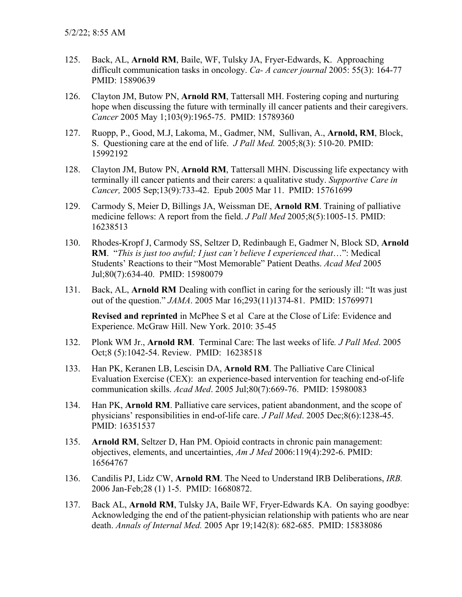- 125. Back, AL, **Arnold RM**, Baile, WF, Tulsky JA, Fryer-Edwards, K. Approaching difficult communication tasks in oncology. *Ca- A cancer journal* 2005: 55(3): 164-77 PMID: 15890639
- 126. Clayton JM, Butow PN, **Arnold RM**, Tattersall MH. Fostering coping and nurturing hope when discussing the future with terminally ill cancer patients and their caregivers. *Cancer* 2005 May 1;103(9):1965-75. PMID: 15789360
- 127. Ruopp, P., Good, M.J, Lakoma, M., Gadmer, NM, Sullivan, A., **Arnold, RM**, Block, S. Questioning care at the end of life. *J Pall Med.* 2005;8(3): 510-20. PMID: 15992192
- 128. Clayton JM, Butow PN, **Arnold RM**, Tattersall MHN. Discussing life expectancy with terminally ill cancer patients and their carers: a qualitative study. *Supportive Care in Cancer,* 2005 Sep;13(9):733-42. Epub 2005 Mar 11. PMID: 15761699
- 129. Carmody S, Meier D, Billings JA, Weissman DE, **Arnold RM**. Training of palliative medicine fellows: A report from the field. *J Pall Med* 2005;8(5):1005-15. PMID: 16238513
- 130. Rhodes-Kropf J, Carmody SS, Seltzer D, Redinbaugh E, Gadmer N, Block SD, **Arnold RM**. "*This is just too awful; I just can't believe I experienced that*…": Medical Students' Reactions to their "Most Memorable" Patient Deaths. *Acad Med* 2005 Jul;80(7):634-40. PMID: 15980079
- 131. Back, AL, **Arnold RM** Dealing with conflict in caring for the seriously ill: "It was just out of the question." *JAMA*. 2005 Mar 16;293(11)1374-81. PMID: 15769971

**Revised and reprinted** in McPhee S et al Care at the Close of Life: Evidence and Experience. McGraw Hill. New York. 2010: 35-45

- 132. Plonk WM Jr., **Arnold RM**. Terminal Care: The last weeks of life*. J Pall Med*. 2005 Oct;8 (5):1042-54. Review. PMID: 16238518
- 133. Han PK, Keranen LB, Lescisin DA, **Arnold RM**. The Palliative Care Clinical Evaluation Exercise (CEX): an experience-based intervention for teaching end-of-life communication skills. *Acad Med*. 2005 Jul;80(7):669-76. PMID: 15980083
- 134. Han PK, **Arnold RM**. Palliative care services, patient abandonment, and the scope of physicians' responsibilities in end-of-life care. *J Pall Med*. 2005 Dec;8(6):1238-45. PMID: 16351537
- 135. **Arnold RM**, Seltzer D, Han PM. Opioid contracts in chronic pain management: objectives, elements, and uncertainties, *Am J Med* 2006:119(4):292-6. PMID: 16564767
- 136. Candilis PJ, Lidz CW, **Arnold RM**. The Need to Understand IRB Deliberations, *IRB.*  2006 Jan-Feb;28 (1) 1-5. PMID: 16680872.
- 137. Back AL, **Arnold RM**, Tulsky JA, Baile WF, Fryer-Edwards KA. On saying goodbye: Acknowledging the end of the patient-physician relationship with patients who are near death. *Annals of Internal Med.* 2005 Apr 19;142(8): 682-685. PMID: 15838086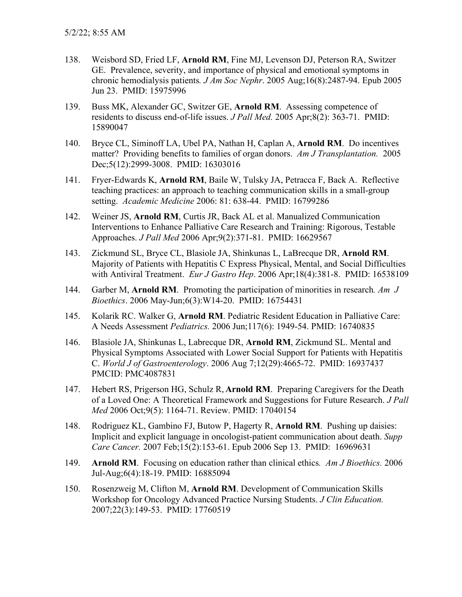- 138. Weisbord SD, Fried LF, **Arnold RM**, Fine MJ, Levenson DJ, Peterson RA, Switzer GE. Prevalence, severity, and importance of physical and emotional symptoms in chronic hemodialysis patients*. J Am Soc Nephr*. 2005 Aug;16(8):2487-94. Epub 2005 Jun 23. PMID: 15975996
- 139. Buss MK, Alexander GC, Switzer GE, **Arnold RM**. Assessing competence of residents to discuss end-of-life issues. *J Pall Med.* 2005 Apr;8(2): 363-71. PMID: 15890047
- 140. Bryce CL, Siminoff LA, Ubel PA, Nathan H, Caplan A, **Arnold RM**. Do incentives matter? Providing benefits to families of organ donors. *Am J Transplantation.* 2005 Dec;5(12):2999-3008. PMID: 16303016
- 141. Fryer-Edwards K, **Arnold RM**, Baile W, Tulsky JA, Petracca F, Back A. Reflective teaching practices: an approach to teaching communication skills in a small-group setting. *Academic Medicine* 2006: 81: 638-44. PMID: 16799286
- 142. Weiner JS, **Arnold RM**, Curtis JR, Back AL et al. Manualized Communication Interventions to Enhance Palliative Care Research and Training: Rigorous, Testable Approaches. *J Pall Med* 2006 Apr;9(2):371-81. PMID: 16629567
- 143. Zickmund SL, Bryce CL, Blasiole JA, Shinkunas L, LaBrecque DR, **Arnold RM**. Majority of Patients with Hepatitis C Express Physical, Mental, and Social Difficulties with Antiviral Treatment. *Eur J Gastro Hep*. 2006 Apr;18(4):381-8. PMID: 16538109
- 144. Garber M, **Arnold RM**. Promoting the participation of minorities in research*. Am J Bioethics*. 2006 May-Jun;6(3):W14-20. PMID: 16754431
- 145. Kolarik RC. Walker G, **Arnold RM**. Pediatric Resident Education in Palliative Care: A Needs Assessment *Pediatrics.* 2006 Jun;117(6): 1949-54. PMID: 16740835
- 146. Blasiole JA, Shinkunas L, Labrecque DR, **Arnold RM**, Zickmund SL. Mental and Physical Symptoms Associated with Lower Social Support for Patients with Hepatitis C. *World J of Gastroenterology*. 2006 Aug 7;12(29):4665-72. PMID: 16937437 PMCID: PMC4087831
- 147. Hebert RS, Prigerson HG, Schulz R, **Arnold RM**. Preparing Caregivers for the Death of a Loved One: A Theoretical Framework and Suggestions for Future Research. *J Pall Med* 2006 Oct;9(5): 1164-71. Review. PMID: 17040154
- 148. Rodriguez KL, Gambino FJ, Butow P, Hagerty R, **Arnold RM**. Pushing up daisies: Implicit and explicit language in oncologist-patient communication about death. *Supp Care Cancer.* 2007 Feb;15(2):153-61. Epub 2006 Sep 13. PMID: 16969631
- 149. **Arnold RM**. Focusing on education rather than clinical ethics*. Am J Bioethics.* 2006 Jul-Aug;6(4):18-19. PMID: 16885094
- 150. Rosenzweig M, Clifton M, **Arnold RM**. Development of Communication Skills Workshop for Oncology Advanced Practice Nursing Students. *J Clin Education.*  2007;22(3):149-53. PMID: 17760519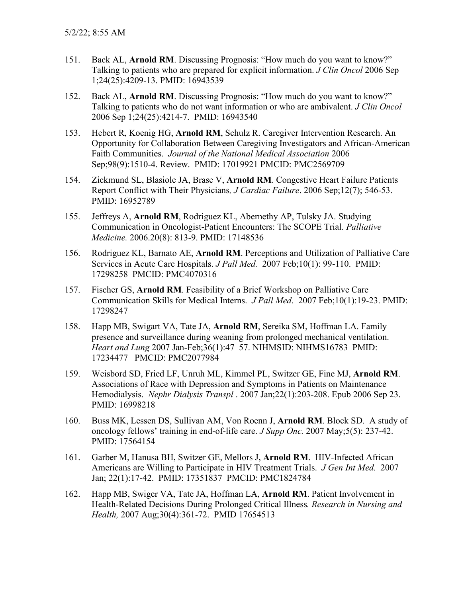- 151. Back AL, **Arnold RM**. Discussing Prognosis: "How much do you want to know?" Talking to patients who are prepared for explicit information. *J Clin Oncol* 2006 Sep 1;24(25):4209-13. PMID: 16943539
- 152. Back AL, **Arnold RM**. Discussing Prognosis: "How much do you want to know?" Talking to patients who do not want information or who are ambivalent. *J Clin Oncol* 2006 Sep 1;24(25):4214-7. PMID: 16943540
- 153. Hebert R, Koenig HG, **Arnold RM**, Schulz R. Caregiver Intervention Research. An Opportunity for Collaboration Between Caregiving Investigators and African-American Faith Communities. *Journal of the National Medical Association* 2006 Sep;98(9):1510-4. Review. PMID: 17019921 PMCID: PMC2569709
- 154. Zickmund SL, Blasiole JA, Brase V, **Arnold RM**. Congestive Heart Failure Patients Report Conflict with Their Physicians*, J Cardiac Failure*. 2006 Sep;12(7); 546-53. PMID: 16952789
- 155. Jeffreys A, **Arnold RM**, Rodriguez KL, Abernethy AP, Tulsky JA. Studying Communication in Oncologist-Patient Encounters: The SCOPE Trial. *Palliative Medicine.* 2006.20(8): 813-9. PMID: 17148536
- 156. Rodriguez KL, Barnato AE, **Arnold RM**. Perceptions and Utilization of Palliative Care Services in Acute Care Hospitals. *J Pall Med.* 2007 Feb;10(1): 99-110. PMID: 17298258 PMCID: PMC4070316
- 157. Fischer GS, **Arnold RM**. Feasibility of a Brief Workshop on Palliative Care Communication Skills for Medical Interns. *J Pall Med*. 2007 Feb;10(1):19-23. PMID: 17298247
- 158. Happ MB, Swigart VA, Tate JA, **Arnold RM**, Sereika SM, Hoffman LA. Family presence and surveillance during weaning from prolonged mechanical ventilation. *Heart and Lung* 2007 Jan-Feb;36(1):47–57. NIHMSID: NIHMS16783 PMID: 17234477 PMCID: PMC2077984
- 159. Weisbord SD, Fried LF, Unruh ML, Kimmel PL, Switzer GE, Fine MJ, **Arnold RM**. Associations of Race with Depression and Symptoms in Patients on Maintenance Hemodialysis. *Nephr Dialysis Transpl* . 2007 Jan;22(1):203-208. Epub 2006 Sep 23. PMID: 16998218
- 160. Buss MK, Lessen DS, Sullivan AM, Von Roenn J, **Arnold RM**. Block SD. A study of oncology fellows' training in end-of-life care. *J Supp Onc.* 2007 May;5(5): 237-42. PMID: 17564154
- 161. Garber M, Hanusa BH, Switzer GE, Mellors J, **Arnold RM**. HIV-Infected African Americans are Willing to Participate in HIV Treatment Trials. *J Gen Int Med.* 2007 Jan; 22(1):17-42. PMID: 17351837 PMCID: PMC1824784
- 162. Happ MB, Swiger VA, Tate JA, Hoffman LA, **Arnold RM**. Patient Involvement in Health-Related Decisions During Prolonged Critical Illness*. Research in Nursing and Health,* 2007 Aug;30(4):361-72. PMID 17654513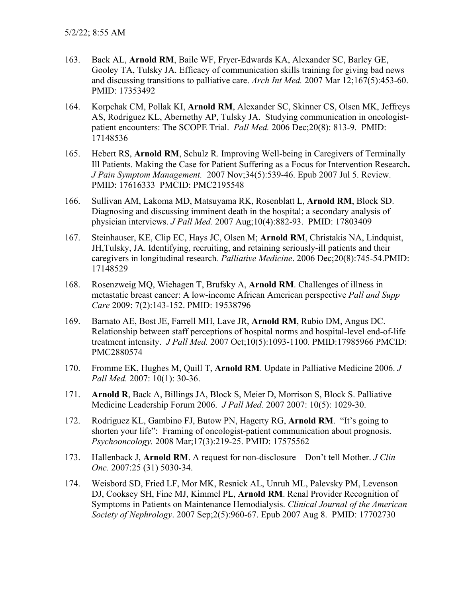- 163. Back AL, **Arnold RM**, Baile WF, Fryer-Edwards KA, Alexander SC, Barley GE, Gooley TA, Tulsky JA. Efficacy of communication skills training for giving bad news and discussing transitions to palliative care. *Arch Int Med.* 2007 Mar 12;167(5):453-60. PMID: 17353492
- 164. Korpchak CM, Pollak KI, **Arnold RM**, Alexander SC, Skinner CS, Olsen MK, Jeffreys AS, Rodriguez KL, Abernethy AP, Tulsky JA. Studying communication in oncologistpatient encounters: The SCOPE Trial. *Pall Med.* 2006 Dec;20(8): 813-9. PMID: 17148536
- 165. Hebert RS, **Arnold RM**, Schulz R. Improving Well-being in Caregivers of Terminally Ill Patients. Making the Case for Patient Suffering as a Focus for Intervention Research**.**  *J Pain Symptom Management.* 2007 Nov;34(5):539-46. Epub 2007 Jul 5. Review. PMID: 17616333 PMCID: PMC2195548
- 166. Sullivan AM, Lakoma MD, Matsuyama RK, Rosenblatt L, **Arnold RM**, Block SD. Diagnosing and discussing imminent death in the hospital; a secondary analysis of physician interviews. *J Pall Med.* 2007 Aug;10(4):882-93. PMID: 17803409
- 167. Steinhauser, KE, Clip EC, Hays JC, Olsen M; **Arnold RM**, Christakis NA, Lindquist, JH,Tulsky, JA. [Identifying, recruiting, and retaining seriously-ill patients and their](http://www.ingentaconnect.com/content/sage/pm/2006/00000020/00000008/art00004)  [caregivers in longitudinal research](http://www.ingentaconnect.com/content/sage/pm/2006/00000020/00000008/art00004)*. Palliative Medicine*. 2006 Dec;20(8):745-54.PMID: 17148529
- 168. Rosenzweig MQ, Wiehagen T, Brufsky A, **Arnold RM**. Challenges of illness in metastatic breast cancer: A low-income African American perspective *Pall and Supp Care* 2009: 7(2):143-152. PMID: 19538796
- 169. Barnato AE, Bost JE, Farrell MH, Lave JR, **Arnold RM**, Rubio DM, Angus DC. Relationship between staff perceptions of hospital norms and hospital-level end-of-life treatment intensity. *J Pall Med.* 2007 Oct;10(5):1093-1100*.* PMID:17985966 PMCID: PMC2880574
- 170. Fromme EK, Hughes M, Quill T, **Arnold RM**. Update in Palliative Medicine 2006. *J Pall Med.* 2007: 10(1): 30-36.
- 171. **Arnold R**, Back A, Billings JA, Block S, Meier D, Morrison S, Block S. Palliative Medicine Leadership Forum 2006. *J Pall Med.* 2007 2007: 10(5): 1029-30.
- 172. Rodriguez KL, Gambino FJ, Butow PN, Hagerty RG, **Arnold RM**. "It's going to shorten your life": Framing of oncologist-patient communication about prognosis. *Psychooncology.* 2008 Mar;17(3):219-25. PMID: 17575562
- 173. Hallenback J, **Arnold RM**. A request for non-disclosure Don't tell Mother. *J Clin Onc.* 2007:25 (31) 5030-34.
- 174. Weisbord SD, Fried LF, Mor MK, Resnick AL, Unruh ML, Palevsky PM, Levenson DJ, Cooksey SH, Fine MJ, Kimmel PL, **Arnold RM**. Renal Provider Recognition of Symptoms in Patients on Maintenance Hemodialysis. *Clinical Journal of the American Society of Nephrology*. 2007 Sep;2(5):960-67. Epub 2007 Aug 8. PMID: 17702730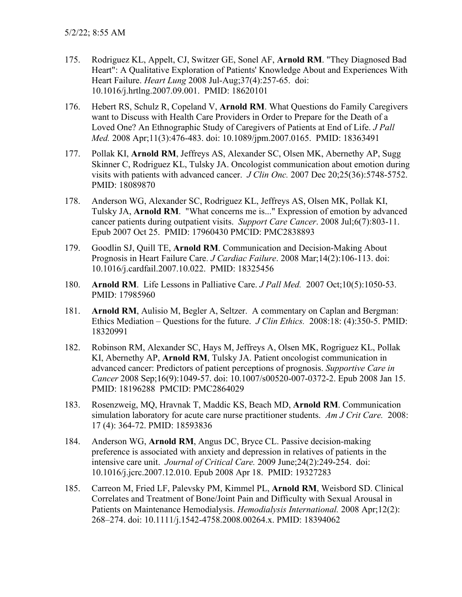- 175. Rodriguez KL, Appelt, CJ, Switzer GE, Sonel AF, **Arnold RM**. "They Diagnosed Bad Heart": A Qualitative Exploration of Patients' Knowledge About and Experiences With Heart Failure. *Heart Lung* 2008 Jul-Aug;37(4):257-65. doi: 10.1016/j.hrtlng.2007.09.001. PMID: 18620101
- 176. Hebert RS, Schulz R, Copeland V, **Arnold RM**. What Questions do Family Caregivers want to Discuss with Health Care Providers in Order to Prepare for the Death of a Loved One? An Ethnographic Study of Caregivers of Patients at End of Life. *J Pall Med.* 2008 Apr;11(3):476-483. doi: 10.1089/jpm.2007.0165. PMID: 18363491
- 177. Pollak KI, **Arnold RM**, Jeffreys AS, Alexander SC, Olsen MK, Abernethy AP, Sugg Skinner C, Rodriguez KL, Tulsky JA. Oncologist communication about emotion during visits with patients with advanced cancer. *J Clin Onc.* 2007 Dec 20;25(36):5748-5752. PMID: 18089870
- 178. Anderson WG, Alexander SC, Rodriguez KL, Jeffreys AS, Olsen MK, Pollak KI, Tulsky JA, **Arnold RM**. "What concerns me is..." Expression of emotion by advanced cancer patients during outpatient visits. *Support Care Cancer*. 2008 Jul;6(7):803-11. Epub 2007 Oct 25. PMID: 17960430 PMCID: PMC2838893
- 179. Goodlin SJ, Quill TE, **Arnold RM**. Communication and Decision-Making About Prognosis in Heart Failure Care. *J Cardiac Failure*. 2008 Mar;14(2):106-113. doi: 10.1016/j.cardfail.2007.10.022. PMID: 18325456
- 180. **Arnold RM**. Life Lessons in Palliative Care. *J Pall Med.* 2007 Oct;10(5):1050-53. PMID: 17985960
- 181. **Arnold RM**, Aulisio M, Begler A, Seltzer. A commentary on Caplan and Bergman: Ethics Mediation – Questions for the future. *J Clin Ethics.* 2008:18: (4):350-5. PMID: 18320991
- 182. Robinson RM, Alexander SC, Hays M, Jeffreys A, Olsen MK, Rogriguez KL, Pollak KI, Abernethy AP, **Arnold RM**, Tulsky JA. Patient oncologist communication in advanced cancer: Predictors of patient perceptions of prognosis. *Supportive Care in Cancer* 2008 Sep;16(9):1049-57. doi: 10.1007/s00520-007-0372-2. Epub 2008 Jan 15. PMID: 18196288 PMCID: PMC2864029
- 183. Rosenzweig, MQ, Hravnak T, Maddic KS, Beach MD, **Arnold RM**. Communication simulation laboratory for acute care nurse practitioner students. *Am J Crit Care.* 2008: 17 (4): 364-72. PMID: 18593836
- 184. Anderson WG, **Arnold RM**, Angus DC, Bryce CL. Passive decision-making preference is associated with anxiety and depression in relatives of patients in the intensive care unit. *Journal of Critical Care.* 2009 June;24(2):249-254. doi: 10.1016/j.jcrc.2007.12.010. Epub 2008 Apr 18. PMID: 19327283
- 185. Carreon M, Fried LF, Palevsky PM, Kimmel PL, **Arnold RM**, Weisbord SD. Clinical Correlates and Treatment of Bone/Joint Pain and Difficulty with Sexual Arousal in Patients on Maintenance Hemodialysis. *Hemodialysis International.* 2008 Apr;12(2): 268–274. doi: 10.1111/j.1542-4758.2008.00264.x. PMID: 18394062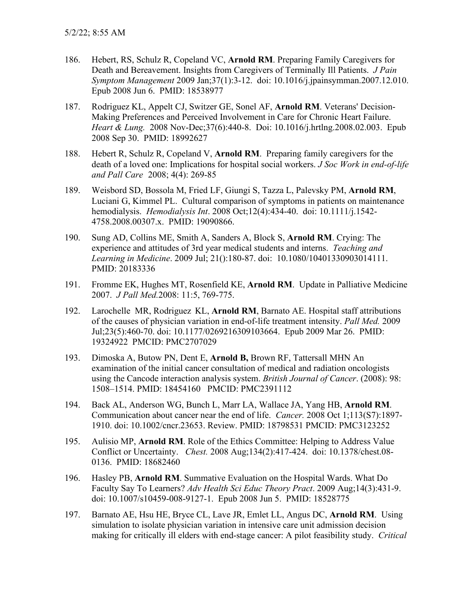- 186. Hebert, RS, Schulz R, Copeland VC, **Arnold RM**. Preparing Family Caregivers for Death and Bereavement. Insights from Caregivers of Terminally Ill Patients. *J Pain Symptom Management* 2009 Jan;37(1):3-12. doi: 10.1016/j.jpainsymman.2007.12.010. Epub 2008 Jun 6. PMID: 18538977
- 187. Rodriguez KL, Appelt CJ, Switzer GE, Sonel AF, **Arnold RM**. Veterans' Decision-Making Preferences and Perceived Involvement in Care for Chronic Heart Failure. *Heart & Lung.* 2008 Nov-Dec;37(6):440-8. Doi: 10.1016/j.hrtlng.2008.02.003. Epub 2008 Sep 30. PMID: 18992627
- 188. Hebert R, Schulz R, Copeland V, **Arnold RM**. Preparing family caregivers for the death of a loved one: Implications for hospital social workers. *J Soc Work in end-of-life and Pall Care* 2008; 4(4): 269-85
- 189. Weisbord SD, Bossola M, Fried LF, Giungi S, Tazza L, Palevsky PM, **Arnold RM**, Luciani G, Kimmel PL. Cultural comparison of symptoms in patients on maintenance hemodialysis. *Hemodialysis Int*. 2008 Oct;12(4):434-40. doi: 10.1111/j.1542- 4758.2008.00307.x. PMID: 19090866.
- 190. Sung AD, Collins ME, Smith A, Sanders A, Block S, **Arnold RM**. Crying: The experience and attitudes of 3rd year medical students and interns. *Teaching and Learning in Medicine*. 2009 Jul; 21():180-87. doi: 10.1080/10401330903014111. PMID: 20183336
- 191. Fromme EK, Hughes MT, Rosenfield KE, **Arnold RM**. Update in Palliative Medicine 2007. *J Pall Med.*2008: 11:5, 769-775.
- 192. Larochelle MR, Rodriguez KL, **Arnold RM**, Barnato AE. Hospital staff attributions of the causes of physician variation in end-of-life treatment intensity. *Pall Med.* 2009 Jul;23(5):460-70. doi: 10.1177/0269216309103664. Epub 2009 Mar 26. PMID: 19324922 PMCID: PMC2707029
- 193. Dimoska A, Butow PN, Dent E, **Arnold B,** Brown RF, Tattersall MHN An examination of the initial cancer consultation of medical and radiation oncologists using the Cancode interaction analysis system. *British Journal of Cancer*. (2008): 98: 1508–1514. PMID: 18454160 PMCID: PMC2391112
- 194. Back AL, Anderson WG, Bunch L, Marr LA, Wallace JA, Yang HB, **Arnold RM**. Communication about cancer near the end of life. *Cancer.* 2008 Oct 1;113(S7):1897- 1910. doi: 10.1002/cncr.23653. Review. PMID: 18798531 PMCID: PMC3123252
- 195. Aulisio MP, **Arnold RM**. Role of the Ethics Committee: Helping to Address Value Conflict or Uncertainty. *Chest.* 2008 Aug;134(2):417-424. doi: 10.1378/chest.08- 0136. PMID: 18682460
- 196. Hasley PB, **Arnold RM**. Summative Evaluation on the Hospital Wards. What Do Faculty Say To Learners? *Adv Health Sci Educ Theory Pract*. 2009 Aug;14(3):431-9. doi: 10.1007/s10459-008-9127-1. Epub 2008 Jun 5. PMID: 18528775
- 197. Barnato AE, Hsu HE, Bryce CL, Lave JR, Emlet LL, Angus DC, **Arnold RM**. Using simulation to isolate physician variation in intensive care unit admission decision making for critically ill elders with end-stage cancer: A pilot feasibility study. *Critical*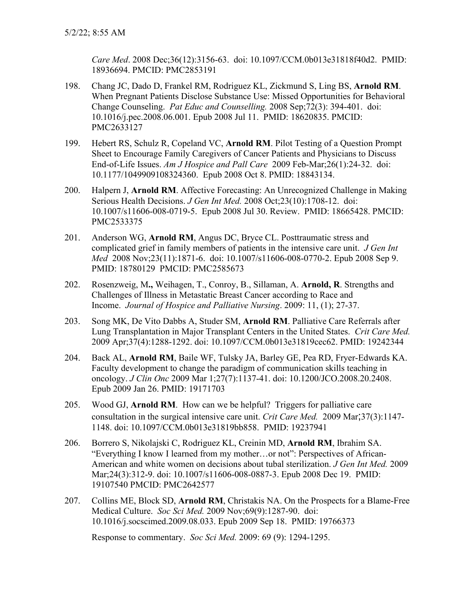*Care Med*. 2008 Dec;36(12):3156-63. doi: 10.1097/CCM.0b013e31818f40d2. PMID: 18936694. PMCID: PMC2853191

- 198. Chang JC, Dado D, Frankel RM, Rodriguez KL, Zickmund S, Ling BS, **Arnold RM**. When Pregnant Patients Disclose Substance Use: Missed Opportunities for Behavioral Change Counseling. *Pat Educ and Counselling.* 2008 Sep;72(3): 394-401. doi: 10.1016/j.pec.2008.06.001. Epub 2008 Jul 11. PMID: 18620835. PMCID: PMC2633127
- 199. Hebert RS, Schulz R, Copeland VC, **Arnold RM**. Pilot Testing of a Question Prompt Sheet to Encourage Family Caregivers of Cancer Patients and Physicians to Discuss End-of-Life Issues. *Am J Hospice and Pall Care* 2009 Feb-Mar;26(1):24-32. doi: 10.1177/1049909108324360. Epub 2008 Oct 8. PMID: 18843134.
- 200. Halpern J, **Arnold RM**. Affective Forecasting: An Unrecognized Challenge in Making Serious Health Decisions. *J Gen Int Med.* 2008 Oct;23(10):1708-12. doi: 10.1007/s11606-008-0719-5. Epub 2008 Jul 30. Review. PMID: 18665428. PMCID: PMC2533375
- 201. Anderson WG, **Arnold RM**, Angus DC, Bryce CL. Posttraumatic stress and complicated grief in family members of patients in the intensive care unit. *J Gen Int Med* 2008 Nov;23(11):1871-6. doi: 10.1007/s11606-008-0770-2. Epub 2008 Sep 9. PMID: 18780129 PMCID: PMC2585673
- 202. Rosenzweig, M**.,** Weihagen, T., Conroy, B., Sillaman, A. **Arnold, R**. Strengths and Challenges of Illness in Metastatic Breast Cancer according to Race and Income. *Journal of Hospice and Palliative Nursing*. 2009: 11, (1); 27-37.
- 203. Song MK, De Vito Dabbs A, Studer SM, **Arnold RM**. Palliative Care Referrals after Lung Transplantation in Major Transplant Centers in the United States. *Crit Care Med.*  2009 Apr;37(4):1288-1292. doi: 10.1097/CCM.0b013e31819cec62. PMID: 19242344
- 204. Back AL, **Arnold RM**, Baile WF, Tulsky JA, Barley GE, Pea RD, Fryer-Edwards KA. Faculty development to change the paradigm of communication skills teaching in oncology. *J Clin Onc* 2009 Mar 1;27(7):1137-41. doi: 10.1200/JCO.2008.20.2408. Epub 2009 Jan 26. PMID: 19171703
- 205. Wood GJ, **Arnold RM**. How can we be helpful? Triggers for palliative care consultation in the surgical intensive care unit. *Crit Care Med.* 2009 Mar;37(3):1147- 1148. doi: 10.1097/CCM.0b013e31819bb858. PMID: 19237941
- 206. Borrero S, Nikolajski C, Rodriguez KL, Creinin MD, **Arnold RM**, Ibrahim SA. "Everything I know I learned from my mother…or not": Perspectives of African-American and white women on decisions about tubal sterilization. *J Gen Int Med.* 2009 Mar;24(3):312-9. doi: 10.1007/s11606-008-0887-3. Epub 2008 Dec 19. PMID: 19107540 PMCID: PMC2642577
- 207. Collins ME, Block SD, **Arnold RM**, Christakis NA. On the Prospects for a Blame-Free Medical Culture. *Soc Sci Med.* 2009 Nov;69(9):1287-90. doi: 10.1016/j.socscimed.2009.08.033. Epub 2009 Sep 18. PMID: 19766373

Response to commentary. *Soc Sci Med.* 2009: 69 (9): 1294-1295.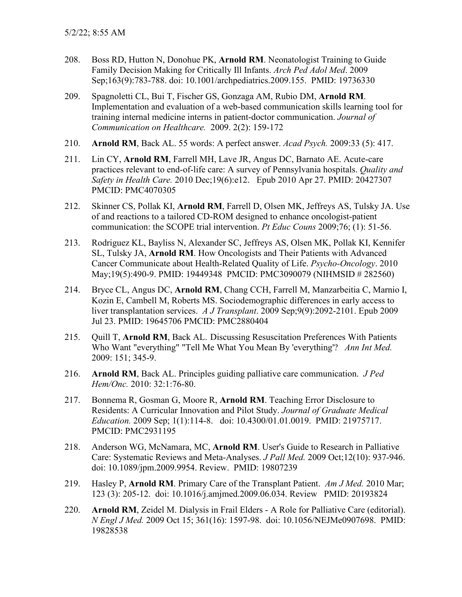- 208. Boss RD, Hutton N, Donohue PK, **Arnold RM**. Neonatologist Training to Guide Family Decision Making for Critically Ill Infants. *Arch Ped Adol Med*. 2009 Sep;163(9):783-788. doi: 10.1001/archpediatrics.2009.155. PMID: 19736330
- 209. Spagnoletti CL, Bui T, Fischer GS, Gonzaga AM, Rubio DM, **Arnold RM**. Implementation and evaluation of a web-based communication skills learning tool for training internal medicine interns in patient-doctor communication. *Journal of Communication on Healthcare.* 2009. 2(2): 159-172
- 210. **Arnold RM**, Back AL. 55 words: A perfect answer. *Acad Psych.* 2009:33 (5): 417.
- 211. Lin CY, **Arnold RM**, Farrell MH, Lave JR, Angus DC, Barnato AE. Acute-care practices relevant to end-of-life care: A survey of Pennsylvania hospitals. *Quality and Safety in Health Care.* 2010 Dec;19(6):e12. Epub 2010 Apr 27. PMID: 20427307 PMCID: PMC4070305
- 212. Skinner CS, Pollak KI, **Arnold RM**, Farrell D, Olsen MK, Jeffreys AS, Tulsky JA. Use of and reactions to a tailored CD-ROM designed to enhance oncologist-patient communication: the SCOPE trial intervention. *Pt Educ Couns* 2009;76; (1): 51-56.
- 213. Rodriguez KL, Bayliss N, Alexander SC, Jeffreys AS, Olsen MK, Pollak KI, Kennifer SL, Tulsky JA, **Arnold RM**. How Oncologists and Their Patients with Advanced Cancer Communicate about Health-Related Quality of Life. *Psycho-Oncology*. 2010 May;19(5):490-9. PMID: 19449348 PMCID: PMC3090079 (NIHMSID # 282560)
- 214. Bryce CL, Angus DC, **Arnold RM**, Chang CCH, Farrell M, Manzarbeitia C, Marnio I, Kozin E, Cambell M, Roberts MS. Sociodemographic differences in early access to liver transplantation services. *A J Transplant*. 2009 Sep;9(9):2092-2101. Epub 2009 Jul 23. PMID: 19645706 PMCID: PMC2880404
- 215. Quill T, **Arnold RM**, Back AL. Discussing Resuscitation Preferences With Patients Who Want "everything" "Tell Me What You Mean By 'everything'? *Ann Int Med.*  2009: 151; 345-9.
- 216. **Arnold RM**, Back AL. Principles guiding palliative care communication. *J Ped Hem/Onc.* 2010: 32:1:76-80.
- 217. Bonnema R, Gosman G, Moore R, **Arnold RM**. Teaching Error Disclosure to Residents: A Curricular Innovation and Pilot Study. *Journal of Graduate Medical Education.* 2009 Sep; 1(1):114-8. doi: 10.4300/01.01.0019. PMID: 21975717. PMCID: PMC2931195
- 218. Anderson WG, McNamara, MC, **Arnold RM**. User's Guide to Research in Palliative Care: Systematic Reviews and Meta-Analyses. *J Pall Med.* 2009 Oct;12(10): 937-946. doi: 10.1089/jpm.2009.9954. Review. PMID: 19807239
- 219. Hasley P, **Arnold RM**. Primary Care of the Transplant Patient. *Am J Med.* 2010 Mar; 123 (3): 205-12. doi: 10.1016/j.amjmed.2009.06.034. Review PMID: 20193824
- 220. **Arnold RM**, Zeidel M. Dialysis in Frail Elders A Role for Palliative Care (editorial). *N Engl J Med.* 2009 Oct 15; 361(16): 1597-98. doi: 10.1056/NEJMe0907698. PMID: 19828538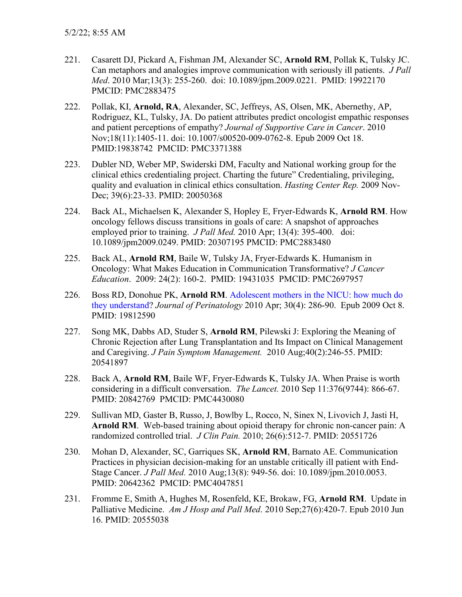- 221. Casarett DJ, Pickard A, Fishman JM, Alexander SC, **Arnold RM**, Pollak K, Tulsky JC. Can metaphors and analogies improve communication with seriously ill patients. *J Pall Med*. 2010 Mar;13(3): 255-260. doi: 10.1089/jpm.2009.0221. PMID: 19922170 PMCID: PMC2883475
- 222. Pollak, KI, **Arnold, RA**, Alexander, SC, Jeffreys, AS, Olsen, MK, Abernethy, AP, Rodriguez, KL, Tulsky, JA. Do patient attributes predict oncologist empathic responses and patient perceptions of empathy? *Journal of Supportive Care in Cancer*. 2010 Nov;18(11):1405-11. doi: 10.1007/s00520-009-0762-8. Epub 2009 Oct 18. PMID:19838742 PMCID: PMC3371388
- 223. Dubler ND, Weber MP, Swiderski DM, Faculty and National working group for the clinical ethics credentialing project. Charting the future" Credentialing, privileging, quality and evaluation in clinical ethics consultation. *Hasting Center Rep.* 2009 Nov-Dec; 39(6):23-33. PMID: 20050368
- 224. Back AL, Michaelsen K, Alexander S, Hopley E, Fryer-Edwards K, **Arnold RM**. How oncology fellows discuss transitions in goals of care: A snapshot of approaches employed prior to training. *J Pall Med.* 2010 Apr; 13(4): 395-400. doi: 10.1089/jpm2009.0249. PMID: 20307195 PMCID: PMC2883480
- 225. Back AL, **Arnold RM**, Baile W, Tulsky JA, Fryer-Edwards K. Humanism in Oncology: What Makes Education in Communication Transformative? *J Cancer Education*. 2009: 24(2): 160-2. PMID: 19431035 PMCID: PMC2697957
- 226. Boss RD, Donohue PK, **Arnold RM**. [Adolescent mothers in the NICU: how much do](http://www.ncbi.nlm.nih.gov/pubmed/search?term=19812590)  [they understand?](http://www.ncbi.nlm.nih.gov/pubmed/search?term=19812590) *Journal of Perinatology* 2010 Apr; 30(4): 286-90. Epub 2009 Oct 8. PMID: 19812590
- 227. Song MK, Dabbs AD, Studer S, **Arnold RM**, Pilewski J: Exploring the Meaning of Chronic Rejection after Lung Transplantation and Its Impact on Clinical Management and Caregiving. *J Pain Symptom Management.* 2010 Aug;40(2):246-55. PMID: 20541897
- 228. Back A, **Arnold RM**, Baile WF, Fryer-Edwards K, Tulsky JA. When Praise is worth considering in a difficult conversation. *The Lancet.* 2010 Sep 11:376(9744): 866-67. PMID: 20842769 PMCID: PMC4430080
- 229. Sullivan MD, Gaster B, Russo, J, Bowlby L, Rocco, N, Sinex N, Livovich J, Jasti H, **Arnold RM**. Web-based training about opioid therapy for chronic non-cancer pain: A randomized controlled trial. *J Clin Pain.* 2010; 26(6):512-7. PMID: 20551726
- 230. Mohan D, Alexander, SC, Garriques SK, **Arnold RM**, Barnato AE. Communication Practices in physician decision-making for an unstable critically ill patient with End-Stage Cancer. *J Pall Med.* 2010 Aug;13(8): 949-56. doi: 10.1089/jpm.2010.0053. PMID: 20642362 PMCID: PMC4047851
- 231. Fromme E, Smith A, Hughes M, Rosenfeld, KE, Brokaw, FG, **Arnold RM**. Update in Palliative Medicine. *Am J Hosp and Pall Med*. 2010 Sep;27(6):420-7. Epub 2010 Jun 16. PMID: 20555038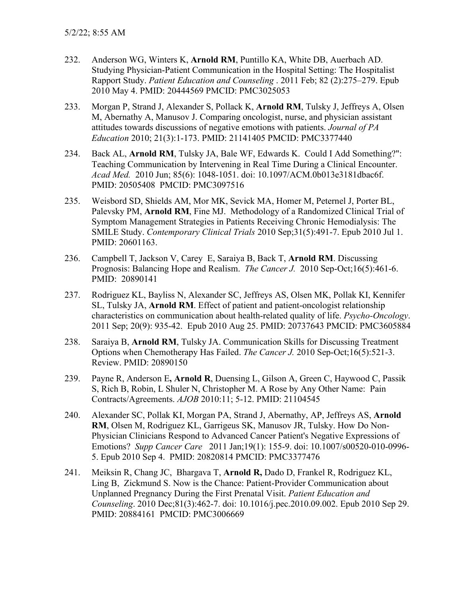- 232. Anderson WG, Winters K, **Arnold RM**, Puntillo KA, White DB, Auerbach AD. Studying Physician-Patient Communication in the Hospital Setting: The Hospitalist Rapport Study. *Patient Education and Counseling* . 2011 Feb; 82 (2):275–279. Epub 2010 May 4. PMID: 20444569 PMCID: PMC3025053
- 233. Morgan P, Strand J, Alexander S, Pollack K, **Arnold RM**, Tulsky J, Jeffreys A, Olsen M, Abernathy A, Manusov J. Comparing oncologist, nurse, and physician assistant attitudes towards discussions of negative emotions with patients. *Journal of PA Education* 2010; 21(3):1-173. PMID: 21141405 PMCID: PMC3377440
- 234. Back AL, **Arnold RM**, Tulsky JA, Bale WF, Edwards K. Could I Add Something?": Teaching Communication by Intervening in Real Time During a Clinical Encounter. *Acad Med.* 2010 Jun; 85(6): 1048-1051. doi: 10.1097/ACM.0b013e3181dbac6f. PMID: 20505408 PMCID: PMC3097516
- 235. Weisbord SD, Shields AM, Mor MK, Sevick MA, Homer M, Peternel J, Porter BL, Palevsky PM, **Arnold RM**, Fine MJ. Methodology of a Randomized Clinical Trial of Symptom Management Strategies in Patients Receiving Chronic Hemodialysis: The SMILE Study. *Contemporary Clinical Trials* 2010 Sep;31(5):491-7. Epub 2010 Jul 1. PMID: 20601163.
- 236. Campbell T, Jackson V, Carey E, Saraiya B, Back T, **Arnold RM**. Discussing Prognosis: Balancing Hope and Realism. *The Cancer J.* 2010 Sep-Oct;16(5):461-6. PMID: 20890141
- 237. Rodriguez KL, Bayliss N, Alexander SC, Jeffreys AS, Olsen MK, Pollak KI, Kennifer SL, Tulsky JA, **Arnold RM**. Effect of patient and patient-oncologist relationship characteristics on communication about health-related quality of life. *Psycho-Oncology*. 2011 Sep; 20(9): 935-42. Epub 2010 Aug 25. PMID: 20737643 PMCID: PMC3605884
- 238. Saraiya B, **Arnold RM**, Tulsky JA. Communication Skills for Discussing Treatment Options when Chemotherapy Has Failed. *The Cancer J.* 2010 Sep-Oct;16(5):521-3. Review. PMID: 20890150
- 239. Payne R, Anderson E**, Arnold R**, Duensing L, Gilson A, Green C, Haywood C, Passik S, Rich B, Robin, L Shuler N, Christopher M. A Rose by Any Other Name: Pain Contracts/Agreements. *AJOB* 2010:11; 5-12. PMID: 21104545
- 240. Alexander SC, Pollak KI, Morgan PA, Strand J, Abernathy, AP, Jeffreys AS, **Arnold RM**, Olsen M, Rodriguez KL, Garrigeus SK, Manusov JR, Tulsky. How Do Non-Physician Clinicians Respond to Advanced Cancer Patient's Negative Expressions of Emotions? *Supp Cancer Care* 2011 Jan;19(1): 155-9. doi: 10.1007/s00520-010-0996- 5. Epub 2010 Sep 4. PMID: 20820814 PMCID: PMC3377476
- 241. Meiksin R, Chang JC, Bhargava T, **Arnold R,** Dado D, Frankel R, Rodriguez KL, Ling B, Zickmund S. Now is the Chance: Patient-Provider Communication about Unplanned Pregnancy During the First Prenatal Visit. *Patient Education and Counseling*. 2010 Dec;81(3):462-7. doi: 10.1016/j.pec.2010.09.002. Epub 2010 Sep 29. PMID: 20884161 PMCID: PMC3006669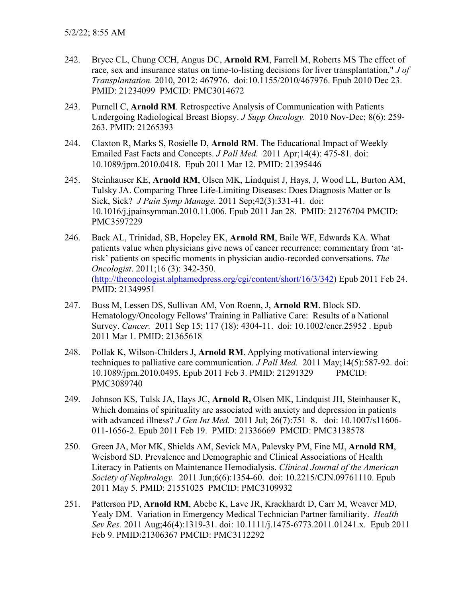- 242. Bryce CL, Chung CCH, Angus DC, **Arnold RM**, Farrell M, Roberts MS The effect of race, sex and insurance status on time-to-listing decisions for liver transplantation," *J of Transplantation.* 2010, 2012: 467976. doi:10.1155/2010/467976. Epub 2010 Dec 23. PMID: 21234099 PMCID: PMC3014672
- 243. Purnell C, **Arnold RM**. Retrospective Analysis of Communication with Patients Undergoing Radiological Breast Biopsy. *J Supp Oncology.* 2010 Nov-Dec; 8(6): 259- 263. PMID: 21265393
- 244. Claxton R, Marks S, Rosielle D, **Arnold RM**. The Educational Impact of Weekly Emailed Fast Facts and Concepts. *J Pall Med.* 2011 Apr;14(4): 475-81. doi: 10.1089/jpm.2010.0418. Epub 2011 Mar 12. PMID: 21395446
- 245. Steinhauser KE, **Arnold RM**, Olsen MK, Lindquist J, Hays, J, Wood LL, Burton AM, Tulsky JA. Comparing Three Life-Limiting Diseases: Does Diagnosis Matter or Is Sick, Sick? *J Pain Symp Manage.* 2011 Sep;42(3):331-41. doi: 10.1016/j.jpainsymman.2010.11.006. Epub 2011 Jan 28. PMID: 21276704 PMCID: PMC3597229
- 246. Back AL, Trinidad, SB, Hopeley EK, **Arnold RM**, Baile WF, Edwards KA. What patients value when physicians give news of cancer recurrence: commentary from 'atrisk' patients on specific moments in physician audio-recorded conversations. *The Oncologist*. 2011;16 (3): 342-350. [\(http://theoncologist.alphamedpress.org/cgi/content/short/16/3/342\)](http://theoncologist.alphamedpress.org/cgi/content/short/16/3/342) Epub 2011 Feb 24. PMID: 21349951
- 247. Buss M, Lessen DS, Sullivan AM, Von Roenn, J, **Arnold RM**. Block SD. Hematology/Oncology Fellows' Training in Palliative Care: Results of a National Survey. *Cancer.* 2011 Sep 15; 117 (18): 4304-11. doi: 10.1002/cncr.25952 . Epub 2011 Mar 1. PMID: 21365618
- 248. Pollak K, Wilson-Childers J, **Arnold RM**. Applying motivational interviewing techniques to palliative care communication. *J Pall Med.* 2011 May;14(5):587-92. doi: 10.1089/jpm.2010.0495. Epub 2011 Feb 3. PMID: 21291329 PMCID: PMC3089740
- 249. Johnson KS, Tulsk JA, Hays JC, **Arnold R,** Olsen MK, Lindquist JH, Steinhauser K, Which domains of spirituality are associated with anxiety and depression in patients with advanced illness? *J Gen Int Med.* 2011 Jul; 26(7):751–8. doi: 10.1007/s11606- 011-1656-2. Epub 2011 Feb 19. PMID: 21336669 PMCID: PMC3138578
- 250. Green JA, Mor MK, Shields AM, Sevick MA, Palevsky PM, Fine MJ, **Arnold RM**, Weisbord SD. Prevalence and Demographic and Clinical Associations of Health Literacy in Patients on Maintenance Hemodialysis. *Clinical Journal of the American Society of Nephrology.* 2011 Jun;6(6):1354-60. doi: 10.2215/CJN.09761110. Epub 2011 May 5. PMID: 21551025 PMCID: PMC3109932
- 251. Patterson PD, **Arnold RM**, Abebe K, Lave JR, Krackhardt D, Carr M, Weaver MD, Yealy DM. Variation in Emergency Medical Technician Partner familiarity. *Health Sev Res.* 2011 Aug;46(4):1319-31. doi: 10.1111/j.1475-6773.2011.01241.x. Epub 2011 Feb 9. PMID:21306367 PMCID: PMC3112292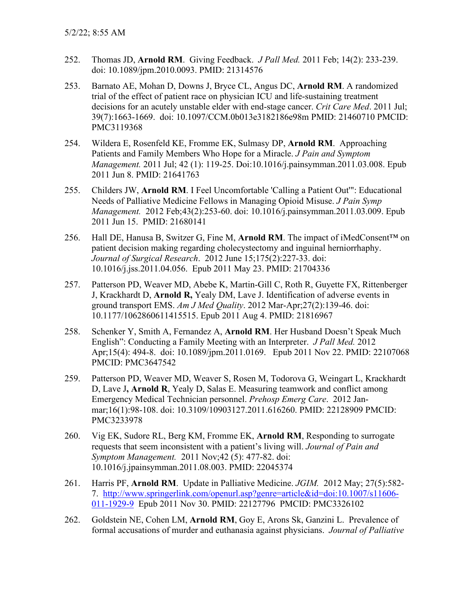- 252. Thomas JD, **Arnold RM**. Giving Feedback. *J Pall Med.* 2011 Feb; 14(2): 233-239. doi: 10.1089/jpm.2010.0093. PMID: 21314576
- 253. Barnato AE, Mohan D, Downs J, Bryce CL, Angus DC, **Arnold RM**. A randomized trial of the effect of patient race on physician ICU and life-sustaining treatment decisions for an acutely unstable elder with end-stage cancer. *Crit Care Med*. 2011 Jul; 39(7):1663-1669. doi: 10.1097/CCM.0b013e3182186e98m PMID: 21460710 PMCID: PMC3119368
- 254. Wildera E, Rosenfeld KE, Fromme EK, Sulmasy DP, **Arnold RM**. Approaching Patients and Family Members Who Hope for a Miracle. *J Pain and Symptom Management.* 2011 Jul; 42 (1): 119-25. Doi:10.1016/j.painsymman.2011.03.008. Epub 2011 Jun 8. PMID: 21641763
- 255. Childers JW, **Arnold RM**. I Feel Uncomfortable 'Calling a Patient Out'": Educational Needs of Palliative Medicine Fellows in Managing Opioid Misuse. *J Pain Symp Management.* 2012 Feb;43(2):253-60. doi: 10.1016/j.painsymman.2011.03.009. Epub 2011 Jun 15. PMID: 21680141
- 256. Hall DE, Hanusa B, Switzer G, Fine M, **Arnold RM**. The impact of iMedConsent™ on patient decision making regarding cholecystectomy and inguinal herniorrhaphy. *Journal of Surgical Research*. 2012 June 15;175(2):227-33. doi: 10.1016/j.jss.2011.04.056. Epub 2011 May 23. PMID: 21704336
- 257. Patterson PD, Weaver MD, Abebe K, Martin-Gill C, Roth R, Guyette FX, Rittenberger J, Krackhardt D, **Arnold R,** Yealy DM, Lave J. Identification of adverse events in ground transport EMS. *Am J Med Quality*. 2012 Mar-Apr;27(2):139-46. doi: 10.1177/1062860611415515. Epub 2011 Aug 4. PMID: 21816967
- 258. Schenker Y, Smith A, Fernandez A, **Arnold RM**. Her Husband Doesn't Speak Much English": Conducting a Family Meeting with an Interpreter. *J Pall Med.* 2012 Apr;15(4): 494-8. doi: 10.1089/jpm.2011.0169. Epub 2011 Nov 22. PMID: 22107068 PMCID: PMC3647542
- 259. Patterson PD, Weaver MD, Weaver S, Rosen M, Todorova G, Weingart L, Krackhardt D, Lave J**, Arnold R**, Yealy D, Salas E. Measuring teamwork and conflict among Emergency Medical Technician personnel. *Prehosp Emerg Care*. 2012 Janmar;16(1):98-108. doi: 10.3109/10903127.2011.616260. PMID: 22128909 PMCID: PMC3233978
- 260. Vig EK, Sudore RL, Berg KM, Fromme EK, **Arnold RM**, Responding to surrogate requests that seem inconsistent with a patient's living will. *Journal of Pain and Symptom Management.* 2011 Nov;42 (5): 477-82. doi: 10.1016/j.jpainsymman.2011.08.003. PMID: 22045374
- 261. Harris PF, **Arnold RM**. Update in Palliative Medicine. *JGIM.* 2012 May; 27(5):582- 7. [http://www.springerlink.com/openurl.asp?genre=article&id=doi:10.1007/s11606-](http://www.springer.com/alert/urltracking.do?id=L4f5b0bM92f9b4Saf735cc) [011-1929-9](http://www.springer.com/alert/urltracking.do?id=L4f5b0bM92f9b4Saf735cc) Epub 2011 Nov 30. PMID: 22127796 PMCID: PMC3326102
- 262. Goldstein NE, Cohen LM, **Arnold RM**, Goy E, Arons Sk, Ganzini L. Prevalence of formal accusations of murder and euthanasia against physicians. *Journal of Palliative*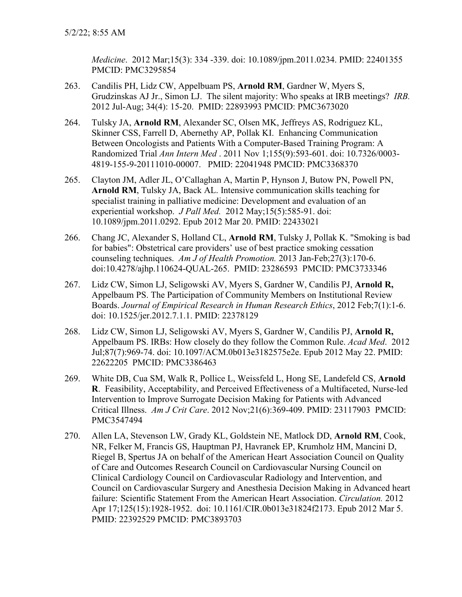*Medicine*. 2012 Mar;15(3): 334 -339. doi: 10.1089/jpm.2011.0234. PMID: 22401355 PMCID: PMC3295854

- 263. Candilis PH, Lidz CW, Appelbuam PS, **Arnold RM**, Gardner W, Myers S, Grudzinskas AJ Jr., Simon LJ. The silent majority: Who speaks at IRB meetings? *IRB.*  2012 Jul-Aug; 34(4): 15-20. PMID: 22893993 PMCID: PMC3673020
- 264. Tulsky JA, **Arnold RM**, Alexander SC, Olsen MK, Jeffreys AS, Rodriguez KL, Skinner CSS, Farrell D, Abernethy AP, Pollak KI. Enhancing Communication Between Oncologists and Patients With a Computer-Based Training Program: A Randomized Trial *Ann Intern Med* . 2011 Nov 1;155(9):593-601. doi: 10.7326/0003- 4819-155-9-20111010-00007. PMID: 22041948 PMCID: PMC3368370
- 265. Clayton JM, Adler JL, O'Callaghan A, Martin P, Hynson J, Butow PN, Powell PN, **Arnold RM**, Tulsky JA, Back AL. Intensive communication skills teaching for specialist training in palliative medicine: Development and evaluation of an experiential workshop. *J Pall Med.* 2012 May;15(5):585-91. doi: 10.1089/jpm.2011.0292. Epub 2012 Mar 20. PMID: 22433021
- 266. Chang JC, Alexander S, Holland CL, **Arnold RM**, Tulsky J, Pollak K. "Smoking is bad for babies": Obstetrical care providers' use of best practice smoking cessation counseling techniques. *Am J of Health Promotion.* 2013 Jan-Feb;27(3):170-6. doi:10.4278/ajhp.110624-QUAL-265. PMID: 23286593 PMCID: PMC3733346
- 267. Lidz CW, Simon LJ, Seligowski AV, Myers S, Gardner W, Candilis PJ, **Arnold R,** Appelbaum PS. The Participation of Community Members on Institutional Review Boards. *Journal of Empirical Research in Human Research Ethics*, 2012 Feb;7(1):1-6. doi: 10.1525/jer.2012.7.1.1. PMID: 22378129
- 268. Lidz CW, Simon LJ, Seligowski AV, Myers S, Gardner W, Candilis PJ, **Arnold R,** Appelbaum PS. IRBs: How closely do they follow the Common Rule. *Acad Med*. 2012 Jul;87(7):969-74. doi: 10.1097/ACM.0b013e3182575e2e. Epub 2012 May 22. PMID: 22622205 PMCID: PMC3386463
- 269. White DB, Cua SM, Walk R, Pollice L, Weissfeld L, Hong SE, Landefeld CS, **Arnold R**. Feasibility, Acceptability, and Perceived Effectiveness of a Multifaceted, Nurse-led Intervention to Improve Surrogate Decision Making for Patients with Advanced Critical Illness. *Am J Crit Care*. 2012 Nov;21(6):369-409. PMID: 23117903 PMCID: PMC3547494
- 270. Allen LA, Stevenson LW, Grady KL, Goldstein NE, Matlock DD, **Arnold RM**, Cook, NR, Felker M, Francis GS, Hauptman PJ, Havranek EP, Krumholz HM, Mancini D, Riegel B, Spertus JA on behalf of the American Heart Association Council on Quality of Care and Outcomes Research Council on Cardiovascular Nursing Council on Clinical Cardiology Council on Cardiovascular Radiology and Intervention, and Council on Cardiovascular Surgery and Anesthesia Decision Making in Advanced heart failure: Scientific Statement From the American Heart Association. *Circulation.* 2012 Apr 17;125(15):1928-1952. doi: 10.1161/CIR.0b013e31824f2173. Epub 2012 Mar 5. PMID: 22392529 PMCID: PMC3893703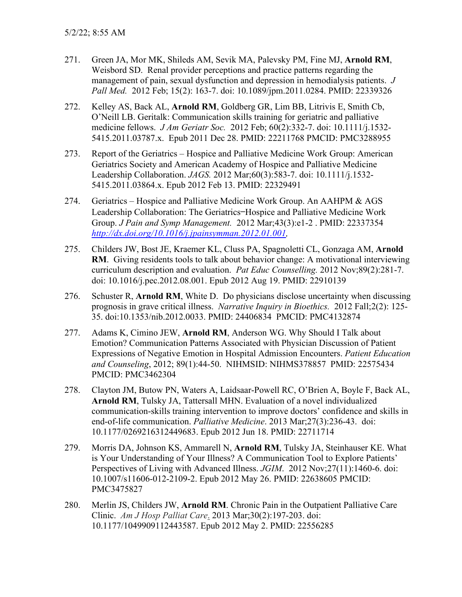- 271. Green JA, Mor MK, Shileds AM, Sevik MA, Palevsky PM, Fine MJ, **Arnold RM**, Weisbord SD. Renal provider perceptions and practice patterns regarding the management of pain, sexual dysfunction and depression in hemodialysis patients. *J Pall Med.* 2012 Feb; 15(2): 163-7. doi: 10.1089/jpm.2011.0284. PMID: 22339326
- 272. Kelley AS, Back AL, **Arnold RM**, Goldberg GR, Lim BB, Litrivis E, Smith Cb, O'Neill LB. Geritalk: Communication skills training for geriatric and palliative medicine fellows. *J Am Geriatr Soc.* 2012 Feb; 60(2):332-7. doi: 10.1111/j.1532- 5415.2011.03787.x. Epub 2011 Dec 28. PMID: 22211768 PMCID: PMC3288955
- 273. Report of the Geriatrics Hospice and Palliative Medicine Work Group: American Geriatrics Society and American Academy of Hospice and Palliative Medicine Leadership Collaboration. *JAGS.* 2012 Mar;60(3):583-7. doi: 10.1111/j.1532- 5415.2011.03864.x. Epub 2012 Feb 13. PMID: 22329491
- 274. Geriatrics Hospice and Palliative Medicine Work Group. An AAHPM & AGS Leadership Collaboration: The Geriatrics—Hospice and Palliative Medicine Work Group. *J Pain and Symp Management.* 2012 Mar;43(3):e1-2 . PMID: 22337354 *[http://dx.doi.org/10.1016/j.jpainsymman.2012.01.001,](http://dx.doi.org/10.1016/j.jpainsymman.2012.01.001)*
- 275. Childers JW, Bost JE, Kraemer KL, Cluss PA, Spagnoletti CL, Gonzaga AM, **Arnold RM**. Giving residents tools to talk about behavior change: A motivational interviewing curriculum description and evaluation. *Pat Educ Counselling.* 2012 Nov;89(2):281-7. doi: 10.1016/j.pec.2012.08.001. Epub 2012 Aug 19. PMID: 22910139
- 276. Schuster R, **Arnold RM**, White D. Do physicians disclose uncertainty when discussing prognosis in grave critical illness. *Narrative Inquiry in Bioethics.* 2012 Fall;2(2): 125- 35. doi:10.1353/nib.2012.0033. PMID: 24406834 PMCID: PMC4132874
- 277. Adams K, Cimino JEW, **Arnold RM**, Anderson WG. Why Should I Talk about Emotion? Communication Patterns Associated with Physician Discussion of Patient Expressions of Negative Emotion in Hospital Admission Encounters. *Patient Education and Counseling*, 2012; 89(1):44-50. NIHMSID: NIHMS378857 PMID: 22575434 PMCID: PMC3462304
- 278. Clayton JM, Butow PN, Waters A, Laidsaar-Powell RC, O'Brien A, Boyle F, Back AL, **Arnold RM**, Tulsky JA, Tattersall MHN. Evaluation of a novel individualized communication-skills training intervention to improve doctors' confidence and skills in end-of-life communication. *Palliative Medicine*. 2013 Mar;27(3):236-43. doi: 10.1177/0269216312449683. Epub 2012 Jun 18. PMID: 22711714
- 279. Morris DA, Johnson KS, Ammarell N, **Arnold RM**, Tulsky JA, Steinhauser KE. What is Your Understanding of Your Illness? A Communication Tool to Explore Patients' Perspectives of Living with Advanced Illness. *JGIM*. 2012 Nov;27(11):1460-6. doi: 10.1007/s11606-012-2109-2. Epub 2012 May 26. PMID: 22638605 PMCID: PMC3475827
- 280. Merlin JS, Childers JW, **Arnold RM**. Chronic Pain in the Outpatient Palliative Care Clinic. *Am J Hosp Palliat Care*. 2013 Mar;30(2):197-203. doi: 10.1177/1049909112443587. Epub 2012 May 2. PMID: 22556285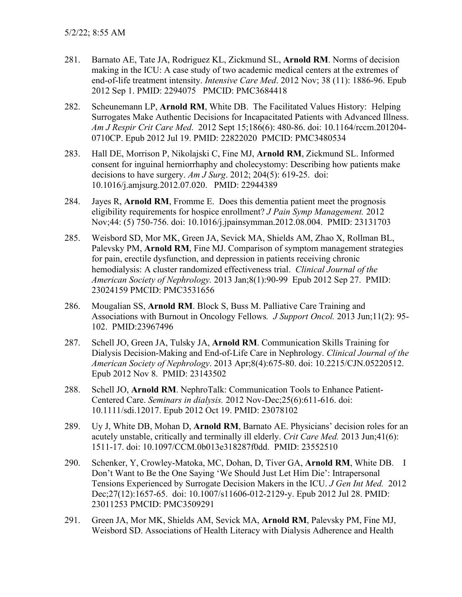- 281. Barnato AE, Tate JA, Rodriguez KL, Zickmund SL, **Arnold RM**. Norms of decision making in the ICU: A case study of two academic medical centers at the extremes of end-of-life treatment intensity. *Intensive Care Med*. 2012 Nov; 38 (11): 1886-96. Epub 2012 Sep 1. PMID: 2294075 PMCID: PMC3684418
- 282. Scheunemann LP, **Arnold RM**, White DB. The Facilitated Values History: Helping Surrogates Make Authentic Decisions for Incapacitated Patients with Advanced Illness. *Am J Respir Crit Care Med*. 2012 Sept 15;186(6): 480-86. doi: 10.1164/rccm.201204- 0710CP. Epub 2012 Jul 19. PMID: 22822020 PMCID: PMC3480534
- 283. Hall DE, Morrison P, Nikolajski C, Fine MJ, **Arnold RM**, Zickmund SL. Informed consent for inguinal herniorrhaphy and cholecystomy: Describing how patients make decisions to have surgery. *Am J Surg*. 2012; 204(5): 619-25. doi: 10.1016/j.amjsurg.2012.07.020. PMID: 22944389
- 284. Jayes R, **Arnold RM**, Fromme E. Does this dementia patient meet the prognosis eligibility requirements for hospice enrollment? *J Pain Symp Management.* 2012 Nov;44: (5) 750-756. doi: 10.1016/j.jpainsymman.2012.08.004. PMID: 23131703
- 285. Weisbord SD, Mor MK, Green JA, Sevick MA, Shields AM, Zhao X, Rollman BL, Palevsky PM, **Arnold RM**, Fine MJ. Comparison of symptom management strategies for pain, erectile dysfunction, and depression in patients receiving chronic hemodialysis: A cluster randomized effectiveness trial. *Clinical Journal of the American Society of Nephrology.* 2013 Jan;8(1):90-99 Epub 2012 Sep 27. PMID: 23024159 PMCID: PMC3531656
- 286. Mougalian SS, **Arnold RM**. Block S, Buss M. Palliative Care Training and Associations with Burnout in Oncology Fellows*. J Support Oncol.* 2013 Jun;11(2): 95- 102. PMID:23967496
- 287. Schell JO, Green JA, Tulsky JA, **Arnold RM**. Communication Skills Training for Dialysis Decision-Making and End-of-Life Care in Nephrology. *Clinical Journal of the American Society of Nephrology*. 2013 Apr;8(4):675-80. doi: 10.2215/CJN.05220512. Epub 2012 Nov 8. PMID: 23143502
- 288. Schell JO, **Arnold RM**. NephroTalk: Communication Tools to Enhance Patient-Centered Care. *Seminars in dialysis.* 2012 Nov-Dec;25(6):611-616. doi: 10.1111/sdi.12017. Epub 2012 Oct 19. PMID: 23078102
- 289. Uy J, White DB, Mohan D, **Arnold RM**, Barnato AE. Physicians' decision roles for an acutely unstable, critically and terminally ill elderly. *Crit Care Med.* 2013 Jun;41(6): 1511-17. doi: 10.1097/CCM.0b013e318287f0dd. PMID: 23552510
- 290. Schenker, Y, Crowley-Matoka, MC, Dohan, D, Tiver GA, **Arnold RM**, White DB. I Don't Want to Be the One Saying 'We Should Just Let Him Die': Intrapersonal Tensions Experienced by Surrogate Decision Makers in the ICU. *J Gen Int Med.* 2012 Dec;27(12):1657-65. doi: 10.1007/s11606-012-2129-y. Epub 2012 Jul 28. PMID: 23011253 PMCID: PMC3509291
- 291. Green JA, Mor MK, Shields AM, Sevick MA, **Arnold RM**, Palevsky PM, Fine MJ, Weisbord SD. Associations of Health Literacy with Dialysis Adherence and Health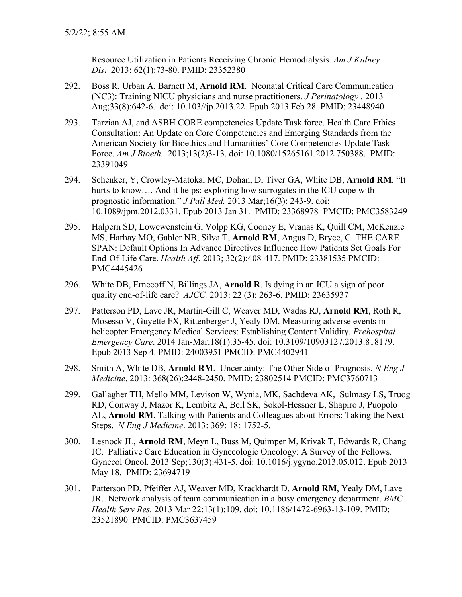Resource Utilization in Patients Receiving Chronic Hemodialysis. *Am J Kidney Dis***.** 2013: 62(1):73-80. PMID: 23352380

- 292. Boss R, Urban A, Barnett M, **Arnold RM**. Neonatal Critical Care Communication (NC3): Training NICU physicians and nurse practitioners. *J Perinatology* . 2013 Aug;33(8):642-6. doi: 10.103//jp.2013.22. Epub 2013 Feb 28. PMID: 23448940
- 293. Tarzian AJ, and ASBH CORE competencies Update Task force. Health Care Ethics Consultation: An Update on Core Competencies and Emerging Standards from the American Society for Bioethics and Humanities' Core Competencies Update Task Force. *Am J Bioeth.* 2013;13(2)3-13. doi: 10.1080/15265161.2012.750388. PMID: 23391049
- 294. Schenker, Y, Crowley-Matoka, MC, Dohan, D, Tiver GA, White DB, **Arnold RM**. "It hurts to know.... And it helps: exploring how surrogates in the ICU cope with prognostic information." *J Pall Med.* 2013 Mar;16(3): 243-9. doi: 10.1089/jpm.2012.0331. Epub 2013 Jan 31. PMID: 23368978 PMCID: PMC3583249
- 295. Halpern SD, Lowewenstein G, Volpp KG, Cooney E, Vranas K, Quill CM, McKenzie MS, Harhay MO, Gabler NB, Silva T, **Arnold RM**, Angus D, Bryce, C. THE CARE SPAN: Default Options In Advance Directives Influence How Patients Set Goals For End-Of-Life Care. *Health Aff*. 2013; 32(2):408-417. PMID: 23381535 PMCID: PMC4445426
- 296. White DB, Ernecoff N, Billings JA, **Arnold R**. Is dying in an ICU a sign of poor quality end-of-life care? *AJCC.* 2013: 22 (3): 263-6. PMID: 23635937
- 297. Patterson PD, Lave JR, Martin-Gill C, Weaver MD, Wadas RJ, **Arnold RM**, Roth R, Mosesso V, Guyette FX, Rittenberger J, Yealy DM. Measuring adverse events in helicopter Emergency Medical Services: Establishing Content Validity. *Prehospital Emergency Care*. 2014 Jan-Mar;18(1):35-45. doi: 10.3109/10903127.2013.818179. Epub 2013 Sep 4. PMID: 24003951 PMCID: PMC4402941
- 298. Smith A, White DB, **Arnold RM**. Uncertainty: The Other Side of Prognosis*. N Eng J Medicine*. 2013: 368(26):2448-2450. PMID: 23802514 PMCID: PMC3760713
- 299. Gallagher TH, Mello MM, Levison W, Wynia, MK, Sachdeva AK, Sulmasy LS, Truog RD, Conway J, Mazor K, Lembitz A, Bell SK, Sokol-Hessner L, Shapiro J, Puopolo AL, **Arnold RM**. Talking with Patients and Colleagues about Errors: Taking the Next Steps. *N Eng J Medicine*. 2013: 369: 18: 1752-5.
- 300. Lesnock JL, **Arnold RM**, Meyn L, Buss M, Quimper M, Krivak T, Edwards R, Chang JC. Palliative Care Education in Gynecologic Oncology: A Survey of the Fellows. Gynecol Oncol. 2013 Sep;130(3):431-5. doi: 10.1016/j.ygyno.2013.05.012. Epub 2013 May 18. PMID: 23694719
- 301. Patterson PD, Pfeiffer AJ, Weaver MD, Krackhardt D, **Arnold RM**, Yealy DM, Lave JR. Network analysis of team communication in a busy emergency department. *BMC Health Serv Res.* 2013 Mar 22;13(1):109. doi: 10.1186/1472-6963-13-109. PMID: 23521890 PMCID: PMC3637459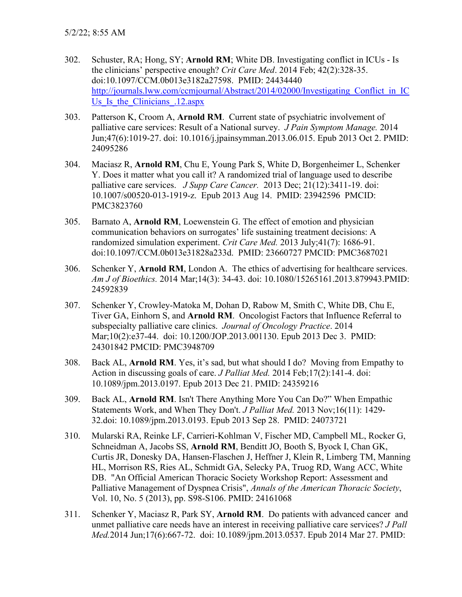- 302. Schuster, RA; Hong, SY; **Arnold RM**; White DB. Investigating conflict in ICUs Is the clinicians' perspective enough? *Crit Care Med*. 2014 Feb; 42(2):328-35. doi:10.1097/CCM.0b013e3182a27598. PMID: 24434440 http://journals.lww.com/ccmjournal/Abstract/2014/02000/Investigating Conflict in IC Us Is the Clinicians .12.aspx
- 303. Patterson K, Croom A, **Arnold RM**. Current state of psychiatric involvement of palliative care services: Result of a National survey. *J Pain Symptom Manage.* 2014 Jun;47(6):1019-27. doi: 10.1016/j.jpainsymman.2013.06.015. Epub 2013 Oct 2. PMID: 24095286
- 304. Maciasz R, **Arnold RM**, Chu E, Young Park S, White D, Borgenheimer L, Schenker Y. Does it matter what you call it? A randomized trial of language used to describe palliative care services. *J Supp Care Cancer.* 2013 Dec; 21(12):3411-19. doi: 10.1007/s00520-013-1919-z. Epub 2013 Aug 14. PMID: 23942596 PMCID: PMC3823760
- 305. Barnato A, **Arnold RM**, Loewenstein G. The effect of emotion and physician communication behaviors on surrogates' life sustaining treatment decisions: A randomized simulation experiment. *Crit Care Med.* 2013 July;41(7): 1686-91. doi:10.1097/CCM.0b013e31828a233d. PMID: 23660727 PMCID: PMC3687021
- 306. Schenker Y, **Arnold RM**, London A. The ethics of advertising for healthcare services. *Am J of Bioethics.* 2014 Mar;14(3): 34-43. doi: 10.1080/15265161.2013.879943.PMID: 24592839
- 307. Schenker Y, Crowley-Matoka M, Dohan D, Rabow M, Smith C, White DB, Chu E, Tiver GA, Einhorn S, and **Arnold RM**. Oncologist Factors that Influence Referral to subspecialty palliative care clinics. *Journal of Oncology Practice*. 2014 Mar;10(2):e37-44. doi: 10.1200/JOP.2013.001130. Epub 2013 Dec 3. PMID: 24301842 PMCID: PMC3948709
- 308. Back AL, **Arnold RM**. Yes, it's sad, but what should I do? Moving from Empathy to Action in discussing goals of care. *J Palliat Med.* 2014 Feb;17(2):141-4. doi: 10.1089/jpm.2013.0197. Epub 2013 Dec 21. PMID: 24359216
- 309. Back AL, **Arnold RM**. Isn't There Anything More You Can Do?" When Empathic Statements Work, and When They Don't. *J Palliat Med.* 2013 Nov;16(11): 1429- 32.doi: 10.1089/jpm.2013.0193. Epub 2013 Sep 28. PMID: 24073721
- 310. Mularski RA, Reinke LF, Carrieri-Kohlman V, Fischer MD, Campbell ML, Rocker G, Schneidman A, Jacobs SS, **Arnold RM**, Benditt JO, Booth S, Byock I, Chan GK, Curtis JR, Donesky DA, Hansen-Flaschen J, Heffner J, Klein R, Limberg TM, Manning HL, Morrison RS, Ries AL, Schmidt GA, Selecky PA, Truog RD, Wang ACC, White DB. "An Official American Thoracic Society Workshop Report: Assessment and Palliative Management of Dyspnea Crisis", *Annals of the American Thoracic Society*, Vol. 10, No. 5 (2013), pp. S98-S106. PMID: 24161068
- 311. Schenker Y, Maciasz R, Park SY, **Arnold RM**. Do patients with advanced cancer and unmet palliative care needs have an interest in receiving palliative care services? *J Pall Med.*2014 Jun;17(6):667-72. doi: 10.1089/jpm.2013.0537. Epub 2014 Mar 27. PMID: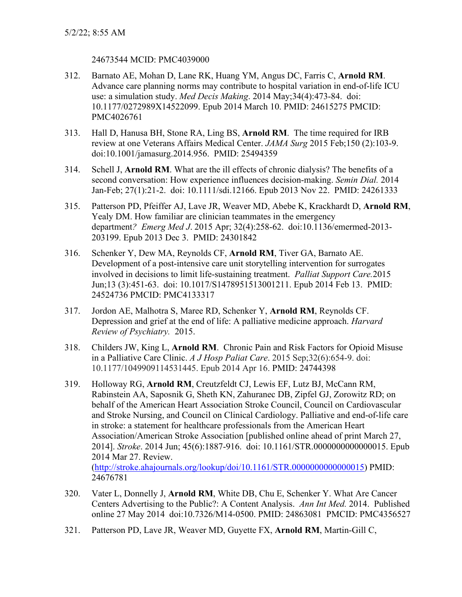## 24673544 MCID: PMC4039000

- 312. Barnato AE, Mohan D, Lane RK, Huang YM, Angus DC, Farris C, **Arnold RM**. Advance care planning norms may contribute to hospital variation in end-of-life ICU use: a simulation study. *Med Decis Making*. 2014 May;34(4):473-84. doi: 10.1177/0272989X14522099. Epub 2014 March 10. PMID: 24615275 PMCID: PMC4026761
- 313. Hall D, Hanusa BH, Stone RA, Ling BS, **Arnold RM**. The time required for IRB review at one Veterans Affairs Medical Center. *JAMA Surg* 2015 Feb;150 (2):103-9. doi:10.1001/jamasurg.2014.956. PMID: 25494359
- 314. Schell J, **Arnold RM**. What are the ill effects of chronic dialysis? The benefits of a second conversation: How experience influences decision-making. *Semin Dial.* 2014 Jan-Feb; 27(1):21-2. doi: 10.1111/sdi.12166. Epub 2013 Nov 22. PMID: 24261333
- 315. Patterson PD, Pfeiffer AJ, Lave JR, Weaver MD, Abebe K, Krackhardt D, **Arnold RM**, Yealy DM. How familiar are clinician teammates in the emergency department*? Emerg Med J*. 2015 Apr; 32(4):258-62. doi:10.1136/emermed-2013- 203199. Epub 2013 Dec 3. PMID: 24301842
- 316. Schenker Y, Dew MA, Reynolds CF, **Arnold RM**, Tiver GA, Barnato AE. Development of a post-intensive care unit storytelling intervention for surrogates involved in decisions to limit life-sustaining treatment. *Palliat Support Care.*2015 Jun;13 (3):451-63. doi: 10.1017/S1478951513001211. Epub 2014 Feb 13. PMID: 24524736 PMCID: PMC4133317
- 317. Jordon AE, Malhotra S, Maree RD, Schenker Y, **Arnold RM**, Reynolds CF. Depression and grief at the end of life: A palliative medicine approach. *Harvard Review of Psychiatry.* 2015.
- 318. Childers JW, King L, **Arnold RM**. Chronic Pain and Risk Factors for Opioid Misuse in a Palliative Care Clinic. *A J Hosp Paliat Care*. 2015 Sep;32(6):654-9. doi: 10.1177/1049909114531445. Epub 2014 Apr 16. PMID: 24744398
- 319. Holloway RG, **Arnold RM**, Creutzfeldt CJ, Lewis EF, Lutz BJ, McCann RM, Rabinstein AA, Saposnik G, Sheth KN, Zahuranec DB, Zipfel GJ, Zorowitz RD; on behalf of the American Heart Association Stroke Council, Council on Cardiovascular and Stroke Nursing, and Council on Clinical Cardiology. Palliative and end-of-life care in stroke: a statement for healthcare professionals from the American Heart Association/American Stroke Association [published online ahead of print March 27, 2014]. *Stroke*. 2014 Jun; 45(6):1887-916. doi: 10.1161/STR.0000000000000015. Epub 2014 Mar 27. Review. [\(http://stroke.ahajournals.org/lookup/doi/10.1161/STR.0000000000000015\)](http://stroke.ahajournals.org/lookup/doi/10.1161/STR.0000000000000015) PMID: 24676781
- 320. Vater L, Donnelly J, **Arnold RM**, White DB, Chu E, Schenker Y. What Are Cancer Centers Advertising to the Public?: A Content Analysis. *Ann Int Med.* 2014. Published online 27 May 2014 doi:10.7326/M14-0500. PMID: 24863081 PMCID: PMC4356527
- 321. Patterson PD, Lave JR, Weaver MD, Guyette FX, **Arnold RM**, Martin-Gill C,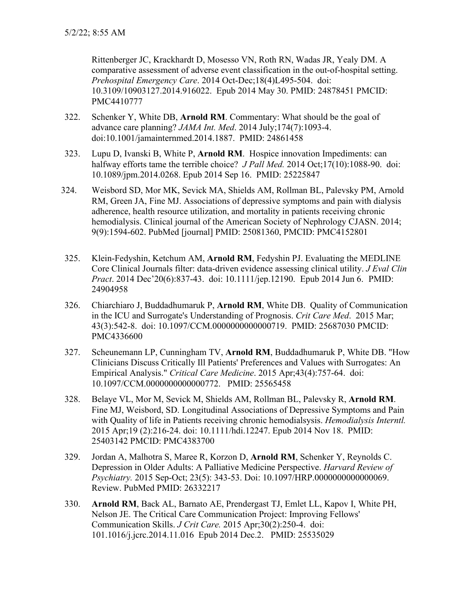Rittenberger JC, Krackhardt D, Mosesso VN, Roth RN, Wadas JR, Yealy DM. A comparative assessment of adverse event classification in the out-of-hospital setting. *Prehospital Emergency Care*. 2014 Oct-Dec;18(4)L495-504. doi: 10.3109/10903127.2014.916022. Epub 2014 May 30. PMID: 24878451 PMCID: PMC4410777

- 322. Schenker Y, White DB, **Arnold RM**. Commentary: What should be the goal of advance care planning? *JAMA Int. Med*. 2014 July;174(7):1093-4. doi:10.1001/jamainternmed.2014.1887. PMID: 24861458
- 323. Lupu D, Ivanski B, White P, **Arnold RM**. Hospice innovation Impediments: can halfway efforts tame the terrible choice? *J Pall Med.* 2014 Oct;17(10):1088-90. doi: 10.1089/jpm.2014.0268. Epub 2014 Sep 16. PMID: 25225847
- 324. Weisbord SD, Mor MK, Sevick MA, Shields AM, Rollman BL, Palevsky PM, Arnold RM, Green JA, Fine MJ. Associations of depressive symptoms and pain with dialysis adherence, health resource utilization, and mortality in patients receiving chronic hemodialysis. Clinical journal of the American Society of Nephrology CJASN. 2014; 9(9):1594-602. PubMed [journal] PMID: 25081360, PMCID: PMC4152801
- 325. Klein-Fedyshin, Ketchum AM, **Arnold RM**, Fedyshin PJ. Evaluating the MEDLINE Core Clinical Journals filter: data-driven evidence assessing clinical utility. *J Eval Clin Pract*. 2014 Dec'20(6):837-43. doi: 10.1111/jep.12190. Epub 2014 Jun 6. PMID: 24904958
- 326. Chiarchiaro J, Buddadhumaruk P, **Arnold RM**, White DB. Quality of Communication in the ICU and Surrogate's Understanding of Prognosis. *Crit Care Med*. 2015 Mar; 43(3):542-8. doi: 10.1097/CCM.0000000000000719. PMID: 25687030 PMCID: PMC4336600
- 327. Scheunemann LP, Cunningham TV, **Arnold RM**, Buddadhumaruk P, White DB. "How Clinicians Discuss Critically Ill Patients' Preferences and Values with Surrogates: An Empirical Analysis." *Critical Care Medicine*. 2015 Apr;43(4):757-64. doi: 10.1097/CCM.0000000000000772. PMID: 25565458
- 328. Belaye VL, Mor M, Sevick M, Shields AM, Rollman BL, Palevsky R, **Arnold RM**. Fine MJ, Weisbord, SD. Longitudinal Associations of Depressive Symptoms and Pain with Quality of life in Patients receiving chronic hemodialsysis. *Hemodialysis Interntl.*  2015 Apr;19 (2):216-24. doi: 10.1111/hdi.12247. Epub 2014 Nov 18. PMID: 25403142 PMCID: PMC4383700
- 329. Jordan A, Malhotra S, Maree R, Korzon D, **Arnold RM**, Schenker Y, Reynolds C. Depression in Older Adults: A Palliative Medicine Perspective. *Harvard Review of Psychiatry.* 2015 Sep-Oct; 23(5): 343-53. Doi: 10.1097/HRP.0000000000000069. Review. PubMed PMID: 26332217
- 330. **Arnold RM**, Back AL, Barnato AE, Prendergast TJ, Emlet LL, Kapov I, White PH, Nelson JE. The Critical Care Communication Project: Improving Fellows' Communication Skills. *J Crit Care.* 2015 Apr;30(2):250-4. doi: 101.1016/j.jcrc.2014.11.016 Epub 2014 Dec.2. PMID: 25535029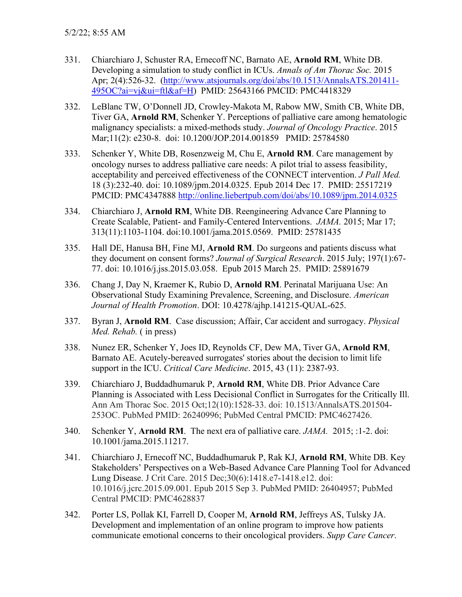- 331. Chiarchiaro J, Schuster RA, Ernecoff NC, Barnato AE, **Arnold RM**, White DB. Developing a simulation to study conflict in ICUs. *Annals of Am Thorac Soc.* 2015 Apr; 2(4):526-32. [\(http://www.atsjournals.org/doi/abs/10.1513/AnnalsATS.201411-](http://www.atsjournals.org/doi/abs/10.1513/AnnalsATS.201411-495OC?ai=vj&ui=ftl&af=H) [495OC?ai=vj&ui=ftl&af=H\)](http://www.atsjournals.org/doi/abs/10.1513/AnnalsATS.201411-495OC?ai=vj&ui=ftl&af=H) PMID: 25643166 PMCID: PMC4418329
- 332. LeBlanc TW, O'Donnell JD, Crowley-Makota M, Rabow MW, Smith CB, White DB, Tiver GA, **Arnold RM**, Schenker Y. Perceptions of palliative care among hematologic malignancy specialists: a mixed-methods study. *Journal of Oncology Practice*. 2015 Mar;11(2): e230-8. doi: 10.1200/JOP.2014.001859 PMID: 25784580
- 333. Schenker Y, White DB, Rosenzweig M, Chu E, **Arnold RM**. Care management by oncology nurses to address palliative care needs: A pilot trial to assess feasibility, acceptability and perceived effectiveness of the CONNECT intervention. *J Pall Med.* 18 (3):232-40. doi: 10.1089/jpm.2014.0325. Epub 2014 Dec 17. PMID: 25517219 PMCID: PMC4347888<http://online.liebertpub.com/doi/abs/10.1089/jpm.2014.0325>
- 334. Chiarchiaro J, **Arnold RM**, White DB. Reengineering Advance Care Planning to Create Scalable, Patient- and Family-Centered Interventions. *JAMA.* 2015; Mar 17; 313(11):1103-1104. doi:10.1001/jama.2015.0569. PMID: 25781435
- 335. Hall DE, Hanusa BH, Fine MJ, **Arnold RM**. Do surgeons and patients discuss what they document on consent forms? *Journal of Surgical Research*. 2015 July; 197(1):67- 77. doi: 10.1016/j.jss.2015.03.058. Epub 2015 March 25. PMID: 25891679
- 336. Chang J, Day N, Kraemer K, Rubio D, **Arnold RM**. Perinatal Marijuana Use: An Observational Study Examining Prevalence, Screening, and Disclosure. *American Journal of Health Promotion*. DOI: 10.4278/ajhp.141215-QUAL-625.
- 337. Byran J, **Arnold RM**. Case discussion; Affair, Car accident and surrogacy. *Physical Med. Rehab.* ( in press)
- 338. Nunez ER, Schenker Y, Joes ID, Reynolds CF, Dew MA, Tiver GA, **Arnold RM**, Barnato AE. Acutely-bereaved surrogates' stories about the decision to limit life support in the ICU. *Critical Care Medicine*. 2015, 43 (11): 2387-93.
- 339. Chiarchiaro J, Buddadhumaruk P, **Arnold RM**, White DB. Prior Advance Care Planning is Associated with Less Decisional Conflict in Surrogates for the Critically Ill. Ann Am Thorac Soc. 2015 Oct;12(10):1528-33. doi: 10.1513/AnnalsATS.201504- 253OC. PubMed PMID: 26240996; PubMed Central PMCID: PMC4627426.
- 340. Schenker Y, **Arnold RM**. The next era of palliative care. *JAMA.* 2015; :1-2. doi: 10.1001/jama.2015.11217.
- 341. Chiarchiaro J, Ernecoff NC, Buddadhumaruk P, Rak KJ, **Arnold RM**, White DB. Key Stakeholders' Perspectives on a Web-Based Advance Care Planning Tool for Advanced Lung Disease. J Crit Care. 2015 Dec;30(6):1418.e7-1418.e12. doi: 10.1016/j.jcrc.2015.09.001. Epub 2015 Sep 3. PubMed PMID: 26404957; PubMed Central PMCID: PMC4628837
- 342. Porter LS, Pollak KI, Farrell D, Cooper M, **Arnold RM**, Jeffreys AS, Tulsky JA. Development and implementation of an online program to improve how patients communicate emotional concerns to their oncological providers. *Supp Care Cancer*.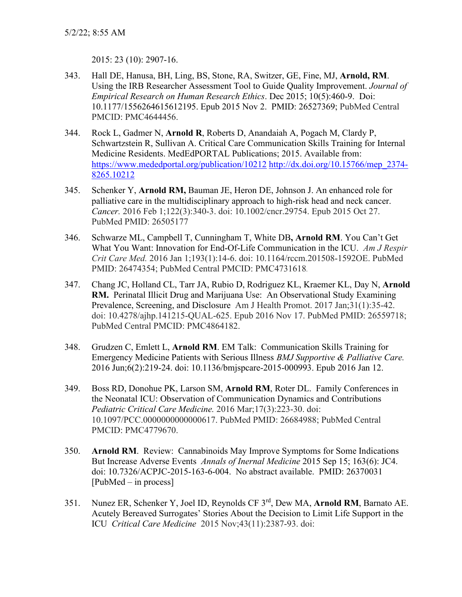2015: 23 (10): 2907-16.

- 343. Hall DE, Hanusa, BH, Ling, BS, Stone, RA, Switzer, GE, Fine, MJ, **Arnold, RM**. Using the IRB Researcher Assessment Tool to Guide Quality Improvement. *Journal of Empirical Research on Human Research Ethics*. Dec 2015; 10(5):460-9. Doi: 10.1177/1556264615612195. Epub 2015 Nov 2. PMID: 26527369; PubMed Central PMCID: PMC4644456.
- 344. Rock L, Gadmer N, **Arnold R**, Roberts D, Anandaiah A, Pogach M, Clardy P, Schwartzstein R, Sullivan A. Critical Care Communication Skills Training for Internal Medicine Residents. MedEdPORTAL Publications; 2015. Available from: <https://www.mededportal.org/publication/10212> [http://dx.doi.org/10.15766/mep\\_2374-](http://dx.doi.org/10.15766/mep_2374-8265.10212) [8265.10212](http://dx.doi.org/10.15766/mep_2374-8265.10212)
- 345. Schenker Y, **Arnold RM,** Bauman JE, Heron DE, Johnson J. An enhanced role for palliative care in the multidisciplinary approach to high-risk head and neck cancer. *Cancer.* 2016 Feb 1;122(3):340-3. doi: 10.1002/cncr.29754. Epub 2015 Oct 27. PubMed PMID: 26505177
- 346. Schwarze ML, Campbell T, Cunningham T, White DB**, Arnold RM**. You Can't Get What You Want: Innovation for End-Of-Life Communication in the ICU. *Am J Respir Crit Care Med.* 2016 Jan 1;193(1):14-6. doi: 10.1164/rccm.201508-1592OE. PubMed PMID: 26474354; PubMed Central PMCID: PMC4731618.
- 347. Chang JC, Holland CL, Tarr JA, Rubio D, Rodriguez KL, Kraemer KL, Day N, **Arnold RM.** Perinatal Illicit Drug and Marijuana Use: An Observational Study Examining Prevalence, Screening, and Disclosure Am J Health Promot. 2017 Jan;31(1):35-42. doi: 10.4278/ajhp.141215-QUAL-625. Epub 2016 Nov 17. PubMed PMID: 26559718; PubMed Central PMCID: PMC4864182.
- 348. Grudzen C, Emlett L, **Arnold RM**. EM Talk: Communication Skills Training for Emergency Medicine Patients with Serious Illness *BMJ Supportive & Palliative Care.*  2016 Jun;6(2):219-24. doi: 10.1136/bmjspcare-2015-000993. Epub 2016 Jan 12.
- 349. Boss RD, Donohue PK, Larson SM, **Arnold RM**, Roter DL. Family Conferences in the Neonatal ICU: Observation of Communication Dynamics and Contributions *Pediatric Critical Care Medicine.* 2016 Mar;17(3):223-30. doi: 10.1097/PCC.0000000000000617. PubMed PMID: 26684988; PubMed Central PMCID: PMC4779670.
- 350. **Arnold RM**. Review: Cannabinoids May Improve Symptoms for Some Indications But Increase Adverse Events *Annals of Inernal Medicine* 2015 Sep 15; 163(6): JC4. doi: 10.7326/ACPJC-2015-163-6-004. No abstract available. PMID: 26370031 [PubMed – in process]
- 351. Nunez ER, Schenker Y, Joel ID, Reynolds CF 3rd, Dew MA, **Arnold RM**, Barnato AE. Acutely Bereaved Surrogates' Stories About the Decision to Limit Life Support in the ICU *Critical Care Medicine* 2015 Nov;43(11):2387-93. doi: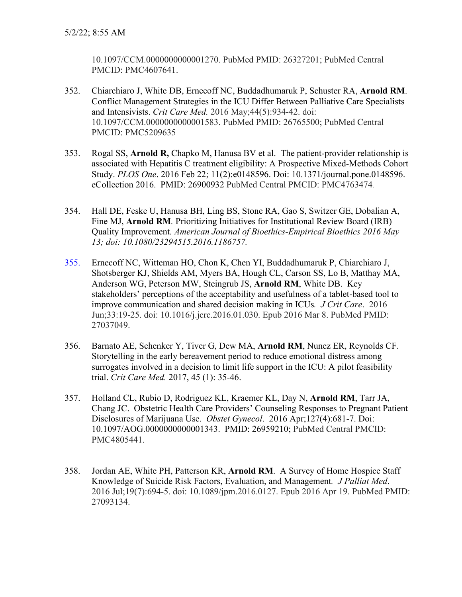10.1097/CCM.0000000000001270. PubMed PMID: 26327201; PubMed Central PMCID: PMC4607641.

- 352. Chiarchiaro J, White DB, Ernecoff NC, Buddadhumaruk P, Schuster RA, **Arnold RM**. Conflict Management Strategies in the ICU Differ Between Palliative Care Specialists and Intensivists. *Crit Care Med.* 2016 May;44(5):934-42. doi: 10.1097/CCM.0000000000001583. PubMed PMID: 26765500; PubMed Central PMCID: PMC5209635
- 353. Rogal SS, **Arnold R,** Chapko M, Hanusa BV et al. The patient-provider relationship is associated with Hepatitis C treatment eligibility: A Prospective Mixed-Methods Cohort Study. *PLOS One*. 2016 Feb 22; 11(2):e0148596. Doi: 10.1371/journal.pone.0148596. eCollection 2016. PMID: 26900932 PubMed Central PMCID: PMC4763474.
- 354. Hall DE, Feske U, Hanusa BH, Ling BS, Stone RA, Gao S, Switzer GE, Dobalian A, Fine MJ, **Arnold RM***.* Prioritizing Initiatives for Institutional Review Board (IRB) Quality Improvement*. American Journal of Bioethics-Empirical Bioethics 2016 May 13; doi: 10.1080/23294515.2016.1186757.*
- 355. Ernecoff NC, Witteman HO, Chon K, Chen YI, Buddadhumaruk P, Chiarchiaro J, Shotsberger KJ, Shields AM, Myers BA, Hough CL, Carson SS, Lo B, Matthay MA, Anderson WG, Peterson MW, Steingrub JS, **Arnold RM**, White DB. Key stakeholders' perceptions of the acceptability and usefulness of a tablet-based tool to improve communication and shared decision making in ICUs*. J Crit Care*. 2016 Jun;33:19-25. doi: 10.1016/j.jcrc.2016.01.030. Epub 2016 Mar 8. PubMed PMID: 27037049.
- 356. Barnato AE, Schenker Y, Tiver G, Dew MA, **Arnold RM**, Nunez ER, Reynolds CF. Storytelling in the early bereavement period to reduce emotional distress among surrogates involved in a decision to limit life support in the ICU: A pilot feasibility trial. *Crit Care Med.* 2017, 45 (1): 35-46.
- 357. Holland CL, Rubio D, Rodriguez KL, Kraemer KL, Day N, **Arnold RM**, Tarr JA, Chang JC. Obstetric Health Care Providers' Counseling Responses to Pregnant Patient Disclosures of Marijuana Use. *Obstet Gynecol*. 2016 Apr;127(4):681-7. Doi: 10.1097/AOG.0000000000001343. PMID: 26959210; PubMed Central PMCID: PMC4805441.
- 358. Jordan AE, White PH, Patterson KR, **Arnold RM**. A Survey of Home Hospice Staff Knowledge of Suicide Risk Factors, Evaluation, and Management*. J Palliat Med*. 2016 Jul;19(7):694-5. doi: 10.1089/jpm.2016.0127. Epub 2016 Apr 19. PubMed PMID: 27093134.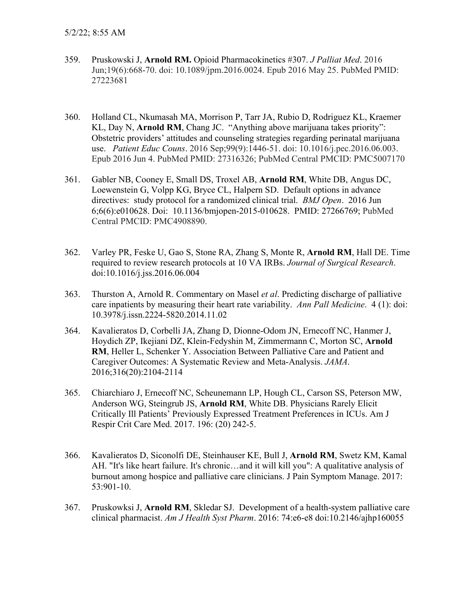- 359. Pruskowski J, **Arnold RM.** Opioid Pharmacokinetics #307. *J Palliat Med*. 2016 Jun;19(6):668-70. doi: 10.1089/jpm.2016.0024. Epub 2016 May 25. PubMed PMID: 27223681
- 360. Holland CL, Nkumasah MA, Morrison P, Tarr JA, Rubio D, Rodriguez KL, Kraemer KL, Day N, **Arnold RM**, Chang JC. "Anything above marijuana takes priority": Obstetric providers' attitudes and counseling strategies regarding perinatal marijuana use. *Patient Educ Couns*. 2016 Sep;99(9):1446-51. doi: 10.1016/j.pec.2016.06.003. Epub 2016 Jun 4. PubMed PMID: 27316326; PubMed Central PMCID: PMC5007170
- 361. Gabler NB, Cooney E, Small DS, Troxel AB, **Arnold RM**, White DB, Angus DC, Loewenstein G, Volpp KG, Bryce CL, Halpern SD. Default options in advance directives: study protocol for a randomized clinical trial. *BMJ Open*. 2016 Jun 6;6(6):e010628. Doi: 10.1136/bmjopen-2015-010628. PMID: 27266769; PubMed Central PMCID: PMC4908890.
- 362. Varley PR, Feske U, Gao S, Stone RA, Zhang S, Monte R, **Arnold RM**, Hall DE. Time required to review research protocols at 10 VA IRBs. *Journal of Surgical Research*. doi:10.1016/j.jss.2016.06.004
- 363. Thurston A, Arnold R. Commentary on Masel *et al*. Predicting discharge of palliative care inpatients by measuring their heart rate variability. *Ann Pall Medicine*. 4 (1): doi: 10.3978/j.issn.2224-5820.2014.11.02
- 364. Kavalieratos D, Corbelli JA, Zhang D, Dionne-Odom JN, Ernecoff NC, Hanmer J, Hoydich ZP, Ikejiani DZ, Klein-Fedyshin M, Zimmermann C, Morton SC, **Arnold RM**, Heller L, Schenker Y. Association Between Palliative Care and Patient and Caregiver Outcomes: A Systematic Review and Meta-Analysis. *JAMA*. 2016;316(20):2104-2114
- 365. Chiarchiaro J, Ernecoff NC, Scheunemann LP, Hough CL, Carson SS, Peterson MW, Anderson WG, Steingrub JS, **Arnold RM**, White DB. Physicians Rarely Elicit Critically Ill Patients' Previously Expressed Treatment Preferences in ICUs. Am J Respir Crit Care Med. 2017. 196: (20) 242-5.
- 366. Kavalieratos D, Siconolfi DE, Steinhauser KE, Bull J, **Arnold RM**, Swetz KM, Kamal AH. "It's like heart failure. It's chronic…and it will kill you": A qualitative analysis of burnout among hospice and palliative care clinicians. J Pain Symptom Manage. 2017: 53:901-10.
- 367. Pruskowksi J, **Arnold RM**, Skledar SJ. Development of a health-system palliative care clinical pharmacist. *Am J Health Syst Pharm*. 2016: 74:e6-e8 doi:10.2146/ajhp160055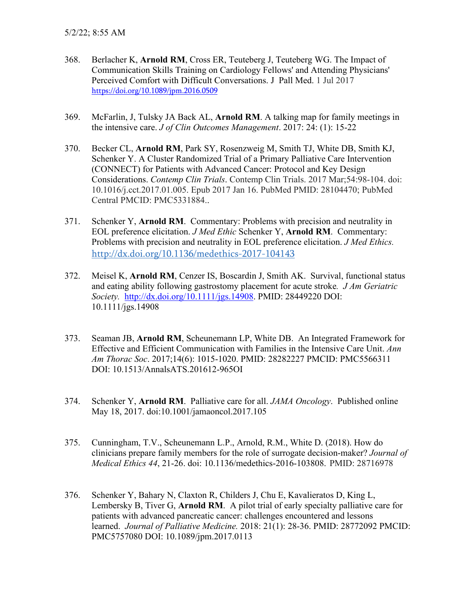- 368. Berlacher K, **Arnold RM**, Cross ER, Teuteberg J, Teuteberg WG. [The Impact of](https://www.liebertpub.com/doi/full/10.1089/jpm.2016.0509)  [Communication Skills Training on Cardiology Fellows' and Attending Physicians'](https://www.liebertpub.com/doi/full/10.1089/jpm.2016.0509)  [Perceived Comfort with Difficult Conversations.](https://www.liebertpub.com/doi/full/10.1089/jpm.2016.0509) J Pall Med. 1 Jul 2017 <https://doi.org/10.1089/jpm.2016.0509>
- 369. McFarlin, J, Tulsky JA Back AL, **Arnold RM**. A talking map for family meetings in the intensive care. *J of Clin Outcomes Management*. 2017: 24: (1): 15-22
- 370. Becker CL, **Arnold RM**, Park SY, Rosenzweig M, Smith TJ, White DB, Smith KJ, Schenker Y. A Cluster Randomized Trial of a Primary Palliative Care Intervention (CONNECT) for Patients with Advanced Cancer: Protocol and Key Design Considerations. *Contemp Clin Trials*. Contemp Clin Trials. 2017 Mar;54:98-104. doi: 10.1016/j.cct.2017.01.005. Epub 2017 Jan 16. PubMed PMID: 28104470; PubMed Central PMCID: PMC5331884..
- 371. Schenker Y, **Arnold RM**. Commentary: Problems with precision and neutrality in EOL preference elicitation. *J Med Ethic* Schenker Y, **Arnold RM**. Commentary: Problems with precision and neutrality in EOL preference elicitation. *J Med Ethics.*  <http://dx.doi.org/10.1136/medethics-2017-104143>
- 372. Meisel K, **Arnold RM**, Cenzer IS, Boscardin J, Smith AK. Survival, functional status and eating ability following gastrostomy placement for acute stroke*. J Am Geriatric Society.* [http://dx.doi.org/10.1111/jgs.14908.](http://dx.doi.org/10.1111/jgs.14908) PMID: 28449220 DOI: [10.1111/jgs.14908](https://doi.org/10.1111/jgs.14908)
- 373. Seaman JB, **Arnold RM**, Scheunemann LP, White DB. An Integrated Framework for Effective and Efficient Communication with Families in the Intensive Care Unit. *Ann Am Thorac Soc*. 2017;14(6): 1015-1020. PMID: 28282227 PMCID: [PMC5566311](http://www.ncbi.nlm.nih.gov/pmc/articles/pmc5566311/)  DOI: [10.1513/AnnalsATS.201612-965OI](https://doi.org/10.1513/annalsats.201612-965oi)
- 374. Schenker Y, **Arnold RM**. Palliative care for all. *JAMA Oncology*. Published online May 18, 2017. doi:10.1001/jamaoncol.2017.105
- 375. Cunningham, T.V., Scheunemann L.P., Arnold, R.M., White D. (2018). How do clinicians prepare family members for the role of surrogate decision-maker? *Journal of Medical Ethics 44*, 21-26. doi: 10.1136/medethics-2016-103808. PMID: 28716978
- 376. Schenker Y, Bahary N, Claxton R, Childers J, Chu E, Kavalieratos D, King L, Lembersky B, Tiver G, **Arnold RM**. A pilot trial of early specialty palliative care for patients with advanced pancreatic cancer: challenges encountered and lessons learned. *Journal of Palliative Medicine.* 2018: 21(1): 28-36. PMID: 28772092 PMCID: [PMC5757080 D](http://www.ncbi.nlm.nih.gov/pmc/articles/pmc5757080/)OI: [10.1089/jpm.2017.0113](https://doi.org/10.1089/jpm.2017.0113)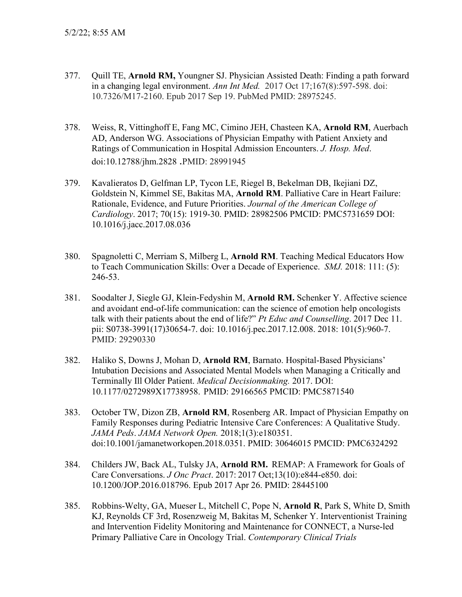- 377. Quill TE, **Arnold RM,** Youngner SJ. Physician Assisted Death: Finding a path forward in a changing legal environment. *Ann Int Med.* 2017 Oct 17;167(8):597-598. doi: 10.7326/M17-2160. Epub 2017 Sep 19. PubMed PMID: 28975245.
- 378. Weiss, R, Vittinghoff E, Fang MC, Cimino JEH, Chasteen KA, **Arnold RM**, Auerbach AD, Anderson WG. Associations of Physician Empathy with Patient Anxiety and Ratings of Communication in Hospital Admission Encounters. *J. Hosp. Med*. doi:10.12788/jhm.2828 .PMID: 28991945
- 379. Kavalieratos D, Gelfman LP, Tycon LE, Riegel B, Bekelman DB, Ikejiani DZ, Goldstein N, Kimmel SE, Bakitas MA, **Arnold RM**. Palliative Care in Heart Failure: Rationale, Evidence, and Future Priorities. *Journal of the American College of Cardiology*. 2017; 70(15): 1919-30. PMID: 28982506 PMCID: [PMC5731659 D](http://www.ncbi.nlm.nih.gov/pmc/articles/pmc5731659/)OI: [10.1016/j.jacc.2017.08.036](https://doi.org/10.1016/j.jacc.2017.08.036)
- 380. Spagnoletti C, Merriam S, Milberg L, **Arnold RM**. Teaching Medical Educators How to Teach Communication Skills: Over a Decade of Experience. *SMJ.* 2018: 111: (5): 246-53.
- 381. Soodalter J, Siegle GJ, Klein-Fedyshin M, **Arnold RM.** Schenker Y. Affective science and avoidant end-of-life communication: can the science of emotion help oncologists talk with their patients about the end of life?" *Pt Educ and Counselling*. 2017 Dec 11. pii: S0738-3991(17)30654-7. doi: 10.1016/j.pec.2017.12.008. 2018: 101(5):960-7. PMID: 29290330
- 382. Haliko S, Downs J, Mohan D, **Arnold RM**, Barnato. Hospital-Based Physicians' Intubation Decisions and Associated Mental Models when Managing a Critically and Terminally Ill Older Patient. *Medical Decisionmaking.* 2017. DOI: 10.1177/0272989X17738958. PMID: 29166565 PMCID: [PMC5871540](http://www.ncbi.nlm.nih.gov/pmc/articles/pmc5871540/)
- 383. October TW, Dizon ZB, **Arnold RM**, Rosenberg AR. Impact of Physician Empathy on Family Responses during Pediatric Intensive Care Conferences: A Qualitative Study. *JAMA Peds*. *JAMA Network Open.* 2018;1(3):e180351. doi:10.1001/jamanetworkopen.2018.0351. PMID: 30646015 PMCID: [PMC6324292](http://www.ncbi.nlm.nih.gov/pmc/articles/pmc6324292/)
- 384. Childers JW, Back AL, Tulsky JA, **Arnold RM.** REMAP: A Framework for Goals of Care Conversations. *J Onc Pract*. 2017: 2017 Oct;13(10):e844-e850. doi: 10.1200/JOP.2016.018796. Epub 2017 Apr 26. PMID: 28445100
- 385. Robbins-Welty, GA, Mueser L, Mitchell C, Pope N, **Arnold R**, Park S, White D, Smith KJ, Reynolds CF 3rd, Rosenzweig M, Bakitas M, Schenker Y. Interventionist Training and Intervention Fidelity Monitoring and Maintenance for CONNECT, a Nurse-led Primary Palliative Care in Oncology Trial. *Contemporary Clinical Trials*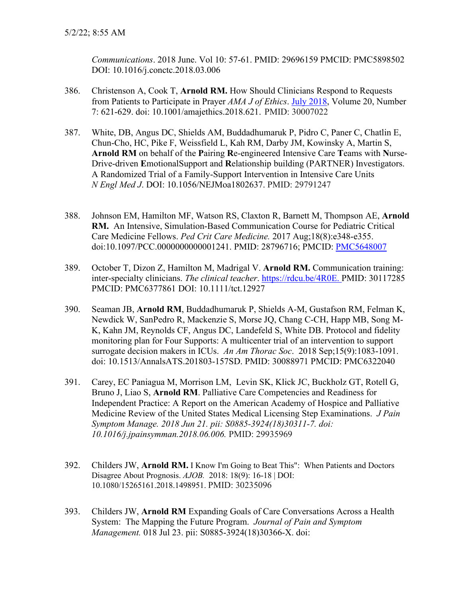*Communications*. 2018 June. Vol 10: 57-61. PMID: 29696159 PMCID: [PMC5898502](http://www.ncbi.nlm.nih.gov/pmc/articles/pmc5898502/) DOI: [10.1016/j.conctc.2018.03.006](https://doi.org/10.1016/j.conctc.2018.03.006)

- 386. Christenson A, Cook T, **Arnold RM.** How Should Clinicians Respond to Requests from Patients to Participate in Prayer *AMA J of Ethics*. [July 2018,](http://journalofethics.ama-assn.org/2018/07/toc-1807.html) Volume 20, Number 7: 621-629. doi: 10.1001/amajethics.2018.621. PMID: 30007022
- 387. White, DB, Angus DC, Shields AM, Buddadhumaruk P, Pidro C, Paner C, Chatlin E, Chun-Cho, HC, Pike F, Weissfield L, Kah RM, Darby JM, Kowinsky A, Martin S, **Arnold RM** on behalf of the **P**airing **R**e-engineered Intensive Care **T**eams with **N**urse-Drive-driven **E**motionalSupport and **R**elationship building (PARTNER) Investigators. A Randomized Trial of a Family-Support Intervention in Intensive Care Units *N Engl Med J*. DOI: 10.1056/NEJMoa1802637. PMID: 29791247
- 388. Johnson EM, Hamilton MF, Watson RS, Claxton R, Barnett M, Thompson AE, **Arnold RM.** An Intensive, Simulation-Based Communication Course for Pediatric Critical Care Medicine Fellows. *Ped Crit Care Medicine.* 2017 Aug;18(8):e348-e355. doi:10.1097/PCC.0000000000001241. PMID: 28796716; PMCID: PMC5648007
- 389. October T, Dizon Z, Hamilton M, Madrigal V. **Arnold RM.** Communication training: inter-specialty clinicians. *The clinical teacher*. [https://rdcu.be/4R0E.](https://na01.safelinks.protection.outlook.com/?url=https%3A%2F%2Furldefense.proofpoint.com%2Fv2%2Furl%3Fu%3Dhttp-3A__em.rdcu.be_wf_click-3Fupn-3DlMZy1lernSJ7apc5DgYM8aPfArDRGml41sCMIl9tuUA-2D3D-5F9HLkNsbbdTMF5p05GUKE21bzo2OOjbNakowHma8LNgiV0BsEQKq9Y1sPMm3i07eUyaPDheOt1KNmuxywddyMJr-2D2B4tWGecf5WPgHWwhfK7oD-2D2Bz7uPFc5KyJ8RIrsGUOTMORPEwGyXghWx34bEXucOY-2D2Foah5F8PUozXLQiXKMM-2D2BtK7-2D2By3INNbcCJIiR6L5-2D2BGsASmTdXbinEVz0R8H2vGhYFpjj33kxAlNpvAKQAs7DUGe1k0HdwwBxiAYtQsquZsWar89Atl2RQ7VfzQbQa-2D2FUgYQ-2D3D-2D3D%26d%3DDwMFaQ%26c%3DZoipt4Nmcnjorr_6TBHi1A%26r%3DFzBvlH1VSYDKfwufX0r2WbOZMLQpyYiUx5SvS31OASs%26m%3Dffoa3Hg9tUy-DC6zf3IU48Yx9UhydL-6b0DH6rhm_Sc%26s%3DqPLXJQYTtLuDTC6sgyZwvXXctIHmBeSlxJuTpXyUZ84%26e%3D&data=02%7C01%7Crabob%40pitt.edu%7Ce12777e498ff406b774408d606cdd3f0%7C9ef9f489e0a04eeb87cc3a526112fd0d%7C1%7C0%7C636703878428747835&sdata=QHWH3aTwqQKofC9LKMeLNIdm4Wk%2Fcp5vY33dtiBo3EQ%3D&reserved=0) PMID: 30117285 PMCID: [PMC6377861 D](http://www.ncbi.nlm.nih.gov/pmc/articles/pmc6377861/)OI: [10.1111/tct.12927](https://doi.org/10.1111/tct.12927)
- 390. Seaman JB, **Arnold RM**, Buddadhumaruk P, Shields A-M, Gustafson RM, Felman K, Newdick W, SanPedro R, Mackenzie S, Morse JQ, Chang C-CH, Happ MB, Song M-K, Kahn JM, Reynolds CF, Angus DC, Landefeld S, White DB. Protocol and fidelity monitoring plan for Four Supports: A multicenter trial of an intervention to support surrogate decision makers in ICUs. *An Am Thorac Soc*. 2018 Sep;15(9):1083-1091. doi: 10.1513/AnnalsATS.201803-157SD. PMID: 30088971 PMCID: [PMC6322040](http://www.ncbi.nlm.nih.gov/pmc/articles/pmc6322040/)
- 391. Carey, EC Paniagua M, Morrison LM, Levin SK, Klick JC, Buckholz GT, Rotell G, Bruno J, Liao S, **Arnold RM**. Palliative Care Competencies and Readiness for Independent Practice: A Report on the American Academy of Hospice and Palliative Medicine Review of the United States Medical Licensing Step Examinations. *[J Pain](https://na01.safelinks.protection.outlook.com/?url=https%3A%2F%2Fwww.ncbi.nlm.nih.gov%2Fpubmed%2F29935969&data=01%7C01%7Crabob%40pitt.edu%7C8f132aeb5019431793dc08d5ddc2ce76%7C9ef9f489e0a04eeb87cc3a526112fd0d%7C1&sdata=iJBV%2BJQvl77IJ6Zta9GqBcfwshXaAuHl7xxl2dietAc%3D&reserved=0)  [Symptom Manage.](https://na01.safelinks.protection.outlook.com/?url=https%3A%2F%2Fwww.ncbi.nlm.nih.gov%2Fpubmed%2F29935969&data=01%7C01%7Crabob%40pitt.edu%7C8f132aeb5019431793dc08d5ddc2ce76%7C9ef9f489e0a04eeb87cc3a526112fd0d%7C1&sdata=iJBV%2BJQvl77IJ6Zta9GqBcfwshXaAuHl7xxl2dietAc%3D&reserved=0) 2018 Jun 21. pii: S0885-3924(18)30311-7. doi: 10.1016/j.jpainsymman.2018.06.006.* PMID: 29935969
- 392. Childers JW, **Arnold RM.** I Know I'm Going to Beat This": When Patients and Doctors Disagree About Prognosis. *AJOB.* 2018: 18(9): 16-18 | DOI: 10.1080/15265161.2018.1498951. PMID: 30235096
- 393. Childers JW, **Arnold RM** Expanding Goals of Care Conversations Across a Health System: The Mapping the Future Program. *Journal of Pain and Symptom Management.* 018 Jul 23. pii: S0885-3924(18)30366-X. doi: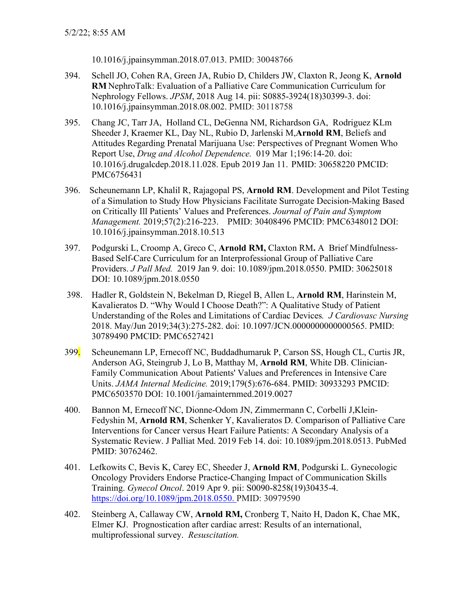10.1016/j.jpainsymman.2018.07.013. PMID: 30048766

- 394. Schell JO, Cohen RA, Green JA, Rubio D, Childers JW, Claxton R, Jeong K, **Arnold RM** NephroTalk: Evaluation of a Palliative Care Communication Curriculum for Nephrology Fellows. *JPSM*, 2018 Aug 14. pii: S0885-3924(18)30399-3. doi: 10.1016/j.jpainsymman.2018.08.002. PMID: 30118758
- 395. Chang JC, Tarr JA, Holland CL, DeGenna NM, Richardson GA, Rodriguez KLm Sheeder J, Kraemer KL, Day NL, Rubio D, Jarlenski M,**Arnold RM**, Beliefs and Attitudes Regarding Prenatal Marijuana Use: Perspectives of Pregnant Women Who Report Use, *Drug and Alcohol Dependence.* 019 Mar 1;196:14-20. doi: 10.1016/j.drugalcdep.2018.11.028. Epub 2019 Jan 11. PMID: 30658220 PMCID: [PMC6756431](http://www.ncbi.nlm.nih.gov/pmc/articles/pmc6756431/)
- 396. Scheunemann LP, Khalil R, Rajagopal PS, **Arnold RM**. Development and Pilot Testing of a Simulation to Study How Physicians Facilitate Surrogate Decision-Making Based on Critically Ill Patients' Values and Preferences. *Journal of Pain and Symptom Management.* 2019;57(2):216-223. PMID: 30408496 PMCID: [PMC6348012 D](http://www.ncbi.nlm.nih.gov/pmc/articles/pmc6348012/)OI: [10.1016/j.jpainsymman.2018.10.513](https://doi.org/10.1016/j.jpainsymman.2018.10.513)
- 397. Podgurski L, Croomp A, Greco C, **Arnold RM,** Claxton RM**.** A Brief Mindfulness-Based Self-Care Curriculum for an Interprofessional Group of Palliative Care Providers. *J Pall Med.* 2019 Jan 9. doi: 10.1089/jpm.2018.0550. PMID: 30625018 DOI: [10.1089/jpm.2018.0550](https://doi.org/10.1089/jpm.2018.0550)
- 398. Hadler R, Goldstein N, Bekelman D, Riegel B, Allen L, **Arnold RM**, Harinstein M, Kavalieratos D. "Why Would I Choose Death?": A Qualitative Study of Patient Understanding of the Roles and Limitations of Cardiac Devices*. J Cardiovasc Nursing* 2018. May/Jun 2019;34(3):275-282. doi: 10.1097/JCN.0000000000000565. PMID: 30789490 PMCID: PMC6527421
- 399. Scheunemann LP, Ernecoff NC, Buddadhumaruk P, Carson SS, Hough CL, Curtis JR, Anderson AG, Steingrub J, Lo B, Matthay M, **Arnold RM**, White DB. Clinician-Family Communication About Patients' Values and Preferences in Intensive Care Units. *JAMA Internal Medicine.* 2019;179(5):676-684. PMID: 30933293 PMCID: [PMC6503570 D](http://www.ncbi.nlm.nih.gov/pmc/articles/pmc6503570/)OI: [10.1001/jamainternmed.2019.0027](https://doi.org/10.1001/jamainternmed.2019.0027)
- 400. Bannon M, Ernecoff NC, Dionne-Odom JN, Zimmermann C, Corbelli J,Klein-Fedyshin M, **Arnold RM**, Schenker Y, Kavalieratos D. Comparison of Palliative Care Interventions for Cancer versus Heart Failure Patients: A Secondary Analysis of a Systematic Review. J Palliat Med. 2019 Feb 14. doi: 10.1089/jpm.2018.0513. PubMed PMID: 30762462.
- 401. Lefkowits C, Bevis K, Carey EC, Sheeder J, **Arnold RM**, Podgurski L. Gynecologic Oncology Providers Endorse Practice-Changing Impact of Communication Skills Training. *Gynecol Oncol*. 2019 Apr 9. pii: S0090-8258(19)30435-4. [https://doi.org/10.1089/jpm.2018.0550.](https://doi.org/10.1089/jpm.2018.0550) PMID: 30979590
- 402. Steinberg A, Callaway CW, **Arnold RM,** Cronberg T, Naito H, Dadon K, Chae MK, Elmer KJ. Prognostication after cardiac arrest: Results of an international, multiprofessional survey. *Resuscitation.*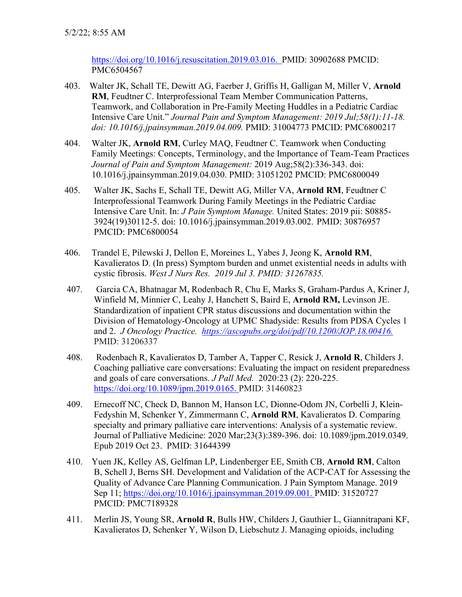[https://doi.org/10.1016/j.resuscitation.2019.03.016.](https://doi.org/10.1016/j.resuscitation.2019.03.016) PMID: 30902688 PMCID: [PMC6504567](http://www.ncbi.nlm.nih.gov/pmc/articles/pmc6504567/) 

- 403. Walter JK, Schall TE, Dewitt AG, Faerber J, Griffis H, Galligan M, Miller V, **Arnold RM**, Feudtner C. Interprofessional Team Member Communication Patterns, Teamwork, and Collaboration in Pre-Family Meeting Huddles in a Pediatric Cardiac Intensive Care Unit." *Journal Pain and Symptom Management: 2019 Jul;58(1):11-18. doi: 10.1016/j.jpainsymman.2019.04.009.* PMID: 31004773 PMCID: PMC6800217
- 404. Walter JK, **Arnold RM**, Curley MAQ, Feudtner C. Teamwork when Conducting Family Meetings: Concepts, Terminology, and the Importance of Team-Team Practices *Journal of Pain and Symptom Management:* 2019 Aug;58(2):336-343. doi: 10.1016/j.jpainsymman.2019.04.030. PMID: 31051202 PMCID: PMC6800049
- 405. Walter JK, Sachs E, Schall TE, Dewitt AG, Miller VA, **Arnold RM**, Feudtner C Interprofessional Teamwork During Family Meetings in the Pediatric Cardiac Intensive Care Unit. In: *J Pain Symptom Manage.* United States: 2019 pii: S0885- 3924(19)30112-5. doi: 10.1016/j.jpainsymman.2019.03.002. PMID: 30876957 PMCID: [PMC6800054](http://www.ncbi.nlm.nih.gov/pmc/articles/pmc6800054/)
- 406. Trandel E, Pilewski J, Dellon E, Moreines L, Yabes J, Jeong K, **Arnold RM**, Kavalieratos D. (In press) Symptom burden and unmet existential needs in adults with cystic fibrosis. *West J Nurs Res. 2019 Jul 3. PMID: 31267835.*
- 407. Garcia CA, Bhatnagar M, Rodenbach R, Chu E, Marks S, Graham-Pardus A, Kriner J, Winfield M, Minnier C, Leahy J, Hanchett S, Baird E, **Arnold RM,** Levinson JE. Standardization of inpatient CPR status discussions and documentation within the Division of Hematology-Oncology at UPMC Shadyside: Results from PDSA Cycles 1 and 2. *J Oncology Practice. [https://ascopubs.org/doi/pdf/10.1200/JOP.18.00416.](https://ascopubs.org/doi/pdf/10.1200/JOP.18.00416)* PMID: 31206337
- 408. Rodenbach R, Kavalieratos D, Tamber A, Tapper C, Resick J, **Arnold R**, Childers J. Coaching palliative care conversations: Evaluating the impact on resident preparedness and goals of care conversations. *J Pall Med.* 2020:23 (2): 220-225. [https://doi.org/10.1089/jpm.2019.0165.](https://doi.org/10.1089/jpm.2019.0165) PMID: 31460823
- 409. Ernecoff NC, Check D, Bannon M, Hanson LC, Dionne-Odom JN, Corbelli J, Klein-Fedyshin M, Schenker Y, Zimmermann C, **Arnold RM**, Kavalieratos D. Comparing specialty and primary palliative care interventions: Analysis of a systematic review. Journal of Palliative Medicine: 2020 Mar;23(3):389-396. doi: 10.1089/jpm.2019.0349. Epub 2019 Oct 23. PMID: 31644399
- 410. [Yuen JK,](https://f1000.com/prime/search/evaluatedpubmed?query=Yuen+JK&queryField=exactAuthor&filterBy=EVALUATED_ARTICLES) [Kelley AS,](https://f1000.com/prime/search/evaluatedpubmed?query=Kelley+AS&queryField=exactAuthor&filterBy=EVALUATED_ARTICLES) [Gelfman LP,](https://f1000.com/prime/search/evaluatedpubmed?query=Gelfman+LP&queryField=exactAuthor&filterBy=EVALUATED_ARTICLES) [Lindenberger EE,](https://f1000.com/prime/search/evaluatedpubmed?query=Lindenberger+EE&queryField=exactAuthor&filterBy=EVALUATED_ARTICLES) [Smith CB,](https://f1000.com/prime/search/evaluatedpubmed?query=Smith+CB&queryField=exactAuthor&filterBy=EVALUATED_ARTICLES) **[Arnold RM](https://f1000.com/prime/search/evaluatedpubmed?query=Arnold+RM&queryField=exactAuthor&filterBy=EVALUATED_ARTICLES)**, [Calton](https://f1000.com/prime/search/evaluatedpubmed?query=Calton+B&queryField=exactAuthor&filterBy=EVALUATED_ARTICLES)  [B,](https://f1000.com/prime/search/evaluatedpubmed?query=Calton+B&queryField=exactAuthor&filterBy=EVALUATED_ARTICLES) [Schell J,](https://f1000.com/prime/search/evaluatedpubmed?query=Schell+J&queryField=exactAuthor&filterBy=EVALUATED_ARTICLES) [Berns SH.](https://f1000.com/prime/search/evaluatedpubmed?query=Berns+SH&queryField=exactAuthor&filterBy=EVALUATED_ARTICLES) Development and Validation of the ACP-CAT for Assessing the Quality of Advance Care Planning Communication. J Pain Symptom Manage. 2019 Sep 11; [https://doi.org/10.1016/j.jpainsymman.2019.09.001.](https://doi.org/10.1016/j.jpainsymman.2019.09.001) PMID: 31520727 PMCID: [PMC7189328](http://www.ncbi.nlm.nih.gov/pmc/articles/pmc7189328/)
- 411. Merlin JS, Young SR, **Arnold R**, Bulls HW, Childers J, Gauthier L, Giannitrapani KF, Kavalieratos D, Schenker Y, Wilson D, Liebschutz J. Managing opioids, including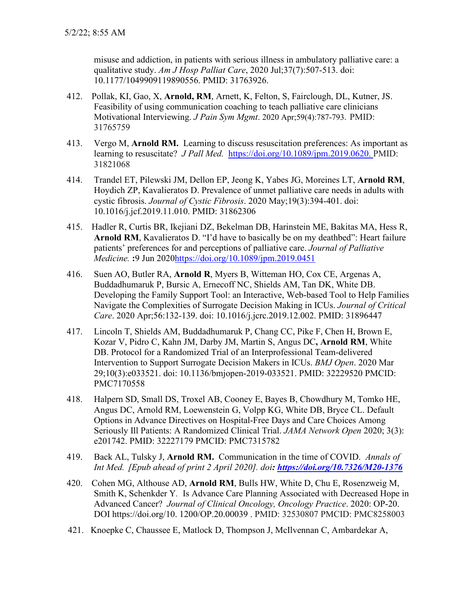misuse and addiction, in patients with serious illness in ambulatory palliative care: a qualitative study. *Am J Hosp Palliat Care*, 2020 Jul;37(7):507-513. doi: 10.1177/1049909119890556. PMID: 31763926.

- 412. Pollak, KI, Gao, X, **Arnold, RM**, Arnett, K, Felton, S, Fairclough, DL, Kutner, JS. Feasibility of using communication coaching to teach palliative care clinicians Motivational Interviewing. *J Pain Sym Mgmt*. 2020 Apr;59(4):787-793. PMID: 31765759
- 413. Vergo M, **Arnold RM.** Learning to discuss resuscitation preferences: As important as learning to resuscitate? *J Pall Med.* [https://doi.org/10.1089/jpm.2019.0620.](https://doi.org/10.1089/jpm.2019.0620) PMID: 31821068
- 414. Trandel ET, Pilewski JM, Dellon EP, Jeong K, Yabes JG, Moreines LT, **Arnold RM**, Hoydich ZP, Kavalieratos D. Prevalence of unmet palliative care needs in adults with cystic fibrosis. *Journal of Cystic Fibrosis*. 2020 May;19(3):394-401. doi: 10.1016/j.jcf.2019.11.010. PMID: 31862306
- 415. Hadler R, Curtis BR, Ikejiani DZ, Bekelman DB, Harinstein ME, Bakitas MA, Hess R, **Arnold RM**, Kavalieratos D. "I'd have to basically be on my deathbed": Heart failure patients' preferences for and perceptions of palliative care. *Journal of Palliative Medicine.* **:**9 Jun 202[0https://doi.org/10.1089/jpm.2019.0451](https://doi.org/10.1089/jpm.2019.0451)
- 416. Suen AO, Butler RA, **Arnold R**, Myers B, Witteman HO, Cox CE, Argenas A, Buddadhumaruk P, Bursic A, Ernecoff NC, Shields AM, Tan DK, White DB. Developing the Family Support Tool: an Interactive, Web-based Tool to Help Families Navigate the Complexities of Surrogate Decision Making in ICUs. *Journal of Critical Care*. 2020 Apr;56:132-139. doi: 10.1016/j.jcrc.2019.12.002. PMID: 31896447
- 417. Lincoln T, Shields AM, Buddadhumaruk P, Chang CC, Pike F, Chen H, Brown E, Kozar V, Pidro C, Kahn JM, Darby JM, Martin S, Angus DC**, Arnold RM**, White DB. Protocol for a Randomized Trial of an Interprofessional Team-delivered Intervention to Support Surrogate Decision Makers in ICUs. *BMJ Open*. 2020 Mar 29;10(3):e033521. doi: 10.1136/bmjopen-2019-033521. PMID: 32229520 PMCID: PMC7170558
- 418. Halpern SD, Small DS, Troxel AB, Cooney E, Bayes B, Chowdhury M, Tomko HE, Angus DC, Arnold RM, Loewenstein G, Volpp KG, White DB, Bryce CL. Default Options in Advance Directives on Hospital-Free Days and Care Choices Among Seriously Ill Patients: A Randomized Clinical Trial. *JAMA Network Open* 2020; 3(3): e201742. PMID: 32227179 PMCID: [PMC7315782](http://www.ncbi.nlm.nih.gov/pmc/articles/pmc7315782/)
- 419. Back AL, Tulsky J, **Arnold RM.** Communication in the time of COVID. *Annals of Int Med. [Epub ahead of print 2 April 2020]. doi:<https://doi.org/10.7326/M20-1376>*
- 420. Cohen MG, Althouse AD, **Arnold RM**, Bulls HW, White D, Chu E, Rosenzweig M, Smith K, Schenkder Y*.* Is Advance Care Planning Associated with Decreased Hope in Advanced Cancer? *Journal of Clinical Oncology, Oncology Practice*. 2020: OP-20. DOI https://doi.org/10. 1200/OP.20.00039 . PMID: 32530807 PMCID: PMC8258003
- 421. Knoepke C, Chaussee E, Matlock D, Thompson J, McIlvennan C, Ambardekar A,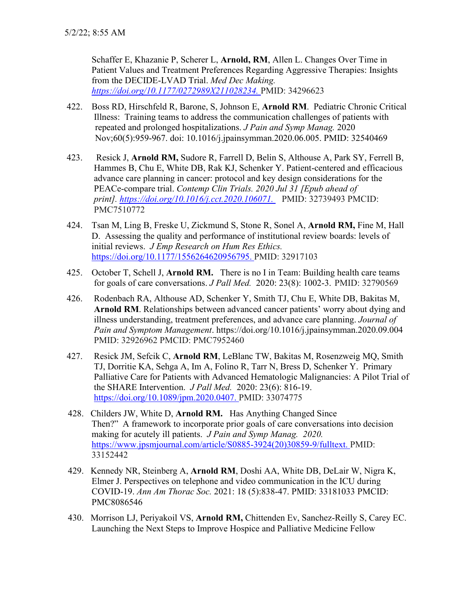Schaffer E, Khazanie P, Scherer L, **Arnold, RM**, Allen L. Changes Over Time in Patient Values and Treatment Preferences Regarding Aggressive Therapies: Insights from the DECIDE-LVAD Trial. *Med Dec Making. [https://doi.org/10.1177/0272989X211028234.](https://doi.org/10.1177%2F0272989X211028234)* PMID: 34296623

- 422. Boss RD, Hirschfeld R, Barone, S, Johnson E, **Arnold RM**. Pediatric Chronic Critical Illness: Training teams to address the communication challenges of patients with repeated and prolonged hospitalizations. *J Pain and Symp Manag.* 2020 Nov;60(5):959-967. doi: 10.1016/j.jpainsymman.2020.06.005. PMID: 32540469
- 423. Resick J, **Arnold RM,** Sudore R, Farrell D, Belin S, Althouse A, Park SY, Ferrell B, Hammes B, Chu E, White DB, Rak KJ, Schenker Y. Patient-centered and efficacious advance care planning in cancer: protocol and key design considerations for the PEACe-compare trial. *Contemp Clin Trials. 2020 Jul 31 [Epub ahead of print]. [https://doi.org/10.1016/j.cct.2020.106071.](https://doi.org/10.1016/j.cct.2020.106071)* PMID: 32739493 PMCID: PMC7510772
- 424.Tsan M, Ling B, Freske U, Zickmund S, Stone R, Sonel A, **Arnold RM,** Fine M, Hall D. Assessing the quality and performance of institutional review boards: levels of initial reviews. *J Emp Research on Hum Res Ethics.*  [https://doi.org/10.1177/1556264620956795.](https://doi.org/10.1177/1556264620956795) PMID: 32917103
- 425. October T, Schell J, **Arnold RM.** There is no I in Team: Building health care teams for goals of care conversations. *J Pall Med.* 2020: 23(8): 1002-3. PMID: 32790569
- 426. Rodenbach RA, Althouse AD, Schenker Y, Smith TJ, Chu E, White DB, Bakitas M, **Arnold RM**. Relationships between advanced cancer patients' worry about dying and illness understanding, treatment preferences, and advance care planning. *Journal of Pain and Symptom Management*. https://doi.org/10.1016/j.jpainsymman.2020.09.004 PMID: 32926962 PMCID: PMC7952460
- 427. Resick JM, Sefcik C, **Arnold RM**, LeBlanc TW, Bakitas M, Rosenzweig MQ, Smith TJ, Dorritie KA, Sehga A, Im A, Folino R, Tarr N, Bress D, Schenker Y. [Primary](https://www.liebertpub.com/doi/full/10.1089/jpm.2020.0407)  [Palliative Care for Patients with Advanced Hematologic](https://www.liebertpub.com/doi/full/10.1089/jpm.2020.0407) Malignancies: A Pilot Trial of [the SHARE Intervention.](https://www.liebertpub.com/doi/full/10.1089/jpm.2020.0407) *J Pall Med.* 2020: 23(6): 816-19. [https://doi.org/10.1089/jpm.2020.0407.](https://doi.org/10.1089/jpm.2020.0407) PMID: 33074775
- 428. Childers JW, White D, **Arnold RM.** Has Anything Changed Since Then?" A framework to incorporate prior goals of care conversations into decision making for acutely ill patients. *J Pain and Symp Manag. 2020.*  [https://www.jpsmjournal.com/article/S0885-3924\(20\)30859-9/fulltext.](https://urldefense.com/v3/__https:/www.jpsmjournal.com/article/S0885-3924(20)30859-9/fulltext__;!!NHLzug!cisi5rVdmiuE7Gr3oeeJY548z5ipCu23XonBkY5EthX3riZNlKPCVcoYx6oHtR1u$) PMID: 33152442
- 429. Kennedy NR, Steinberg A, **Arnold RM**, Doshi AA, White DB, DeLair W, Nigra K, Elmer J. Perspectives on telephone and video communication in the ICU during COVID-19. *Ann Am Thorac Soc.* 2021: 18 (5):838-47. PMID: 33181033 PMCID: [PMC8086546](http://www.ncbi.nlm.nih.gov/pmc/articles/pmc8086546/)
- 430. Morrison LJ, Periyakoil VS, **Arnold RM,** Chittenden Ev, Sanchez-Reilly S, Carey EC. Launching the Next Steps to Improve Hospice and Palliative Medicine Fellow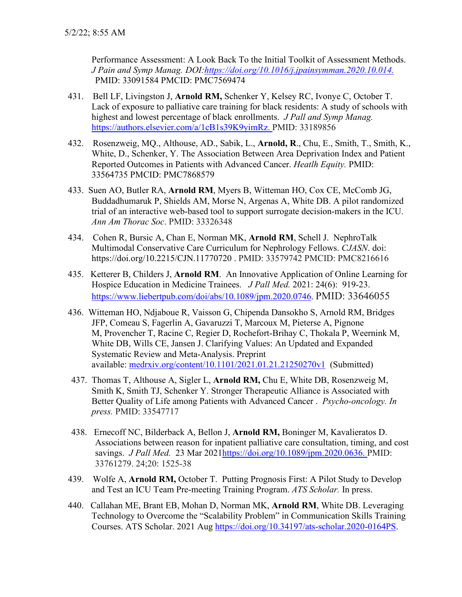Performance Assessment: A Look Back To the Initial Toolkit of Assessment Methods. *J Pain and Symp Manag. DOI[:https://doi.org/10.1016/j.jpainsymman.2020.10.014.](https://doi.org/10.1016/j.jpainsymman.2020.10.014)*  PMID: 33091584 PMCID: [PMC7569474](http://www.ncbi.nlm.nih.gov/pmc/articles/pmc7569474/)

- 431. Bell LF, Livingston J, **Arnold RM,** Schenker Y, Kelsey RC, Ivonye C, October T. Lack of exposure to palliative care training for black residents: A study of schools with highest and lowest percentage of black enrollments. *J Pall and Symp Manag.*  [https://authors.elsevier.com/a/1cB1s39K9yimRz.](https://urldefense.com/v3/__https:/nam12.safelinks.protection.outlook.com/?url=https*3A*2F*2Fauthors.elsevier.com*2Fa*2F1cB1s39K9yimRz&data=04*7C01*7Clfb8*40pitt.edu*7C79c039ef1ddf44cc2ee108d897d4f323*7C9ef9f489e0a04eeb87cc3a526112fd0d*7C1*7C1*7C637426288157599901*7CUnknown*7CTWFpbGZsb3d8eyJWIjoiMC4wLjAwMDAiLCJQIjoiV2luMzIiLCJBTiI6Ik1haWwiLCJXVCI6Mn0*3D*7C1000&sdata=wK14o4EfS0cPJCt7TDJmYTyyU*2F4pGKTZ*2Bneq05hQY7w*3D&reserved=0__;JSUlJSUlJSUlJSUlJSUlJSUlJSU!!NHLzug!Y5aGo7xzdemQ8f34TZcjqNqI4WjTcwDpj5cdgopOpfyxPPiPIJ7FvhNs2DTZByZC$) PMID: 33189856
- 432. Rosenzweig, MQ., Althouse, AD., Sabik, L., **Arnold, R**., Chu, E., Smith, T., Smith, K., White, D., Schenker, Y. The Association Between Area Deprivation Index and Patient Reported Outcomes in Patients with Advanced Cancer. *Heatlh Equity.* PMID: 33564735 PMCID: [PMC7868579](http://www.ncbi.nlm.nih.gov/pmc/articles/pmc7868579/)
- 433. Suen AO, Butler RA, **Arnold RM**, Myers B, Witteman HO, Cox CE, McComb JG, Buddadhumaruk P, Shields AM, Morse N, Argenas A, White DB. A pilot randomized trial of an interactive web-based tool to support surrogate decision-makers in the ICU. *Ann Am Thorac Soc*. PMID: 33326348
- 434. Cohen R, Bursic A, Chan E, Norman MK, **Arnold RM**, Schell J. NephroTalk Multimodal Conservative Care Curriculum for Nephrology Fellows. *CJASN*. doi: https://doi.org/10.2215/CJN.11770720 . PMID: 33579742 PMCID: PMC8216616
- 435. Ketterer B, Childers J, **Arnold RM**. An Innovative Application of Online Learning for Hospice Education in Medicine Trainees. *J Pall Med.* 2021: 24(6): 919-23. [https://www.liebertpub.com/doi/abs/10.1089/jpm.2020.0746.](https://www.liebertpub.com/doi/abs/10.1089/jpm.2020.0746) PMID: 33646055
- 436. Witteman HO, Ndjaboue R, Vaisson G, Chipenda Dansokho S, Arnold RM, Bridges JFP, Comeau S, Fagerlin A, Gavaruzzi T, Marcoux M, Pieterse A, Pignone M, Provencher T, Racine C, Regier D, Rochefort-Brihay C, Thokala P, Weernink M, White DB, Wills CE, Jansen J. Clarifying Values: An Updated and Expanded Systematic Review and Meta-Analysis. Preprint available: [medrxiv.org/content/10.1101/2021.01.21.21250270v1](https://urldefense.com/v3/__http:/medrxiv.org/content/10.1101/2021.01.21.21250270v1__;!!NHLzug!f82lZ3URnKgrZur3bXQVHvX5DNVePqg2BixOg4bl_RrIEb_v8_oL9_Qere018vXf$) (Submitted)
- 437. Thomas T, Althouse A, Sigler L, **Arnold RM,** Chu E, White DB, Rosenzweig M, Smith K, Smith TJ, Schenker Y. Stronger Therapeutic Alliance is Associated with Better Quality of Life among Patients with Advanced Cancer . *Psycho-oncology. In press.* PMID: 33547717
- 438. Ernecoff NC, Bilderback A, Bellon J, **Arnold RM,** Boninger M, Kavalieratos D. Associations between reason for inpatient palliative care consultation, timing, and cost savings. *J Pall Med.* 23 Mar 202[1https://doi.org/10.1089/jpm.2020.0636.](https://doi.org/10.1089/jpm.2020.0636) PMID: 33761279. 24;20: 1525-38
- 439. Wolfe A, **Arnold RM,** October T. Putting Prognosis First: A Pilot Study to Develop and Test an ICU Team Pre-meeting Training Program. *ATS Scholar.* In press.
- 440. Callahan ME, Brant EB, Mohan D, Norman MK, **Arnold RM**, White DB. Leveraging Technology to Overcome the "Scalability Problem" in Communication Skills Training Courses. ATS Scholar. 2021 Aug [https://doi.org/10.34197/ats-scholar.2020-0164PS.](https://urldefense.com/v3/__https:/doi.org/10.34197/ats-scholar.2020-0164PS__;!!NHLzug!YywbWiFVIdmIjNYoL18Y0XjgfM5LUGG92dVKDsIP13JIesKYmnSaoG8MUbugK4Is$)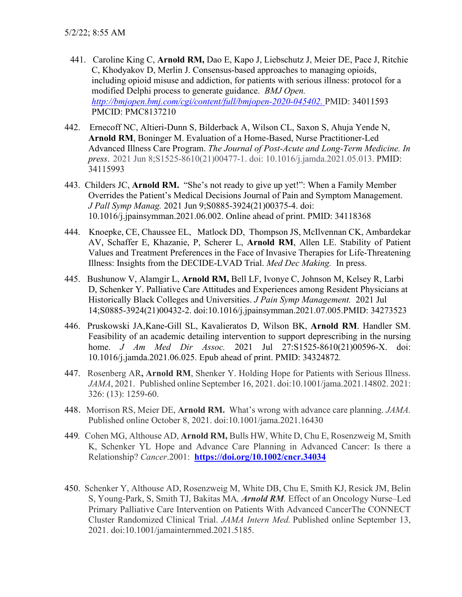- 441. Caroline King C, **Arnold RM,** Dao E, Kapo J, Liebschutz J, Meier DE, Pace J, Ritchie C, Khodyakov D, Merlin J. Consensus-based approaches to managing opioids, including opioid misuse and addiction, for patients with serious illness: protocol for a modified Delphi process to generate guidance. *BMJ Open. [http://bmjopen.bmj.com/cgi/content/full/bmjopen-2020-045402.](http://bmjopen.bmj.com/cgi/content/full/bmjopen-2020-045402)* PMID: 34011593 PMCID: [PMC8137210](http://www.ncbi.nlm.nih.gov/pmc/articles/pmc8137210/)
- 442. Ernecoff NC, Altieri-Dunn S, Bilderback A, Wilson CL, Saxon S, Ahuja Yende N, **Arnold RM**, Boninger M. Evaluation of a Home-Based, Nurse Practitioner-Led Advanced Illness Care Program. *The Journal of Post-Acute and Long-Term Medicine. In press*. 2021 Jun 8;S1525-8610(21)00477-1. doi: 10.1016/j.jamda.2021.05.013. PMID: 34115993
- 443. Childers JC, **Arnold RM.** "She's not ready to give up yet!": When a Family Member Overrides the Patient's Medical Decisions Journal of Pain and Symptom Management. *J Pall Symp Manag.* 2021 Jun 9;S0885-3924(21)00375-4. doi: 10.1016/j.jpainsymman.2021.06.002. Online ahead of print. PMID: 34118368
- 444.Knoepke, CE, Chaussee EL, Matlock DD, Thompson JS, McIlvennan CK, Ambardekar AV, Schaffer E, Khazanie, P, Scherer L, **Arnold RM**, Allen LE. Stability of Patient Values and Treatment Preferences in the Face of Invasive Therapies for Life-Threatening Illness: Insights from the DECIDE-LVAD Trial. *Med Dec Making.* In press.
- 445. Bushunow V, Alamgir L, **Arnold RM,** Bell LF, Ivonye C, Johnson M, Kelsey R, Larbi D, Schenker Y. Palliative Care Attitudes and Experiences among Resident Physicians at Historically Black Colleges and Universities. *J Pain Symp Management.* 2021 Jul 14;S0885-3924(21)00432-2. doi:10.1016/j.jpainsymman.2021.07.005.PMID: 34273523
- 446. Pruskowski JA,Kane-Gill SL, Kavalieratos D, Wilson BK, **Arnold RM**. Handler SM. Feasibility of an academic detailing intervention to support deprescribing in the nursing home. *J Am Med Dir Assoc.* 2021 Jul 27:S1525-8610(21)00596-X. doi: 10.1016/j.jamda.2021.06.025. Epub ahead of print. PMID: 34324872*.*
- 447. Rosenberg AR**, Arnold RM**, Shenker Y. Holding Hope for Patients with Serious Illness. *JAMA*, 2021. Published online September 16, 2021. doi:10.1001/jama.2021.14802. 2021: 326: (13): 1259-60.
- 448. Morrison RS, Meier DE, **Arnold RM.** What's wrong with advance care planning. *JAMA.*  Published online October 8, 2021. doi:10.1001/jama.2021.16430
- 449*.* Cohen MG, Althouse AD, **Arnold RM,** Bulls HW, White D, Chu E, Rosenzweig M, Smith K, Schenker YL Hope and Advance Care Planning in Advanced Cancer: Is there a Relationship? *Cancer*.2001: **<https://doi.org/10.1002/cncr.34034>**
- 450.Schenker Y, Althouse AD, Rosenzweig M, White DB, Chu E, Smith KJ, Resick JM, Belin S, Young-Park, S, Smith TJ, Bakitas MA*, Arnold RM.* Effect of an Oncology Nurse–Led Primary Palliative Care Intervention on Patients With Advanced CancerThe CONNECT Cluster Randomized Clinical Trial. *JAMA Intern Med.* Published online September 13, 2021. doi:10.1001/jamainternmed.2021.5185.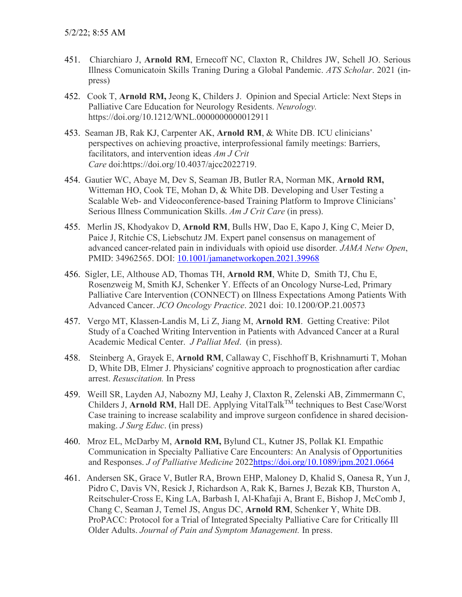- 451. Chiarchiaro J, **Arnold RM**, Ernecoff NC, Claxton R, Childres JW, Schell JO. Serious Illness Comunicatoin Skills Traning During a Global Pandemic. *ATS Scholar*. 2021 (inpress)
- 452. Cook T, **Arnold RM,** Jeong K, Childers J. Opinion and Special Article: Next Steps in Palliative Care Education for Neurology Residents. *Neurology.*  https://doi.org/10.1212/WNL.0000000000012911
- 453. Seaman JB, Rak KJ, Carpenter AK, **Arnold RM**, & White DB. ICU clinicians' perspectives on achieving proactive, interprofessional family meetings: Barriers, facilitators, and intervention ideas *Am J Crit Care* doi:https://doi.org/10.4037/ajcc2022719.
- 454. Gautier WC, Abaye M, Dev S, Seaman JB, Butler RA, Norman MK, **Arnold RM,** Witteman HO, Cook TE, Mohan D, & White DB. Developing and User Testing a Scalable Web- and Videoconference-based Training Platform to Improve Clinicians' Serious Illness Communication Skills. *Am J Crit Care* (in press).
- 455. Merlin JS, Khodyakov D, **Arnold RM**, Bulls HW, Dao E, Kapo J, King C, Meier D, Paice J, Ritchie CS, Liebschutz JM. Expert panel consensus on management of advanced cancer-related pain in individuals with opioid use disorder*. JAMA Netw Open*, PMID: 34962565. DOI: [10.1001/jamanetworkopen.2021.39968](https://doi.org/10.1001/jamanetworkopen.2021.39968)
- 456. Sigler, LE, Althouse AD, Thomas TH, **Arnold RM**, White D, Smith TJ, Chu E, Rosenzweig M, Smith KJ, Schenker Y. Effects of an Oncology Nurse-Led, Primary Palliative Care Intervention (CONNECT) on Illness Expectations Among Patients With Advanced Cancer. *JCO Oncology Practice*. 2021 doi: 10.1200/OP.21.00573
- 457. Vergo MT, Klassen-Landis M, Li Z, Jiang M, **Arnold RM**. Getting Creative: Pilot Study of a Coached Writing Intervention in Patients with Advanced Cancer at a Rural Academic Medical Center. *J Palliat Med*. (in press).
- 458. Steinberg A, Grayek E, **Arnold RM**, Callaway C, Fischhoff B, Krishnamurti T, Mohan D, White DB, Elmer J. Physicians' cognitive approach to prognostication after cardiac arrest. *Resuscitation.* In Press
- 459. Weill SR, Layden AJ, Nabozny MJ, Leahy J, Claxton R, Zelenski AB, Zimmermann C, Childers J, **Arnold RM**, Hall DE. Applying VitalTalk<sup>TM</sup> techniques to Best Case/Worst Case training to increase scalability and improve surgeon confidence in shared decisionmaking. *J Surg Educ*. (in press)
- 460. Mroz EL, McDarby M, **Arnold RM,** Bylund CL, Kutner JS, Pollak KI. Empathic Communication in Specialty Palliative Care Encounters: An Analysis of Opportunities and Responses. *J of Palliative Medicine* 202[2https://doi.org/10.1089/jpm.2021.0664](https://doi.org/10.1089/jpm.2021.0664)
- 461. Andersen SK, Grace V, Butler RA, Brown EHP, Maloney D, Khalid S, Oanesa R, Yun J, Pidro C, Davis VN, Resick J, Richardson A, Rak K, Barnes J, Bezak KB, Thurston A, Reitschuler-Cross E, King LA, Barbash I, Al-Khafaji A, Brant E, Bishop J, McComb J, Chang C, Seaman J, Temel JS, Angus DC, **Arnold RM**, Schenker Y, White DB. ProPACC: Protocol for a Trial of Integrated Specialty Palliative Care for Critically Ill Older Adults. *Journal of Pain and Symptom Management.* In press.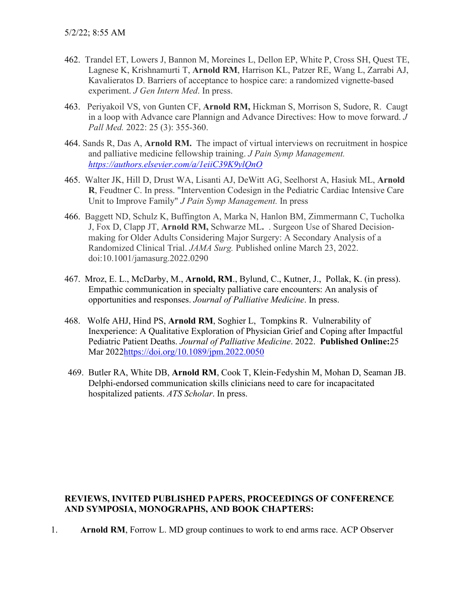- 462. Trandel ET, Lowers J, Bannon M, Moreines L, Dellon EP, White P, Cross SH, Quest TE, Lagnese K, Krishnamurti T, **Arnold RM**, Harrison KL, Patzer RE, Wang L, Zarrabi AJ, Kavalieratos D. Barriers of acceptance to hospice care: a randomized vignette-based experiment. *J Gen Intern Med*. In press.
- 463. Periyakoil VS, von Gunten CF, **Arnold RM,** Hickman S, Morrison S, Sudore, R. Caugt in a loop with Advance care Plannign and Advance Directives: How to move forward. *J Pall Med.* 2022: 25 (3): 355-360.
- 464. Sands R, Das A, **Arnold RM.** The impact of virtual interviews on recruitment in hospice and palliative medicine fellowship training. *J Pain Symp Management. [https://authors.elsevier.com/a/1eiiC39K9ylQnO](https://urldefense.com/v3/__https:/authors.elsevier.com/a/1eiiC39K9ylQnO__;!!NHLzug!ZrZo_PNJCSGmr3UTbrtqWYe9x9LY4lTn_8YeOFnVQx48zVhrzEe__kikxWlS-mY$)*
- 465.Walter JK, Hill D, Drust WA, Lisanti AJ, DeWitt AG, Seelhorst A, Hasiuk ML, **Arnold R**, Feudtner C. In press. "Intervention Codesign in the Pediatric Cardiac Intensive Care Unit to Improve Family" *J Pain Symp Management.* In press
- 466. Baggett ND, Schulz K, Buffington A, Marka N, Hanlon BM, Zimmermann C, Tucholka J, Fox D, Clapp JT, **Arnold RM,** Schwarze ML**.** . Surgeon Use of Shared Decisionmaking for Older Adults Considering Major Surgery: A Secondary Analysis of a Randomized Clinical Trial. *JAMA Surg.* Published online March 23, 2022. doi:10.1001/jamasurg.2022.0290
- 467. Mroz, E. L., McDarby, M., **Arnold, RM**., Bylund, C., Kutner, J., Pollak, K. (in press). Empathic communication in specialty palliative care encounters: An analysis of opportunities and responses. *Journal of Palliative Medicine*. In press.
- 468. Wolfe AHJ, Hind PS, **Arnold RM**, Soghier L, Tompkins R. Vulnerability of Inexperience: A Qualitative Exploration of Physician Grief and Coping after Impactful Pediatric Patient Deaths. *Journal of Palliative Medicine*. 2022. **Published Online:**25 Mar 202[2https://doi.org/10.1089/jpm.2022.0050](https://doi.org/10.1089/jpm.2022.0050)
- 469. Butler RA, White DB, **Arnold RM**, Cook T, Klein-Fedyshin M, Mohan D, Seaman JB. Delphi-endorsed communication skills clinicians need to care for incapacitated hospitalized patients. *ATS Scholar*. In press.

## **REVIEWS, INVITED PUBLISHED PAPERS, PROCEEDINGS OF CONFERENCE AND SYMPOSIA, MONOGRAPHS, AND BOOK CHAPTERS:**

1. **Arnold RM**, Forrow L. MD group continues to work to end arms race. ACP Observer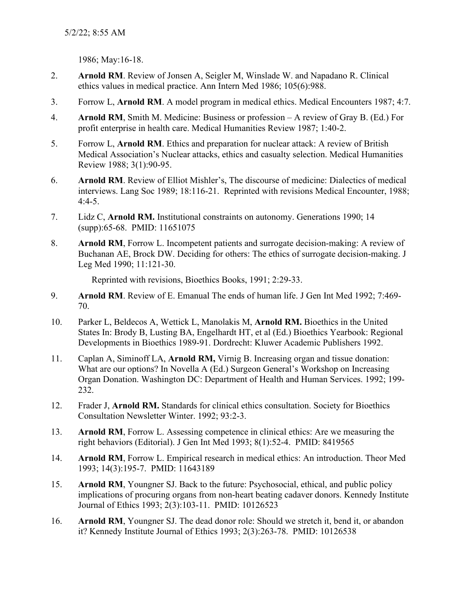1986; May:16-18.

- 2. **Arnold RM**. Review of Jonsen A, Seigler M, Winslade W. and Napadano R. Clinical ethics values in medical practice. Ann Intern Med 1986; 105(6):988.
- 3. Forrow L, **Arnold RM**. A model program in medical ethics. Medical Encounters 1987; 4:7.
- 4. **Arnold RM**, Smith M. Medicine: Business or profession A review of Gray B. (Ed.) For profit enterprise in health care. Medical Humanities Review 1987; 1:40-2.
- 5. Forrow L, **Arnold RM**. Ethics and preparation for nuclear attack: A review of British Medical Association's Nuclear attacks, ethics and casualty selection. Medical Humanities Review 1988; 3(1):90-95.
- 6. **Arnold RM**. Review of Elliot Mishler's, The discourse of medicine: Dialectics of medical interviews. Lang Soc 1989; 18:116-21. Reprinted with revisions Medical Encounter, 1988;  $4:4-5.$
- 7. Lidz C, **Arnold RM.** Institutional constraints on autonomy. Generations 1990; 14 (supp):65-68. PMID: 11651075
- 8. **Arnold RM**, Forrow L. Incompetent patients and surrogate decision-making: A review of Buchanan AE, Brock DW. Deciding for others: The ethics of surrogate decision-making. J Leg Med 1990; 11:121-30.

Reprinted with revisions, Bioethics Books, 1991; 2:29-33.

- 9. **Arnold RM**. Review of E. Emanual The ends of human life. J Gen Int Med 1992; 7:469- 70.
- 10. Parker L, Beldecos A, Wettick L, Manolakis M, **Arnold RM.** Bioethics in the United States In: Brody B, Lusting BA, Engelhardt HT, et al (Ed.) Bioethics Yearbook: Regional Developments in Bioethics 1989-91. Dordrecht: Kluwer Academic Publishers 1992.
- 11. Caplan A, Siminoff LA, **Arnold RM,** Virnig B. Increasing organ and tissue donation: What are our options? In Novella A (Ed.) Surgeon General's Workshop on Increasing Organ Donation. Washington DC: Department of Health and Human Services. 1992; 199- 232.
- 12. Frader J, **Arnold RM.** Standards for clinical ethics consultation. Society for Bioethics Consultation Newsletter Winter. 1992; 93:2-3.
- 13. **Arnold RM**, Forrow L. Assessing competence in clinical ethics: Are we measuring the right behaviors (Editorial). J Gen Int Med 1993; 8(1):52-4. PMID: 8419565
- 14. **Arnold RM**, Forrow L. Empirical research in medical ethics: An introduction. Theor Med 1993; 14(3):195-7. PMID: 11643189
- 15. **Arnold RM**, Youngner SJ. Back to the future: Psychosocial, ethical, and public policy implications of procuring organs from non-heart beating cadaver donors. Kennedy Institute Journal of Ethics 1993; 2(3):103-11. PMID: 10126523
- 16. **Arnold RM**, Youngner SJ. The dead donor role: Should we stretch it, bend it, or abandon it? Kennedy Institute Journal of Ethics 1993; 2(3):263-78. PMID: 10126538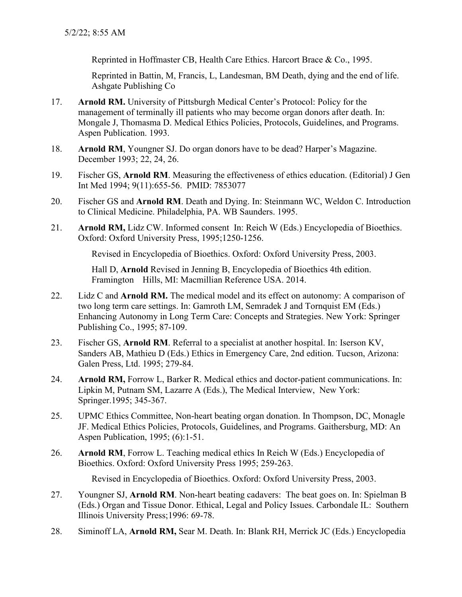Reprinted in Hoffmaster CB, Health Care Ethics. Harcort Brace & Co., 1995.

Reprinted in Battin, M, Francis, L, Landesman, BM Death, dying and the end of life. Ashgate Publishing Co

- 17. **Arnold RM.** University of Pittsburgh Medical Center's Protocol: Policy for the management of terminally ill patients who may become organ donors after death. In: Mongale J, Thomasma D. Medical Ethics Policies, Protocols, Guidelines, and Programs. Aspen Publication. 1993.
- 18. **Arnold RM**, Youngner SJ. Do organ donors have to be dead? Harper's Magazine. December 1993; 22, 24, 26.
- 19. Fischer GS, **Arnold RM**. Measuring the effectiveness of ethics education. (Editorial) J Gen Int Med 1994; 9(11):655-56. PMID: 7853077
- 20. Fischer GS and **Arnold RM**. Death and Dying. In: Steinmann WC, Weldon C. Introduction to Clinical Medicine. Philadelphia, PA. WB Saunders. 1995.
- 21. **Arnold RM,** Lidz CW. Informed consent In: Reich W (Eds.) Encyclopedia of Bioethics. Oxford: Oxford University Press, 1995;1250-1256.

Revised in Encyclopedia of Bioethics. Oxford: Oxford University Press, 2003.

Hall D, **Arnold** Revised in Jenning B, Encyclopedia of Bioethics 4th edition. Framington Hills, MI: Macmillian Reference USA. 2014.

- 22. Lidz C and **Arnold RM.** The medical model and its effect on autonomy: A comparison of two long term care settings. In: Gamroth LM, Semradek J and Tornquist EM (Eds.) Enhancing Autonomy in Long Term Care: Concepts and Strategies. New York: Springer Publishing Co., 1995; 87-109.
- 23. Fischer GS, **Arnold RM**. Referral to a specialist at another hospital. In: Iserson KV, Sanders AB, Mathieu D (Eds.) Ethics in Emergency Care, 2nd edition. Tucson, Arizona: Galen Press, Ltd. 1995; 279-84.
- 24. **Arnold RM,** Forrow L, Barker R. Medical ethics and doctor-patient communications. In: Lipkin M, Putnam SM, Lazarre A (Eds.), The Medical Interview, New York: Springer.1995; 345-367.
- 25. UPMC Ethics Committee, Non-heart beating organ donation. In Thompson, DC, Monagle JF. Medical Ethics Policies, Protocols, Guidelines, and Programs. Gaithersburg, MD: An Aspen Publication, 1995; (6):1-51.
- 26. **Arnold RM**, Forrow L. Teaching medical ethics In Reich W (Eds.) Encyclopedia of Bioethics. Oxford: Oxford University Press 1995; 259-263.

Revised in Encyclopedia of Bioethics. Oxford: Oxford University Press, 2003.

- 27. Youngner SJ, **Arnold RM**. Non-heart beating cadavers: The beat goes on. In: Spielman B (Eds.) Organ and Tissue Donor. Ethical, Legal and Policy Issues. Carbondale IL: Southern Illinois University Press;1996: 69-78.
- 28. Siminoff LA, **Arnold RM,** Sear M. Death. In: Blank RH, Merrick JC (Eds.) Encyclopedia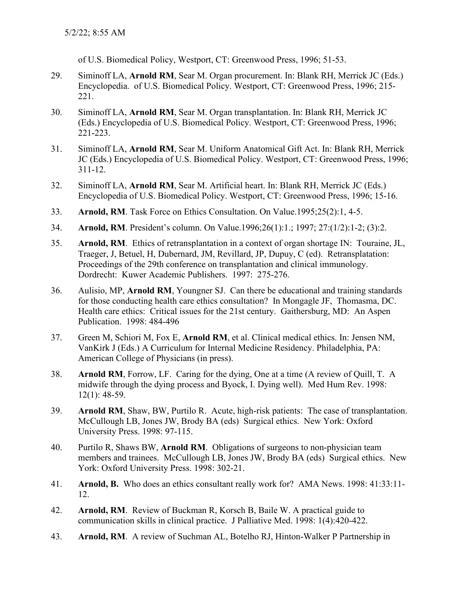of U.S. Biomedical Policy, Westport, CT: Greenwood Press, 1996; 51-53.

- 29. Siminoff LA, **Arnold RM**, Sear M. Organ procurement. In: Blank RH, Merrick JC (Eds.) Encyclopedia. of U.S. Biomedical Policy. Westport, CT: Greenwood Press, 1996; 215- 221.
- 30. Siminoff LA, **Arnold RM**, Sear M. Organ transplantation. In: Blank RH, Merrick JC (Eds.) Encyclopedia of U.S. Biomedical Policy. Westport, CT: Greenwood Press, 1996; 221-223.
- 31. Siminoff LA, **Arnold RM**, Sear M. Uniform Anatomical Gift Act. In: Blank RH, Merrick JC (Eds.) Encyclopedia of U.S. Biomedical Policy. Westport, CT: Greenwood Press, 1996; 311-12.
- 32. Siminoff LA, **Arnold RM**, Sear M. Artificial heart. In: Blank RH, Merrick JC (Eds.) Encyclopedia of U.S. Biomedical Policy. Westport, CT: Greenwood Press, 1996; 15-16.
- 33. **Arnold, RM**. Task Force on Ethics Consultation. On Value.1995;25(2):1, 4-5.
- 34. **Arnold, RM**. President's column. On Value.1996;26(1):1.; 1997; 27:(1/2):1-2; (3):2.
- 35. **Arnold, RM**. Ethics of retransplantation in a context of organ shortage IN: Touraine, JL, Traeger, J, Betuel, H, Dubernard, JM, Revillard, JP, Dupuy, C (ed). Retransplatation: Proceedings of the 29th conference on transplantation and clinical immunology. Dordrecht: Kuwer Academic Publishers. 1997: 275-276.
- 36. Aulisio, MP, **Arnold RM**, Youngner SJ. Can there be educational and training standards for those conducting health care ethics consultation? In Mongagle JF, Thomasma, DC. Health care ethics: Critical issues for the 21st century. Gaithersburg, MD: An Aspen Publication. 1998: 484-496
- 37. Green M, Schiori M, Fox E, **Arnold RM**, et al. Clinical medical ethics. In: Jensen NM, VanKirk J (Eds.) A Curriculum for Internal Medicine Residency. Philadelphia, PA: American College of Physicians (in press).
- 38. **Arnold RM**, Forrow, LF. Caring for the dying, One at a time (A review of Quill, T. A midwife through the dying process and Byock, I. Dying well). Med Hum Rev. 1998: 12(1): 48-59.
- 39. **Arnold RM**, Shaw, BW, Purtilo R. Acute, high-risk patients: The case of transplantation. McCullough LB, Jones JW, Brody BA (eds) Surgical ethics. New York: Oxford University Press. 1998: 97-115.
- 40. Purtilo R, Shaws BW, **Arnold RM**. Obligations of surgeons to non-physician team members and trainees. McCullough LB, Jones JW, Brody BA (eds) Surgical ethics. New York: Oxford University Press. 1998: 302-21.
- 41. **Arnold, B.** Who does an ethics consultant really work for? AMA News. 1998: 41:33:11- 12.
- 42. **Arnold, RM**. Review of Buckman R, Korsch B, Baile W. A practical guide to communication skills in clinical practice. J Palliative Med. 1998: 1(4):420-422.
- 43. **Arnold, RM**. A review of Suchman AL, Botelho RJ, Hinton-Walker P Partnership in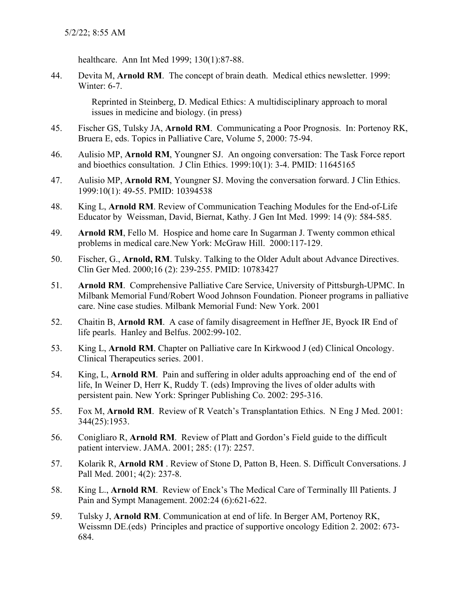healthcare. Ann Int Med 1999; 130(1):87-88.

44. Devita M, **Arnold RM**. The concept of brain death. Medical ethics newsletter. 1999: Winter: 6-7.

> Reprinted in Steinberg, D. Medical Ethics: A multidisciplinary approach to moral issues in medicine and biology. (in press)

- 45. Fischer GS, Tulsky JA, **Arnold RM**. Communicating a Poor Prognosis. In: Portenoy RK, Bruera E, eds. Topics in Palliative Care, Volume 5, 2000: 75-94.
- 46. Aulisio MP, **Arnold RM**, Youngner SJ. An ongoing conversation: The Task Force report and bioethics consultation. J Clin Ethics. 1999:10(1): 3-4. PMID: 11645165
- 47. Aulisio MP, **Arnold RM**, Youngner SJ. Moving the conversation forward. J Clin Ethics. 1999:10(1): 49-55. PMID: 10394538
- 48. King L, **Arnold RM**. Review of Communication Teaching Modules for the End-of-Life Educator by Weissman, David, Biernat, Kathy. J Gen Int Med. 1999: 14 (9): 584-585.
- 49. **Arnold RM**, Fello M. Hospice and home care In Sugarman J. Twenty common ethical problems in medical care.New York: McGraw Hill. 2000:117-129.
- 50. Fischer, G., **Arnold, RM**. Tulsky. Talking to the Older Adult about Advance Directives. Clin Ger Med. 2000;16 (2): 239-255. PMID: 10783427
- 51. **Arnold RM**. Comprehensive Palliative Care Service, University of Pittsburgh-UPMC. In Milbank Memorial Fund/Robert Wood Johnson Foundation. Pioneer programs in palliative care. Nine case studies. Milbank Memorial Fund: New York. 2001
- 52. Chaitin B, **Arnold RM**. A case of family disagreement in Heffner JE, Byock IR End of life pearls. Hanley and Belfus. 2002:99-102.
- 53. King L, **Arnold RM**. Chapter on Palliative care In Kirkwood J (ed) Clinical Oncology. Clinical Therapeutics series. 2001.
- 54. King, L, **Arnold RM**. Pain and suffering in older adults approaching end of the end of life, In Weiner D, Herr K, Ruddy T. (eds) Improving the lives of older adults with persistent pain. New York: Springer Publishing Co. 2002: 295-316.
- 55. Fox M, **Arnold RM**. Review of R Veatch's Transplantation Ethics. N Eng J Med. 2001: 344(25):1953.
- 56. Conigliaro R, **Arnold RM**. Review of Platt and Gordon's Field guide to the difficult patient interview. JAMA. 2001; 285: (17): 2257.
- 57. Kolarik R, **Arnold RM** . Review of Stone D, Patton B, Heen. S. Difficult Conversations. J Pall Med. 2001; 4(2): 237-8.
- 58. King L., **Arnold RM**. Review of Enck's The Medical Care of Terminally Ill Patients. J Pain and Sympt Management. 2002:24 (6):621-622.
- 59. Tulsky J, **Arnold RM**. Communication at end of life. In Berger AM, Portenoy RK, Weissmn DE.(eds) Principles and practice of supportive oncology Edition 2. 2002: 673- 684.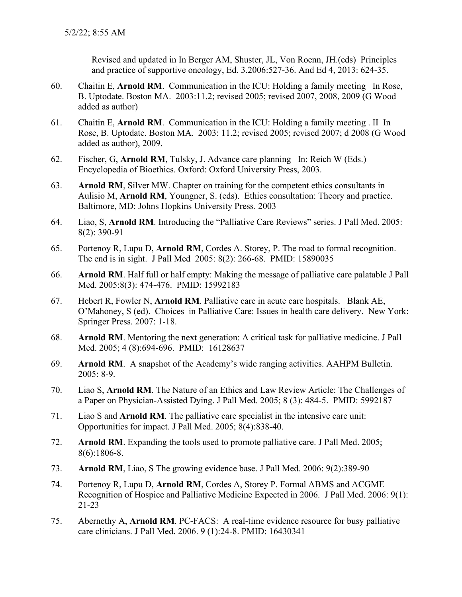Revised and updated in In Berger AM, Shuster, JL, Von Roenn, JH.(eds) Principles and practice of supportive oncology, Ed. 3.2006:527-36. And Ed 4, 2013: 624-35.

- 60. Chaitin E, **Arnold RM**. Communication in the ICU: Holding a family meeting In Rose, B. Uptodate. Boston MA. 2003:11.2; revised 2005; revised 2007, 2008, 2009 (G Wood added as author)
- 61. Chaitin E, **Arnold RM**. Communication in the ICU: Holding a family meeting . II In Rose, B. Uptodate. Boston MA. 2003: 11.2; revised 2005; revised 2007; d 2008 (G Wood added as author), 2009.
- 62. Fischer, G, **Arnold RM**, Tulsky, J. Advance care planning In: Reich W (Eds.) Encyclopedia of Bioethics. Oxford: Oxford University Press, 2003.
- 63. **Arnold RM**, Silver MW. Chapter on training for the competent ethics consultants in Aulisio M, **Arnold RM**, Youngner, S. (eds). Ethics consultation: Theory and practice. Baltimore, MD: Johns Hopkins University Press. 2003
- 64. Liao, S, **Arnold RM**. Introducing the "Palliative Care Reviews" series. J Pall Med. 2005: 8(2): 390-91
- 65. Portenoy R, Lupu D, **Arnold RM**, Cordes A. Storey, P. The road to formal recognition. The end is in sight. J Pall Med 2005: 8(2): 266-68. PMID: 15890035
- 66. **Arnold RM**. Half full or half empty: Making the message of palliative care palatable J Pall Med. 2005:8(3): 474-476. PMID: 15992183
- 67. Hebert R, Fowler N, **Arnold RM**. Palliative care in acute care hospitals. Blank AE, O'Mahoney, S (ed). Choices in Palliative Care: Issues in health care delivery. New York: Springer Press. 2007: 1-18.
- 68. **Arnold RM**. Mentoring the next generation: A critical task for palliative medicine. J Pall Med. 2005; 4 (8):694-696. PMID: 16128637
- 69. **Arnold RM**. A snapshot of the Academy's wide ranging activities. AAHPM Bulletin. 2005: 8-9.
- 70. Liao S, **Arnold RM**. The Nature of an Ethics and Law Review Article: The Challenges of a Paper on Physician-Assisted Dying. J Pall Med. 2005; 8 (3): 484-5. PMID: 5992187
- 71. Liao S and **Arnold RM**. The palliative care specialist in the intensive care unit: Opportunities for impact. J Pall Med. 2005; 8(4):838-40.
- 72. **Arnold RM**. Expanding the tools used to promote palliative care. J Pall Med. 2005; 8(6):1806-8.
- 73. **Arnold RM**, Liao, S The growing evidence base. J Pall Med. 2006: 9(2):389-90
- 74. Portenoy R, Lupu D, **Arnold RM**, Cordes A, Storey P. Formal ABMS and ACGME Recognition of Hospice and Palliative Medicine Expected in 2006. J Pall Med. 2006: 9(1): 21-23
- 75. Abernethy A, **Arnold RM**. PC-FACS: A real-time evidence resource for busy palliative care clinicians. J Pall Med. 2006. 9 (1):24-8. PMID: 16430341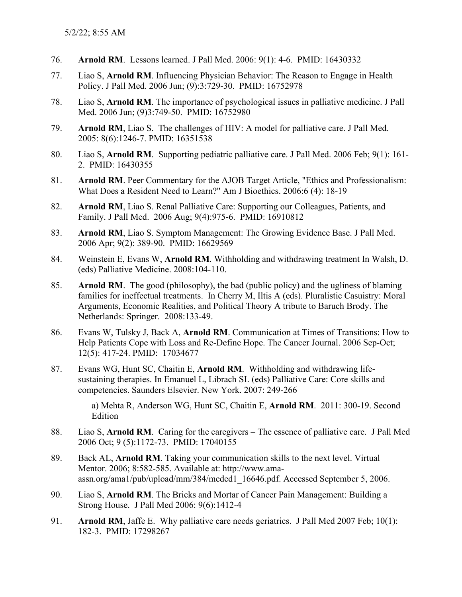- 76. **Arnold RM**. Lessons learned. J Pall Med. 2006: 9(1): 4-6. PMID: 16430332
- 77. Liao S, **Arnold RM**. Influencing Physician Behavior: The Reason to Engage in Health Policy. J Pall Med. 2006 Jun; (9):3:729-30. PMID: 16752978
- 78. Liao S, **Arnold RM**. The importance of psychological issues in palliative medicine. J Pall Med. 2006 Jun; (9)3:749-50. PMID: 16752980
- 79. **Arnold RM**, Liao S. The challenges of HIV: A model for palliative care. J Pall Med. 2005: 8(6):1246-7. PMID: 16351538
- 80. Liao S, **Arnold RM**. Supporting pediatric palliative care. J Pall Med. 2006 Feb; 9(1): 161- 2. PMID: 16430355
- 81. **Arnold RM**. Peer Commentary for the AJOB Target Article, "Ethics and Professionalism: What Does a Resident Need to Learn?" Am J Bioethics. 2006:6 (4): 18-19
- 82. **Arnold RM**, Liao S. Renal Palliative Care: Supporting our Colleagues, Patients, and Family. J Pall Med. 2006 Aug; 9(4):975-6. PMID: 16910812
- 83. **Arnold RM**, Liao S. Symptom Management: The Growing Evidence Base. J Pall Med. 2006 Apr; 9(2): 389-90. PMID: 16629569
- 84. Weinstein E, Evans W, **Arnold RM**. Withholding and withdrawing treatment In Walsh, D. (eds) Palliative Medicine. 2008:104-110.
- 85. **Arnold RM**. The good (philosophy), the bad (public policy) and the ugliness of blaming families for ineffectual treatments. In Cherry M, Iltis A (eds). Pluralistic Casuistry: Moral Arguments, Economic Realities, and Political Theory A tribute to Baruch Brody. The Netherlands: Springer. 2008:133-49.
- 86. Evans W, Tulsky J, Back A, **Arnold RM**. Communication at Times of Transitions: How to Help Patients Cope with Loss and Re-Define Hope. The Cancer Journal. 2006 Sep-Oct; 12(5): 417-24. PMID: 17034677
- 87. Evans WG, Hunt SC, Chaitin E, **Arnold RM**. Withholding and withdrawing lifesustaining therapies. In Emanuel L, Librach SL (eds) Palliative Care: Core skills and competencies. Saunders Elsevier. New York. 2007: 249-266

a) Mehta R, Anderson WG, Hunt SC, Chaitin E, **Arnold RM**. 2011: 300-19. Second Edition

- 88. Liao S, **Arnold RM**. Caring for the caregivers The essence of palliative care. J Pall Med 2006 Oct; 9 (5):1172-73. PMID: 17040155
- 89. Back AL, **Arnold RM**. Taking your communication skills to the next level. Virtual Mentor. 2006; 8:582-585. Available at: [http://www.ama](http://www.ama-assn.org/ama1/pub/upload/mm/384/meded1_16646.pdf)[assn.org/ama1/pub/upload/mm/384/meded1\\_16646.pdf.](http://www.ama-assn.org/ama1/pub/upload/mm/384/meded1_16646.pdf) Accessed September 5, 2006.
- 90. Liao S, **Arnold RM**. The Bricks and Mortar of Cancer Pain Management: Building a Strong House. J Pall Med 2006: 9(6):1412-4
- 91. **Arnold RM**, Jaffe E. Why palliative care needs geriatrics. J Pall Med 2007 Feb; 10(1): 182-3. PMID: 17298267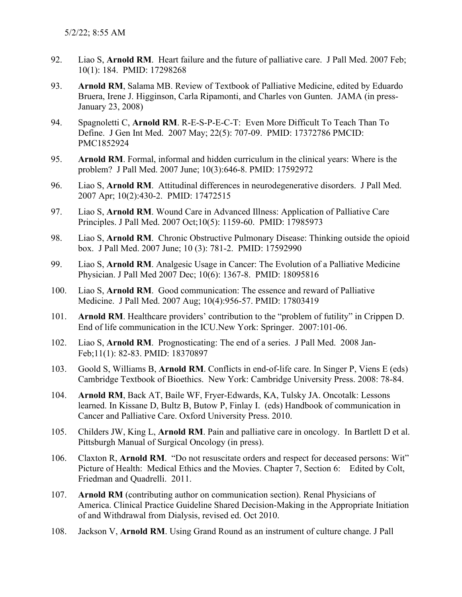- 92. Liao S, **Arnold RM**. Heart failure and the future of palliative care. J Pall Med. 2007 Feb; 10(1): 184. PMID: 17298268
- 93. **Arnold RM**, Salama MB. Review of Textbook of Palliative Medicine, edited by Eduardo Bruera, Irene J. Higginson, Carla Ripamonti, and Charles von Gunten. JAMA (in press-January 23, 2008)
- 94. Spagnoletti C, **Arnold RM**. R-E-S-P-E-C-T: Even More Difficult To Teach Than To Define. J Gen Int Med. 2007 May; 22(5): 707-09. PMID: 17372786 PMCID: PMC1852924
- 95. **Arnold RM**. Formal, informal and hidden curriculum in the clinical years: Where is the problem? J Pall Med. 2007 June; 10(3):646-8. PMID: 17592972
- 96. Liao S, **Arnold RM**. Attitudinal differences in neurodegenerative disorders. J Pall Med. 2007 Apr; 10(2):430-2. PMID: 17472515
- 97. Liao S, **Arnold RM**. Wound Care in Advanced Illness: Application of Palliative Care Principles. J Pall Med. 2007 Oct;10(5): 1159-60. PMID: 17985973
- 98. Liao S, **Arnold RM**. Chronic Obstructive Pulmonary Disease: Thinking outside the opioid box. J Pall Med. 2007 June; 10 (3): 781-2. PMID: 17592990
- 99. Liao S, **Arnold RM**. Analgesic Usage in Cancer: The Evolution of a Palliative Medicine Physician. J Pall Med 2007 Dec; 10(6): 1367-8. PMID: 18095816
- 100. Liao S, **Arnold RM**. Good communication: The essence and reward of Palliative Medicine. J Pall Med. 2007 Aug; 10(4):956-57. PMID: 17803419
- 101. **Arnold RM**. Healthcare providers' contribution to the "problem of futility" in Crippen D. End of life communication in the ICU.New York: Springer. 2007:101-06.
- 102. Liao S, **Arnold RM**. Prognosticating: The end of a series. J Pall Med. 2008 Jan-Feb;11(1): 82-83. PMID: 18370897
- 103. Goold S, Williams B, **Arnold RM**. Conflicts in end-of-life care. In Singer P, Viens E (eds) Cambridge Textbook of Bioethics. New York: Cambridge University Press. 2008: 78-84.
- 104. **Arnold RM**, Back AT, Baile WF, Fryer-Edwards, KA, Tulsky JA. Oncotalk: Lessons learned. In Kissane D, Bultz B, Butow P, Finlay I. (eds) Handbook of communication in Cancer and Palliative Care. Oxford University Press. 2010.
- 105. Childers JW, King L, **Arnold RM**. Pain and palliative care in oncology. In Bartlett D et al. Pittsburgh Manual of Surgical Oncology (in press).
- 106. Claxton R, **Arnold RM**. "Do not resuscitate orders and respect for deceased persons: Wit" Picture of Health: Medical Ethics and the Movies. Chapter 7, Section 6: Edited by Colt, Friedman and Quadrelli. 2011.
- 107. **Arnold RM** (contributing author on communication section). Renal Physicians of America. Clinical Practice Guideline Shared Decision-Making in the Appropriate Initiation of and Withdrawal from Dialysis, revised ed. Oct 2010.
- 108. Jackson V, **Arnold RM**. Using Grand Round as an instrument of culture change. J Pall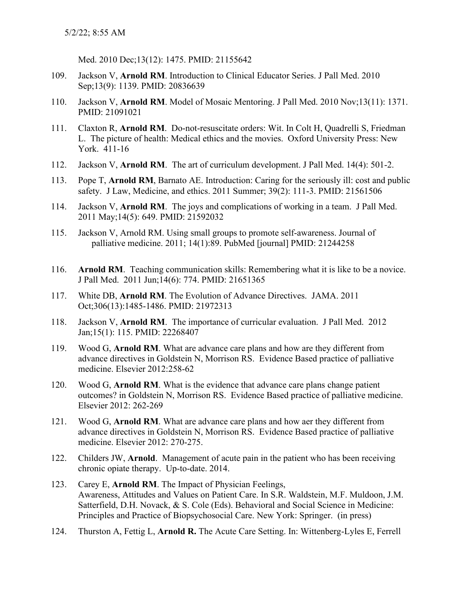Med. 2010 Dec;13(12): 1475. PMID: 21155642

- 109. Jackson V, **Arnold RM**. Introduction to Clinical Educator Series. J Pall Med. 2010 Sep;13(9): 1139. PMID: 20836639
- 110. Jackson V, **Arnold RM**. Model of Mosaic Mentoring. J Pall Med. 2010 Nov;13(11): 1371. PMID: 21091021
- 111. Claxton R, **Arnold RM**. Do-not-resuscitate orders: Wit. In Colt H, Quadrelli S, Friedman L. The picture of health: Medical ethics and the movies. Oxford University Press: New York. 411-16
- 112. Jackson V, **Arnold RM**. The art of curriculum development. J Pall Med. 14(4): 501-2.
- 113. Pope T, **Arnold RM**, Barnato AE. Introduction: Caring for the seriously ill: cost and public safety. J Law, Medicine, and ethics. 2011 Summer; 39(2): 111-3. PMID: 21561506
- 114. Jackson V, **Arnold RM**. The joys and complications of working in a team. J Pall Med. 2011 May;14(5): 649. PMID: 21592032
- 115. Jackson V, Arnold RM. Using small groups to promote self-awareness. Journal of palliative medicine. 2011; 14(1):89. PubMed [journal] PMID: 21244258
- 116. **Arnold RM**. Teaching communication skills: Remembering what it is like to be a novice. J Pall Med. 2011 Jun;14(6): 774. PMID: 21651365
- 117. White DB, **Arnold RM**. The Evolution of Advance Directives. JAMA. 2011 Oct;306(13):1485-1486. PMID: 21972313
- 118. Jackson V, **Arnold RM**. The importance of curricular evaluation. J Pall Med. 2012 Jan;15(1): 115. PMID: 22268407
- 119. Wood G, **Arnold RM**. What are advance care plans and how are they different from advance directives in Goldstein N, Morrison RS. Evidence Based practice of palliative medicine. Elsevier 2012:258-62
- 120. Wood G, **Arnold RM**. What is the evidence that advance care plans change patient outcomes? in Goldstein N, Morrison RS. Evidence Based practice of palliative medicine. Elsevier 2012: 262-269
- 121. Wood G, **Arnold RM**. What are advance care plans and how aer they different from advance directives in Goldstein N, Morrison RS. Evidence Based practice of palliative medicine. Elsevier 2012: 270-275.
- 122. Childers JW, **Arnold**. Management of acute pain in the patient who has been receiving chronic opiate therapy. Up-to-date. 2014.
- 123. Carey E, **Arnold RM**. The Impact of Physician Feelings, Awareness, Attitudes and Values on Patient Care. In S.R. Waldstein, M.F. Muldoon, J.M. Satterfield, D.H. Novack, & S. Cole (Eds). Behavioral and Social Science in Medicine: Principles and Practice of Biopsychosocial Care. New York: Springer. (in press)
- 124. Thurston A, Fettig L, **Arnold R.** The Acute Care Setting. In: Wittenberg-Lyles E, Ferrell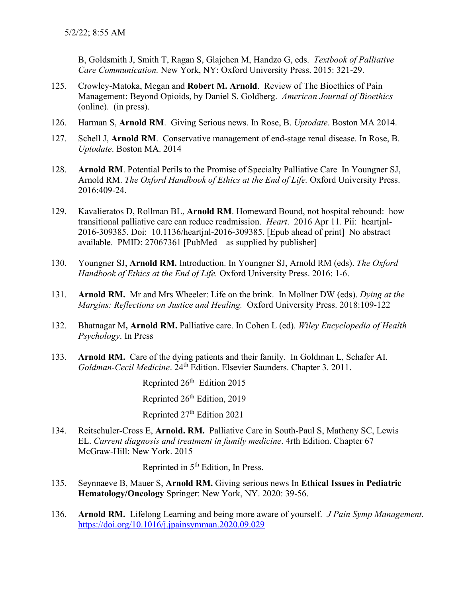B, Goldsmith J, Smith T, Ragan S, Glajchen M, Handzo G, eds. *Textbook of Palliative Care Communication.* New York, NY: Oxford University Press. 2015: 321-29.

- 125. Crowley-Matoka, Megan and **Robert M. Arnold**. Review of The Bioethics of Pain Management: Beyond Opioids, by Daniel S. Goldberg. *American Journal of Bioethics* (online). (in press).
- 126. Harman S, **Arnold RM**. Giving Serious news. In Rose, B. *Uptodate*. Boston MA 2014.
- 127. Schell J, **Arnold RM**. Conservative management of end-stage renal disease. In Rose, B. *Uptodate*. Boston MA. 2014
- 128. **Arnold RM**. Potential Perils to the Promise of Specialty Palliative Care In Youngner SJ, Arnold RM. *The Oxford Handbook of Ethics at the End of Life.* Oxford University Press. 2016:409-24.
- 129. Kavalieratos D, Rollman BL, **Arnold RM**. Homeward Bound, not hospital rebound: how transitional palliative care can reduce readmission. *Heart*. 2016 Apr 11. Pii: heartjnl-2016-309385. Doi: 10.1136/heartjnl-2016-309385. [Epub ahead of print] No abstract available. PMID: 27067361 [PubMed – as supplied by publisher]
- 130. Youngner SJ, **Arnold RM.** Introduction. In Youngner SJ, Arnold RM (eds). *The Oxford Handbook of Ethics at the End of Life.* Oxford University Press. 2016: 1-6.
- 131. **Arnold RM.** Mr and Mrs Wheeler: Life on the brink. In Mollner DW (eds). *Dying at the Margins: Reflections on Justice and Healing.* Oxford University Press. 2018:109-122
- 132. Bhatnagar M**, Arnold RM.** Palliative care. In Cohen L (ed). *Wiley Encyclopedia of Health Psychology*. In Press
- 133. **Arnold RM.** Care of the dying patients and their family. In Goldman L, Schafer AI. *Goldman-Cecil Medicine*. 24th Edition. Elsevier Saunders. Chapter 3. 2011.

Reprinted 26<sup>th</sup> Edition 2015

Reprinted 26<sup>th</sup> Edition, 2019

Reprinted 27th Edition 2021

134. Reitschuler-Cross E, **Arnold. RM.** Palliative Care in South-Paul S, Matheny SC, Lewis EL. *Current diagnosis and treatment in family medicine*. 4rth Edition. Chapter 67 McGraw-Hill: New York. 2015

Reprinted in 5<sup>th</sup> Edition, In Press.

- 135. Seynnaeve B, Mauer S, **Arnold RM.** Giving serious news In **Ethical Issues in Pediatric Hematology/Oncology** Springer: New York, NY. 2020: 39-56.
- 136. **Arnold RM.** Lifelong Learning and being more aware of yourself. *J Pain Symp Management.*  <https://doi.org/10.1016/j.jpainsymman.2020.09.029>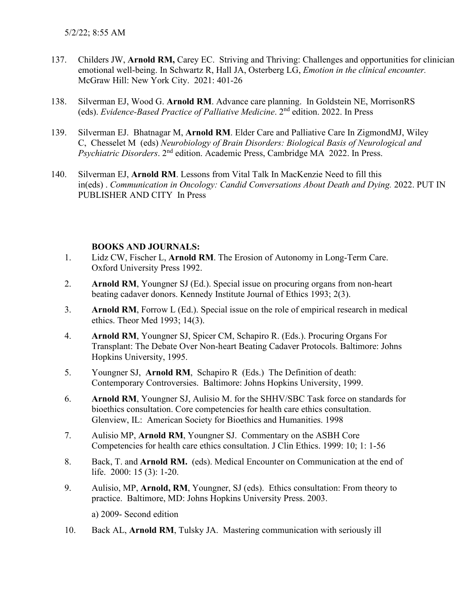- 137. Childers JW, **Arnold RM,** Carey EC. Striving and Thriving: Challenges and opportunities for clinician emotional well-being. In Schwartz R, Hall JA, Osterberg LG, *Emotion in the clinical encounter.* McGraw Hill: New York City. 2021: 401-26
- 138. Silverman EJ, Wood G. **Arnold RM**. Advance care planning. In Goldstein NE, MorrisonRS (eds). *Evidence-Based Practice of Palliative Medicine*. 2nd edition. 2022. In Press
- 139. Silverman EJ. Bhatnagar M, **Arnold RM**. Elder Care and Palliative Care In ZigmondMJ, Wiley C, Chesselet M (eds) *Neurobiology of Brain Disorders: Biological Basis of Neurological and Psychiatric Disorders*. 2nd edition. Academic Press, Cambridge MA 2022. In Press.
- 140. Silverman EJ, **Arnold RM**. Lessons from Vital Talk In MacKenzie Need to fill this in(eds) . *Communication in Oncology: Candid Conversations About Death and Dying.* 2022. PUT IN PUBLISHER AND CITY In Press

## **BOOKS AND JOURNALS:**

- 1. Lidz CW, Fischer L, **Arnold RM**. The Erosion of Autonomy in Long-Term Care. Oxford University Press 1992.
- 2. **Arnold RM**, Youngner SJ (Ed.). Special issue on procuring organs from non-heart beating cadaver donors. Kennedy Institute Journal of Ethics 1993; 2(3).
- 3. **Arnold RM**, Forrow L (Ed.). Special issue on the role of empirical research in medical ethics. Theor Med 1993; 14(3).
- 4. **Arnold RM**, Youngner SJ, Spicer CM, Schapiro R. (Eds.). Procuring Organs For Transplant: The Debate Over Non-heart Beating Cadaver Protocols. Baltimore: Johns Hopkins University, 1995.
- 5. Youngner SJ, **Arnold RM**, Schapiro R (Eds.) The Definition of death: Contemporary Controversies. Baltimore: Johns Hopkins University, 1999.
- 6. **Arnold RM**, Youngner SJ, Aulisio M. for the SHHV/SBC Task force on standards for bioethics consultation. Core competencies for health care ethics consultation. Glenview, IL: American Society for Bioethics and Humanities. 1998
- 7. Aulisio MP, **Arnold RM**, Youngner SJ. Commentary on the ASBH Core Competencies for health care ethics consultation. J Clin Ethics. 1999: 10; 1: 1-56
- 8. Back, T. and **Arnold RM.** (eds). Medical Encounter on Communication at the end of life. 2000: 15 (3): 1-20.
- 9. Aulisio, MP, **Arnold, RM**, Youngner, SJ (eds). Ethics consultation: From theory to practice. Baltimore, MD: Johns Hopkins University Press. 2003.

a) 2009- Second edition

10. Back AL, **Arnold RM**, Tulsky JA. Mastering communication with seriously ill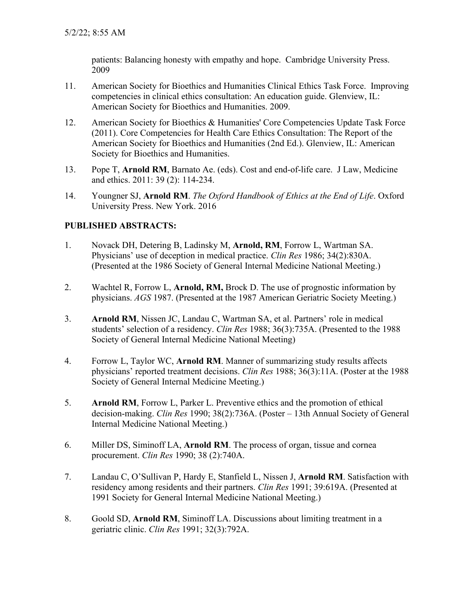patients: Balancing honesty with empathy and hope. Cambridge University Press. 2009

- 11. American Society for Bioethics and Humanities Clinical Ethics Task Force. Improving competencies in clinical ethics consultation: An education guide. Glenview, IL: American Society for Bioethics and Humanities. 2009.
- 12. American Society for Bioethics & Humanities' Core Competencies Update Task Force (2011). Core Competencies for Health Care Ethics Consultation: The Report of the American Society for Bioethics and Humanities (2nd Ed.). Glenview, IL: American Society for Bioethics and Humanities.
- 13. Pope T, **Arnold RM**, Barnato Ae. (eds). Cost and end-of-life care. J Law, Medicine and ethics. 2011: 39 (2): 114-234.
- 14. Youngner SJ, **Arnold RM**. *The Oxford Handbook of Ethics at the End of Life*. Oxford University Press. New York. 2016

## **PUBLISHED ABSTRACTS:**

- 1. Novack DH, Detering B, Ladinsky M, **Arnold, RM**, Forrow L, Wartman SA. Physicians' use of deception in medical practice. *Clin Res* 1986; 34(2):830A. (Presented at the 1986 Society of General Internal Medicine National Meeting.)
- 2. Wachtel R, Forrow L, **Arnold, RM,** Brock D. The use of prognostic information by physicians. *AGS* 1987. (Presented at the 1987 American Geriatric Society Meeting.)
- 3. **Arnold RM**, Nissen JC, Landau C, Wartman SA, et al. Partners' role in medical students' selection of a residency. *Clin Res* 1988; 36(3):735A. (Presented to the 1988 Society of General Internal Medicine National Meeting)
- 4. Forrow L, Taylor WC, **Arnold RM**. Manner of summarizing study results affects physicians' reported treatment decisions. *Clin Res* 1988; 36(3):11A. (Poster at the 1988 Society of General Internal Medicine Meeting.)
- 5. **Arnold RM**, Forrow L, Parker L. Preventive ethics and the promotion of ethical decision-making. *Clin Res* 1990; 38(2):736A. (Poster – 13th Annual Society of General Internal Medicine National Meeting.)
- 6. Miller DS, Siminoff LA, **Arnold RM**. The process of organ, tissue and cornea procurement. *Clin Res* 1990; 38 (2):740A.
- 7. Landau C, O'Sullivan P, Hardy E, Stanfield L, Nissen J, **Arnold RM**. Satisfaction with residency among residents and their partners. *Clin Res* 1991; 39:619A. (Presented at 1991 Society for General Internal Medicine National Meeting.)
- 8. Goold SD, **Arnold RM**, Siminoff LA. Discussions about limiting treatment in a geriatric clinic. *Clin Res* 1991; 32(3):792A.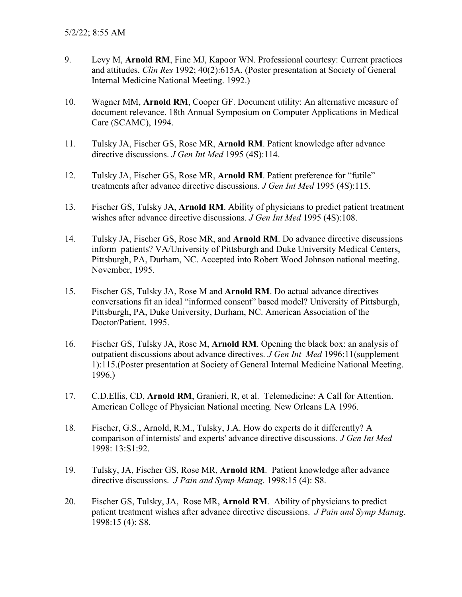- 9. Levy M, **Arnold RM**, Fine MJ, Kapoor WN. Professional courtesy: Current practices and attitudes. *Clin Res* 1992; 40(2):615A. (Poster presentation at Society of General Internal Medicine National Meeting. 1992.)
- 10. Wagner MM, **Arnold RM**, Cooper GF. Document utility: An alternative measure of document relevance. 18th Annual Symposium on Computer Applications in Medical Care (SCAMC), 1994.
- 11. Tulsky JA, Fischer GS, Rose MR, **Arnold RM**. Patient knowledge after advance directive discussions. *J Gen Int Med* 1995 (4S):114.
- 12. Tulsky JA, Fischer GS, Rose MR, **Arnold RM**. Patient preference for "futile" treatments after advance directive discussions. *J Gen Int Med* 1995 (4S):115.
- 13. Fischer GS, Tulsky JA, **Arnold RM**. Ability of physicians to predict patient treatment wishes after advance directive discussions. *J Gen Int Med* 1995 (4S):108.
- 14. Tulsky JA, Fischer GS, Rose MR, and **Arnold RM**. Do advance directive discussions inform patients? VA/University of Pittsburgh and Duke University Medical Centers, Pittsburgh, PA, Durham, NC. Accepted into Robert Wood Johnson national meeting. November, 1995.
- 15. Fischer GS, Tulsky JA, Rose M and **Arnold RM**. Do actual advance directives conversations fit an ideal "informed consent" based model? University of Pittsburgh, Pittsburgh, PA, Duke University, Durham, NC. American Association of the Doctor/Patient. 1995.
- 16. Fischer GS, Tulsky JA, Rose M, **Arnold RM**. Opening the black box: an analysis of outpatient discussions about advance directives. *J Gen Int Med* 1996;11(supplement 1):115.(Poster presentation at Society of General Internal Medicine National Meeting. 1996.)
- 17. C.D.Ellis, CD, **Arnold RM**, Granieri, R, et al. Telemedicine: A Call for Attention. American College of Physician National meeting. New Orleans LA 1996.
- 18. Fischer, G.S., Arnold, R.M., Tulsky, J.A. How do experts do it differently? A comparison of internists' and experts' advance directive discussions*. J Gen Int Med* 1998: 13:S1:92.
- 19. Tulsky, JA, Fischer GS, Rose MR, **Arnold RM**. Patient knowledge after advance directive discussions. *J Pain and Symp Manag*. 1998:15 (4): S8.
- 20. Fischer GS, Tulsky, JA, Rose MR, **Arnold RM**. Ability of physicians to predict patient treatment wishes after advance directive discussions. *J Pain and Symp Manag*. 1998:15 (4): S8.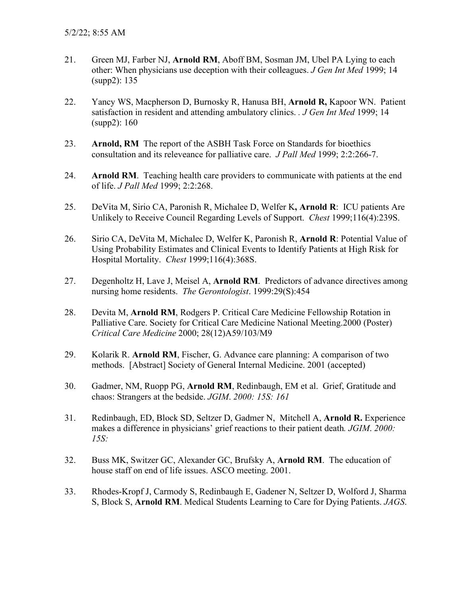- 21. Green MJ, Farber NJ, **Arnold RM**, Aboff BM, Sosman JM, Ubel PA Lying to each other: When physicians use deception with their colleagues. *J Gen Int Med* 1999; 14 (supp2): 135
- 22. Yancy WS, Macpherson D, Burnosky R, Hanusa BH, **Arnold R,** Kapoor WN. Patient satisfaction in resident and attending ambulatory clinics. *. J Gen Int Med* 1999; 14 (supp2): 160
- 23. **Arnold, RM** The report of the ASBH Task Force on Standards for bioethics consultation and its releveance for palliative care. *J Pall Med* 1999; 2:2:266-7.
- 24. **Arnold RM**. Teaching health care providers to communicate with patients at the end of life. *J Pall Med* 1999; 2:2:268.
- 25. DeVita M, Sirio CA, Paronish R, Michalee D, Welfer K**, Arnold R**: ICU patients Are Unlikely to Receive Council Regarding Levels of Support. *Chest* 1999;116(4):239S.
- 26. Sirio CA, DeVita M, Michalec D, Welfer K, Paronish R, **Arnold R**: Potential Value of Using Probability Estimates and Clinical Events to Identify Patients at High Risk for Hospital Mortality. *Chest* 1999;116(4):368S.
- 27. Degenholtz H, Lave J, Meisel A, **Arnold RM**. Predictors of advance directives among nursing home residents. *The Gerontologist*. 1999:29(S):454
- 28. Devita M, **Arnold RM**, Rodgers P. Critical Care Medicine Fellowship Rotation in Palliative Care. Society for Critical Care Medicine National Meeting.2000 (Poster) *Critical Care Medicine* 2000; 28(12)A59/103/M9
- 29. Kolarik R. **Arnold RM**, Fischer, G. Advance care planning: A comparison of two methods. [Abstract] Society of General Internal Medicine. 2001 (accepted)
- 30. Gadmer, NM, Ruopp PG, **Arnold RM**, Redinbaugh, EM et al. Grief, Gratitude and chaos: Strangers at the bedside. *JGIM*. *2000: 15S: 161*
- 31. Redinbaugh, ED, Block SD, Seltzer D, Gadmer N, Mitchell A, **Arnold R.** Experience makes a difference in physicians' grief reactions to their patient death*. JGIM*. *2000: 15S:*
- 32. Buss MK, Switzer GC, Alexander GC, Brufsky A, **Arnold RM**. The education of house staff on end of life issues. ASCO meeting. 2001.
- 33. Rhodes-Kropf J, Carmody S, Redinbaugh E, Gadener N, Seltzer D, Wolford J, Sharma S, Block S, **Arnold RM**. Medical Students Learning to Care for Dying Patients. *JAGS*.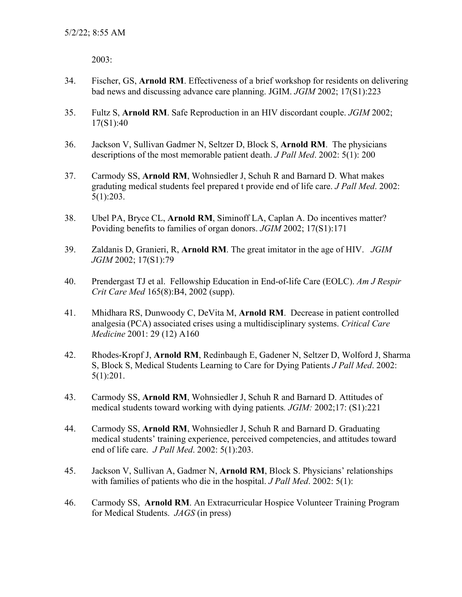2003:

- 34. Fischer, GS, **Arnold RM**. Effectiveness of a brief workshop for residents on delivering bad news and discussing advance care planning. JGIM. *JGIM* 2002; 17(S1):223
- 35. Fultz S, **Arnold RM**. Safe Reproduction in an HIV discordant couple. *JGIM* 2002; 17(S1):40
- 36. Jackson V, Sullivan Gadmer N, Seltzer D, Block S, **Arnold RM**. The physicians descriptions of the most memorable patient death. *J Pall Med*. 2002: 5(1): 200
- 37. Carmody SS, **Arnold RM**, Wohnsiedler J, Schuh R and Barnard D. What makes graduting medical students feel prepared t provide end of life care. *J Pall Med*. 2002: 5(1):203.
- 38. Ubel PA, Bryce CL, **Arnold RM**, Siminoff LA, Caplan A. Do incentives matter? Poviding benefits to families of organ donors. *JGIM* 2002; 17(S1):171
- 39. Zaldanis D, Granieri, R, **Arnold RM**. The great imitator in the age of HIV. *JGIM JGIM* 2002; 17(S1):79
- 40. Prendergast TJ et al. Fellowship Education in End-of-life Care (EOLC). *Am J Respir Crit Care Med* 165(8):B4, 2002 (supp).
- 41. Mhidhara RS, Dunwoody C, DeVita M, **Arnold RM**. Decrease in patient controlled analgesia (PCA) associated crises using a multidisciplinary systems. *Critical Care Medicine* 2001: 29 (12) A160
- 42. Rhodes-Kropf J, **Arnold RM**, Redinbaugh E, Gadener N, Seltzer D, Wolford J, Sharma S, Block S, Medical Students Learning to Care for Dying Patients *J Pall Med*. 2002: 5(1):201.
- 43. Carmody SS, **Arnold RM**, Wohnsiedler J, Schuh R and Barnard D. Attitudes of medical students toward working with dying patients*. JGIM:* 2002;17: (S1):221
- 44. Carmody SS, **Arnold RM**, Wohnsiedler J, Schuh R and Barnard D. Graduating medical students' training experience, perceived competencies, and attitudes toward end of life care. *J Pall Med*. 2002: 5(1):203.
- 45. Jackson V, Sullivan A, Gadmer N, **Arnold RM**, Block S. Physicians' relationships with families of patients who die in the hospital. *J Pall Med*. 2002: 5(1):
- 46. Carmody SS, **Arnold RM**. An Extracurricular Hospice Volunteer Training Program for Medical Students. *JAGS* (in press)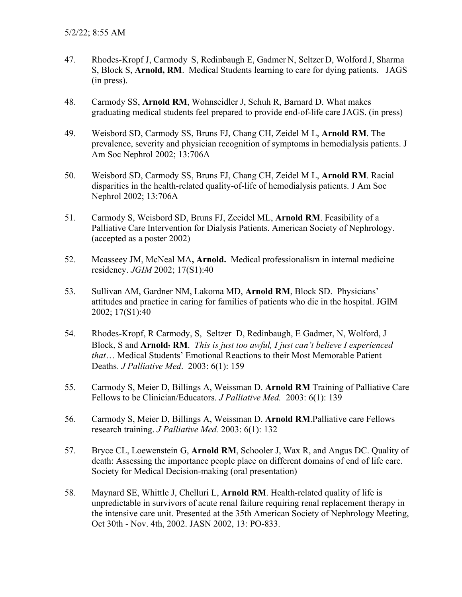- 47. Rhodes-Kropf J, Carmody S, Redinbaugh E, Gadmer N, Seltzer D, Wolford J, Sharma S, Block S, **Arnold, RM**. Medical Students learning to care for dying patients. JAGS (in press).
- 48. Carmody SS, **Arnold RM**, Wohnseidler J, Schuh R, Barnard D. What makes graduating medical students feel prepared to provide end-of-life care JAGS. (in press)
- 49. Weisbord SD, Carmody SS, Bruns FJ, Chang CH, Zeidel M L, **Arnold RM**. The prevalence, severity and physician recognition of symptoms in hemodialysis patients. J Am Soc Nephrol 2002; 13:706A
- 50. Weisbord SD, Carmody SS, Bruns FJ, Chang CH, Zeidel M L, **Arnold RM**. Racial disparities in the health-related quality-of-life of hemodialysis patients. J Am Soc Nephrol 2002; 13:706A
- 51. Carmody S, Weisbord SD, Bruns FJ, Zeeidel ML, **Arnold RM**. Feasibility of a Palliative Care Intervention for Dialysis Patients. American Society of Nephrology. (accepted as a poster 2002)
- 52. Mcasseey JM, McNeal MA**, Arnold.** Medical professionalism in internal medicine residency. *JGIM* 2002; 17(S1):40
- 53. Sullivan AM, Gardner NM, Lakoma MD, **Arnold RM**, Block SD. Physicians' attitudes and practice in caring for families of patients who die in the hospital. JGIM 2002; 17(S1):40
- 54. Rhodes-Kropf, R Carmody, S, Seltzer D, Redinbaugh, E Gadmer, N, Wolford, J Block, S and **Arnold, RM**. *This is just too awful, I just can't believe I experienced that*… Medical Students' Emotional Reactions to their Most Memorable Patient Deaths. *J Palliative Med*. 2003: 6(1): 159
- 55. Carmody S, Meier D, Billings A, Weissman D. **Arnold RM** Training of Palliative Care Fellows to be Clinician/Educators. *J Palliative Med.* 2003: 6(1): 139
- 56. Carmody S, Meier D, Billings A, Weissman D. **Arnold RM**.Palliative care Fellows research training. *J Palliative Med.* 2003: 6(1): 132
- 57. Bryce CL, Loewenstein G, **Arnold RM**, Schooler J, Wax R, and Angus DC. Quality of death: Assessing the importance people place on different domains of end of life care. Society for Medical Decision-making (oral presentation)
- 58. Maynard SE, Whittle J, Chelluri L, **Arnold RM**. Health-related quality of life is unpredictable in survivors of acute renal failure requiring renal replacement therapy in the intensive care unit. Presented at the 35th American Society of Nephrology Meeting, Oct 30th - Nov. 4th, 2002. JASN 2002, 13: PO-833.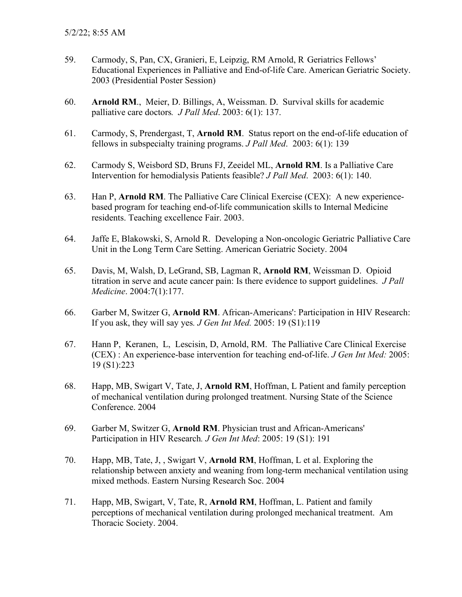- 59. Carmody, S, Pan, CX, Granieri, E, Leipzig, RM Arnold, R Geriatrics Fellows' Educational Experiences in Palliative and End-of-life Care. American Geriatric Society. 2003 (Presidential Poster Session)
- 60. **Arnold RM**., Meier, D. Billings, A, Weissman. D. Survival skills for academic palliative care doctors*. J Pall Med*. 2003: 6(1): 137.
- 61. Carmody, S, Prendergast, T, **Arnold RM**. Status report on the end-of-life education of fellows in subspecialty training programs. *J Pall Med*. 2003: 6(1): 139
- 62. Carmody S, Weisbord SD, Bruns FJ, Zeeidel ML, **Arnold RM**. Is a Palliative Care Intervention for hemodialysis Patients feasible? *J Pall Med*. 2003: 6(1): 140.
- 63. Han P, **Arnold RM**. The Palliative Care Clinical Exercise (CEX): A new experiencebased program for teaching end-of-life communication skills to Internal Medicine residents. Teaching excellence Fair. 2003.
- 64. Jaffe E, Blakowski, S, Arnold R. Developing a Non-oncologic Geriatric Palliative Care Unit in the Long Term Care Setting. American Geriatric Society. 2004
- 65. Davis, M, Walsh, D, LeGrand, SB, Lagman R, **Arnold RM**, Weissman D. Opioid titration in serve and acute cancer pain: Is there evidence to support guidelines. *J Pall Medicine*. 2004:7(1):177.
- 66. Garber M, Switzer G, **Arnold RM**. African-Americans': Participation in HIV Research: If you ask, they will say yes*. J Gen Int Med.* 2005: 19 (S1):119
- 67. Hann P, Keranen, L, Lescisin, D, Arnold, RM. The Palliative Care Clinical Exercise (CEX) : An experience-base intervention for teaching end-of-life. *J Gen Int Med:* 2005: 19 (S1):223
- 68. Happ, MB, Swigart V, Tate, J, **Arnold RM**, Hoffman, L Patient and family perception of mechanical ventilation during prolonged treatment. Nursing State of the Science Conference. 2004
- 69. Garber M, Switzer G, **Arnold RM**. Physician trust and African-Americans' Participation in HIV Research*. J Gen Int Med*: 2005: 19 (S1): 191
- 70. Happ, MB, Tate, J, , Swigart V, **Arnold RM**, Hoffman, L et al. Exploring the relationship between anxiety and weaning from long-term mechanical ventilation using mixed methods. Eastern Nursing Research Soc. 2004
- 71. Happ, MB, Swigart, V, Tate, R, **Arnold RM**, Hoffman, L. Patient and family perceptions of mechanical ventilation during prolonged mechanical treatment. Am Thoracic Society. 2004.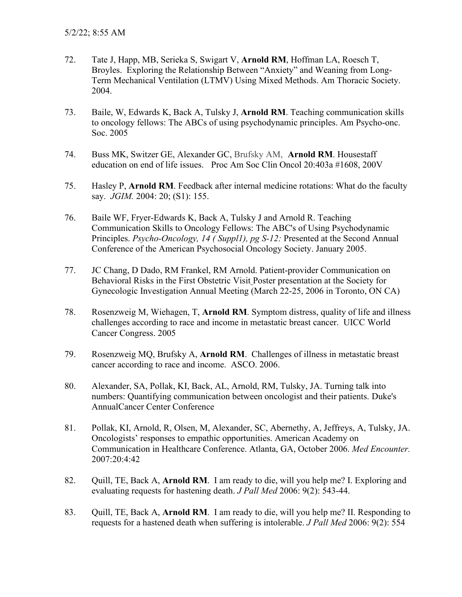- 72. Tate J, Happ, MB, Serieka S, Swigart V, **Arnold RM**, Hoffman LA, Roesch T, Broyles. Exploring the Relationship Between "Anxiety" and Weaning from Long-Term Mechanical Ventilation (LTMV) Using Mixed Methods. Am Thoracic Society. 2004.
- 73. Baile, W, Edwards K, Back A, Tulsky J, **Arnold RM**. Teaching communication skills to oncology fellows: The ABCs of using psychodynamic principles. Am Psycho-onc. Soc. 2005
- 74. Buss MK, Switzer GE, Alexander GC, Brufsky AM, **Arnold RM**. Housestaff education on end of life issues. Proc Am Soc Clin Oncol 20:403a #1608, 200V
- 75. Hasley P, **Arnold RM**. Feedback after internal medicine rotations: What do the faculty say. *JGIM.* 2004: 20; (S1): 155.
- 76. Baile WF, Fryer-Edwards K, Back A, Tulsky J and Arnold R. Teaching Communication Skills to Oncology Fellows: The ABC's of Using Psychodynamic Principles. *Psycho-Oncology, 14 ( Suppl1), pg S-12:* Presented at the Second Annual Conference of the American Psychosocial Oncology Society. January 2005.
- 77. JC Chang, D Dado, RM Frankel, RM Arnold. Patient-provider Communication on Behavioral Risks in the First Obstetric Visit Poster presentation at the Society for Gynecologic Investigation Annual Meeting (March 22-25, 2006 in Toronto, ON CA)
- 78. Rosenzweig M, Wiehagen, T, **Arnold RM**. Symptom distress, quality of life and illness challenges according to race and income in metastatic breast cancer. UICC World Cancer Congress. 2005
- 79. Rosenzweig MQ, Brufsky A, **Arnold RM**. Challenges of illness in metastatic breast cancer according to race and income. ASCO. 2006.
- 80. Alexander, SA, Pollak, KI, Back, AL, Arnold, RM, Tulsky, JA. Turning talk into numbers: Quantifying communication between oncologist and their patients. Duke's AnnualCancer Center Conference
- 81. Pollak, KI, Arnold, R, Olsen, M, Alexander, SC, Abernethy, A, Jeffreys, A, Tulsky, JA. Oncologists' responses to empathic opportunities. American Academy on Communication in Healthcare Conference. Atlanta, GA, October 2006. *Med Encounter.*  2007:20:4:42
- 82. Quill, TE, Back A, **Arnold RM**. I am ready to die, will you help me? I. Exploring and evaluating requests for hastening death. *J Pall Med* 2006: 9(2): 543-44.
- 83. Quill, TE, Back A, **Arnold RM**. I am ready to die, will you help me? II. Responding to requests for a hastened death when suffering is intolerable. *J Pall Med* 2006: 9(2): 554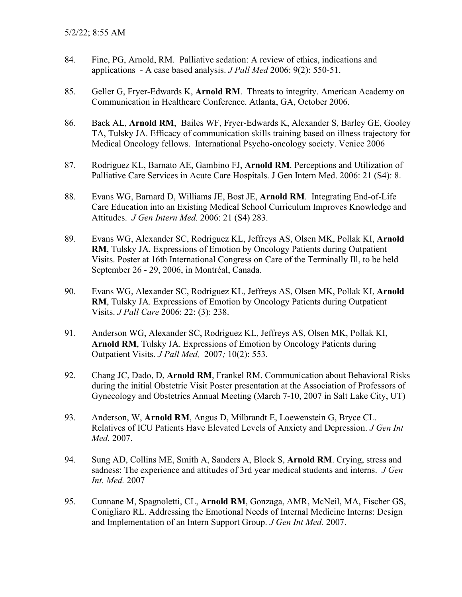- 84. Fine, PG, Arnold, RM. Palliative sedation: A review of ethics, indications and applications - A case based analysis. *J Pall Med* 2006: 9(2): 550-51.
- 85. Geller G, Fryer-Edwards K, **Arnold RM**. Threats to integrity. American Academy on Communication in Healthcare Conference. Atlanta, GA, October 2006.
- 86. Back AL, **Arnold RM**, Bailes WF, Fryer-Edwards K, Alexander S, Barley GE, Gooley TA, Tulsky JA. Efficacy of communication skills training based on illness trajectory for Medical Oncology fellows. International Psycho-oncology society. Venice 2006
- 87. Rodriguez KL, Barnato AE, Gambino FJ, **Arnold RM**. Perceptions and Utilization of Palliative Care Services in Acute Care Hospitals. J Gen Intern Med. 2006: 21 (S4): 8.
- 88. Evans WG, Barnard D, Williams JE, Bost JE, **Arnold RM**. Integrating End-of-Life Care Education into an Existing Medical School Curriculum Improves Knowledge and Attitudes. *J Gen Intern Med.* 2006: 21 (S4) 283.
- 89. Evans WG, Alexander SC, Rodriguez KL, Jeffreys AS, Olsen MK, Pollak KI, **Arnold RM**, Tulsky JA. Expressions of Emotion by Oncology Patients during Outpatient Visits. Poster at 16th International Congress on Care of the Terminally Ill, to be held September 26 - 29, 2006, in Montréal, Canada.
- 90. Evans WG, Alexander SC, Rodriguez KL, Jeffreys AS, Olsen MK, Pollak KI, **Arnold RM**, Tulsky JA. Expressions of Emotion by Oncology Patients during Outpatient Visits. *J Pall Care* 2006: 22: (3): 238.
- 91. Anderson WG, Alexander SC, Rodriguez KL, Jeffreys AS, Olsen MK, Pollak KI, **Arnold RM**, Tulsky JA. Expressions of Emotion by Oncology Patients during Outpatient Visits. *J Pall Med,* 2007*;* 10(2): 553*.*
- 92. Chang JC, Dado, D, **Arnold RM**, Frankel RM. Communication about Behavioral Risks during the initial Obstetric Visit Poster presentation at the Association of Professors of Gynecology and Obstetrics Annual Meeting (March 7-10, 2007 in Salt Lake City, UT)
- 93. Anderson, W, **Arnold RM**, Angus D, Milbrandt E, Loewenstein G, Bryce CL. Relatives of ICU Patients Have Elevated Levels of Anxiety and Depression. *J Gen Int Med.* 2007.
- 94. Sung AD, Collins ME, Smith A, Sanders A, Block S, **Arnold RM**. Crying, stress and sadness: The experience and attitudes of 3rd year medical students and interns. *J Gen Int. Med.* 2007
- 95. Cunnane M, Spagnoletti, CL, **Arnold RM**, Gonzaga, AMR, McNeil, MA, Fischer GS, Conigliaro RL. Addressing the Emotional Needs of Internal Medicine Interns: Design and Implementation of an Intern Support Group. *J Gen Int Med.* 2007.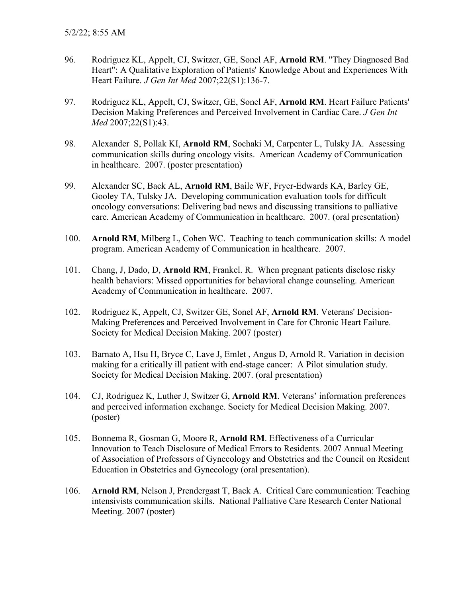- 96. Rodriguez KL, Appelt, CJ, Switzer, GE, Sonel AF, **Arnold RM**. "They Diagnosed Bad Heart": A Qualitative Exploration of Patients' Knowledge About and Experiences With Heart Failure. *J Gen Int Med* 2007;22(S1):136-7.
- 97. Rodriguez KL, Appelt, CJ, Switzer, GE, Sonel AF, **Arnold RM**. Heart Failure Patients' Decision Making Preferences and Perceived Involvement in Cardiac Care. *J Gen Int Med* 2007;22(S1):43.
- 98. Alexander S, Pollak KI, **Arnold RM**, Sochaki M, Carpenter L, Tulsky JA. Assessing communication skills during oncology visits. American Academy of Communication in healthcare. 2007. (poster presentation)
- 99. Alexander SC, Back AL, **Arnold RM**, Baile WF, Fryer-Edwards KA, Barley GE, Gooley TA, Tulsky JA. Developing communication evaluation tools for difficult oncology conversations: Delivering bad news and discussing transitions to palliative care. American Academy of Communication in healthcare. 2007. (oral presentation)
- 100. **Arnold RM**, Milberg L, Cohen WC. Teaching to teach communication skills: A model program. American Academy of Communication in healthcare. 2007.
- 101. Chang, J, Dado, D, **Arnold RM**, Frankel. R. When pregnant patients disclose risky health behaviors: Missed opportunities for behavioral change counseling. American Academy of Communication in healthcare. 2007.
- 102. Rodriguez K, Appelt, CJ, Switzer GE, Sonel AF, **Arnold RM**. Veterans' Decision-Making Preferences and Perceived Involvement in Care for Chronic Heart Failure. Society for Medical Decision Making. 2007 (poster)
- 103. Barnato A, Hsu H, Bryce C, Lave J, Emlet , Angus D, Arnold R. Variation in decision making for a critically ill patient with end-stage cancer: A Pilot simulation study. Society for Medical Decision Making. 2007. (oral presentation)
- 104. CJ, Rodriguez K, Luther J, Switzer G, **Arnold RM**. Veterans' information preferences and perceived information exchange. Society for Medical Decision Making. 2007. (poster)
- 105. Bonnema R, Gosman G, Moore R, **Arnold RM**. Effectiveness of a Curricular Innovation to Teach Disclosure of Medical Errors to Residents. 2007 Annual Meeting of Association of Professors of Gynecology and Obstetrics and the Council on Resident Education in Obstetrics and Gynecology (oral presentation).
- 106. **Arnold RM**, Nelson J, Prendergast T, Back A. Critical Care communication: Teaching intensivists communication skills. National Palliative Care Research Center National Meeting. 2007 (poster)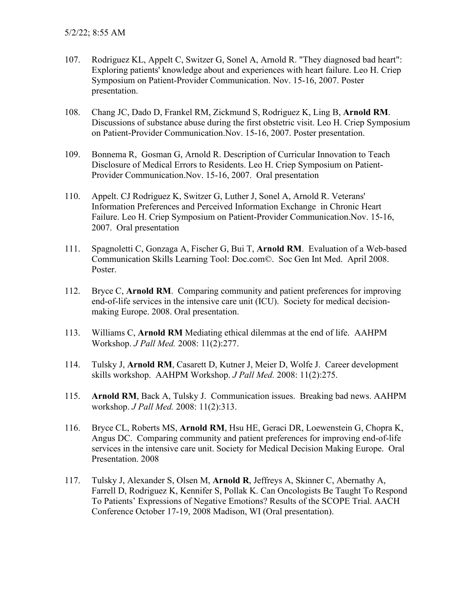- 107. Rodriguez KL, Appelt C, Switzer G, Sonel A, Arnold R. "They diagnosed bad heart": Exploring patients' knowledge about and experiences with heart failure. Leo H. Criep Symposium on Patient-Provider Communication. Nov. 15-16, 2007. Poster presentation.
- 108. Chang JC, Dado D, Frankel RM, Zickmund S, Rodriguez K, Ling B, **Arnold RM**. Discussions of substance abuse during the first obstetric visit. Leo H. Criep Symposium on Patient-Provider Communication.Nov. 15-16, 2007. Poster presentation.
- 109. Bonnema R, Gosman G, Arnold R. Description of Curricular Innovation to Teach Disclosure of Medical Errors to Residents. Leo H. Criep Symposium on Patient-Provider Communication.Nov. 15-16, 2007. Oral presentation
- 110. Appelt. CJ Rodriguez K, Switzer G, Luther J, Sonel A, Arnold R. Veterans' Information Preferences and Perceived Information Exchange in Chronic Heart Failure. Leo H. Criep Symposium on Patient-Provider Communication.Nov. 15-16, 2007. Oral presentation
- 111. Spagnoletti C, Gonzaga A, Fischer G, Bui T, **Arnold RM**. Evaluation of a Web-based Communication Skills Learning Tool: Doc.com©. Soc Gen Int Med. April 2008. Poster.
- 112. Bryce C, **Arnold RM**. Comparing community and patient preferences for improving end-of-life services in the intensive care unit (ICU). Society for medical decisionmaking Europe. 2008. Oral presentation.
- 113. Williams C, **Arnold RM** Mediating ethical dilemmas at the end of life. AAHPM Workshop. *J Pall Med.* 2008: 11(2):277.
- 114. Tulsky J, **Arnold RM**, Casarett D, Kutner J, Meier D, Wolfe J. Career development skills workshop. AAHPM Workshop. *J Pall Med.* 2008: 11(2):275.
- 115. **Arnold RM**, Back A, Tulsky J. Communication issues. Breaking bad news. AAHPM workshop. *J Pall Med.* 2008: 11(2):313.
- 116. Bryce CL, Roberts MS, **Arnold RM**, Hsu HE, Geraci DR, Loewenstein G, Chopra K, Angus DC. Comparing community and patient preferences for improving end-of-life services in the intensive care unit. Society for Medical Decision Making Europe. Oral Presentation. 2008
- 117. Tulsky J, Alexander S, Olsen M, **Arnold R**, Jeffreys A, Skinner C, Abernathy A, Farrell D, Rodriguez K, Kennifer S, Pollak K. Can Oncologists Be Taught To Respond To Patients' Expressions of Negative Emotions? Results of the SCOPE Trial. AACH Conference October 17-19, 2008 Madison, WI (Oral presentation).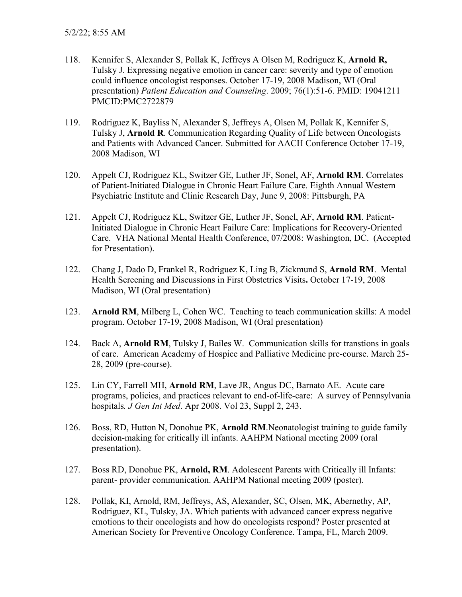- 118. Kennifer S, Alexander S, Pollak K, Jeffreys A Olsen M, Rodriguez K, **Arnold R,** Tulsky J. Expressing negative emotion in cancer care: severity and type of emotion could influence oncologist responses. October 17-19, 2008 Madison, WI (Oral presentation) *Patient Education and Counseling*. 2009; 76(1):51-6. PMID: 19041211 PMCID:PMC2722879
- 119. Rodriguez K, Bayliss N, Alexander S, Jeffreys A, Olsen M, Pollak K, Kennifer S, Tulsky J, **Arnold R**. Communication Regarding Quality of Life between Oncologists and Patients with Advanced Cancer. Submitted for AACH Conference October 17-19, 2008 Madison, WI
- 120. Appelt CJ, Rodriguez KL, Switzer GE, Luther JF, Sonel, AF, **Arnold RM**. Correlates of Patient-Initiated Dialogue in Chronic Heart Failure Care. Eighth Annual Western Psychiatric Institute and Clinic Research Day, June 9, 2008: Pittsburgh, PA
- 121. Appelt CJ, Rodriguez KL, Switzer GE, Luther JF, Sonel, AF, **Arnold RM**. Patient-Initiated Dialogue in Chronic Heart Failure Care: Implications for Recovery-Oriented Care. VHA National Mental Health Conference, 07/2008: Washington, DC. (Accepted for Presentation).
- 122. Chang J, Dado D, Frankel R, Rodriguez K, Ling B, Zickmund S, **Arnold RM**. Mental Health Screening and Discussions in First Obstetrics Visits**.** October 17-19, 2008 Madison, WI (Oral presentation)
- 123. **Arnold RM**, Milberg L, Cohen WC. Teaching to teach communication skills: A model program. October 17-19, 2008 Madison, WI (Oral presentation)
- 124. Back A, **Arnold RM**, Tulsky J, Bailes W. Communication skills for transtions in goals of care. American Academy of Hospice and Palliative Medicine pre-course. March 25- 28, 2009 (pre-course).
- 125. Lin CY, Farrell MH, **Arnold RM**, Lave JR, Angus DC, Barnato AE. Acute care programs, policies, and practices relevant to end-of-life-care: A survey of Pennsylvania hospitals*. J Gen Int Med*. Apr 2008. Vol 23, Suppl 2, 243.
- 126. Boss, RD, Hutton N, Donohue PK, **Arnold RM**.Neonatologist training to guide family decision-making for critically ill infants. AAHPM National meeting 2009 (oral presentation).
- 127. Boss RD, Donohue PK, **Arnold, RM**. Adolescent Parents with Critically ill Infants: parent- provider communication. AAHPM National meeting 2009 (poster).
- 128. Pollak, KI, Arnold, RM, Jeffreys, AS, Alexander, SC, Olsen, MK, Abernethy, AP, Rodriguez, KL, Tulsky, JA. Which patients with advanced cancer express negative emotions to their oncologists and how do oncologists respond? Poster presented at American Society for Preventive Oncology Conference. Tampa, FL, March 2009.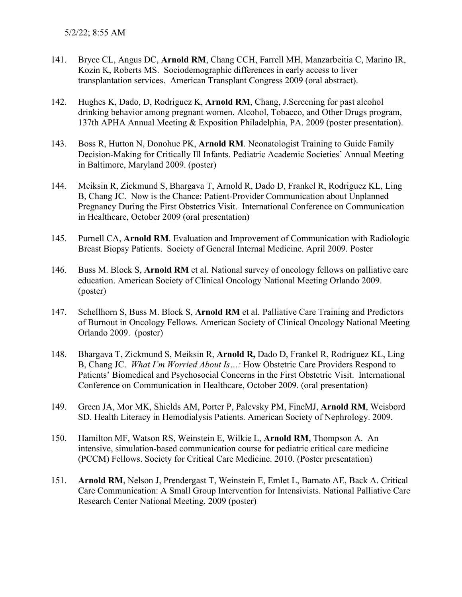- 141. Bryce CL, Angus DC, **Arnold RM**, Chang CCH, Farrell MH, Manzarbeitia C, Marino IR, Kozin K, Roberts MS. Sociodemographic differences in early access to liver transplantation services. American Transplant Congress 2009 (oral abstract).
- 142. Hughes K, Dado, D, Rodriguez K, **Arnold RM**, Chang, J.Screening for past alcohol drinking behavior among pregnant women. Alcohol, Tobacco, and Other Drugs program, 137th APHA Annual Meeting & Exposition Philadelphia, PA. 2009 (poster presentation).
- 143. Boss R, Hutton N, Donohue PK, **Arnold RM**. Neonatologist Training to Guide Family Decision-Making for Critically Ill Infants. Pediatric Academic Societies' Annual Meeting in Baltimore, Maryland 2009. (poster)
- 144. Meiksin R, Zickmund S, Bhargava T, Arnold R, Dado D, Frankel R, Rodriguez KL, Ling B, Chang JC. Now is the Chance: Patient-Provider Communication about Unplanned Pregnancy During the First Obstetrics Visit. International Conference on Communication in Healthcare, October 2009 (oral presentation)
- 145. Purnell CA, **Arnold RM**. Evaluation and Improvement of Communication with Radiologic Breast Biopsy Patients. Society of General Internal Medicine. April 2009. Poster
- 146. Buss M. Block S, **Arnold RM** et al. National survey of oncology fellows on palliative care education. American Society of Clinical Oncology National Meeting Orlando 2009. (poster)
- 147. Schellhorn S, Buss M. Block S, **Arnold RM** et al. Palliative Care Training and Predictors of Burnout in Oncology Fellows. American Society of Clinical Oncology National Meeting Orlando 2009. (poster)
- 148. Bhargava T, Zickmund S, Meiksin R, **Arnold R,** Dado D, Frankel R, Rodriguez KL, Ling B, Chang JC. *What I'm Worried About Is…:* How Obstetric Care Providers Respond to Patients' Biomedical and Psychosocial Concerns in the First Obstetric Visit. International Conference on Communication in Healthcare, October 2009. (oral presentation)
- 149. Green JA, Mor MK, Shields AM, Porter P, Palevsky PM, FineMJ, **Arnold RM**, Weisbord SD. Health Literacy in Hemodialysis Patients. American Society of Nephrology. 2009.
- 150. Hamilton MF, Watson RS, Weinstein E, Wilkie L, **Arnold RM**, Thompson A. An intensive, simulation-based communication course for pediatric critical care medicine (PCCM) Fellows. Society for Critical Care Medicine. 2010. (Poster presentation)
- 151. **Arnold RM**, Nelson J, Prendergast T, Weinstein E, Emlet L, Barnato AE, Back A. Critical Care Communication: A Small Group Intervention for Intensivists. National Palliative Care Research Center National Meeting. 2009 (poster)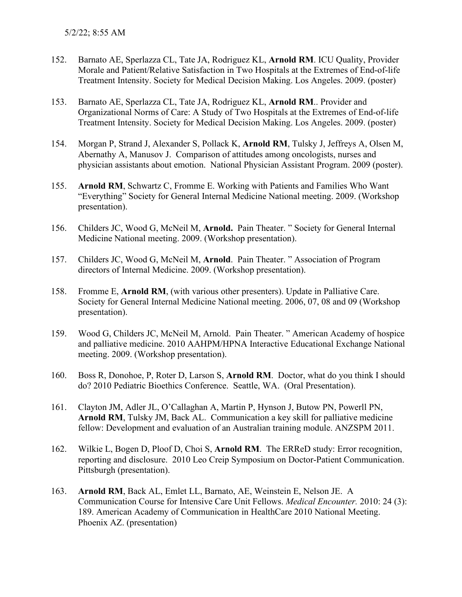- 152. Barnato AE, Sperlazza CL, Tate JA, Rodriguez KL, **Arnold RM**. ICU Quality, Provider Morale and Patient/Relative Satisfaction in Two Hospitals at the Extremes of End-of-life Treatment Intensity. Society for Medical Decision Making. Los Angeles. 2009. (poster)
- 153. Barnato AE, Sperlazza CL, Tate JA, Rodriguez KL, **Arnold RM**.. Provider and Organizational Norms of Care: A Study of Two Hospitals at the Extremes of End-of-life Treatment Intensity. Society for Medical Decision Making. Los Angeles. 2009. (poster)
- 154. Morgan P, Strand J, Alexander S, Pollack K, **Arnold RM**, Tulsky J, Jeffreys A, Olsen M, Abernathy A, Manusov J. Comparison of attitudes among oncologists, nurses and physician assistants about emotion. National Physician Assistant Program. 2009 (poster).
- 155. **Arnold RM**, Schwartz C, Fromme E. Working with Patients and Families Who Want "Everything" Society for General Internal Medicine National meeting. 2009. (Workshop presentation).
- 156. Childers JC, Wood G, McNeil M, **Arnold.** Pain Theater. " Society for General Internal Medicine National meeting. 2009. (Workshop presentation).
- 157. Childers JC, Wood G, McNeil M, **Arnold**. Pain Theater. " Association of Program directors of Internal Medicine. 2009. (Workshop presentation).
- 158. Fromme E, **Arnold RM**, (with various other presenters). Update in Palliative Care. Society for General Internal Medicine National meeting. 2006, 07, 08 and 09 (Workshop presentation).
- 159. Wood G, Childers JC, McNeil M, Arnold. Pain Theater. " American Academy of hospice and palliative medicine. 2010 AAHPM/HPNA Interactive Educational Exchange National meeting. 2009. (Workshop presentation).
- 160. Boss R, Donohoe, P, Roter D, Larson S, **Arnold RM**. Doctor, what do you think I should do? 2010 Pediatric Bioethics Conference. Seattle, WA. (Oral Presentation).
- 161. Clayton JM, Adler JL, O'Callaghan A, Martin P, Hynson J, Butow PN, Powerll PN, **Arnold RM**, Tulsky JM, Back AL. Communication a key skill for palliative medicine fellow: Development and evaluation of an Australian training module. ANZSPM 2011.
- 162. Wilkie L, Bogen D, Ploof D, Choi S, **Arnold RM**. The ERReD study: Error recognition, reporting and disclosure. 2010 Leo Creip Symposium on Doctor-Patient Communication. Pittsburgh (presentation).
- 163. **Arnold RM**, Back AL, Emlet LL, Barnato, AE, Weinstein E, Nelson JE. A Communication Course for Intensive Care Unit Fellows. *Medical Encounter.* 2010: 24 (3): 189. American Academy of Communication in HealthCare 2010 National Meeting. Phoenix AZ. (presentation)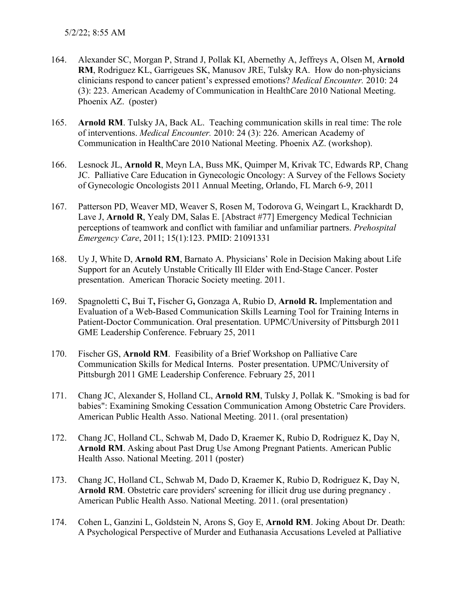- 164. Alexander SC, Morgan P, Strand J, Pollak KI, Abernethy A, Jeffreys A, Olsen M, **Arnold RM**, Rodriguez KL, Garrigeues SK, Manusov JRE, Tulsky RA. How do non-physicians clinicians respond to cancer patient's expressed emotions? *Medical Encounter.* 2010: 24 (3): 223. American Academy of Communication in HealthCare 2010 National Meeting. Phoenix AZ. (poster)
- 165. **Arnold RM**. Tulsky JA, Back AL. Teaching communication skills in real time: The role of interventions. *Medical Encounter.* 2010: 24 (3): 226. American Academy of Communication in HealthCare 2010 National Meeting. Phoenix AZ. (workshop).
- 166. Lesnock JL, **Arnold R**, Meyn LA, Buss MK, Quimper M, Krivak TC, Edwards RP, Chang JC. Palliative Care Education in Gynecologic Oncology: A Survey of the Fellows Society of Gynecologic Oncologists 2011 Annual Meeting, Orlando, FL March 6-9, 2011
- 167. Patterson PD, Weaver MD, Weaver S, Rosen M, Todorova G, Weingart L, Krackhardt D, Lave J, **Arnold R**, Yealy DM, Salas E. [Abstract #77] Emergency Medical Technician perceptions of teamwork and conflict with familiar and unfamiliar partners. *Prehospital Emergency Care*, 2011; 15(1):123. PMID: 21091331
- 168. Uy J, White D, **Arnold RM**, Barnato A. Physicians' Role in Decision Making about Life Support for an Acutely Unstable Critically Ill Elder with End-Stage Cancer. Poster presentation. American Thoracic Society meeting. 2011.
- 169. Spagnoletti C**,** Bui T**,** Fischer G**,** Gonzaga A, Rubio D, **Arnold R.** Implementation and Evaluation of a Web-Based Communication Skills Learning Tool for Training Interns in Patient-Doctor Communication. Oral presentation. UPMC/University of Pittsburgh 2011 GME Leadership Conference. February 25, 2011
- 170. Fischer GS, **Arnold RM**. Feasibility of a Brief Workshop on Palliative Care Communication Skills for Medical Interns. Poster presentation. UPMC/University of Pittsburgh 2011 GME Leadership Conference. February 25, 2011
- 171. Chang JC, Alexander S, Holland CL, **Arnold RM**, Tulsky J, Pollak K. "Smoking is bad for babies": Examining Smoking Cessation Communication Among Obstetric Care Providers. American Public Health Asso. National Meeting. 2011. (oral presentation)
- 172. Chang JC, Holland CL, Schwab M, Dado D, Kraemer K, Rubio D, Rodriguez K, Day N, **Arnold RM**. Asking about Past Drug Use Among Pregnant Patients. American Public Health Asso. National Meeting. 2011 (poster)
- 173. Chang JC, Holland CL, Schwab M, Dado D, Kraemer K, Rubio D, Rodriguez K, Day N, **Arnold RM**. Obstetric care providers' screening for illicit drug use during pregnancy . American Public Health Asso. National Meeting. 2011. (oral presentation)
- 174. Cohen L, Ganzini L, Goldstein N, Arons S, Goy E, **Arnold RM**. Joking About Dr. Death: A Psychological Perspective of Murder and Euthanasia Accusations Leveled at Palliative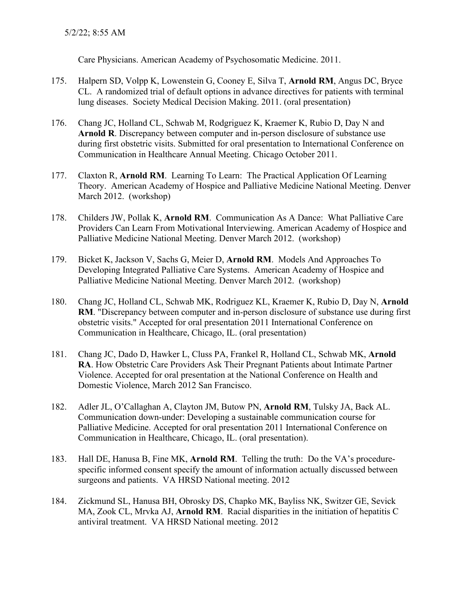Care Physicians. American Academy of Psychosomatic Medicine. 2011.

- 175. Halpern SD, Volpp K, Lowenstein G, Cooney E, Silva T, **Arnold RM**, Angus DC, Bryce CL. A randomized trial of default options in advance directives for patients with terminal lung diseases. Society Medical Decision Making. 2011. (oral presentation)
- 176. Chang JC, Holland CL, Schwab M, Rodgriguez K, Kraemer K, Rubio D, Day N and **Arnold R**. Discrepancy between computer and in-person disclosure of substance use during first obstetric visits. Submitted for oral presentation to International Conference on Communication in Healthcare Annual Meeting. Chicago October 2011.
- 177. Claxton R, **Arnold RM**. Learning To Learn: The Practical Application Of Learning Theory. American Academy of Hospice and Palliative Medicine National Meeting. Denver March 2012. (workshop)
- 178. Childers JW, Pollak K, **Arnold RM**. Communication As A Dance: What Palliative Care Providers Can Learn From Motivational Interviewing. American Academy of Hospice and Palliative Medicine National Meeting. Denver March 2012. (workshop)
- 179. Bicket K, Jackson V, Sachs G, Meier D, **Arnold RM**. Models And Approaches To Developing Integrated Palliative Care Systems. American Academy of Hospice and Palliative Medicine National Meeting. Denver March 2012. (workshop)
- 180. Chang JC, Holland CL, Schwab MK, Rodriguez KL, Kraemer K, Rubio D, Day N, **Arnold RM**. "Discrepancy between computer and in-person disclosure of substance use during first obstetric visits." Accepted for oral presentation 2011 International Conference on Communication in Healthcare, Chicago, IL. (oral presentation)
- 181. Chang JC, Dado D, Hawker L, Cluss PA, Frankel R, Holland CL, Schwab MK, **Arnold RA**. How Obstetric Care Providers Ask Their Pregnant Patients about Intimate Partner Violence. Accepted for oral presentation at the National Conference on Health and Domestic Violence, March 2012 San Francisco.
- 182. Adler JL, O'Callaghan A, Clayton JM, Butow PN, **Arnold RM**, Tulsky JA, Back AL. Communication down-under: Developing a sustainable communication course for Palliative Medicine. Accepted for oral presentation 2011 International Conference on Communication in Healthcare, Chicago, IL. (oral presentation).
- 183. Hall DE, Hanusa B, Fine MK, **Arnold RM**. Telling the truth: Do the VA's procedurespecific informed consent specify the amount of information actually discussed between surgeons and patients. VA HRSD National meeting. 2012
- 184. Zickmund SL, Hanusa BH, Obrosky DS, Chapko MK, Bayliss NK, Switzer GE, Sevick MA, Zook CL, Mrvka AJ, **Arnold RM**. Racial disparities in the initiation of hepatitis C antiviral treatment. VA HRSD National meeting. 2012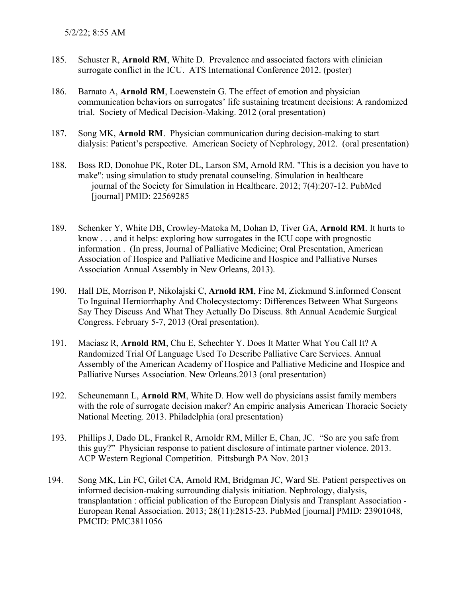- 185. Schuster R, **Arnold RM**, White D. Prevalence and associated factors with clinician surrogate conflict in the ICU. ATS International Conference 2012. (poster)
- 186. Barnato A, **Arnold RM**, Loewenstein G. The effect of emotion and physician communication behaviors on surrogates' life sustaining treatment decisions: A randomized trial. Society of Medical Decision-Making. 2012 (oral presentation)
- 187. Song MK, **Arnold RM**. Physician communication during decision-making to start dialysis: Patient's perspective. American Society of Nephrology, 2012. (oral presentation)
- 188. Boss RD, Donohue PK, Roter DL, Larson SM, Arnold RM. "This is a decision you have to make": using simulation to study prenatal counseling. Simulation in healthcare journal of the Society for Simulation in Healthcare. 2012; 7(4):207-12. PubMed [journal] PMID: 22569285
- 189. Schenker Y, White DB, Crowley-Matoka M, Dohan D, Tiver GA, **Arnold RM**. It hurts to know . . . and it helps: exploring how surrogates in the ICU cope with prognostic information . (In press, Journal of Palliative Medicine; Oral Presentation, American Association of Hospice and Palliative Medicine and Hospice and Palliative Nurses Association Annual Assembly in New Orleans, 2013).
- 190. Hall DE, Morrison P, Nikolajski C, **Arnold RM**, Fine M, Zickmund S.informed Consent To Inguinal Herniorrhaphy And Cholecystectomy: Differences Between What Surgeons Say They Discuss And What They Actually Do Discuss. 8th Annual Academic Surgical Congress. February 5-7, 2013 (Oral presentation).
- 191. Maciasz R, **Arnold RM**, Chu E, Schechter Y. Does It Matter What You Call It? A Randomized Trial Of Language Used To Describe Palliative Care Services. Annual Assembly of the American Academy of Hospice and Palliative Medicine and Hospice and Palliative Nurses Association. New Orleans.2013 (oral presentation)
- 192. Scheunemann L, **Arnold RM**, White D. How well do physicians assist family members with the role of surrogate decision maker? An empiric analysis American Thoracic Society National Meeting. 2013. Philadelphia (oral presentation)
- 193. Phillips J, Dado DL, Frankel R, Arnoldr RM, Miller E, Chan, JC. "So are you safe from this guy?" Physician response to patient disclosure of intimate partner violence. 2013. ACP Western Regional Competition. Pittsburgh PA Nov. 2013
- 194. Song MK, Lin FC, Gilet CA, Arnold RM, Bridgman JC, Ward SE. Patient perspectives on informed decision-making surrounding dialysis initiation. Nephrology, dialysis, transplantation : official publication of the European Dialysis and Transplant Association - European Renal Association. 2013; 28(11):2815-23. PubMed [journal] PMID: 23901048, PMCID: PMC3811056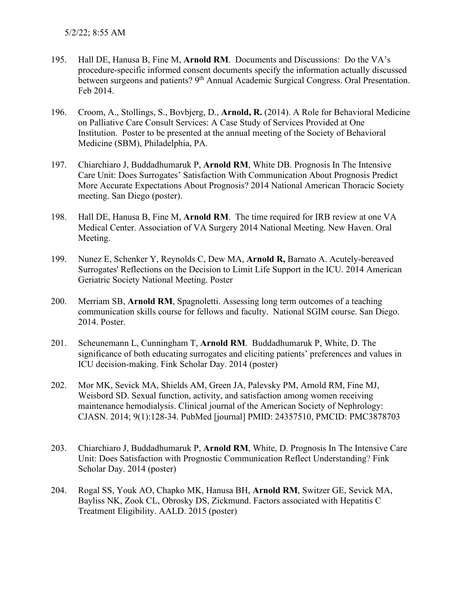- 195. Hall DE, Hanusa B, Fine M, **Arnold RM**. Documents and Discussions: Do the VA's procedure-specific informed consent documents specify the information actually discussed between surgeons and patients? 9<sup>th</sup> Annual Academic Surgical Congress. Oral Presentation. Feb 2014.
- 196. Croom, A., Stollings, S., Bovbjerg, D., **Arnold, R.** (2014). A Role for Behavioral Medicine on Palliative Care Consult Services: A Case Study of Services Provided at One Institution. Poster to be presented at the annual meeting of the Society of Behavioral Medicine (SBM), Philadelphia, PA.
- 197. Chiarchiaro J, Buddadhumaruk P, **Arnold RM**, White DB. Prognosis In The Intensive Care Unit: Does Surrogates' Satisfaction With Communication About Prognosis Predict More Accurate Expectations About Prognosis? 2014 National American Thoracic Society meeting. San Diego (poster).
- 198. Hall DE, Hanusa B, Fine M, **Arnold RM**. The time required for IRB review at one VA Medical Center. Association of VA Surgery 2014 National Meeting. New Haven. Oral Meeting.
- 199. Nunez E, Schenker Y, Reynolds C, Dew MA, **Arnold R,** Barnato A. Acutely-bereaved Surrogates' Reflections on the Decision to Limit Life Support in the ICU. 2014 American Geriatric Society National Meeting. Poster
- 200. Merriam SB, **Arnold RM**, Spagnoletti. Assessing long term outcomes of a teaching communication skills course for fellows and faculty. National SGIM course. San Diego. 2014. Poster.
- 201. Scheunemann L, Cunningham T, **Arnold RM**. Buddadhumaruk P, White, D. The significance of both educating surrogates and eliciting patients' preferences and values in ICU decision-making. Fink Scholar Day. 2014 (poster)
- 202. Mor MK, Sevick MA, Shields AM, Green JA, Palevsky PM, Arnold RM, Fine MJ, Weisbord SD. Sexual function, activity, and satisfaction among women receiving maintenance hemodialysis. Clinical journal of the American Society of Nephrology: CJASN. 2014; 9(1):128-34. PubMed [journal] PMID: 24357510, PMCID: PMC3878703
- 203. Chiarchiaro J, Buddadhumaruk P, **Arnold RM**, White, D. Prognosis In The Intensive Care Unit: Does Satisfaction with Prognostic Communication Reflect Understanding? Fink Scholar Day. 2014 (poster)
- 204. Rogal SS, Youk AO, Chapko MK, Hanusa BH, **Arnold RM**, Switzer GE, Sevick MA, Bayliss NK, Zook CL, Obrosky DS, Zickmund. Factors associated with Hepatitis C Treatment Eligibility. AALD. 2015 (poster)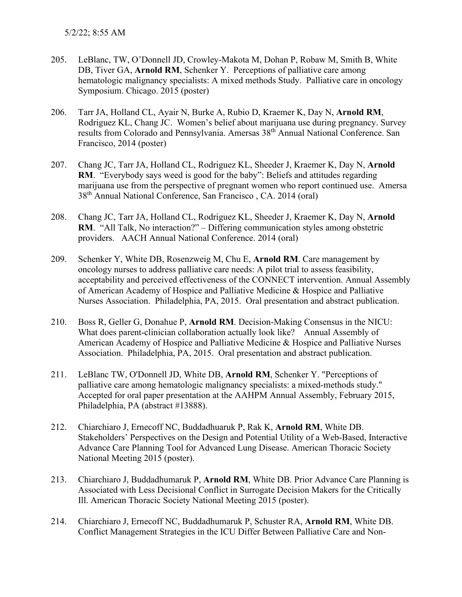- 205. LeBlanc, TW, O'Donnell JD, Crowley-Makota M, Dohan P, Robaw M, Smith B, White DB, Tiver GA, **Arnold RM**, Schenker Y. Perceptions of palliative care among hematologic malignancy specialists: A mixed methods Study. Palliative care in oncology Symposium. Chicago. 2015 (poster)
- 206. Tarr JA, Holland CL, Ayair N, Burke A, Rubio D, Kraemer K, Day N, **Arnold RM**, Rodriguez KL, Chang JC. Women's belief about marijuana use during pregnancy. Survey results from Colorado and Pennsylvania. Amersas 38<sup>th</sup> Annual National Conference. San Francisco, 2014 (poster)
- 207. Chang JC, Tarr JA, Holland CL, Rodriguez KL, Sheeder J, Kraemer K, Day N, **Arnold RM**. "Everybody says weed is good for the baby": Beliefs and attitudes regarding marijuana use from the perspective of pregnant women who report continued use. Amersa 38th Annual National Conference, San Francisco , CA. 2014 (oral)
- 208. Chang JC, Tarr JA, Holland CL, Rodriguez KL, Sheeder J, Kraemer K, Day N, **Arnold RM**. "All Talk, No interaction?" – Differing communication styles among obstetric providers. AACH Annual National Conference. 2014 (oral)
- 209. Schenker Y, White DB, Rosenzweig M, Chu E, **Arnold RM**. Care management by oncology nurses to address palliative care needs: A pilot trial to assess feasibility, acceptability and perceived effectiveness of the CONNECT intervention. Annual Assembly of American Academy of Hospice and Palliative Medicine & Hospice and Palliative Nurses Association. Philadelphia, PA, 2015. Oral presentation and abstract publication.
- 210. Boss R, Geller G, Donahue P, **Arnold RM**. Decision-Making Consensus in the NICU: What does parent-clinician collaboration actually look like? Annual Assembly of American Academy of Hospice and Palliative Medicine & Hospice and Palliative Nurses Association. Philadelphia, PA, 2015. Oral presentation and abstract publication.
- 211. LeBlanc TW, O'Donnell JD, White DB, **Arnold RM**, Schenker Y. "Perceptions of palliative care among hematologic malignancy specialists: a mixed-methods study." Accepted for oral paper presentation at the AAHPM Annual Assembly, February 2015, Philadelphia, PA (abstract #13888).
- 212. Chiarchiaro J, Ernecoff NC, Buddadhuaruk P, Rak K, **Arnold RM**, White DB. Stakeholders' Perspectives on the Design and Potential Utility of a Web-Based, Interactive Advance Care Planning Tool for Advanced Lung Disease. American Thoracic Society National Meeting 2015 (poster).
- 213. Chiarchiaro J, Buddadhumaruk P, **Arnold RM**, White DB. Prior Advance Care Planning is Associated with Less Decisional Conflict in Surrogate Decision Makers for the Critically Ill. American Thoracic Society National Meeting 2015 (poster).
- 214. Chiarchiaro J, Ernecoff NC, Buddadhumaruk P, Schuster RA, **Arnold RM**, White DB. Conflict Management Strategies in the ICU Differ Between Palliative Care and Non-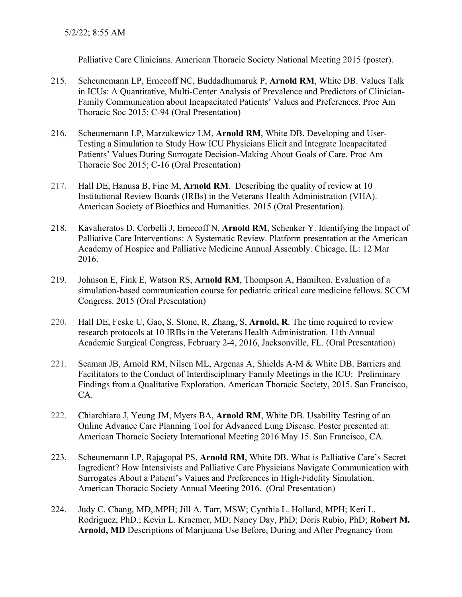Palliative Care Clinicians. American Thoracic Society National Meeting 2015 (poster).

- 215. Scheunemann LP, Ernecoff NC, Buddadhumaruk P, **Arnold RM**, White DB. Values Talk in ICUs: A Quantitative, Multi-Center Analysis of Prevalence and Predictors of Clinician-Family Communication about Incapacitated Patients' Values and Preferences. Proc Am Thoracic Soc 2015; C-94 (Oral Presentation)
- 216. Scheunemann LP, Marzukewicz LM, **Arnold RM**, White DB. Developing and User-Testing a Simulation to Study How ICU Physicians Elicit and Integrate Incapacitated Patients' Values During Surrogate Decision-Making About Goals of Care. Proc Am Thoracic Soc 2015; C-16 (Oral Presentation)
- 217. Hall DE, Hanusa B, Fine M, **Arnold RM**. Describing the quality of review at 10 Institutional Review Boards (IRBs) in the Veterans Health Administration (VHA). American Society of Bioethics and Humanities. 2015 (Oral Presentation).
- 218. Kavalieratos D, Corbelli J, Ernecoff N, **Arnold RM**, Schenker Y. Identifying the Impact of Palliative Care Interventions: A Systematic Review. Platform presentation at the American Academy of Hospice and Palliative Medicine Annual Assembly. Chicago, IL: 12 Mar 2016.
- 219. Johnson E, Fink E, Watson RS, **Arnold RM**, Thompson A, Hamilton. Evaluation of a simulation-based communication course for pediatric critical care medicine fellows. SCCM Congress. 2015 (Oral Presentation)
- 220. Hall DE, Feske U, Gao, S, Stone, R, Zhang, S, **Arnold, R**. The time required to review research protocols at 10 IRBs in the Veterans Health Administration. 11th Annual Academic Surgical Congress, February 2-4, 2016, Jacksonville, FL. (Oral Presentation)
- 221. Seaman JB, Arnold RM, Nilsen ML, Argenas A, Shields A-M & White DB. Barriers and Facilitators to the Conduct of Interdisciplinary Family Meetings in the ICU: Preliminary Findings from a Qualitative Exploration. American Thoracic Society, 2015. San Francisco, CA.
- 222. Chiarchiaro J, Yeung JM, Myers BA, **Arnold RM**, White DB. Usability Testing of an Online Advance Care Planning Tool for Advanced Lung Disease. Poster presented at: American Thoracic Society International Meeting 2016 May 15. San Francisco, CA.
- 223. Scheunemann LP, Rajagopal PS, **Arnold RM**, White DB. What is Palliative Care's Secret Ingredient? How Intensivists and Palliative Care Physicians Navigate Communication with Surrogates About a Patient's Values and Preferences in High-Fidelity Simulation. American Thoracic Society Annual Meeting 2016. (Oral Presentation)
- 224. Judy C. Chang, MD,.MPH; Jill A. Tarr, MSW; Cynthia L. Holland, MPH; Keri L. Rodriguez, PhD.; Kevin L. Kraemer, MD; Nancy Day, PhD; Doris Rubio, PhD; **Robert M. Arnold, MD** Descriptions of Marijuana Use Before, During and After Pregnancy from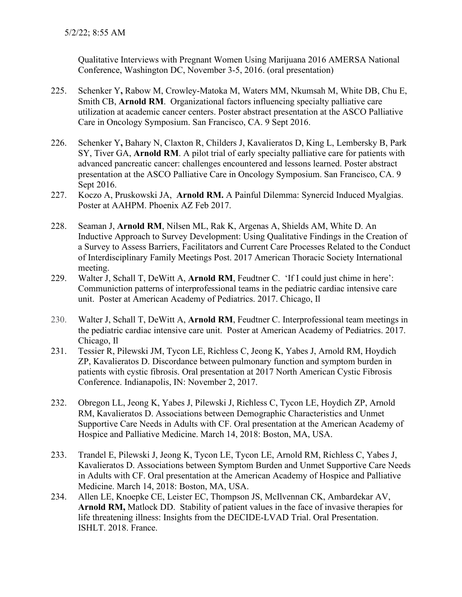Qualitative Interviews with Pregnant Women Using Marijuana 2016 AMERSA National Conference, Washington DC, November 3-5, 2016. (oral presentation)

- 225. Schenker Y**,** Rabow M, Crowley-Matoka M, Waters MM, Nkumsah M, White DB, Chu E, Smith CB, **Arnold RM**. Organizational factors influencing specialty palliative care utilization at academic cancer centers. Poster abstract presentation at the ASCO Palliative Care in Oncology Symposium. San Francisco, CA. 9 Sept 2016.
- 226. Schenker Y**,** Bahary N, Claxton R, Childers J, Kavalieratos D, King L, Lembersky B, Park SY, Tiver GA, **Arnold RM**. A pilot trial of early specialty palliative care for patients with advanced pancreatic cancer: challenges encountered and lessons learned. Poster abstract presentation at the ASCO Palliative Care in Oncology Symposium. San Francisco, CA. 9 Sept 2016.
- 227. Koczo A, Pruskowski JA, **Arnold RM.** A Painful Dilemma: Synercid Induced Myalgias. Poster at AAHPM. Phoenix AZ Feb 2017.
- 228. Seaman J, **Arnold RM**, Nilsen ML, Rak K, Argenas A, Shields AM, White D. An Inductive Approach to Survey Development: Using Qualitative Findings in the Creation of a Survey to Assess Barriers, Facilitators and Current Care Processes Related to the Conduct of Interdisciplinary Family Meetings Post. 2017 American Thoracic Society International meeting.
- 229. Walter J, Schall T, DeWitt A, **Arnold RM**, Feudtner C. 'If I could just chime in here': Communiction patterns of interprofessional teams in the pediatric cardiac intensive care unit. Poster at American Academy of Pediatrics. 2017. Chicago, Il
- 230. Walter J, Schall T, DeWitt A, **Arnold RM**, Feudtner C. Interprofessional team meetings in the pediatric cardiac intensive care unit. Poster at American Academy of Pediatrics. 2017. Chicago, Il
- 231. Tessier R, Pilewski JM, Tycon LE, Richless C, Jeong K, Yabes J, Arnold RM, Hoydich ZP, Kavalieratos D. Discordance between pulmonary function and symptom burden in patients with cystic fibrosis. Oral presentation at 2017 North American Cystic Fibrosis Conference. Indianapolis, IN: November 2, 2017.
- 232. Obregon LL, Jeong K, Yabes J, Pilewski J, Richless C, Tycon LE, Hoydich ZP, Arnold RM, Kavalieratos D. Associations between Demographic Characteristics and Unmet Supportive Care Needs in Adults with CF. Oral presentation at the American Academy of Hospice and Palliative Medicine. March 14, 2018: Boston, MA, USA.
- 233. Trandel E, Pilewski J, Jeong K, Tycon LE, Tycon LE, Arnold RM, Richless C, Yabes J, Kavalieratos D. Associations between Symptom Burden and Unmet Supportive Care Needs in Adults with CF. Oral presentation at the American Academy of Hospice and Palliative Medicine. March 14, 2018: Boston, MA, USA.
- 234. Allen LE, Knoepke CE, Leister EC, Thompson JS, McIlvennan CK, Ambardekar AV, **Arnold RM,** Matlock DD. Stability of patient values in the face of invasive therapies for life threatening illness: Insights from the DECIDE-LVAD Trial. Oral Presentation. ISHLT. 2018. France.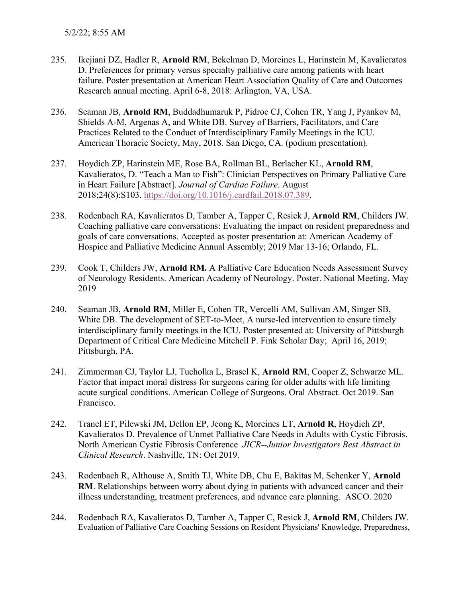- 235. Ikejiani DZ, Hadler R, **Arnold RM**, Bekelman D, Moreines L, Harinstein M, Kavalieratos D. Preferences for primary versus specialty palliative care among patients with heart failure. Poster presentation at American Heart Association Quality of Care and Outcomes Research annual meeting. April 6-8, 2018: Arlington, VA, USA.
- 236. Seaman JB, **Arnold RM**, Buddadhumaruk P, Pidroc CJ, Cohen TR, Yang J, Pyankov M, Shields A-M, Argenas A, and White DB. Survey of Barriers, Facilitators, and Care Practices Related to the Conduct of Interdisciplinary Family Meetings in the ICU. American Thoracic Society, May, 2018. San Diego, CA. (podium presentation).
- 237. Hoydich ZP, Harinstein ME, Rose BA, Rollman BL, Berlacher KL, **Arnold RM**, Kavalieratos, D. "Teach a Man to Fish": Clinician Perspectives on Primary Palliative Care in Heart Failure [Abstract]. *Journal of Cardiac Failure*. August 2018;24(8):S103. [https://doi.org/10.1016/j.cardfail.2018.07.389.](https://doi.org/10.1016/j.cardfail.2018.07.389)
- 238. Rodenbach RA, Kavalieratos D, Tamber A, Tapper C, Resick J, **Arnold RM**, Childers JW. Coaching palliative care conversations: Evaluating the impact on resident preparedness and goals of care conversations. Accepted as poster presentation at: American Academy of Hospice and Palliative Medicine Annual Assembly; 2019 Mar 13-16; Orlando, FL.
- 239. Cook T, Childers JW, **Arnold RM.** A Palliative Care Education Needs Assessment Survey of Neurology Residents. American Academy of Neurology. Poster. National Meeting. May 2019
- 240. Seaman JB, **Arnold RM**, Miller E, Cohen TR, Vercelli AM, Sullivan AM, Singer SB, White DB. The development of SET-to-Meet, A nurse-led intervention to ensure timely interdisciplinary family meetings in the ICU. Poster presented at: University of Pittsburgh Department of Critical Care Medicine Mitchell P. Fink Scholar Day; April 16, 2019; Pittsburgh, PA.
- 241. Zimmerman CJ, Taylor LJ, Tucholka L, Brasel K, **Arnold RM**, Cooper Z, Schwarze ML. Factor that impact moral distress for surgeons caring for older adults with life limiting acute surgical conditions. American College of Surgeons. Oral Abstract. Oct 2019. San Francisco.
- 242. Tranel ET, Pilewski JM, Dellon EP, Jeong K, Moreines LT, **Arnold R**, Hoydich ZP, Kavalieratos D. Prevalence of Unmet Palliative Care Needs in Adults with Cystic Fibrosis. North American Cystic Fibrosis Conference *JICR--Junior Investigators Best Abstract in Clinical Research*. Nashville, TN: Oct 2019.
- 243. Rodenbach R, Althouse A, Smith TJ, White DB, Chu E, Bakitas M, Schenker Y, **Arnold RM**. Relationships between worry about dying in patients with advanced cancer and their illness understanding, treatment preferences, and advance care planning. ASCO. 2020
- 244. Rodenbach RA, Kavalieratos D, Tamber A, Tapper C, Resick J, **Arnold RM**, Childers JW. Evaluation of Palliative Care Coaching Sessions on Resident Physicians' Knowledge, Preparedness,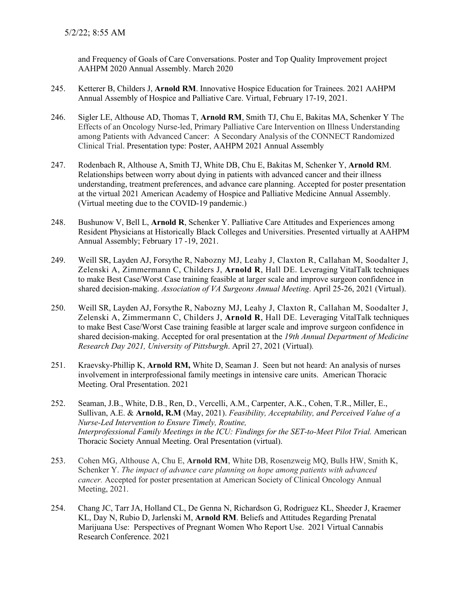and Frequency of Goals of Care Conversations. Poster and Top Quality Improvement project AAHPM 2020 Annual Assembly. March 2020

- 245. Ketterer B, Childers J, **Arnold RM**. Innovative Hospice Education for Trainees. 2021 AAHPM Annual Assembly of Hospice and Palliative Care. Virtual, February 17-19, 2021.
- 246. Sigler LE, Althouse AD, Thomas T, **Arnold RM**, Smith TJ, Chu E, Bakitas MA, Schenker Y The Effects of an Oncology Nurse-led, Primary Palliative Care Intervention on Illness Understanding among Patients with Advanced Cancer: A Secondary Analysis of the CONNECT Randomized Clinical Trial. Presentation type: Poster, AAHPM 2021 Annual Assembly
- 247. Rodenbach R, Althouse A, Smith TJ, White DB, Chu E, Bakitas M, Schenker Y, **Arnold R**M. Relationships between worry about dying in patients with advanced cancer and their illness understanding, treatment preferences, and advance care planning. Accepted for poster presentation at the virtual 2021 American Academy of Hospice and Palliative Medicine Annual Assembly. (Virtual meeting due to the COVID-19 pandemic.)
- 248. Bushunow V, Bell L, **Arnold R**, Schenker Y. Palliative Care Attitudes and Experiences among Resident Physicians at Historically Black Colleges and Universities. Presented virtually at AAHPM Annual Assembly; February 17 -19, 2021.
- 249. Weill SR, Layden AJ, Forsythe R, Nabozny MJ, Leahy J, Claxton R, Callahan M, Soodalter J, Zelenski A, Zimmermann C, Childers J, **Arnold R**, Hall DE. Leveraging VitalTalk techniques to make Best Case/Worst Case training feasible at larger scale and improve surgeon confidence in shared decision-making. *Association of VA Surgeons Annual Meeting*. April 25-26, 2021 (Virtual).
- 250. Weill SR, Layden AJ, Forsythe R, Nabozny MJ, Leahy J, Claxton R, Callahan M, Soodalter J, Zelenski A, Zimmermann C, Childers J, **Arnold R**, Hall DE. Leveraging VitalTalk techniques to make Best Case/Worst Case training feasible at larger scale and improve surgeon confidence in shared decision-making. Accepted for oral presentation at the *19th Annual Department of Medicine Research Day 2021, University of Pittsburgh*. April 27, 2021 (Virtual)*.*
- 251. Kraevsky-Phillip K, **Arnold RM,** White D, Seaman J. Seen but not heard: An analysis of nurses involvement in interprofessional family meetings in intensive care units. American Thoracic Meeting. Oral Presentation. 2021
- 252. Seaman, J.B., White, D.B., Ren, D., Vercelli, A.M., Carpenter, A.K., Cohen, T.R., Miller, E., Sullivan, A.E. & **Arnold, R.M** (May, 2021). *Feasibility, Acceptability, and Perceived Value of a Nurse-Led Intervention to Ensure Timely, Routine, Interprofessional Family Meetings in the ICU: Findings for the SET-to-Meet Pilot Trial.* American Thoracic Society Annual Meeting. Oral Presentation (virtual).
- 253. Cohen MG, Althouse A, Chu E, **Arnold RM**, White DB, Rosenzweig MQ, Bulls HW, Smith K, Schenker Y. *The impact of advance care planning on hope among patients with advanced cancer.* Accepted for poster presentation at American Society of Clinical Oncology Annual Meeting, 2021.
- 254. Chang JC, Tarr JA, Holland CL, De Genna N, Richardson G, Rodriguez KL, Sheeder J, Kraemer KL, Day N, Rubio D, Jarlenski M, **Arnold RM**. Beliefs and Attitudes Regarding Prenatal Marijuana Use: Perspectives of Pregnant Women Who Report Use. 2021 Virtual Cannabis Research Conference. 2021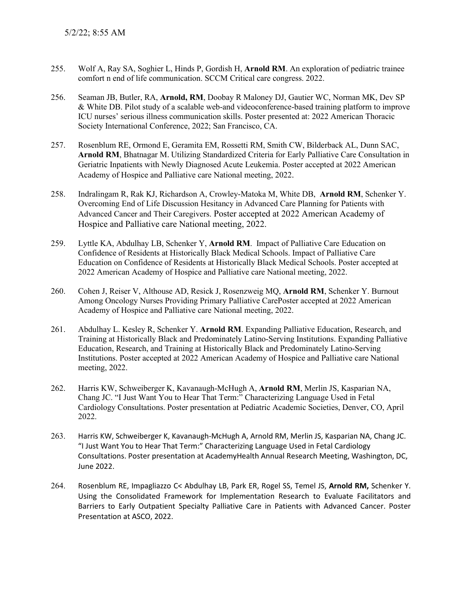- 255. Wolf A, Ray SA, Soghier L, Hinds P, Gordish H, **Arnold RM**. An exploration of pediatric trainee comfort n end of life communication. SCCM Critical care congress. 2022.
- 256. Seaman JB, Butler, RA, **Arnold, RM**, Doobay R Maloney DJ, Gautier WC, Norman MK, Dev SP & White DB. Pilot study of a scalable web-and videoconference-based training platform to improve ICU nurses' serious illness communication skills. Poster presented at: 2022 American Thoracic Society International Conference, 2022; San Francisco, CA.
- 257. Rosenblum RE, Ormond E, Geramita EM, Rossetti RM, Smith CW, Bilderback AL, Dunn SAC, **Arnold RM**, Bhatnagar M. Utilizing Standardized Criteria for Early Palliative Care Consultation in Geriatric Inpatients with Newly Diagnosed Acute Leukemia. Poster accepted at 2022 American Academy of Hospice and Palliative care National meeting, 2022.
- 258. Indralingam R, Rak KJ, Richardson A, Crowley-Matoka M, White DB, **Arnold RM**, Schenker Y. Overcoming End of Life Discussion Hesitancy in Advanced Care Planning for Patients with Advanced Cancer and Their Caregivers. Poster accepted at 2022 American Academy of Hospice and Palliative care National meeting, 2022.
- 259. Lyttle KA, Abdulhay LB, Schenker Y, **Arnold RM**. Impact of Palliative Care Education on Confidence of Residents at Historically Black Medical Schools. Impact of Palliative Care Education on Confidence of Residents at Historically Black Medical Schools. Poster accepted at 2022 American Academy of Hospice and Palliative care National meeting, 2022.
- 260. Cohen J, Reiser V, Althouse AD, Resick J, Rosenzweig MQ, **Arnold RM**, Schenker Y. Burnout Among Oncology Nurses Providing Primary Palliative CarePoster accepted at 2022 American Academy of Hospice and Palliative care National meeting, 2022.
- 261. Abdulhay L. Kesley R, Schenker Y. **Arnold RM**. Expanding Palliative Education, Research, and Training at Historically Black and Predominately Latino-Serving Institutions. Expanding Palliative Education, Research, and Training at Historically Black and Predominately Latino-Serving Institutions. Poster accepted at 2022 American Academy of Hospice and Palliative care National meeting, 2022.
- 262. Harris KW, Schweiberger K, Kavanaugh-McHugh A, **Arnold RM**, Merlin JS, Kasparian NA, Chang JC. "I Just Want You to Hear That Term:" Characterizing Language Used in Fetal Cardiology Consultations. Poster presentation at Pediatric Academic Societies, Denver, CO, April 2022.
- 263. Harris KW, Schweiberger K, Kavanaugh-McHugh A, Arnold RM, Merlin JS, Kasparian NA, Chang JC. "I Just Want You to Hear That Term:" Characterizing Language Used in Fetal Cardiology Consultations. Poster presentation at AcademyHealth Annual Research Meeting, Washington, DC, June 2022.
- 264. Rosenblum RE, Impagliazzo C< Abdulhay LB, Park ER, Rogel SS, Temel JS, **Arnold RM,** Schenker Y. Using the Consolidated Framework for Implementation Research to Evaluate Facilitators and Barriers to Early Outpatient Specialty Palliative Care in Patients with Advanced Cancer. Poster Presentation at ASCO, 2022.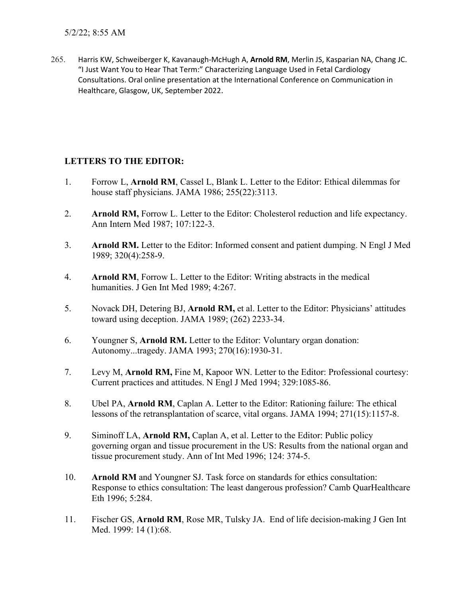5/2/22; 8:55 AM

265. Harris KW, Schweiberger K, Kavanaugh-McHugh A, **Arnold RM**, Merlin JS, Kasparian NA, Chang JC. "I Just Want You to Hear That Term:" Characterizing Language Used in Fetal Cardiology Consultations. Oral online presentation at the International Conference on Communication in Healthcare, Glasgow, UK, September 2022.

## **LETTERS TO THE EDITOR:**

- 1. Forrow L, **Arnold RM**, Cassel L, Blank L. Letter to the Editor: Ethical dilemmas for house staff physicians. JAMA 1986; 255(22):3113.
- 2. **Arnold RM,** Forrow L. Letter to the Editor: Cholesterol reduction and life expectancy. Ann Intern Med 1987; 107:122-3.
- 3. **Arnold RM.** Letter to the Editor: Informed consent and patient dumping. N Engl J Med 1989; 320(4):258-9.
- 4. **Arnold RM**, Forrow L. Letter to the Editor: Writing abstracts in the medical humanities. J Gen Int Med 1989; 4:267.
- 5. Novack DH, Detering BJ, **Arnold RM,** et al. Letter to the Editor: Physicians' attitudes toward using deception. JAMA 1989; (262) 2233-34.
- 6. Youngner S, **Arnold RM.** Letter to the Editor: Voluntary organ donation: Autonomy...tragedy. JAMA 1993; 270(16):1930-31.
- 7. Levy M, **Arnold RM,** Fine M, Kapoor WN. Letter to the Editor: Professional courtesy: Current practices and attitudes. N Engl J Med 1994; 329:1085-86.
- 8. Ubel PA, **Arnold RM**, Caplan A. Letter to the Editor: Rationing failure: The ethical lessons of the retransplantation of scarce, vital organs. JAMA 1994; 271(15):1157-8.
- 9. Siminoff LA, **Arnold RM,** Caplan A, et al. Letter to the Editor: Public policy governing organ and tissue procurement in the US: Results from the national organ and tissue procurement study. Ann of Int Med 1996; 124: 374-5.
- 10. **Arnold RM** and Youngner SJ. Task force on standards for ethics consultation: Response to ethics consultation: The least dangerous profession? Camb QuarHealthcare Eth 1996; 5:284.
- 11. Fischer GS, **Arnold RM**, Rose MR, Tulsky JA. End of life decision-making J Gen Int Med. 1999: 14 (1):68.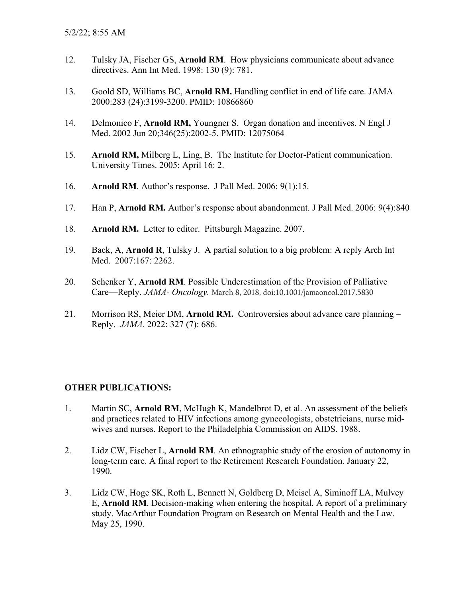- 12. Tulsky JA, Fischer GS, **Arnold RM**. How physicians communicate about advance directives. Ann Int Med. 1998: 130 (9): 781.
- 13. Goold SD, Williams BC, **Arnold RM.** Handling conflict in end of life care. JAMA 2000:283 (24):3199-3200. PMID: 10866860
- 14. Delmonico F, **Arnold RM,** Youngner S. Organ donation and incentives. N Engl J Med. 2002 Jun 20;346(25):2002-5. PMID: 12075064
- 15. **Arnold RM,** Milberg L, Ling, B. The Institute for Doctor-Patient communication. University Times. 2005: April 16: 2.
- 16. **Arnold RM**. Author's response. J Pall Med. 2006: 9(1):15.
- 17. Han P, **Arnold RM.** Author's response about abandonment. J Pall Med. 2006: 9(4):840
- 18. **Arnold RM.** Letter to editor. Pittsburgh Magazine. 2007.
- 19. Back, A, **Arnold R**, Tulsky J. A partial solution to a big problem: A reply Arch Int Med. 2007:167: 2262.
- 20. Schenker Y, **Arnold RM**. Possible Underestimation of the Provision of Palliative Care—Reply. *JAMA- Oncology.* March 8, 2018. doi:10.1001/jamaoncol.2017.5830
- 21. Morrison RS, Meier DM, **Arnold RM.** Controversies about advance care planning Reply. *JAMA.* 2022: 327 (7): 686.

## **OTHER PUBLICATIONS:**

- 1. Martin SC, **Arnold RM**, McHugh K, Mandelbrot D, et al. An assessment of the beliefs and practices related to HIV infections among gynecologists, obstetricians, nurse midwives and nurses. Report to the Philadelphia Commission on AIDS. 1988.
- 2. Lidz CW, Fischer L, **Arnold RM**. An ethnographic study of the erosion of autonomy in long-term care. A final report to the Retirement Research Foundation. January 22, 1990.
- 3. Lidz CW, Hoge SK, Roth L, Bennett N, Goldberg D, Meisel A, Siminoff LA, Mulvey E, **Arnold RM**. Decision-making when entering the hospital. A report of a preliminary study. MacArthur Foundation Program on Research on Mental Health and the Law. May 25, 1990.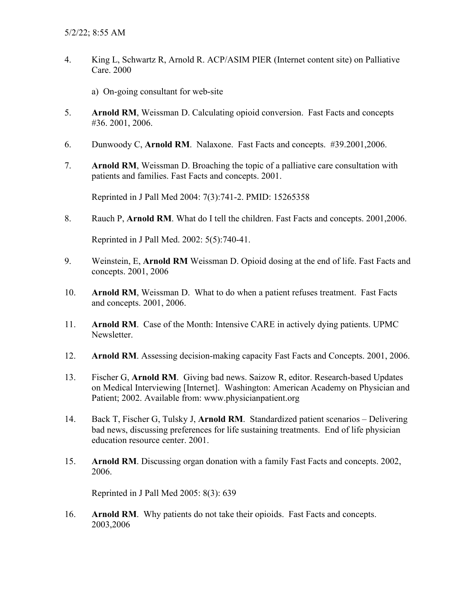- 4. King L, Schwartz R, Arnold R. ACP/ASIM PIER (Internet content site) on Palliative Care. 2000
	- a) On-going consultant for web-site
- 5. **Arnold RM**, Weissman D. Calculating opioid conversion. Fast Facts and concepts #36. 2001, 2006.
- 6. Dunwoody C, **Arnold RM**. Nalaxone. Fast Facts and concepts. #39.2001,2006.
- 7. **Arnold RM**, Weissman D. Broaching the topic of a palliative care consultation with patients and families. Fast Facts and concepts. 2001.

Reprinted in J Pall Med 2004: 7(3):741-2. PMID: 15265358

8. Rauch P, **Arnold RM**. What do I tell the children. Fast Facts and concepts. 2001,2006.

Reprinted in J Pall Med. 2002: 5(5):740-41.

- 9. Weinstein, E, **Arnold RM** Weissman D. Opioid dosing at the end of life. Fast Facts and concepts. 2001, 2006
- 10. **Arnold RM**, Weissman D. What to do when a patient refuses treatment. Fast Facts and concepts. 2001, 2006.
- 11. **Arnold RM**. Case of the Month: Intensive CARE in actively dying patients. UPMC Newsletter.
- 12. **Arnold RM**. Assessing decision-making capacity Fast Facts and Concepts. 2001, 2006.
- 13. Fischer G, **Arnold RM**. Giving bad news. Saizow R, editor. Research-based Updates on Medical Interviewing [Internet]. Washington: American Academy on Physician and Patient; 2002. Available from: [www.physicianpatient.org](http://www.physicianpatient.org/)
- 14. Back T, Fischer G, Tulsky J, **Arnold RM**. Standardized patient scenarios Delivering bad news, discussing preferences for life sustaining treatments. End of life physician education resource center. 2001.
- 15. **Arnold RM**. Discussing organ donation with a family Fast Facts and concepts. 2002, 2006.

Reprinted in J Pall Med 2005: 8(3): 639

16. **Arnold RM**. Why patients do not take their opioids. Fast Facts and concepts. 2003,2006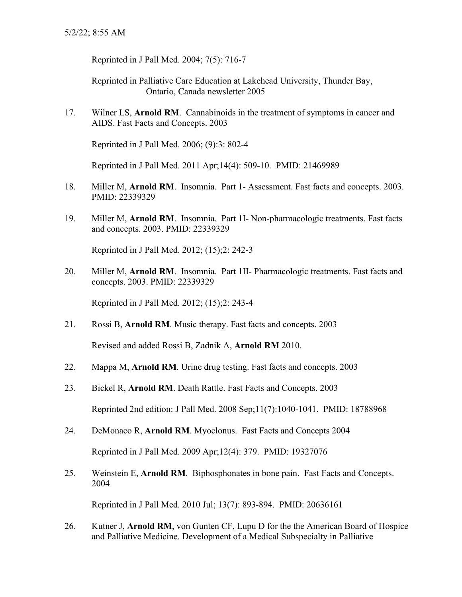Reprinted in J Pall Med. 2004; 7(5): 716-7

Reprinted in Palliative Care Education at Lakehead University, Thunder Bay, Ontario, Canada newsletter 2005

17. Wilner LS, **Arnold RM**. Cannabinoids in the treatment of symptoms in cancer and AIDS. Fast Facts and Concepts. 2003

Reprinted in J Pall Med. 2006; (9):3: 802-4

Reprinted in J Pall Med. 2011 Apr;14(4): 509-10. PMID: 21469989

- 18. Miller M, **Arnold RM**. Insomnia. Part 1- Assessment. Fast facts and concepts. 2003. PMID: 22339329
- 19. Miller M, **Arnold RM**. Insomnia. Part 1I- Non-pharmacologic treatments. Fast facts and concepts. 2003. PMID: 22339329

Reprinted in J Pall Med. 2012; (15);2: 242-3

20. Miller M, **Arnold RM**. Insomnia. Part 1II- Pharmacologic treatments. Fast facts and concepts. 2003. PMID: 22339329

Reprinted in J Pall Med. 2012; (15);2: 243-4

21. Rossi B, **Arnold RM**. Music therapy. Fast facts and concepts. 2003

Revised and added Rossi B, Zadnik A, **Arnold RM** 2010.

- 22. Mappa M, **Arnold RM**. Urine drug testing. Fast facts and concepts. 2003
- 23. Bickel R, **Arnold RM**. Death Rattle. Fast Facts and Concepts. 2003

Reprinted 2nd edition: J Pall Med. 2008 Sep;11(7):1040-1041. PMID: 18788968

24. DeMonaco R, **Arnold RM**. Myoclonus. Fast Facts and Concepts 2004

Reprinted in J Pall Med. 2009 Apr;12(4): 379. PMID: 19327076

25. Weinstein E, **Arnold RM**. Biphosphonates in bone pain. Fast Facts and Concepts. 2004

Reprinted in J Pall Med. 2010 Jul; 13(7): 893-894. PMID: 20636161

26. Kutner J, **Arnold RM**, von Gunten CF, Lupu D for the the American Board of Hospice and Palliative Medicine. Development of a Medical Subspecialty in Palliative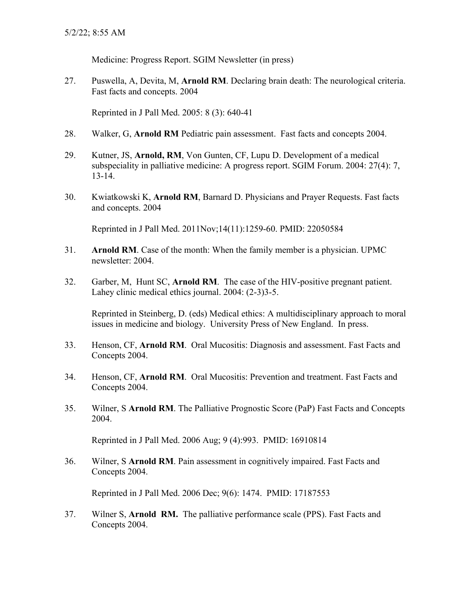Medicine: Progress Report. SGIM Newsletter (in press)

27. Puswella, A, Devita, M, **Arnold RM**. Declaring brain death: The neurological criteria. Fast facts and concepts. 2004

Reprinted in J Pall Med. 2005: 8 (3): 640-41

- 28. Walker, G, **Arnold RM** Pediatric pain assessment. Fast facts and concepts 2004.
- 29. Kutner, JS, **Arnold, RM**, Von Gunten, CF, Lupu D. Development of a medical subspeciality in palliative medicine: A progress report. SGIM Forum. 2004: 27(4): 7, 13-14.
- 30. Kwiatkowski K, **Arnold RM**, Barnard D. Physicians and Prayer Requests. Fast facts and concepts. 2004

Reprinted in J Pall Med. 2011Nov;14(11):1259-60. PMID: 22050584

- 31. **Arnold RM**. Case of the month: When the family member is a physician. UPMC newsletter: 2004.
- 32. Garber, M, Hunt SC, **Arnold RM**. The case of the HIV-positive pregnant patient. Lahey clinic medical ethics journal. 2004: (2-3)3-5.

Reprinted in Steinberg, D. (eds) Medical ethics: A multidisciplinary approach to moral issues in medicine and biology. University Press of New England. In press.

- 33. Henson, CF, **Arnold RM**. Oral Mucositis: Diagnosis and assessment. Fast Facts and Concepts 2004.
- 34. Henson, CF, **Arnold RM**. Oral Mucositis: Prevention and treatment. Fast Facts and Concepts 2004.
- 35. Wilner, S **Arnold RM**. The Palliative Prognostic Score (PaP) Fast Facts and Concepts 2004.

Reprinted in J Pall Med. 2006 Aug; 9 (4):993. PMID: 16910814

36. Wilner, S **Arnold RM**. Pain assessment in cognitively impaired. Fast Facts and Concepts 2004.

Reprinted in J Pall Med. 2006 Dec; 9(6): 1474. PMID: 17187553

37. Wilner S, **Arnold RM.** The palliative performance scale (PPS). Fast Facts and Concepts 2004.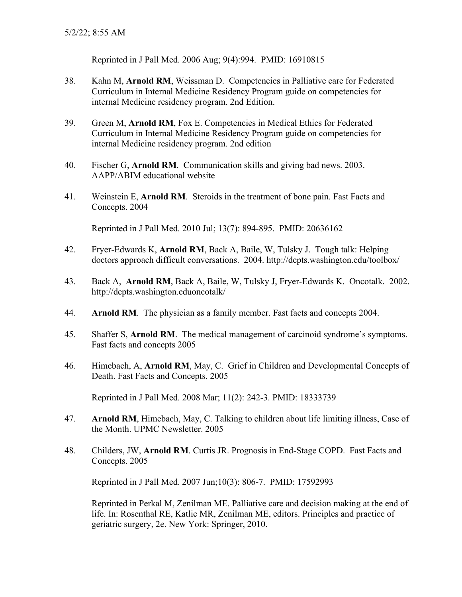Reprinted in J Pall Med. 2006 Aug; 9(4):994. PMID: 16910815

- 38. Kahn M, **Arnold RM**, Weissman D. Competencies in Palliative care for Federated Curriculum in Internal Medicine Residency Program guide on competencies for internal Medicine residency program. 2nd Edition.
- 39. Green M, **Arnold RM**, Fox E. Competencies in Medical Ethics for Federated Curriculum in Internal Medicine Residency Program guide on competencies for internal Medicine residency program. 2nd edition
- 40. Fischer G, **Arnold RM**. Communication skills and giving bad news. 2003. AAPP/ABIM educational website
- 41. Weinstein E, **Arnold RM**. Steroids in the treatment of bone pain. Fast Facts and Concepts. 2004

Reprinted in J Pall Med. 2010 Jul; 13(7): 894-895. PMID: 20636162

- 42. Fryer-Edwards K, **Arnold RM**, Back A, Baile, W, Tulsky J. Tough talk: Helping doctors approach difficult conversations. 2004.<http://depts.washington.edu/toolbox/>
- 43. Back A, **Arnold RM**, Back A, Baile, W, Tulsky J, Fryer-Edwards K. Oncotalk. 2002. [http://depts.washington.eduoncotalk/](http://depts.washington.edu/toolbox/)
- 44. **Arnold RM**. The physician as a family member. Fast facts and concepts 2004.
- 45. Shaffer S, **Arnold RM**. The medical management of carcinoid syndrome's symptoms. Fast facts and concepts 2005
- 46. Himebach, A, **Arnold RM**, May, C. Grief in Children and Developmental Concepts of Death. Fast Facts and Concepts. 2005

Reprinted in J Pall Med. 2008 Mar; 11(2): 242-3. PMID: 18333739

- 47. **Arnold RM**, Himebach, May, C. Talking to children about life limiting illness, Case of the Month. UPMC Newsletter. 2005
- 48. Childers, JW, **Arnold RM**. Curtis JR. Prognosis in End-Stage COPD. Fast Facts and Concepts. 2005

Reprinted in J Pall Med. 2007 Jun;10(3): 806-7. PMID: 17592993

Reprinted in Perkal M, Zenilman ME. Palliative care and decision making at the end of life. In: Rosenthal RE, Katlic MR, Zenilman ME, editors. Principles and practice of geriatric surgery, 2e. New York: Springer, 2010.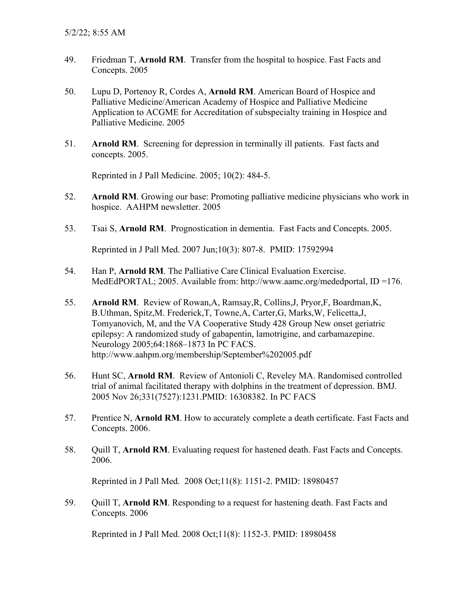- 49. Friedman T, **Arnold RM**. Transfer from the hospital to hospice. Fast Facts and Concepts. 2005
- 50. Lupu D, Portenoy R, Cordes A, **Arnold RM**. American Board of Hospice and Palliative Medicine/American Academy of Hospice and Palliative Medicine Application to ACGME for Accreditation of subspecialty training in Hospice and Palliative Medicine. 2005
- 51. **Arnold RM**. Screening for depression in terminally ill patients. Fast facts and concepts. 2005.

Reprinted in J Pall Medicine. 2005; 10(2): 484-5.

- 52. **Arnold RM**. Growing our base: Promoting palliative medicine physicians who work in hospice. AAHPM newsletter. 2005
- 53. Tsai S, **Arnold RM**. Prognostication in dementia. Fast Facts and Concepts. 2005.

Reprinted in J Pall Med. 2007 Jun;10(3): 807-8. PMID: 17592994

- 54. Han P, **Arnold RM**. The Palliative Care Clinical Evaluation Exercise. MedEdPORTAL; 2005. Available from: [http://www.aamc.org/mededportal,](http://www.aamc.org/mededportal) ID =176.
- 55. **Arnold RM**. Review of Rowan,A, Ramsay,R, Collins,J, Pryor,F, Boardman,K, B.Uthman, Spitz,M. Frederick,T, Towne,A, Carter,G, Marks,W, Felicetta,J, Tomyanovich, M, and the VA Cooperative Study 428 Group New onset geriatric epilepsy: A randomized study of gabapentin, lamotrigine, and carbamazepine. Neurology 2005;64:1868–1873 In PC FACS. http://www.aahpm.org/membership/September%202005.pdf
- 56. Hunt SC, **Arnold RM**. Review of [Antonioli C,](http://www.ncbi.nlm.nih.gov/entrez/query.fcgi?db=pubmed&cmd=Search&itool=pubmed_Abstract&term=%22Antonioli+C%22%5BAuthor%5D) [Reveley MA.](http://www.ncbi.nlm.nih.gov/entrez/query.fcgi?db=pubmed&cmd=Search&itool=pubmed_Abstract&term=%22Reveley+MA%22%5BAuthor%5D) Randomised controlled trial of animal facilitated therapy with dolphins in the treatment of depression. [BMJ.](javascript:AL_get(this,%20) 2005 Nov 26;331(7527):1231.PMID: 16308382. In PC FACS
- 57. Prentice N, **Arnold RM**. How to accurately complete a death certificate. Fast Facts and Concepts. 2006.
- 58. Quill T, **Arnold RM**. Evaluating request for hastened death. Fast Facts and Concepts. 2006.

Reprinted in J Pall Med. 2008 Oct;11(8): 1151-2. PMID: 18980457

59. Quill T, **Arnold RM**. Responding to a request for hastening death. Fast Facts and Concepts. 2006

Reprinted in J Pall Med. 2008 Oct;11(8): 1152-3. PMID: 18980458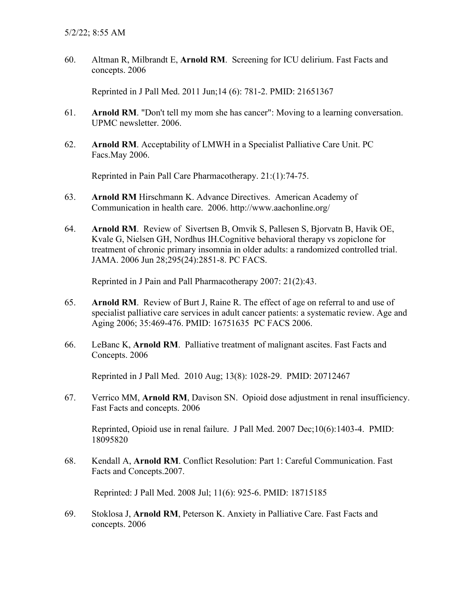60. Altman R, Milbrandt E, **Arnold RM**. Screening for ICU delirium. Fast Facts and concepts. 2006

Reprinted in J Pall Med. 2011 Jun;14 (6): 781-2. PMID: 21651367

- 61. **Arnold RM**. "Don't tell my mom she has cancer": Moving to a learning conversation. UPMC newsletter. 2006.
- 62. **Arnold RM**. Acceptability of LMWH in a Specialist Palliative Care Unit. PC Facs.May 2006.

Reprinted in Pain Pall Care Pharmacotherapy. 21:(1):74-75.

- 63. **Arnold RM** Hirschmann K. Advance Directives. American Academy of Communication in health care. 2006. http://www.aachonline.org/
- 64. **Arnold RM**. Review of [Sivertsen B, Omvik S, Pallesen S, Bjorvatn B, Havik OE,](http://www.ncbi.nlm.nih.gov/entrez/query.fcgi?db=pubmed&cmd=Retrieve&dopt=Abstract&list_uids=16804151&query_hl=1&itool=pubmed_docsum)  [Kvale G, Nielsen GH, Nordhus IH.C](http://www.ncbi.nlm.nih.gov/entrez/query.fcgi?db=pubmed&cmd=Retrieve&dopt=Abstract&list_uids=16804151&query_hl=1&itool=pubmed_docsum)ognitive behavioral therapy vs zopiclone for treatment of chronic primary insomnia in older adults: a randomized controlled trial. JAMA. 2006 Jun 28;295(24):2851-8. PC FACS.

Reprinted in J Pain and Pall Pharmacotherapy 2007: 21(2):43.

- 65. **Arnold RM**. Review of Burt J, Raine R. The effect of age on referral to and use of specialist palliative care services in adult cancer patients: a systematic review. Age and Aging 2006; 35:469-476. PMID: 16751635 PC FACS 2006.
- 66. LeBanc K, **Arnold RM**. Palliative treatment of malignant ascites. Fast Facts and Concepts. 2006

Reprinted in J Pall Med. 2010 Aug; 13(8): 1028-29. PMID: 20712467

67. Verrico MM, **Arnold RM**, Davison SN. Opioid dose adjustment in renal insufficiency. Fast Facts and concepts. 2006

Reprinted, Opioid use in renal failure. J Pall Med. 2007 Dec;10(6):1403-4. PMID: 18095820

68. Kendall A, **Arnold RM**. Conflict Resolution: Part 1: Careful Communication. Fast Facts and Concepts.2007.

Reprinted: J Pall Med. 2008 Jul; 11(6): 925-6. PMID: 18715185

69. Stoklosa J, **Arnold RM**, Peterson K. Anxiety in Palliative Care. Fast Facts and concepts. 2006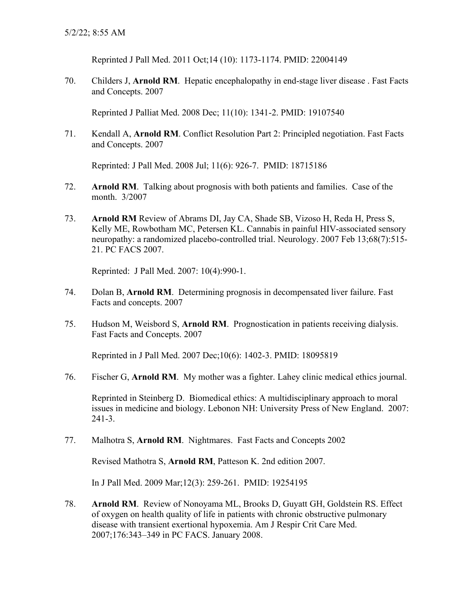Reprinted J Pall Med. 2011 Oct;14 (10): 1173-1174. PMID: 22004149

70. Childers J, **Arnold RM**. Hepatic encephalopathy in end-stage liver disease . Fast Facts and Concepts. 2007

Reprinted J Palliat Med. 2008 Dec; 11(10): 1341-2. PMID: 19107540

71. Kendall A, **Arnold RM**. Conflict Resolution Part 2: Principled negotiation. Fast Facts and Concepts. 2007

Reprinted: J Pall Med. 2008 Jul; 11(6): 926-7. PMID: 18715186

- 72. **Arnold RM**. Talking about prognosis with both patients and families. Case of the month. 3/2007
- 73. **Arnold RM** Review of Abrams DI, Jay CA, Shade SB, Vizoso H, Reda H, Press S, Kelly ME, Rowbotham MC, Petersen KL. Cannabis in painful HIV-associated sensory neuropathy: a randomized placebo-controlled trial. Neurology. 2007 Feb 13;68(7):515- 21. PC FACS 2007.

Reprinted: J Pall Med. 2007: 10(4):990-1.

- 74. Dolan B, **Arnold RM**. Determining prognosis in decompensated liver failure. Fast Facts and concepts. 2007
- 75. Hudson M, Weisbord S, **Arnold RM**. Prognostication in patients receiving dialysis. Fast Facts and Concepts. 2007

Reprinted in J Pall Med. 2007 Dec;10(6): 1402-3. PMID: 18095819

76. Fischer G, **Arnold RM**. My mother was a fighter. Lahey clinic medical ethics journal.

Reprinted in Steinberg D. Biomedical ethics: A multidisciplinary approach to moral issues in medicine and biology. Lebonon NH: University Press of New England. 2007: 241-3.

77. Malhotra S, **Arnold RM**. Nightmares. Fast Facts and Concepts 2002

Revised Mathotra S, **Arnold RM**, Patteson K. 2nd edition 2007.

In J Pall Med. 2009 Mar;12(3): 259-261. PMID: 19254195

78. **Arnold RM**. Review of Nonoyama ML, Brooks D, Guyatt GH, Goldstein RS. Effect of oxygen on health quality of life in patients with chronic obstructive pulmonary disease with transient exertional hypoxemia. Am J Respir Crit Care Med. 2007;176:343–349 in PC FACS. January 2008.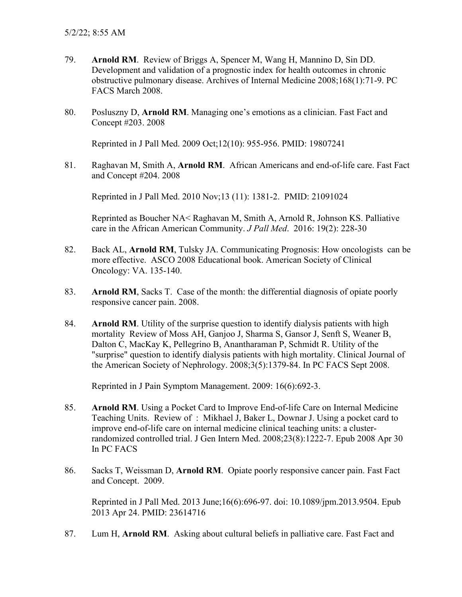- 79. **Arnold RM**. Review of [Briggs A,](http://www.ncbi.nlm.nih.gov/sites/entrez?Db=pubmed&Cmd=Search&Term=%22Briggs%20A%22%5BAuthor%5D&itool=EntrezSystem2.PEntrez.Pubmed.Pubmed_ResultsPanel.Pubmed_RVAbstractPlusDrugs1) [Spencer M,](http://www.ncbi.nlm.nih.gov/sites/entrez?Db=pubmed&Cmd=Search&Term=%22Spencer%20M%22%5BAuthor%5D&itool=EntrezSystem2.PEntrez.Pubmed.Pubmed_ResultsPanel.Pubmed_RVAbstractPlusDrugs1) [Wang H,](http://www.ncbi.nlm.nih.gov/sites/entrez?Db=pubmed&Cmd=Search&Term=%22Wang%20H%22%5BAuthor%5D&itool=EntrezSystem2.PEntrez.Pubmed.Pubmed_ResultsPanel.Pubmed_RVAbstractPlusDrugs1) [Mannino D,](http://www.ncbi.nlm.nih.gov/sites/entrez?Db=pubmed&Cmd=Search&Term=%22Mannino%20D%22%5BAuthor%5D&itool=EntrezSystem2.PEntrez.Pubmed.Pubmed_ResultsPanel.Pubmed_RVAbstractPlusDrugs1) [Sin DD.](http://www.ncbi.nlm.nih.gov/sites/entrez?Db=pubmed&Cmd=Search&Term=%22Sin%20DD%22%5BAuthor%5D&itool=EntrezSystem2.PEntrez.Pubmed.Pubmed_ResultsPanel.Pubmed_RVAbstractPlusDrugs1) Development and validation of a prognostic index for health outcomes in chronic obstructive pulmonary disease. [Archives of Internal Medicine](javascript:AL_get(this,%20) 2008;168(1):71-9. PC FACS March 2008.
- 80. Posluszny D, **Arnold RM**. Managing one's emotions as a clinician. Fast Fact and Concept #203. 2008

Reprinted in J Pall Med. 2009 Oct;12(10): 955-956. PMID: 19807241

81. Raghavan M, Smith A, **Arnold RM**. African Americans and end-of-life care. Fast Fact and Concept #204. 2008

Reprinted in J Pall Med. 2010 Nov;13 (11): 1381-2. PMID: 21091024

Reprinted as Boucher NA< Raghavan M, Smith A, Arnold R, Johnson KS. Palliative care in the African American Community. *J Pall Med*. 2016: 19(2): 228-30

- 82. Back AL, **Arnold RM**, Tulsky JA. Communicating Prognosis: How oncologists can be more effective. ASCO 2008 Educational book. American Society of Clinical Oncology: VA. 135-140.
- 83. **Arnold RM**, Sacks T. Case of the month: the differential diagnosis of opiate poorly responsive cancer pain. 2008.
- 84. **Arnold RM**. Utility of the surprise question to identify dialysis patients with high mortality Review of Moss AH, Ganjoo J, Sharma S, Gansor J, Senft S, Weaner B, Dalton C, MacKay K, Pellegrino B, Anantharaman P, Schmidt R. Utility of the "surprise" question to identify dialysis patients with high mortality. Clinical Journal of the American Society of Nephrology. 2008;3(5):1379-84. In PC FACS Sept 2008.

Reprinted in J Pain Symptom Management. 2009: 16(6):692-3.

- 85. **Arnold RM**. Using a Pocket Card to Improve End-of-life Care on Internal Medicine Teaching Units. Review of : Mikhael J, Baker L, Downar J. Using a pocket card to improve end-of-life care on internal medicine clinical teaching units: a clusterrandomized controlled trial. J Gen Intern Med. 2008;23(8):1222-7. Epub 2008 Apr 30 In PC FACS
- 86. Sacks T, Weissman D, **Arnold RM**. Opiate poorly responsive cancer pain. Fast Fact and Concept. 2009.

Reprinted in J Pall Med. 2013 June;16(6):696-97. doi: 10.1089/jpm.2013.9504. Epub 2013 Apr 24. PMID: 23614716

87. Lum H, **Arnold RM**. Asking about cultural beliefs in palliative care. Fast Fact and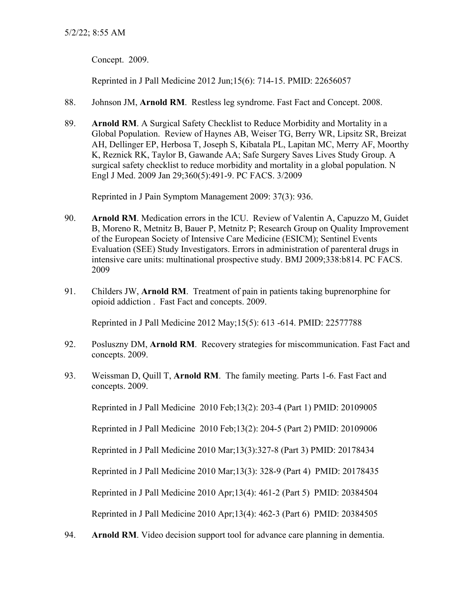Concept. 2009.

Reprinted in J Pall Medicine 2012 Jun;15(6): 714-15. PMID: 22656057

- 88. Johnson JM, **Arnold RM**. Restless leg syndrome. Fast Fact and Concept. 2008.
- 89. **Arnold RM**. A Surgical Safety Checklist to Reduce Morbidity and Mortality in a Global Population. Review of Haynes AB, Weiser TG, Berry WR, Lipsitz SR, Breizat AH, Dellinger EP, Herbosa T, Joseph S, Kibatala PL, Lapitan MC, Merry AF, Moorthy K, Reznick RK, Taylor B, Gawande AA; Safe Surgery Saves Lives Study Group. A surgical safety checklist to reduce morbidity and mortality in a global population. N Engl J Med. 2009 Jan 29;360(5):491-9. PC FACS. 3/2009

Reprinted in J Pain Symptom Management 2009: 37(3): 936.

- 90. **Arnold RM**. Medication errors in the ICU. Review of [Valentin A,](http://www.ncbi.nlm.nih.gov/sites/entrez?Db=pubmed&Cmd=Search&Term=%22Valentin%20A%22%5BAuthor%5D&itool=EntrezSystem2.PEntrez.Pubmed.Pubmed_ResultsPanel.Pubmed_DiscoveryPanel.Pubmed_RVAbstractPlus) [Capuzzo M,](http://www.ncbi.nlm.nih.gov/sites/entrez?Db=pubmed&Cmd=Search&Term=%22Capuzzo%20M%22%5BAuthor%5D&itool=EntrezSystem2.PEntrez.Pubmed.Pubmed_ResultsPanel.Pubmed_DiscoveryPanel.Pubmed_RVAbstractPlus) [Guidet](http://www.ncbi.nlm.nih.gov/sites/entrez?Db=pubmed&Cmd=Search&Term=%22Guidet%20B%22%5BAuthor%5D&itool=EntrezSystem2.PEntrez.Pubmed.Pubmed_ResultsPanel.Pubmed_DiscoveryPanel.Pubmed_RVAbstractPlus)  [B,](http://www.ncbi.nlm.nih.gov/sites/entrez?Db=pubmed&Cmd=Search&Term=%22Guidet%20B%22%5BAuthor%5D&itool=EntrezSystem2.PEntrez.Pubmed.Pubmed_ResultsPanel.Pubmed_DiscoveryPanel.Pubmed_RVAbstractPlus) [Moreno R,](http://www.ncbi.nlm.nih.gov/sites/entrez?Db=pubmed&Cmd=Search&Term=%22Moreno%20R%22%5BAuthor%5D&itool=EntrezSystem2.PEntrez.Pubmed.Pubmed_ResultsPanel.Pubmed_DiscoveryPanel.Pubmed_RVAbstractPlus) [Metnitz B,](http://www.ncbi.nlm.nih.gov/sites/entrez?Db=pubmed&Cmd=Search&Term=%22Metnitz%20B%22%5BAuthor%5D&itool=EntrezSystem2.PEntrez.Pubmed.Pubmed_ResultsPanel.Pubmed_DiscoveryPanel.Pubmed_RVAbstractPlus) [Bauer P,](http://www.ncbi.nlm.nih.gov/sites/entrez?Db=pubmed&Cmd=Search&Term=%22Bauer%20P%22%5BAuthor%5D&itool=EntrezSystem2.PEntrez.Pubmed.Pubmed_ResultsPanel.Pubmed_DiscoveryPanel.Pubmed_RVAbstractPlus) [Metnitz P;](http://www.ncbi.nlm.nih.gov/sites/entrez?Db=pubmed&Cmd=Search&Term=%22Metnitz%20P%22%5BAuthor%5D&itool=EntrezSystem2.PEntrez.Pubmed.Pubmed_ResultsPanel.Pubmed_DiscoveryPanel.Pubmed_RVAbstractPlus) [Research Group on Quality Improvement](http://www.ncbi.nlm.nih.gov/sites/entrez?Db=pubmed&Cmd=Search&Term=%22Research%20Group%20on%20Quality%20Improvement%20of%20the%20European%20Society%20of%20Intensive%20Care%20Medicine%20(ESICM)%22%5BCorporate%20Author%5D&itool=EntrezSystem2.PEntrez.Pubmed.Pubmed_ResultsPanel.Pubmed_DiscoveryPanel.Pubmed_RVAbstractPlus)  [of the European Society of Intensive Care Medicine \(ESICM\);](http://www.ncbi.nlm.nih.gov/sites/entrez?Db=pubmed&Cmd=Search&Term=%22Research%20Group%20on%20Quality%20Improvement%20of%20the%20European%20Society%20of%20Intensive%20Care%20Medicine%20(ESICM)%22%5BCorporate%20Author%5D&itool=EntrezSystem2.PEntrez.Pubmed.Pubmed_ResultsPanel.Pubmed_DiscoveryPanel.Pubmed_RVAbstractPlus) [Sentinel Events](http://www.ncbi.nlm.nih.gov/sites/entrez?Db=pubmed&Cmd=Search&Term=%22Sentinel%20Events%20Evaluation%20(SEE)%20Study%20Investigators%22%5BCorporate%20Author%5D&itool=EntrezSystem2.PEntrez.Pubmed.Pubmed_ResultsPanel.Pubmed_DiscoveryPanel.Pubmed_RVAbstractPlus)  [Evaluation \(SEE\) Study Investigators.](http://www.ncbi.nlm.nih.gov/sites/entrez?Db=pubmed&Cmd=Search&Term=%22Sentinel%20Events%20Evaluation%20(SEE)%20Study%20Investigators%22%5BCorporate%20Author%5D&itool=EntrezSystem2.PEntrez.Pubmed.Pubmed_ResultsPanel.Pubmed_DiscoveryPanel.Pubmed_RVAbstractPlus) Errors in administration of parenteral drugs in intensive care units: multinational prospective study. [BMJ](javascript:AL_get(this,%20) 2009;338:b814. PC FACS. 2009
- 91. Childers JW, **Arnold RM**. Treatment of pain in patients taking buprenorphine for opioid addiction . Fast Fact and concepts. 2009.

Reprinted in J Pall Medicine 2012 May;15(5): 613 -614. PMID: 22577788

- 92. Posluszny DM, **Arnold RM**. Recovery strategies for miscommunication. Fast Fact and concepts. 2009.
- 93. Weissman D, Quill T, **Arnold RM**. The family meeting. Parts 1-6. Fast Fact and concepts. 2009.

Reprinted in J Pall Medicine 2010 Feb;13(2): 203-4 (Part 1) PMID: 20109005

Reprinted in J Pall Medicine 2010 Feb;13(2): 204-5 (Part 2) PMID: 20109006

Reprinted in J Pall Medicine 2010 Mar;13(3):327-8 (Part 3) PMID: 20178434

Reprinted in J Pall Medicine 2010 Mar;13(3): 328-9 (Part 4) PMID: 20178435

Reprinted in J Pall Medicine 2010 Apr;13(4): 461-2 (Part 5) PMID: 20384504

Reprinted in J Pall Medicine 2010 Apr;13(4): 462-3 (Part 6) PMID: 20384505

94. **Arnold RM**. Video decision support tool for advance care planning in dementia.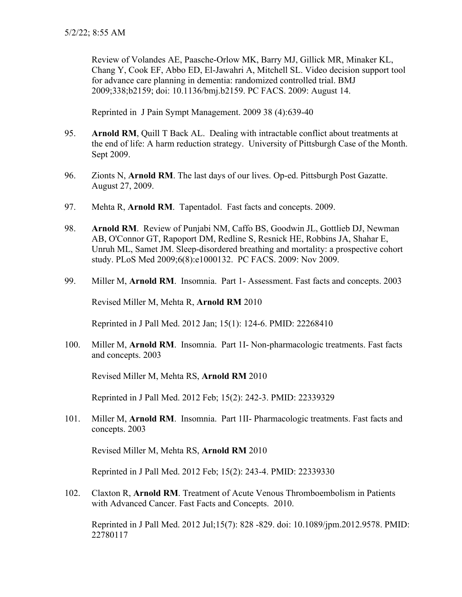Review of Volandes AE, Paasche-Orlow MK, Barry MJ, Gillick MR, Minaker KL, Chang Y, Cook EF, Abbo ED, El-Jawahri A, Mitchell SL. Video decision support tool for advance care planning in dementia: randomized controlled trial. BMJ 2009;338;b2159; doi: 10.1136/bmj.b2159. PC FACS. 2009: August 14.

Reprinted in J Pain Sympt Management. 2009 38 (4):639-40

- 95. **Arnold RM**, Quill T Back AL. Dealing with intractable conflict about treatments at the end of life: A harm reduction strategy. University of Pittsburgh Case of the Month. Sept 2009.
- 96. Zionts N, **Arnold RM**. The last days of our lives. Op-ed. Pittsburgh Post Gazatte. August 27, 2009.
- 97. Mehta R, **Arnold RM**. Tapentadol. Fast facts and concepts. 2009.
- 98. **Arnold RM**. Review of Punjabi NM, Caffo BS, Goodwin JL, Gottlieb DJ, Newman AB, O'Connor GT, Rapoport DM, Redline S, Resnick HE, Robbins JA, Shahar E, Unruh ML, Samet JM. [Sleep-disordered breathing and mortality: a prospective cohort](http://www.ncbi.nlm.nih.gov/pubmed/19688045?ordinalpos=1&itool=EntrezSystem2.PEntrez.Pubmed.Pubmed_ResultsPanel.Pubmed_DefaultReportPanel.Pubmed_RVDocSum)  [study.](http://www.ncbi.nlm.nih.gov/pubmed/19688045?ordinalpos=1&itool=EntrezSystem2.PEntrez.Pubmed.Pubmed_ResultsPanel.Pubmed_DefaultReportPanel.Pubmed_RVDocSum) PLoS Med 2009;6(8):e1000132. PC FACS. 2009: Nov 2009.
- 99. Miller M, **Arnold RM**. Insomnia. Part 1- Assessment. Fast facts and concepts. 2003

Revised Miller M, Mehta R, **Arnold RM** 2010

Reprinted in J Pall Med. 2012 Jan; 15(1): 124-6. PMID: 22268410

100. Miller M, **Arnold RM**. Insomnia. Part 1I- Non-pharmacologic treatments. Fast facts and concepts. 2003

Revised Miller M, Mehta RS, **Arnold RM** 2010

Reprinted in J Pall Med. 2012 Feb; 15(2): 242-3. PMID: 22339329

101. Miller M, **Arnold RM**. Insomnia. Part 1II- Pharmacologic treatments. Fast facts and concepts. 2003

Revised Miller M, Mehta RS, **Arnold RM** 2010

Reprinted in J Pall Med. 2012 Feb; 15(2): 243-4. PMID: 22339330

102. Claxton R, **Arnold RM**. Treatment of Acute Venous Thromboembolism in Patients with Advanced Cancer. Fast Facts and Concepts. 2010.

Reprinted in J Pall Med. 2012 Jul;15(7): 828 -829. doi: 10.1089/jpm.2012.9578. PMID: 22780117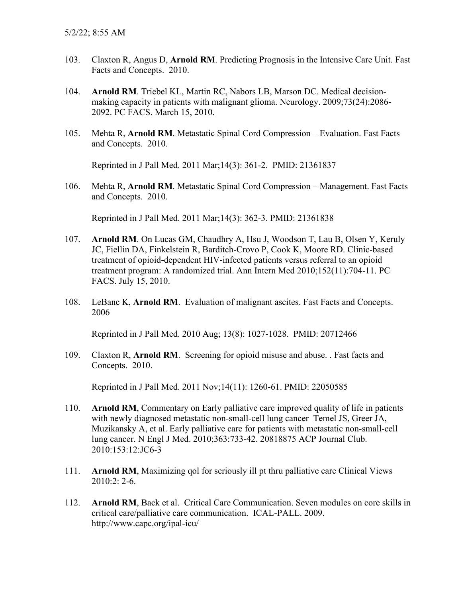- 103. Claxton R, Angus D, **Arnold RM**. Predicting Prognosis in the Intensive Care Unit. Fast Facts and Concepts. 2010.
- 104. **Arnold RM**. Triebel KL, Martin RC, Nabors LB, Marson DC. Medical decisionmaking capacity in patients with malignant glioma. Neurology. 2009;73(24):2086- 2092. PC FACS. March 15, 2010.
- 105. Mehta R, **Arnold RM**. Metastatic Spinal Cord Compression Evaluation. Fast Facts and Concepts. 2010.

Reprinted in J Pall Med. 2011 Mar;14(3): 361-2. PMID: 21361837

106. Mehta R, **Arnold RM**. Metastatic Spinal Cord Compression – Management. Fast Facts and Concepts. 2010.

Reprinted in J Pall Med. 2011 Mar;14(3): 362-3. PMID: 21361838

- 107. **Arnold RM**. On [Lucas GM,](http://www.ncbi.nlm.nih.gov/pubmed?term=%22Lucas%20GM%22%5BAuthor%5D) [Chaudhry A,](http://www.ncbi.nlm.nih.gov/pubmed?term=%22Chaudhry%20A%22%5BAuthor%5D) [Hsu J,](http://www.ncbi.nlm.nih.gov/pubmed?term=%22Hsu%20J%22%5BAuthor%5D) [Woodson T,](http://www.ncbi.nlm.nih.gov/pubmed?term=%22Woodson%20T%22%5BAuthor%5D) [Lau B,](http://www.ncbi.nlm.nih.gov/pubmed?term=%22Lau%20B%22%5BAuthor%5D) [Olsen Y,](http://www.ncbi.nlm.nih.gov/pubmed?term=%22Olsen%20Y%22%5BAuthor%5D) [Keruly](http://www.ncbi.nlm.nih.gov/pubmed?term=%22Keruly%20JC%22%5BAuthor%5D)  [JC,](http://www.ncbi.nlm.nih.gov/pubmed?term=%22Keruly%20JC%22%5BAuthor%5D) [Fiellin DA,](http://www.ncbi.nlm.nih.gov/pubmed?term=%22Fiellin%20DA%22%5BAuthor%5D) [Finkelstein R,](http://www.ncbi.nlm.nih.gov/pubmed?term=%22Finkelstein%20R%22%5BAuthor%5D) [Barditch-Crovo P,](http://www.ncbi.nlm.nih.gov/pubmed?term=%22Barditch-Crovo%20P%22%5BAuthor%5D) [Cook K,](http://www.ncbi.nlm.nih.gov/pubmed?term=%22Cook%20K%22%5BAuthor%5D) [Moore RD.](http://www.ncbi.nlm.nih.gov/pubmed?term=%22Moore%20RD%22%5BAuthor%5D) Clinic-based treatment of opioid-dependent HIV-infected patients versus referral to an opioid treatment program: A randomized trial. [Ann Intern Med](javascript:AL_get(this,%20) 2010;152(11):704-11. PC FACS. July 15, 2010.
- 108. LeBanc K, **Arnold RM**. Evaluation of malignant ascites. Fast Facts and Concepts. 2006

Reprinted in J Pall Med. 2010 Aug; 13(8): 1027-1028. PMID: 20712466

109. Claxton R, **Arnold RM**. Screening for opioid misuse and abuse. . Fast facts and Concepts. 2010.

Reprinted in J Pall Med. 2011 Nov;14(11): 1260-61. PMID: 22050585

- 110. **Arnold RM**, Commentary on Early palliative care improved quality of life in patients with newly diagnosed metastatic non-small-cell lung cancer Temel JS, Greer JA, Muzikansky A, et al. Early palliative care for patients with metastatic non-small-cell lung cancer. N Engl J Med. 2010;363:733-42. 20818875 ACP Journal Club. 2010:153:12:JC6-3
- 111. **Arnold RM**, Maximizing qol for seriously ill pt thru palliative care Clinical Views 2010:2: 2-6.
- 112. **Arnold RM**, Back et al. Critical Care Communication. Seven modules on core skills in critical care/palliative care communication. ICAL-PALL. 2009. http://www.capc.org/ipal-icu/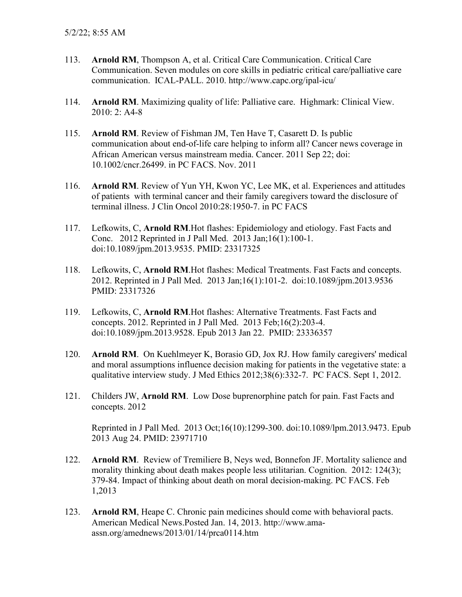- 113. **Arnold RM**, Thompson A, et al. Critical Care Communication. Critical Care Communication. Seven modules on core skills in pediatric critical care/palliative care communication. ICAL-PALL. 2010. http://www.capc.org/ipal-icu/
- 114. **Arnold RM**. Maximizing quality of life: Palliative care. Highmark: Clinical View. 2010: 2: A4-8
- 115. **Arnold RM**. Review of Fishman JM, Ten Have T, Casarett D. Is public communication about end-of-life care helping to inform all? Cancer news coverage in African American versus mainstream media. Cancer. 2011 Sep 22; doi: 10.1002/cncr.26499. in PC FACS. Nov. 2011
- 116. **Arnold RM**. Review of Yun YH, Kwon YC, Lee MK, et al. Experiences and attitudes of patients with terminal cancer and their family caregivers toward the disclosure of terminal illness. J Clin Oncol 2010:28:1950-7. in PC FACS
- 117. Lefkowits, C, **Arnold RM**.Hot flashes: Epidemiology and etiology. Fast Facts and Conc. 2012 Reprinted in J Pall Med. 2013 Jan;16(1):100-1. doi:10.1089/jpm.2013.9535. PMID: 23317325
- 118. Lefkowits, C, **Arnold RM**.Hot flashes: Medical Treatments. Fast Facts and concepts. 2012. Reprinted in J Pall Med. 2013 Jan;16(1):101-2. doi:10.1089/jpm.2013.9536 PMID: 23317326
- 119. Lefkowits, C, **Arnold RM**.Hot flashes: Alternative Treatments. Fast Facts and concepts. 2012. Reprinted in J Pall Med. 2013 Feb;16(2):203-4. doi:10.1089/jpm.2013.9528. Epub 2013 Jan 22. PMID: 23336357
- 120. **Arnold RM**. On [Kuehlmeyer K,](http://www.ncbi.nlm.nih.gov/pubmed?term=Kuehlmeyer%20K%5BAuthor%5D&cauthor=true&cauthor_uid=22375077) [Borasio GD,](http://www.ncbi.nlm.nih.gov/pubmed?term=Borasio%20GD%5BAuthor%5D&cauthor=true&cauthor_uid=22375077) [Jox RJ.](http://www.ncbi.nlm.nih.gov/pubmed?term=Jox%20RJ%5BAuthor%5D&cauthor=true&cauthor_uid=22375077) How family caregivers' medical and moral assumptions influence decision making for patients in the vegetative state: a qualitative interview study. [J Med Ethics](http://www.ncbi.nlm.nih.gov/pubmed?term=2012%5Bpdat%5D+AND+how+family+caregivers%27+medical+and+moral&TransSchema=title&cmd=detailssearch) 2012;38(6):332-7. PC FACS. Sept 1, 2012.
- 121. Childers JW, **Arnold RM**. Low Dose buprenorphine patch for pain. Fast Facts and concepts. 2012

Reprinted in J Pall Med. 2013 Oct;16(10):1299-300. doi:10.1089/lpm.2013.9473. Epub 2013 Aug 24. PMID: 23971710

- 122. **Arnold RM**. Review of Tremiliere B, Neys wed, Bonnefon JF. Mortality salience and morality thinking about death makes people less utilitarian. Cognition. 2012: 124(3); 379-84. Impact of thinking about death on moral decision-making. PC FACS. Feb 1,2013
- 123. **Arnold RM**, Heape C. Chronic pain medicines should come with behavioral pacts. American Medical News.Posted Jan. 14, 2013. [http://www.ama](http://www.ama-assn.org/amednews/2013/01/14/prca0114.htm)[assn.org/amednews/2013/01/14/prca0114.htm](http://www.ama-assn.org/amednews/2013/01/14/prca0114.htm)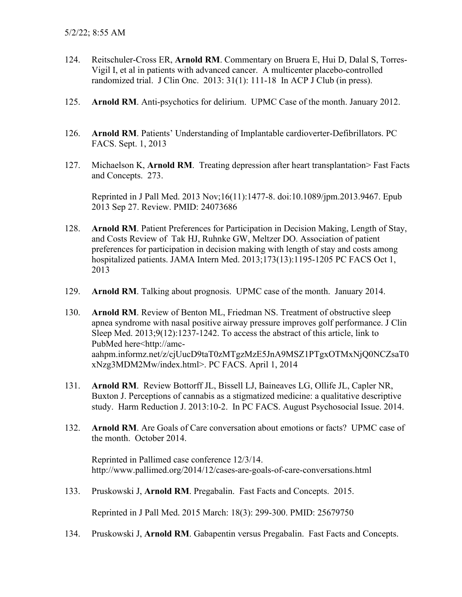- 124. Reitschuler-Cross ER, **Arnold RM**. Commentary on Bruera E, Hui D, Dalal S, Torres-Vigil I, et al in patients with advanced cancer. A multicenter placebo-controlled randomized trial. J Clin Onc. 2013: 31(1): 111-18 In ACP J Club (in press).
- 125. **Arnold RM**. Anti-psychotics for delirium. UPMC Case of the month. January 2012.
- 126. **Arnold RM**. Patients' Understanding of Implantable cardioverter-Defibrillators. PC FACS. Sept. 1, 2013
- 127. Michaelson K, **Arnold RM**. Treating depression after heart transplantation> Fast Facts and Concepts. 273.

Reprinted in J Pall Med. 2013 Nov;16(11):1477-8. doi:10.1089/jpm.2013.9467. Epub 2013 Sep 27. Review. PMID: 24073686

- 128. **Arnold RM**. Patient Preferences for Participation in Decision Making, Length of Stay, and Costs Review of Tak HJ, Ruhnke GW, Meltzer DO. Association of patient preferences for participation in decision making with length of stay and costs among hospitalized patients. JAMA Intern Med. 2013;173(13):1195-1205 PC FACS Oct 1, 2013
- 129. **Arnold RM**. Talking about prognosis. UPMC case of the month. January 2014.
- 130. **Arnold RM**. Review of Benton ML, Friedman NS. Treatment of obstructive sleep apnea syndrome with nasal positive airway pressure improves golf performance. J Clin Sleep Med. 2013;9(12):1237-1242. To access the abstract of this article, link to PubMed here[<http://amc](http://amc-aahpm.informz.net/z/cjUucD9taT0zMTgzMzE5JnA9MSZ1PTgxOTMxNjQ0NCZsaT0xNzg3MDM2Mw/index.html)[aahpm.informz.net/z/cjUucD9taT0zMTgzMzE5JnA9MSZ1PTgxOTMxNjQ0NCZsaT0](http://amc-aahpm.informz.net/z/cjUucD9taT0zMTgzMzE5JnA9MSZ1PTgxOTMxNjQ0NCZsaT0xNzg3MDM2Mw/index.html) [xNzg3MDM2Mw/index.html>](http://amc-aahpm.informz.net/z/cjUucD9taT0zMTgzMzE5JnA9MSZ1PTgxOTMxNjQ0NCZsaT0xNzg3MDM2Mw/index.html). PC FACS. April 1, 2014
- 131. **Arnold RM**. Review Bottorff JL, Bissell LJ, Baineaves LG, Ollife JL, Capler NR, Buxton J. Perceptions of cannabis as a stigmatized medicine: a qualitative descriptive study. Harm Reduction J. 2013:10-2. In PC FACS. August Psychosocial Issue. 2014.
- 132. **Arnold RM**. Are Goals of Care conversation about emotions or facts? UPMC case of the month. October 2014.

Reprinted in Pallimed case conference 12/3/14. [http://www.pallimed.org/2014/12/cases-are-g](http://www.pallimed.org/2014/12/cases-are-)oals-of-care-conversations.html

133. Pruskowski J, **Arnold RM**. Pregabalin. Fast Facts and Concepts. 2015.

Reprinted in J Pall Med. 2015 March: 18(3): 299-300. PMID: 25679750

134. Pruskowski J, **Arnold RM**. Gabapentin versus Pregabalin. Fast Facts and Concepts.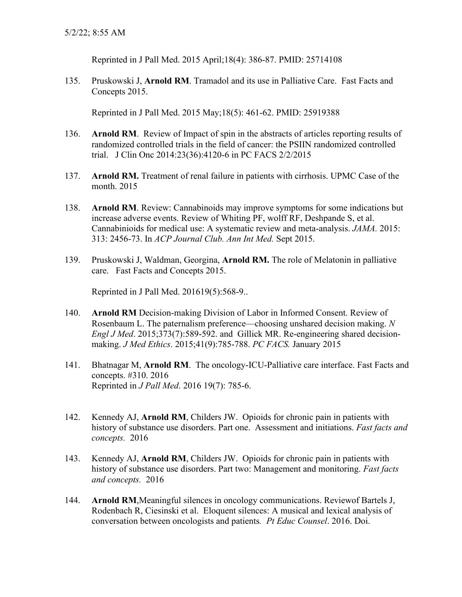Reprinted in J Pall Med. 2015 April;18(4): 386-87. PMID: 25714108

135. Pruskowski J, **Arnold RM**. Tramadol and its use in Palliative Care. Fast Facts and Concepts 2015.

Reprinted in J Pall Med. 2015 May;18(5): 461-62. PMID: 25919388

- 136. **Arnold RM**. Review of Impact of spin in the abstracts of articles reporting results of randomized controlled trials in the field of cancer: the PSIIN randomized controlled trial. J Clin Onc 2014:23(36):4120-6 in PC FACS 2/2/2015
- 137. **Arnold RM.** Treatment of renal failure in patients with cirrhosis. UPMC Case of the month. 2015
- 138. **Arnold RM**. Review: Cannabinoids may improve symptoms for some indications but increase adverse events. Review of Whiting PF, wolff RF, Deshpande S, et al. Cannabinioids for medical use: A systematic review and meta-analysis. *JAMA.* 2015: 313: 2456-73. In *ACP Journal Club. Ann Int Med.* Sept 2015.
- 139. Pruskowski J, Waldman, Georgina, **Arnold RM.** The role of Melatonin in palliative care. Fast Facts and Concepts 2015.

Reprinted in J Pall Med. 201619(5):568-9..

- 140. **Arnold RM** Decision-making Division of Labor in Informed Consent. Review of Rosenbaum L. The paternalism preference—choosing unshared decision making. *N Engl J Med*. 2015;373(7):589-592. and Gillick MR. Re-engineering shared decisionmaking. *J Med Ethics*. 2015;41(9):785-788. *PC FACS.* January 2015
- 141. Bhatnagar M, **Arnold RM**. The oncology-ICU-Palliative care interface. Fast Facts and concepts. #310. 2016 Reprinted in *J Pall Med*. 2016 19(7): 785-6.
- 142. Kennedy AJ, **Arnold RM**, Childers JW. Opioids for chronic pain in patients with history of substance use disorders. Part one. Assessment and initiations. *Fast facts and concepts.* 2016
- 143. Kennedy AJ, **Arnold RM**, Childers JW. Opioids for chronic pain in patients with history of substance use disorders. Part two: Management and monitoring. *Fast facts and concepts.* 2016
- 144. **Arnold RM**,Meaningful silences in oncology communications. Reviewof Bartels J, Rodenbach R, Ciesinski et al. Eloquent silences: A musical and lexical analysis of conversation between oncologists and patients*. Pt Educ Counsel*. 2016. Doi.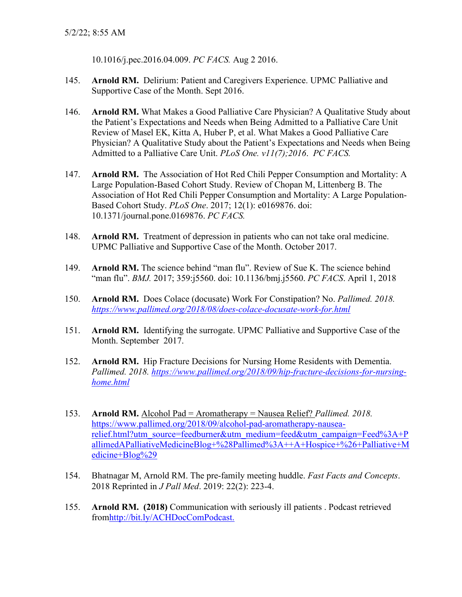10.1016/j.pec.2016.04.009. *PC FACS.* Aug 2 2016.

- 145. **Arnold RM.** Delirium: Patient and Caregivers Experience. UPMC Palliative and Supportive Case of the Month. Sept 2016.
- 146. **Arnold RM.** What Makes a Good Palliative Care Physician? A Qualitative Study about the Patient's Expectations and Needs when Being Admitted to a Palliative Care Unit Review of Masel EK, Kitta A, Huber P, et al. What Makes a Good Palliative Care Physician? A Qualitative Study about the Patient's Expectations and Needs when Being Admitted to a Palliative Care Unit. *PLoS One. v11(7);2016*. *PC FACS.*
- 147. **Arnold RM.** The Association of Hot Red Chili Pepper Consumption and Mortality: A Large Population-Based Cohort Study. Review of Chopan M, Littenberg B. The Association of Hot Red Chili Pepper Consumption and Mortality: A Large Population-Based Cohort Study. *PLoS One*. 2017; 12(1): e0169876. doi: 10.1371/journal.pone.0169876. *PC FACS.*
- 148. **Arnold RM.** Treatment of depression in patients who can not take oral medicine. UPMC Palliative and Supportive Case of the Month. October 2017.
- 149. **Arnold RM.** The science behind "man flu". Review of Sue K. The science behind "man flu". *BMJ.* 2017; 359:j5560. doi: 10.1136/bmj.j5560. *PC FACS*. April 1, 2018
- 150. **Arnold RM.** Does Colace (docusate) Work For Constipation? No. *Pallimed. 2018. <https://www.pallimed.org/2018/08/does-colace-docusate-work-for.html>*
- 151. **Arnold RM.** Identifying the surrogate. UPMC Palliative and Supportive Case of the Month. September 2017.
- 152. **Arnold RM.** Hip Fracture Decisions for Nursing Home Residents with Dementia. *Pallimed. 2018. [https://www.pallimed.org/2018/09/hip-fracture-decisions-for-nursing](https://www.pallimed.org/2018/09/hip-fracture-decisions-for-nursing-home.html)[home.html](https://www.pallimed.org/2018/09/hip-fracture-decisions-for-nursing-home.html)*
- 153. **Arnold RM.** Alcohol Pad = Aromatherapy = Nausea Relief? *Pallimed. 2018.*  [https://www.pallimed.org/2018/09/alcohol-pad-aromatherapy-nausea](https://www.pallimed.org/2018/09/alcohol-pad-aromatherapy-nausea-relief.html?utm_source=feedburner&utm_medium=feed&utm_campaign=Feed%3A+PallimedAPalliativeMedicineBlog+%28Pallimed%3A++A+Hospice+%26+Palliative+Medicine+Blog%29)[relief.html?utm\\_source=feedburner&utm\\_medium=feed&utm\\_campaign=Feed%3A+P](https://www.pallimed.org/2018/09/alcohol-pad-aromatherapy-nausea-relief.html?utm_source=feedburner&utm_medium=feed&utm_campaign=Feed%3A+PallimedAPalliativeMedicineBlog+%28Pallimed%3A++A+Hospice+%26+Palliative+Medicine+Blog%29) [allimedAPalliativeMedicineBlog+%28Pallimed%3A++A+Hospice+%26+Palliative+M](https://www.pallimed.org/2018/09/alcohol-pad-aromatherapy-nausea-relief.html?utm_source=feedburner&utm_medium=feed&utm_campaign=Feed%3A+PallimedAPalliativeMedicineBlog+%28Pallimed%3A++A+Hospice+%26+Palliative+Medicine+Blog%29) [edicine+Blog%29](https://www.pallimed.org/2018/09/alcohol-pad-aromatherapy-nausea-relief.html?utm_source=feedburner&utm_medium=feed&utm_campaign=Feed%3A+PallimedAPalliativeMedicineBlog+%28Pallimed%3A++A+Hospice+%26+Palliative+Medicine+Blog%29)
- 154. Bhatnagar M, Arnold RM. The pre-family meeting huddle. *Fast Facts and Concepts*. 2018 Reprinted in *J Pall Med*. 2019: 22(2): 223-4.
- 155. **Arnold RM. (2018)** Communication with seriously ill patients . Podcast retrieved fro[mhttp://bit.ly/ACHDocComPodcast.](https://na01.safelinks.protection.outlook.com/?url=http%3A%2F%2Fr20.rs6.net%2Ftn.jsp%3Ff%3D001zCLizRA0Mue8BQT1Los-OaLYPWupNAXMGbulaPcJq3eMiiccfFEkCTtB8D6mW24p0irEbX8iGaJ75HHAp14LXxPnZHVhF-qDHaSWH_UxA7wVGJMlpFz71lNIQDQxylLlb84febAZjQwwmWvu0mn5IYFBYviVh56HyHzGgyQC0DuUliIvCMV0uA%3D%3D%26c%3DeMXdHw8H9Z7_rk2YKR7aUMN67fEM4Rhkk-qM70ZOsLBGHAHmo9bznQ%3D%3D%26ch%3DUSuKg7kghRvBFD_e5J6NFuuBN57RBRhBy97tIdfroWOz3cO4PAQoZQ%3D%3D&data=02%7C01%7Crabob%40pitt.edu%7Ca839e3e7be5848f1998f08d6757d4609%7C9ef9f489e0a04eeb87cc3a526112fd0d%7C1%7C0%7C636825578252305858&sdata=RDTiR5E8sLBZbZ%2FizC2aBONyhDuSvGSTAmpchjO%2FnUQ%3D&reserved=0)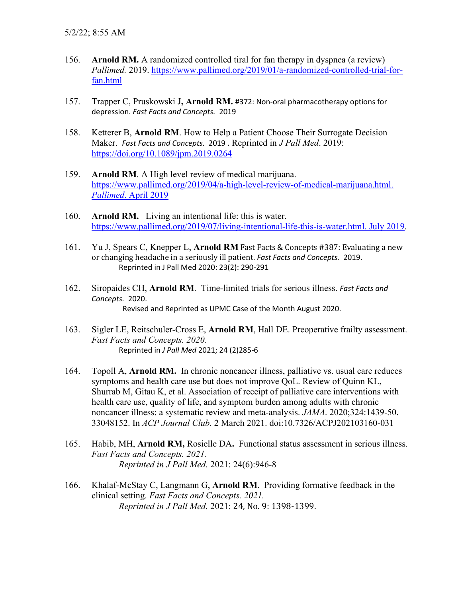- 156. **Arnold RM.** A randomized controlled tiral for fan therapy in dyspnea (a review) *Pallimed.* 2019. [https://www.pallimed.org/2019/01/a-randomized-controlled-trial-for](https://www.pallimed.org/2019/01/a-randomized-controlled-trial-for-fan.html)[fan.html](https://www.pallimed.org/2019/01/a-randomized-controlled-trial-for-fan.html)
- 157. Trapper C, Pruskowski J**, Arnold RM.** #372: Non-oral pharmacotherapy options for depression. *Fast Facts and Concepts.* 2019
- 158. Ketterer B, **Arnold RM**. How to Help a Patient Choose Their Surrogate Decision Maker. *Fast Facts and Concepts.* 2019 . Reprinted in *J Pall Med*. 2019: <https://doi.org/10.1089/jpm.2019.0264>
- 159. **Arnold RM**. A High level review of medical marijuana. [https://www.pallimed.org/2019/04/a-high-level-review-of-medical-marijuana.html.](https://www.pallimed.org/2019/04/a-high-level-review-of-medical-marijuana.html.%20Pallimed.%20April%202019)  *Pallimed*[. April 2019](https://www.pallimed.org/2019/04/a-high-level-review-of-medical-marijuana.html.%20Pallimed.%20April%202019)
- 160. **Arnold RM.** Living an intentional life: this is water. [https://www.pallimed.org/2019/07/living-intentional-life-this-is-water.html. July 2019.](https://www.pallimed.org/2019/07/living-intentional-life-this-is-water.html.%20July%202019)
- 161. Yu J, Spears C, Knepper L, **Arnold RM** Fast Facts & Concepts #387: Evaluating a new or changing headache in a seriously ill patient. *Fast Facts and Concepts.* 2019. Reprinted in J Pall Med 2020: 23(2): 290-291
- 162. Siropaides CH, **Arnold RM**. Time-limited trials for serious illness. *Fast Facts and Concepts.* 2020. Revised and Reprinted as UPMC Case of the Month August 2020.
- 163. Sigler LE, Reitschuler-Cross E, **Arnold RM**, Hall DE. Preoperative frailty assessment. *Fast Facts and Concepts. 2020.*  Reprinted in *J Pall Med* 2021; 24 (2)285-6
- 164. Topoll A, **Arnold RM.** In chronic noncancer illness, palliative vs. usual care reduces symptoms and health care use but does not improve QoL. Review of Quinn KL, Shurrab M, Gitau K, et al. Association of receipt of palliative care interventions with health care use, quality of life, and symptom burden among adults with chronic noncancer illness: a systematic review and meta-analysis. *JAMA*. 2020;324:1439-50. 33048152. In *ACP Journal Club.* 2 March 2021. doi:10.7326/ACPJ202103160-031
- 165. Habib, MH, **Arnold RM,** Rosielle DA**.** Functional status assessment in serious illness. *Fast Facts and Concepts. 2021. Reprinted in J Pall Med.* 2021: 24(6):946-8
- 166. Khalaf-McStay C, Langmann G, **Arnold RM**. Providing formative feedback in the clinical setting. *Fast Facts and Concepts. 2021. Reprinted in J Pall Med.* 2021: 24, No. 9: 1398-1399.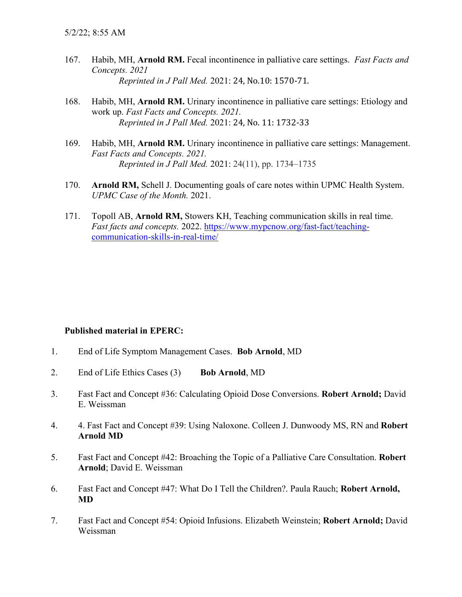- 167. Habib, MH, **Arnold RM.** Fecal incontinence in palliative care settings. *Fast Facts and Concepts. 2021 Reprinted in J Pall Med.* 2021: 24, No.10: 1570-71.
- 168. Habib, MH, **Arnold RM.** Urinary incontinence in palliative care settings: Etiology and work up. *Fast Facts and Concepts. 2021. Reprinted in J Pall Med.* 2021: 24, No. 11: 1732-33
- 169. Habib, MH, **Arnold RM.** Urinary incontinence in palliative care settings: Management. *Fast Facts and Concepts. 2021. Reprinted in J Pall Med.* 2021: 24(11), pp. 1734–1735
- 170. **Arnold RM,** Schell J. Documenting goals of care notes within UPMC Health System. *UPMC Case of the Month.* 2021.
- 171. Topoll AB, **Arnold RM,** Stowers KH, Teaching communication skills in real time. *Fast facts and concepts.* 2022. [https://www.mypcnow.org/fast-fact/teaching](https://urldefense.com/v3/__https:/www.mypcnow.org/fast-fact/teaching-communication-skills-in-real-time/__;!!NHLzug!bX3pLfe7NMliGTdw1qXae20dgRD4o5dSjNJC0FZfh8IpK3XJoGAXoCgg-1b3m259$)[communication-skills-in-real-time/](https://urldefense.com/v3/__https:/www.mypcnow.org/fast-fact/teaching-communication-skills-in-real-time/__;!!NHLzug!bX3pLfe7NMliGTdw1qXae20dgRD4o5dSjNJC0FZfh8IpK3XJoGAXoCgg-1b3m259$)

### **Published material in EPERC:**

- 1. End of Life Symptom Management Cases. **Bob Arnold**, MD
- 2. End of Life Ethics Cases (3) **Bob Arnold**, MD
- 3. Fast Fact and Concept #36: Calculating Opioid Dose Conversions. **Robert Arnold;** David E. Weissman
- 4. 4. Fast Fact and Concept #39: Using Naloxone. Colleen J. Dunwoody MS, RN and **Robert Arnold MD**
- 5. Fast Fact and Concept #42: Broaching the Topic of a Palliative Care Consultation. **Robert Arnold**; David E. Weissman
- 6. Fast Fact and Concept #47: What Do I Tell the Children?. Paula Rauch; **Robert Arnold, MD**
- 7. Fast Fact and Concept #54: Opioid Infusions. Elizabeth Weinstein; **Robert Arnold;** David Weissman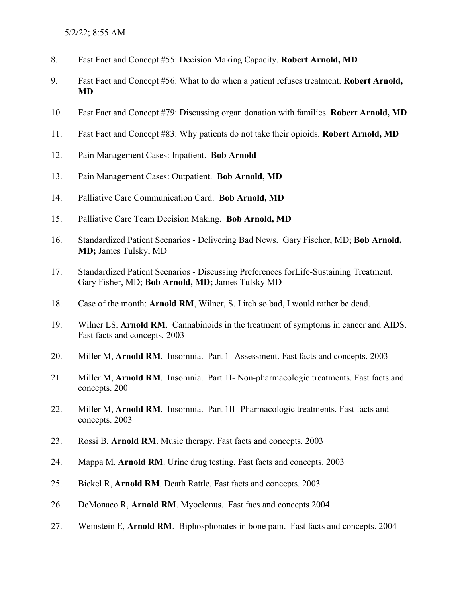- 8. Fast Fact and Concept #55: Decision Making Capacity. **Robert Arnold, MD**
- 9. Fast Fact and Concept #56: What to do when a patient refuses treatment. **Robert Arnold, MD**
- 10. Fast Fact and Concept #79: Discussing organ donation with families. **Robert Arnold, MD**
- 11. Fast Fact and Concept #83: Why patients do not take their opioids. **Robert Arnold, MD**
- 12. Pain Management Cases: Inpatient. **Bob Arnold**
- 13. Pain Management Cases: Outpatient. **Bob Arnold, MD**
- 14. Palliative Care Communication Card. **Bob Arnold, MD**
- 15. Palliative Care Team Decision Making. **Bob Arnold, MD**
- 16. Standardized Patient Scenarios Delivering Bad News. Gary Fischer, MD; **Bob Arnold, MD;** James Tulsky, MD
- 17. Standardized Patient Scenarios Discussing Preferences forLife-Sustaining Treatment. Gary Fisher, MD; **Bob Arnold, MD;** James Tulsky MD
- 18. Case of the month: **Arnold RM**, Wilner, S. I itch so bad, I would rather be dead.
- 19. Wilner LS, **Arnold RM**. Cannabinoids in the treatment of symptoms in cancer and AIDS. Fast facts and concepts. 2003
- 20. Miller M, **Arnold RM**. Insomnia. Part 1- Assessment. Fast facts and concepts. 2003
- 21. Miller M, **Arnold RM**. Insomnia. Part 1I- Non-pharmacologic treatments. Fast facts and concepts. 200
- 22. Miller M, **Arnold RM**. Insomnia. Part 1II- Pharmacologic treatments. Fast facts and concepts. 2003
- 23. Rossi B, **Arnold RM**. Music therapy. Fast facts and concepts. 2003
- 24. Mappa M, **Arnold RM**. Urine drug testing. Fast facts and concepts. 2003
- 25. Bickel R, **Arnold RM**. Death Rattle. Fast facts and concepts. 2003
- 26. DeMonaco R, **Arnold RM**. Myoclonus. Fast facs and concepts 2004
- 27. Weinstein E, **Arnold RM**. Biphosphonates in bone pain. Fast facts and concepts. 2004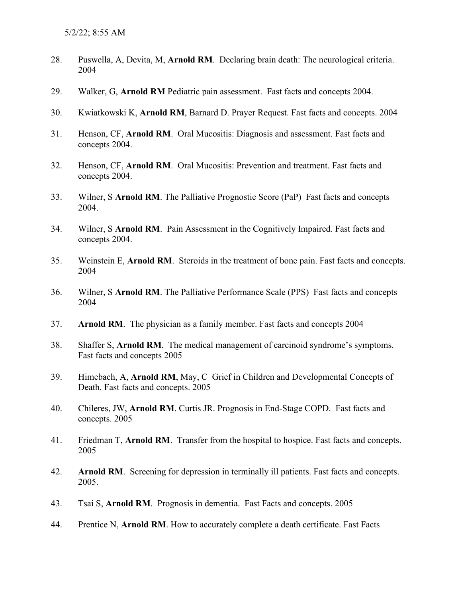- 28. Puswella, A, Devita, M, **Arnold RM**. Declaring brain death: The neurological criteria. 2004
- 29. Walker, G, **Arnold RM** Pediatric pain assessment. Fast facts and concepts 2004.
- 30. Kwiatkowski K, **Arnold RM**, Barnard D. Prayer Request. Fast facts and concepts. 2004
- 31. Henson, CF, **Arnold RM**. Oral Mucositis: Diagnosis and assessment. Fast facts and concepts 2004.
- 32. Henson, CF, **Arnold RM**. Oral Mucositis: Prevention and treatment. Fast facts and concepts 2004.
- 33. Wilner, S **Arnold RM**. The Palliative Prognostic Score (PaP) Fast facts and concepts 2004.
- 34. Wilner, S **Arnold RM**. Pain Assessment in the Cognitively Impaired. Fast facts and concepts 2004.
- 35. Weinstein E, **Arnold RM**. Steroids in the treatment of bone pain. Fast facts and concepts. 2004
- 36. Wilner, S **Arnold RM**. The Palliative Performance Scale (PPS) Fast facts and concepts 2004
- 37. **Arnold RM**. The physician as a family member. Fast facts and concepts 2004
- 38. Shaffer S, **Arnold RM**. The medical management of carcinoid syndrome's symptoms. Fast facts and concepts 2005
- 39. Himebach, A, **Arnold RM**, May, C Grief in Children and Developmental Concepts of Death. Fast facts and concepts. 2005
- 40. Chileres, JW, **Arnold RM**. Curtis JR. Prognosis in End-Stage COPD. Fast facts and concepts. 2005
- 41. Friedman T, **Arnold RM**. Transfer from the hospital to hospice. Fast facts and concepts. 2005
- 42. **Arnold RM**. Screening for depression in terminally ill patients. Fast facts and concepts. 2005.
- 43. Tsai S, **Arnold RM**. Prognosis in dementia. Fast Facts and concepts. 2005
- 44. Prentice N, **Arnold RM**. How to accurately complete a death certificate. Fast Facts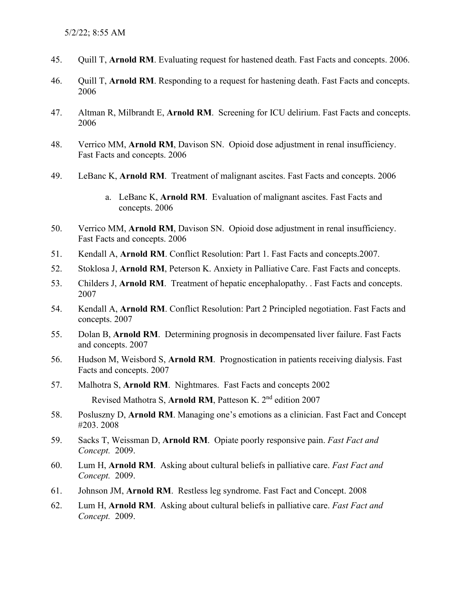- 45. Quill T, **Arnold RM**. Evaluating request for hastened death. Fast Facts and concepts. 2006.
- 46. Quill T, **Arnold RM**. Responding to a request for hastening death. Fast Facts and concepts. 2006
- 47. Altman R, Milbrandt E, **Arnold RM**. Screening for ICU delirium. Fast Facts and concepts. 2006
- 48. Verrico MM, **Arnold RM**, Davison SN. Opioid dose adjustment in renal insufficiency. Fast Facts and concepts. 2006
- 49. LeBanc K, **Arnold RM**. Treatment of malignant ascites. Fast Facts and concepts. 2006
	- a. LeBanc K, **Arnold RM**. Evaluation of malignant ascites. Fast Facts and concepts. 2006
- 50. Verrico MM, **Arnold RM**, Davison SN. Opioid dose adjustment in renal insufficiency. Fast Facts and concepts. 2006
- 51. Kendall A, **Arnold RM**. Conflict Resolution: Part 1. Fast Facts and concepts.2007.
- 52. Stoklosa J, **Arnold RM**, Peterson K. Anxiety in Palliative Care. Fast Facts and concepts.
- 53. Childers J, **Arnold RM**. Treatment of hepatic encephalopathy. . Fast Facts and concepts. 2007
- 54. Kendall A, **Arnold RM**. Conflict Resolution: Part 2 Principled negotiation. Fast Facts and concepts. 2007
- 55. Dolan B, **Arnold RM**. Determining prognosis in decompensated liver failure. Fast Facts and concepts. 2007
- 56. Hudson M, Weisbord S, **Arnold RM**. Prognostication in patients receiving dialysis. Fast Facts and concepts. 2007
- 57. Malhotra S, **Arnold RM**. Nightmares. Fast Facts and concepts 2002 Revised Mathotra S, **Arnold RM**, Patteson K. 2nd edition 2007
- 58. Posluszny D, **Arnold RM**. Managing one's emotions as a clinician. Fast Fact and Concept #203. 2008
- 59. Sacks T, Weissman D, **Arnold RM**. Opiate poorly responsive pain. *Fast Fact and Concept.* 2009.
- 60. Lum H, **Arnold RM**. Asking about cultural beliefs in palliative care. *Fast Fact and Concept.* 2009.
- 61. Johnson JM, **Arnold RM**. Restless leg syndrome. Fast Fact and Concept. 2008
- 62. Lum H, **Arnold RM**. Asking about cultural beliefs in palliative care. *Fast Fact and Concept.* 2009.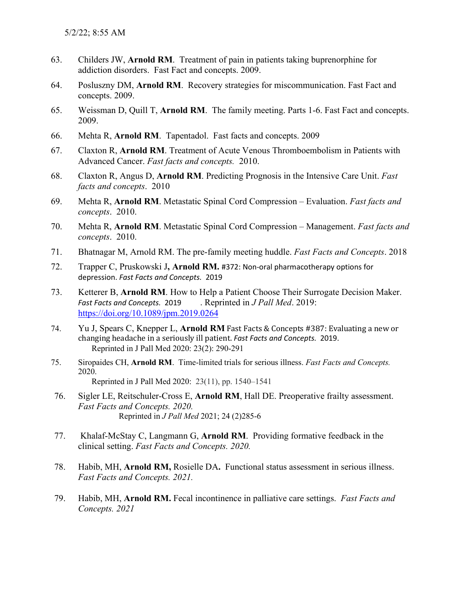- 63. Childers JW, **Arnold RM**. Treatment of pain in patients taking buprenorphine for addiction disorders. Fast Fact and concepts. 2009.
- 64. Posluszny DM, **Arnold RM**. Recovery strategies for miscommunication. Fast Fact and concepts. 2009.
- 65. Weissman D, Quill T, **Arnold RM**. The family meeting. Parts 1-6. Fast Fact and concepts. 2009.
- 66. Mehta R, **Arnold RM**. Tapentadol. Fast facts and concepts. 2009
- 67. Claxton R, **Arnold RM**. Treatment of Acute Venous Thromboembolism in Patients with Advanced Cancer. *Fast facts and concepts.* 2010.
- 68. Claxton R, Angus D, **Arnold RM**. Predicting Prognosis in the Intensive Care Unit. *Fast facts and concepts*. 2010
- 69. Mehta R, **Arnold RM**. Metastatic Spinal Cord Compression Evaluation. *Fast facts and concepts*. 2010.
- 70. Mehta R, **Arnold RM**. Metastatic Spinal Cord Compression Management. *Fast facts and concepts*. 2010.
- 71. Bhatnagar M, Arnold RM. The pre-family meeting huddle. *Fast Facts and Concepts*. 2018
- 72. Trapper C, Pruskowski J**, Arnold RM.** #372: Non-oral pharmacotherapy options for depression. *Fast Facts and Concepts.* 2019
- 73. Ketterer B, **Arnold RM**. How to Help a Patient Choose Their Surrogate Decision Maker. *Fast Facts and Concepts.* 2019 . Reprinted in *J Pall Med*. 2019: <https://doi.org/10.1089/jpm.2019.0264>
- 74. Yu J, Spears C, Knepper L, **Arnold RM** Fast Facts & Concepts #387: Evaluating a new or changing headache in a seriously ill patient. *Fast Facts and Concepts.* 2019. Reprinted in J Pall Med 2020: 23(2): 290-291
- 75. Siropaides CH, **Arnold RM**. Time-limited trials for serious illness. *Fast Facts and Concepts.*  2020. Reprinted in J Pall Med 2020: 23(11), pp. 1540–1541
- 76. Sigler LE, Reitschuler-Cross E, **Arnold RM**, Hall DE. Preoperative frailty assessment. *Fast Facts and Concepts. 2020.* Reprinted in *J Pall Med* 2021; 24 (2)285-6
- 77. Khalaf-McStay C, Langmann G, **Arnold RM**. Providing formative feedback in the clinical setting. *Fast Facts and Concepts. 2020.*
- 78. Habib, MH, **Arnold RM,** Rosielle DA**.** Functional status assessment in serious illness. *Fast Facts and Concepts. 2021.*
- 79. Habib, MH, **Arnold RM.** Fecal incontinence in palliative care settings. *Fast Facts and Concepts. 2021*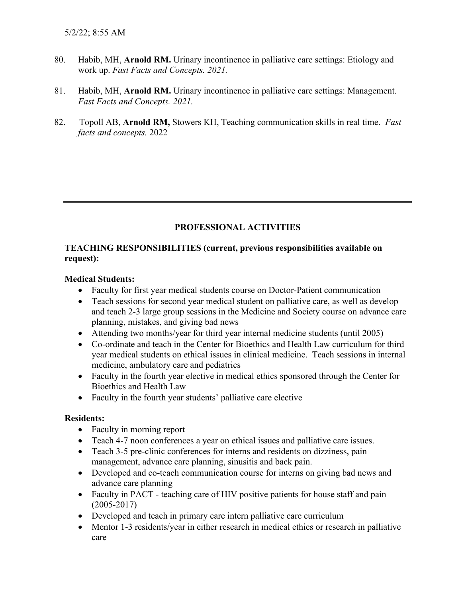- 80. Habib, MH, **Arnold RM.** Urinary incontinence in palliative care settings: Etiology and work up. *Fast Facts and Concepts. 2021.*
- 81. Habib, MH, **Arnold RM.** Urinary incontinence in palliative care settings: Management. *Fast Facts and Concepts. 2021.*
- 82. Topoll AB, **Arnold RM,** Stowers KH, Teaching communication skills in real time. *Fast facts and concepts.* 2022

## **PROFESSIONAL ACTIVITIES**

### **TEACHING RESPONSIBILITIES (current, previous responsibilities available on request):**

### **Medical Students:**

- Faculty for first year medical students course on Doctor-Patient communication
- Teach sessions for second year medical student on palliative care, as well as develop and teach 2-3 large group sessions in the Medicine and Society course on advance care planning, mistakes, and giving bad news
- Attending two months/year for third year internal medicine students (until 2005)
- Co-ordinate and teach in the Center for Bioethics and Health Law curriculum for third year medical students on ethical issues in clinical medicine. Teach sessions in internal medicine, ambulatory care and pediatrics
- Faculty in the fourth year elective in medical ethics sponsored through the Center for Bioethics and Health Law
- Faculty in the fourth year students' palliative care elective

### **Residents:**

- Faculty in morning report
- Teach 4-7 noon conferences a year on ethical issues and palliative care issues.
- Teach 3-5 pre-clinic conferences for interns and residents on dizziness, pain management, advance care planning, sinusitis and back pain.
- Developed and co-teach communication course for interns on giving bad news and advance care planning
- Faculty in PACT teaching care of HIV positive patients for house staff and pain (2005-2017)
- Developed and teach in primary care intern palliative care curriculum
- Mentor 1-3 residents/year in either research in medical ethics or research in palliative care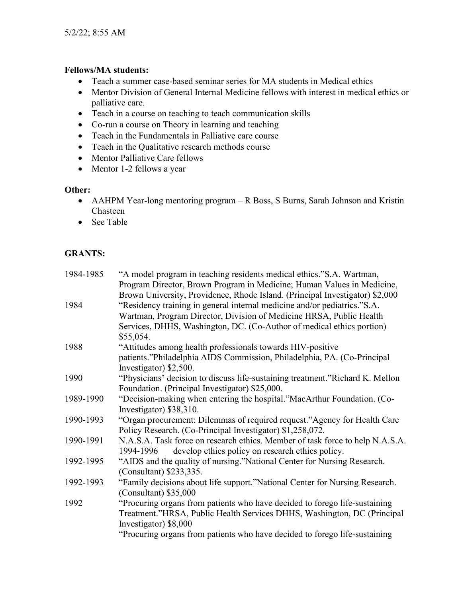### **Fellows/MA students:**

- Teach a summer case-based seminar series for MA students in Medical ethics
- Mentor Division of General Internal Medicine fellows with interest in medical ethics or palliative care.
- Teach in a course on teaching to teach communication skills
- Co-run a course on Theory in learning and teaching
- Teach in the Fundamentals in Palliative care course
- Teach in the Qualitative research methods course
- Mentor Palliative Care fellows
- Mentor 1-2 fellows a year

### **Other:**

- AAHPM Year-long mentoring program R Boss, S Burns, Sarah Johnson and Kristin Chasteen
- See Table

# **GRANTS:**

| 1984-1985 | "A model program in teaching residents medical ethics."S.A. Wartman,          |
|-----------|-------------------------------------------------------------------------------|
|           | Program Director, Brown Program in Medicine; Human Values in Medicine,        |
|           | Brown University, Providence, Rhode Island. (Principal Investigator) \$2,000  |
| 1984      | "Residency training in general internal medicine and/or pediatrics."S.A.      |
|           | Wartman, Program Director, Division of Medicine HRSA, Public Health           |
|           | Services, DHHS, Washington, DC. (Co-Author of medical ethics portion)         |
|           | \$55,054.                                                                     |
| 1988      | "Attitudes among health professionals towards HIV-positive                    |
|           | patients."Philadelphia AIDS Commission, Philadelphia, PA. (Co-Principal       |
|           | Investigator) \$2,500.                                                        |
| 1990      | "Physicians' decision to discuss life-sustaining treatment."Richard K. Mellon |
|           | Foundation. (Principal Investigator) \$25,000.                                |
| 1989-1990 | "Decision-making when entering the hospital."MacArthur Foundation. (Co-       |
|           | Investigator) \$38,310.                                                       |
| 1990-1993 | "Organ procurement: Dilemmas of required request."Agency for Health Care      |
|           | Policy Research. (Co-Principal Investigator) \$1,258,072.                     |
| 1990-1991 | N.A.S.A. Task force on research ethics. Member of task force to help N.A.S.A. |
|           | 1994-1996 develop ethics policy on research ethics policy.                    |
| 1992-1995 | "AIDS and the quality of nursing."National Center for Nursing Research.       |
|           | (Consultant) \$233,335.                                                       |
| 1992-1993 | "Family decisions about life support."National Center for Nursing Research.   |
|           | $(Constant)$ \$35,000                                                         |
| 1992      | "Procuring organs from patients who have decided to forego life-sustaining    |
|           | Treatment."HRSA, Public Health Services DHHS, Washington, DC (Principal       |
|           | Investigator) \$8,000                                                         |
|           | "Procuring organs from patients who have decided to forego life-sustaining    |
|           |                                                                               |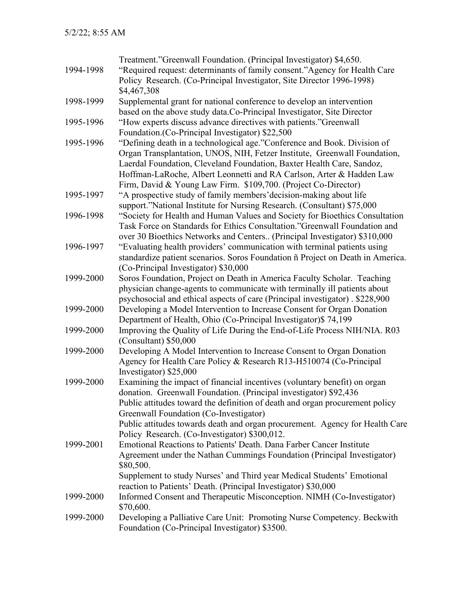|           | Treatment."Greenwall Foundation. (Principal Investigator) \$4,650.                   |
|-----------|--------------------------------------------------------------------------------------|
| 1994-1998 | "Required request: determinants of family consent."Agency for Health Care            |
|           | Policy Research. (Co-Principal Investigator, Site Director 1996-1998)                |
|           | \$4,467,308                                                                          |
| 1998-1999 | Supplemental grant for national conference to develop an intervention                |
|           | based on the above study data.Co-Principal Investigator, Site Director               |
| 1995-1996 | "How experts discuss advance directives with patients."Greenwall                     |
|           | Foundation. (Co-Principal Investigator) \$22,500                                     |
| 1995-1996 | "Defining death in a technological age."Conference and Book. Division of             |
|           | Organ Transplantation, UNOS, NIH, Fetzer Institute, Greenwall Foundation,            |
|           | Laerdal Foundation, Cleveland Foundation, Baxter Health Care, Sandoz,                |
|           | Hoffman-LaRoche, Albert Leonnetti and RA Carlson, Arter & Hadden Law                 |
|           | Firm, David & Young Law Firm. \$109,700. (Project Co-Director)                       |
| 1995-1997 | "A prospective study of family members' decision-making about life                   |
|           | support."National Institute for Nursing Research. (Consultant) \$75,000              |
| 1996-1998 | "Society for Health and Human Values and Society for Bioethics Consultation          |
|           | Task Force on Standards for Ethics Consultation." Greenwall Foundation and           |
|           | over 30 Bioethics Networks and Centers (Principal Investigator) \$310,000            |
| 1996-1997 | "Evaluating health providers' communication with terminal patients using             |
|           | standardize patient scenarios. Soros Foundation ñ Project on Death in America.       |
|           | (Co-Principal Investigator) \$30,000                                                 |
| 1999-2000 | Soros Foundation, Project on Death in America Faculty Scholar. Teaching              |
|           | physician change-agents to communicate with terminally ill patients about            |
|           | psychosocial and ethical aspects of care (Principal investigator). \$228,900         |
| 1999-2000 | Developing a Model Intervention to Increase Consent for Organ Donation               |
|           | Department of Health, Ohio (Co-Principal Investigator)\$ 74,199                      |
| 1999-2000 | Improving the Quality of Life During the End-of-Life Process NIH/NIA. R03            |
|           | (Consultant) \$50,000                                                                |
| 1999-2000 | Developing A Model Intervention to Increase Consent to Organ Donation                |
|           | Agency for Health Care Policy & Research R13-H510074 (Co-Principal                   |
|           | Investigator) \$25,000                                                               |
| 1999-2000 | Examining the impact of financial incentives (voluntary benefit) on organ            |
|           | donation. Greenwall Foundation. (Principal investigator) \$92,436                    |
|           | Public attitudes toward the definition of death and organ procurement policy         |
|           | Greenwall Foundation (Co-Investigator)                                               |
|           | Public attitudes towards death and organ procurement. Agency for Health Care         |
|           | Policy Research. (Co-Investigator) \$300,012.                                        |
| 1999-2001 | Emotional Reactions to Patients' Death. Dana Farber Cancer Institute                 |
|           | Agreement under the Nathan Cummings Foundation (Principal Investigator)<br>\$80,500. |
|           | Supplement to study Nurses' and Third year Medical Students' Emotional               |
|           | reaction to Patients' Death. (Principal Investigator) \$30,000                       |
| 1999-2000 | Informed Consent and Therapeutic Misconception. NIMH (Co-Investigator)               |
|           | \$70,600.                                                                            |
| 1999-2000 | Developing a Palliative Care Unit: Promoting Nurse Competency. Beckwith              |
|           | Foundation (Co-Principal Investigator) \$3500.                                       |
|           |                                                                                      |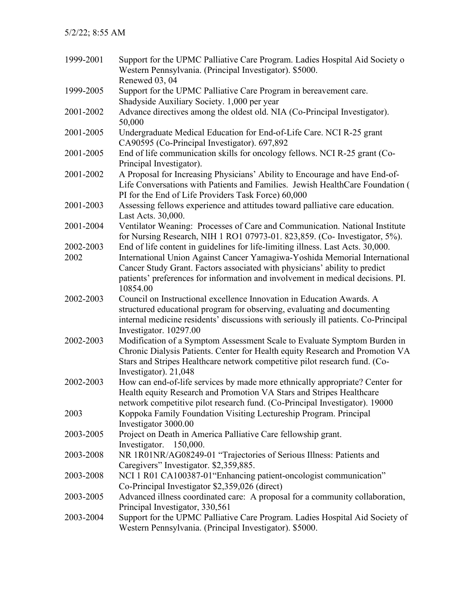| 1999-2001 | Support for the UPMC Palliative Care Program. Ladies Hospital Aid Society o<br>Western Pennsylvania. (Principal Investigator). \$5000.                                                                                                                            |
|-----------|-------------------------------------------------------------------------------------------------------------------------------------------------------------------------------------------------------------------------------------------------------------------|
| 1999-2005 | Renewed 03, 04<br>Support for the UPMC Palliative Care Program in bereavement care.                                                                                                                                                                               |
|           | Shadyside Auxiliary Society. 1,000 per year                                                                                                                                                                                                                       |
| 2001-2002 | Advance directives among the oldest old. NIA (Co-Principal Investigator).<br>50,000                                                                                                                                                                               |
| 2001-2005 | Undergraduate Medical Education for End-of-Life Care. NCI R-25 grant<br>CA90595 (Co-Principal Investigator). 697,892                                                                                                                                              |
| 2001-2005 | End of life communication skills for oncology fellows. NCI R-25 grant (Co-<br>Principal Investigator).                                                                                                                                                            |
| 2001-2002 | A Proposal for Increasing Physicians' Ability to Encourage and have End-of-<br>Life Conversations with Patients and Families. Jewish HealthCare Foundation (<br>PI for the End of Life Providers Task Force) 60,000                                               |
| 2001-2003 | Assessing fellows experience and attitudes toward palliative care education.<br>Last Acts. 30,000.                                                                                                                                                                |
| 2001-2004 | Ventilator Weaning: Processes of Care and Communication. National Institute<br>for Nursing Research, NIH 1 RO1 07973-01. 823,859. (Co- Investigator, 5%).                                                                                                         |
| 2002-2003 | End of life content in guidelines for life-limiting illness. Last Acts. 30,000.                                                                                                                                                                                   |
| 2002      | International Union Against Cancer Yamagiwa-Yoshida Memorial International                                                                                                                                                                                        |
|           | Cancer Study Grant. Factors associated with physicians' ability to predict                                                                                                                                                                                        |
|           | patients' preferences for information and involvement in medical decisions. PI.<br>10854.00                                                                                                                                                                       |
| 2002-2003 | Council on Instructional excellence Innovation in Education Awards. A<br>structured educational program for observing, evaluating and documenting<br>internal medicine residents' discussions with seriously ill patients. Co-Principal<br>Investigator. 10297.00 |
| 2002-2003 | Modification of a Symptom Assessment Scale to Evaluate Symptom Burden in<br>Chronic Dialysis Patients. Center for Health equity Research and Promotion VA<br>Stars and Stripes Healthcare network competitive pilot research fund. (Co-<br>Investigator). 21,048  |
| 2002-2003 | How can end-of-life services by made more ethnically appropriate? Center for<br>Health equity Research and Promotion VA Stars and Stripes Healthcare<br>network competitive pilot research fund. (Co-Principal Investigator). 19000                               |
| 2003      | Koppoka Family Foundation Visiting Lectureship Program. Principal<br>Investigator 3000.00                                                                                                                                                                         |
| 2003-2005 | Project on Death in America Palliative Care fellowship grant.<br>Investigator. 150,000.                                                                                                                                                                           |
| 2003-2008 | NR 1R01NR/AG08249-01 "Trajectories of Serious Illness: Patients and<br>Caregivers" Investigator. \$2,359,885.                                                                                                                                                     |
| 2003-2008 | NCI 1 R01 CA100387-01 "Enhancing patient-oncologist communication"<br>Co-Principal Investigator \$2,359,026 (direct)                                                                                                                                              |
| 2003-2005 | Advanced illness coordinated care: A proposal for a community collaboration,<br>Principal Investigator, 330,561                                                                                                                                                   |
| 2003-2004 | Support for the UPMC Palliative Care Program. Ladies Hospital Aid Society of<br>Western Pennsylvania. (Principal Investigator). \$5000.                                                                                                                           |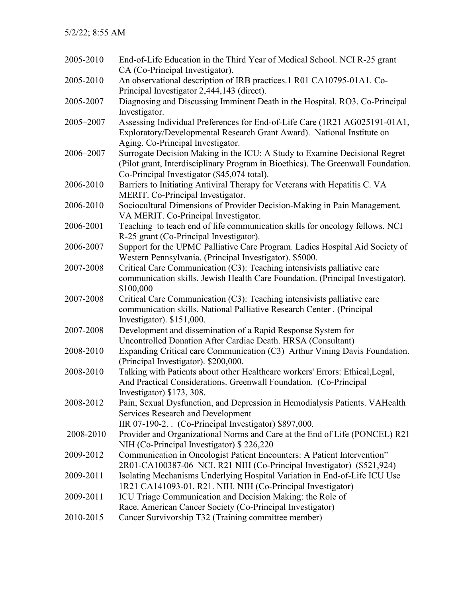| 2005-2010 | End-of-Life Education in the Third Year of Medical School. NCI R-25 grant<br>CA (Co-Principal Investigator).                                                                                                  |
|-----------|---------------------------------------------------------------------------------------------------------------------------------------------------------------------------------------------------------------|
| 2005-2010 | An observational description of IRB practices.1 R01 CA10795-01A1. Co-                                                                                                                                         |
| 2005-2007 | Principal Investigator 2,444,143 (direct).<br>Diagnosing and Discussing Imminent Death in the Hospital. RO3. Co-Principal<br>Investigator.                                                                    |
| 2005–2007 | Assessing Individual Preferences for End-of-Life Care (1R21 AG025191-01A1,<br>Exploratory/Developmental Research Grant Award). National Institute on<br>Aging. Co-Principal Investigator.                     |
| 2006-2007 | Surrogate Decision Making in the ICU: A Study to Examine Decisional Regret<br>(Pilot grant, Interdisciplinary Program in Bioethics). The Greenwall Foundation.<br>Co-Principal Investigator (\$45,074 total). |
| 2006-2010 | Barriers to Initiating Antiviral Therapy for Veterans with Hepatitis C. VA<br>MERIT. Co-Principal Investigator.                                                                                               |
| 2006-2010 | Sociocultural Dimensions of Provider Decision-Making in Pain Management.<br>VA MERIT. Co-Principal Investigator.                                                                                              |
| 2006-2001 | Teaching to teach end of life communication skills for oncology fellows. NCI<br>R-25 grant (Co-Principal Investigator).                                                                                       |
| 2006-2007 | Support for the UPMC Palliative Care Program. Ladies Hospital Aid Society of<br>Western Pennsylvania. (Principal Investigator). \$5000.                                                                       |
| 2007-2008 | Critical Care Communication (C3): Teaching intensivists palliative care<br>communication skills. Jewish Health Care Foundation. (Principal Investigator).<br>\$100,000                                        |
| 2007-2008 | Critical Care Communication (C3): Teaching intensivists palliative care<br>communication skills. National Palliative Research Center . (Principal<br>Investigator). \$151,000.                                |
| 2007-2008 | Development and dissemination of a Rapid Response System for<br>Uncontrolled Donation After Cardiac Death. HRSA (Consultant)                                                                                  |
| 2008-2010 | Expanding Critical care Communication (C3) Arthur Vining Davis Foundation.<br>(Principal Investigator). \$200,000.                                                                                            |
| 2008-2010 | Talking with Patients about other Healthcare workers' Errors: Ethical, Legal,<br>And Practical Considerations. Greenwall Foundation. (Co-Principal<br>Investigator) \$173, 308.                               |
| 2008-2012 | Pain, Sexual Dysfunction, and Depression in Hemodialysis Patients. VAHealth<br><b>Services Research and Development</b><br>IIR 07-190-2. (Co-Principal Investigator) \$897,000.                               |
| 2008-2010 | Provider and Organizational Norms and Care at the End of Life (PONCEL) R21<br>NIH (Co-Principal Investigator) \$226,220                                                                                       |
| 2009-2012 | Communication in Oncologist Patient Encounters: A Patient Intervention"<br>2R01-CA100387-06 NCI. R21 NIH (Co-Principal Investigator) (\$521,924)                                                              |
| 2009-2011 | Isolating Mechanisms Underlying Hospital Variation in End-of-Life ICU Use<br>1R21 CA141093-01. R21. NIH. NIH (Co-Principal Investigator)                                                                      |
| 2009-2011 | ICU Triage Communication and Decision Making: the Role of<br>Race. American Cancer Society (Co-Principal Investigator)                                                                                        |
| 2010-2015 | Cancer Survivorship T32 (Training committee member)                                                                                                                                                           |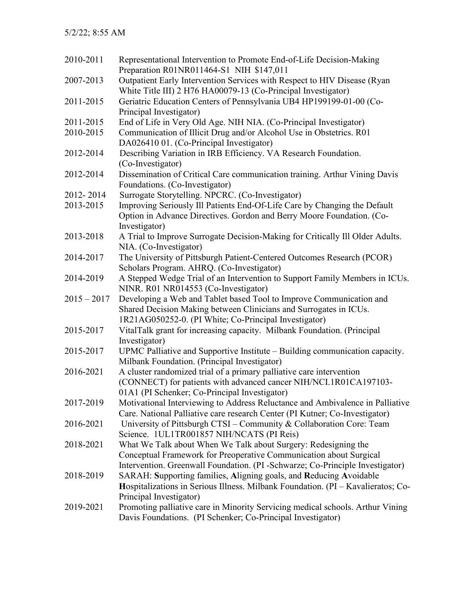| 2010-2011     | Representational Intervention to Promote End-of-Life Decision-Making<br>Preparation R01NR011464-S1 NIH \$147,011                          |
|---------------|-------------------------------------------------------------------------------------------------------------------------------------------|
| 2007-2013     | Outpatient Early Intervention Services with Respect to HIV Disease (Ryan<br>White Title III) 2 H76 HA00079-13 (Co-Principal Investigator) |
| 2011-2015     | Geriatric Education Centers of Pennsylvania UB4 HP199199-01-00 (Co-<br>Principal Investigator)                                            |
| 2011-2015     | End of Life in Very Old Age. NIH NIA. (Co-Principal Investigator)                                                                         |
| 2010-2015     | Communication of Illicit Drug and/or Alcohol Use in Obstetrics. R01                                                                       |
|               | DA026410 01. (Co-Principal Investigator)                                                                                                  |
| 2012-2014     | Describing Variation in IRB Efficiency. VA Research Foundation.<br>(Co-Investigator)                                                      |
| 2012-2014     | Dissemination of Critical Care communication training. Arthur Vining Davis<br>Foundations. (Co-Investigator)                              |
| 2012-2014     | Surrogate Storytelling. NPCRC. (Co-Investigator)                                                                                          |
| 2013-2015     | Improving Seriously Ill Patients End-Of-Life Care by Changing the Default                                                                 |
|               | Option in Advance Directives. Gordon and Berry Moore Foundation. (Co-<br>Investigator)                                                    |
| 2013-2018     | A Trial to Improve Surrogate Decision-Making for Critically Ill Older Adults.                                                             |
|               | NIA. (Co-Investigator)                                                                                                                    |
| 2014-2017     | The University of Pittsburgh Patient-Centered Outcomes Research (PCOR)                                                                    |
|               | Scholars Program. AHRQ. (Co-Investigator)                                                                                                 |
| 2014-2019     | A Stepped Wedge Trial of an Intervention to Support Family Members in ICUs.<br>NINR. R01 NR014553 (Co-Investigator)                       |
| $2015 - 2017$ | Developing a Web and Tablet based Tool to Improve Communication and                                                                       |
|               | Shared Decision Making between Clinicians and Surrogates in ICUs.                                                                         |
|               | 1R21AG050252-0. (PI White; Co-Principal Investigator)                                                                                     |
| 2015-2017     | VitalTalk grant for increasing capacity. Milbank Foundation. (Principal                                                                   |
|               | Investigator)                                                                                                                             |
| 2015-2017     | UPMC Palliative and Supportive Institute - Building communication capacity.                                                               |
|               | Milbank Foundation. (Principal Investigator)                                                                                              |
| 2016-2021     | A cluster randomized trial of a primary palliative care intervention                                                                      |
|               | (CONNECT) for patients with advanced cancer NIH/NCI.1R01CA197103-                                                                         |
|               | 01A1 (PI Schenker; Co-Principal Investigator)                                                                                             |
| 2017-2019     | Motivational Interviewing to Address Reluctance and Ambivalence in Palliative                                                             |
|               | Care. National Palliative care research Center (PI Kutner; Co-Investigator)                                                               |
| 2016-2021     | University of Pittsburgh CTSI – Community & Collaboration Core: Team                                                                      |
|               | Science. 1UL1TR001857 NIH/NCATS (PI Reis)                                                                                                 |
| 2018-2021     | What We Talk about When We Talk about Surgery: Redesigning the                                                                            |
|               | Conceptual Framework for Preoperative Communication about Surgical                                                                        |
|               | Intervention. Greenwall Foundation. (PI -Schwarze; Co-Principle Investigator)                                                             |
| 2018-2019     | SARAH: Supporting families, Aligning goals, and Reducing Avoidable                                                                        |
|               | Hospitalizations in Serious Illness. Milbank Foundation. (PI - Kavalieratos; Co-                                                          |
|               | Principal Investigator)                                                                                                                   |
| 2019-2021     | Promoting palliative care in Minority Servicing medical schools. Arthur Vining                                                            |
|               | Davis Foundations. (PI Schenker; Co-Principal Investigator)                                                                               |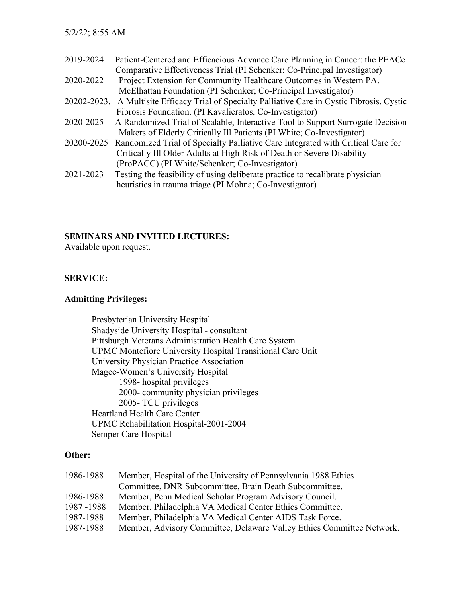| 2019-2024   | Patient-Centered and Efficacious Advance Care Planning in Cancer: the PEACe        |
|-------------|------------------------------------------------------------------------------------|
|             | Comparative Effectiveness Trial (PI Schenker; Co-Principal Investigator)           |
| 2020-2022   | Project Extension for Community Healthcare Outcomes in Western PA.                 |
|             | McElhattan Foundation (PI Schenker; Co-Principal Investigator)                     |
| 20202-2023. | A Multisite Efficacy Trial of Specialty Palliative Care in Cystic Fibrosis. Cystic |
|             | Fibrosis Foundation. (PI Kavalieratos, Co-Investigator)                            |
| 2020-2025   | A Randomized Trial of Scalable, Interactive Tool to Support Surrogate Decision     |
|             | Makers of Elderly Critically Ill Patients (PI White; Co-Investigator)              |
| 20200-2025  | Randomized Trial of Specialty Palliative Care Integrated with Critical Care for    |
|             | Critically Ill Older Adults at High Risk of Death or Severe Disability             |
|             | (ProPACC) (PI White/Schenker; Co-Investigator)                                     |
| 2021-2023   | Testing the feasibility of using deliberate practice to recalibrate physician      |
|             | heuristics in trauma triage (PI Mohna; Co-Investigator)                            |

### **SEMINARS AND INVITED LECTURES:**

Available upon request.

### **SERVICE:**

### **Admitting Privileges:**

Presbyterian University Hospital Shadyside University Hospital - consultant Pittsburgh Veterans Administration Health Care System UPMC Montefiore University Hospital Transitional Care Unit University Physician Practice Association Magee-Women's University Hospital 1998- hospital privileges 2000- community physician privileges 2005- TCU privileges Heartland Health Care Center UPMC Rehabilitation Hospital-2001-2004 Semper Care Hospital

### **Other:**

| 1986-1988   | Member, Hospital of the University of Pennsylvania 1988 Ethics        |
|-------------|-----------------------------------------------------------------------|
|             | Committee, DNR Subcommittee, Brain Death Subcommittee.                |
| 1986-1988   | Member, Penn Medical Scholar Program Advisory Council.                |
| 1987 - 1988 | Member, Philadelphia VA Medical Center Ethics Committee.              |
| 1987-1988   | Member, Philadelphia VA Medical Center AIDS Task Force.               |
| 1987-1988   | Member, Advisory Committee, Delaware Valley Ethics Committee Network. |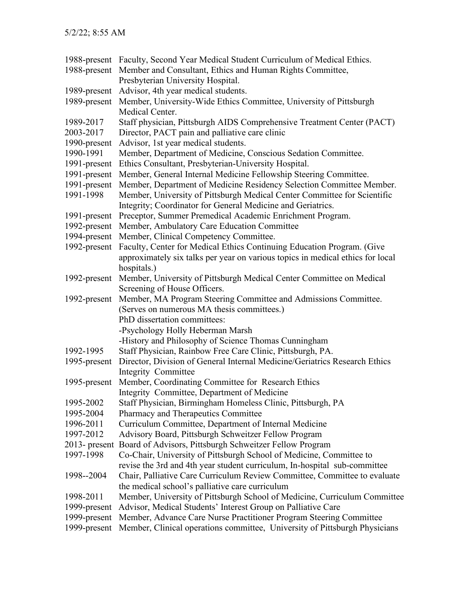|                  | 1988-present Faculty, Second Year Medical Student Curriculum of Medical Ethics. |
|------------------|---------------------------------------------------------------------------------|
| 1988-present     | Member and Consultant, Ethics and Human Rights Committee,                       |
|                  | Presbyterian University Hospital.                                               |
| 1989-present     | Advisor, 4th year medical students.                                             |
| 1989-present     | Member, University-Wide Ethics Committee, University of Pittsburgh              |
|                  | Medical Center.                                                                 |
| 1989-2017        | Staff physician, Pittsburgh AIDS Comprehensive Treatment Center (PACT)          |
| 2003-2017        | Director, PACT pain and palliative care clinic                                  |
| 1990-present     | Advisor, 1st year medical students.                                             |
| 1990-1991        | Member, Department of Medicine, Conscious Sedation Committee.                   |
| 1991-present     | Ethics Consultant, Presbyterian-University Hospital.                            |
| 1991-present     | Member, General Internal Medicine Fellowship Steering Committee.                |
| 1991-present     | Member, Department of Medicine Residency Selection Committee Member.            |
| 1991-1998        | Member, University of Pittsburgh Medical Center Committee for Scientific        |
|                  | Integrity; Coordinator for General Medicine and Geriatrics.                     |
| 1991-present     | Preceptor, Summer Premedical Academic Enrichment Program.                       |
| 1992-present     | Member, Ambulatory Care Education Committee                                     |
| 1994-present     | Member, Clinical Competency Committee.                                          |
| 1992-present     | Faculty, Center for Medical Ethics Continuing Education Program. (Give          |
|                  | approximately six talks per year on various topics in medical ethics for local  |
|                  | hospitals.)                                                                     |
| 1992-present     | Member, University of Pittsburgh Medical Center Committee on Medical            |
|                  | Screening of House Officers.                                                    |
| 1992-present     | Member, MA Program Steering Committee and Admissions Committee.                 |
|                  | (Serves on numerous MA thesis committees.)                                      |
|                  | PhD dissertation committees:                                                    |
|                  | -Psychology Holly Heberman Marsh                                                |
|                  | -History and Philosophy of Science Thomas Cunningham                            |
| 1992-1995        | Staff Physician, Rainbow Free Care Clinic, Pittsburgh, PA.                      |
| 1995-present     | Director, Division of General Internal Medicine/Geriatrics Research Ethics      |
|                  | Integrity Committee                                                             |
|                  | 1995-present Member, Coordinating Committee for Research Ethics                 |
|                  | Integrity Committee, Department of Medicine                                     |
| 1995-2002        | Staff Physician, Birmingham Homeless Clinic, Pittsburgh, PA                     |
| 1995-2004        | Pharmacy and Therapeutics Committee                                             |
| 1996-2011        | Curriculum Committee, Department of Internal Medicine                           |
| 1997-2012        | Advisory Board, Pittsburgh Schweitzer Fellow Program                            |
| $2013$ - present | Board of Advisors, Pittsburgh Schweitzer Fellow Program                         |
| 1997-1998        | Co-Chair, University of Pittsburgh School of Medicine, Committee to             |
|                  | revise the 3rd and 4th year student curriculum, In-hospital sub-committee       |
| 1998--2004       | Chair, Palliative Care Curriculum Review Committee, Committee to evaluate       |
|                  | the medical school's palliative care curriculum                                 |
| 1998-2011        | Member, University of Pittsburgh School of Medicine, Curriculum Committee       |
| 1999-present     | Advisor, Medical Students' Interest Group on Palliative Care                    |
| 1999-present     | Member, Advance Care Nurse Practitioner Program Steering Committee              |
| 1999-present     | Member, Clinical operations committee, University of Pittsburgh Physicians      |
|                  |                                                                                 |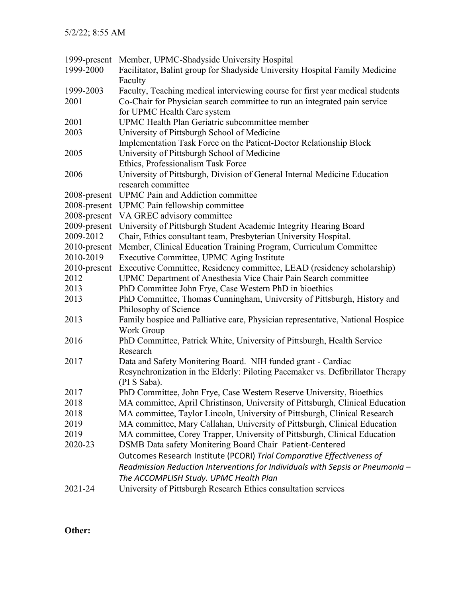| 1999-present      | Member, UPMC-Shadyside University Hospital                                                                                                                                                |
|-------------------|-------------------------------------------------------------------------------------------------------------------------------------------------------------------------------------------|
| 1999-2000         | Facilitator, Balint group for Shadyside University Hospital Family Medicine<br>Faculty                                                                                                    |
| 1999-2003<br>2001 | Faculty, Teaching medical interviewing course for first year medical students<br>Co-Chair for Physician search committee to run an integrated pain service<br>for UPMC Health Care system |
| 2001              | <b>UPMC Health Plan Geriatric subcommittee member</b>                                                                                                                                     |
| 2003              | University of Pittsburgh School of Medicine                                                                                                                                               |
|                   | Implementation Task Force on the Patient-Doctor Relationship Block                                                                                                                        |
| 2005              | University of Pittsburgh School of Medicine                                                                                                                                               |
|                   | Ethics, Professionalism Task Force                                                                                                                                                        |
| 2006              | University of Pittsburgh, Division of General Internal Medicine Education<br>research committee                                                                                           |
| 2008-present      | UPMC Pain and Addiction committee                                                                                                                                                         |
| 2008-present      | UPMC Pain fellowship committee                                                                                                                                                            |
| 2008-present      | VA GREC advisory committee                                                                                                                                                                |
| 2009-present      | University of Pittsburgh Student Academic Integrity Hearing Board                                                                                                                         |
| 2009-2012         | Chair, Ethics consultant team, Presbyterian University Hospital.                                                                                                                          |
| 2010-present      | Member, Clinical Education Training Program, Curriculum Committee                                                                                                                         |
| 2010-2019         | Executive Committee, UPMC Aging Institute                                                                                                                                                 |
| 2010-present      | Executive Committee, Residency committee, LEAD (residency scholarship)                                                                                                                    |
| 2012              | UPMC Department of Anesthesia Vice Chair Pain Search committee                                                                                                                            |
| 2013              | PhD Committee John Frye, Case Western PhD in bioethics                                                                                                                                    |
| 2013              | PhD Committee, Thomas Cunningham, University of Pittsburgh, History and                                                                                                                   |
|                   | Philosophy of Science                                                                                                                                                                     |
| 2013              | Family hospice and Palliative care, Physician representative, National Hospice                                                                                                            |
|                   | Work Group                                                                                                                                                                                |
| 2016              | PhD Committee, Patrick White, University of Pittsburgh, Health Service<br>Research                                                                                                        |
| 2017              | Data and Safety Monitering Board. NIH funded grant - Cardiac                                                                                                                              |
|                   | Resynchronization in the Elderly: Piloting Pacemaker vs. Defibrillator Therapy                                                                                                            |
|                   | (PI S Saba).                                                                                                                                                                              |
| 2017              | PhD Committee, John Frye, Case Western Reserve University, Bioethics                                                                                                                      |
| 2018              | MA committee, April Christinson, University of Pittsburgh, Clinical Education                                                                                                             |
| 2018              | MA committee, Taylor Lincoln, University of Pittsburgh, Clinical Research                                                                                                                 |
| 2019              | MA committee, Mary Callahan, University of Pittsburgh, Clinical Education                                                                                                                 |
| 2019              | MA committee, Corey Trapper, University of Pittsburgh, Clinical Education                                                                                                                 |
| 2020-23           | DSMB Data safety Monitering Board Chair Patient-Centered                                                                                                                                  |
|                   | Outcomes Research Institute (PCORI) Trial Comparative Effectiveness of                                                                                                                    |
|                   | Readmission Reduction Interventions for Individuals with Sepsis or Pneumonia -                                                                                                            |
|                   | The ACCOMPLISH Study. UPMC Health Plan                                                                                                                                                    |
| 2021-24           | University of Pittsburgh Research Ethics consultation services                                                                                                                            |
|                   |                                                                                                                                                                                           |

**Other:**